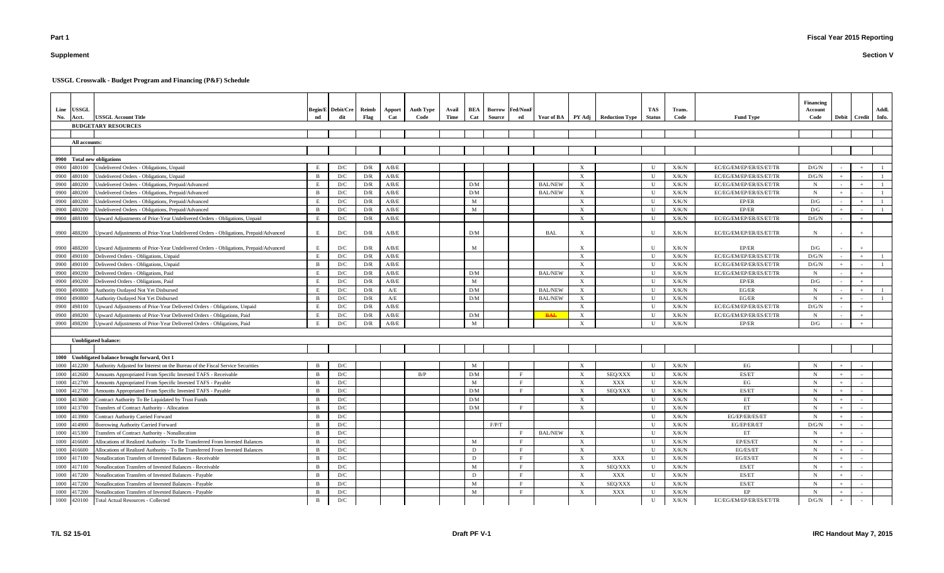# **Supplement**

### **Section V**

| No.          | Line USSGL<br>Acct. | <b>USSGL Account Title</b>                                                                                      | nd             | Begin/E Debit/Cre Reimb<br>dit | Flag       | Apport<br>Cat  | <b>Auth Type</b><br>Code | Avail<br>Time | Cat      | <b>BEA</b> Borrow Fed/NonF<br>Source | ed |                                  |                                                        | Year of BA PY Adj Reduction Type | TAS -<br>Status | Trans.<br>Code | <b>Fund Type</b>                                   | Financing<br>Account<br>Code |     | Debit   Credit   Info. | Addl. |
|--------------|---------------------|-----------------------------------------------------------------------------------------------------------------|----------------|--------------------------------|------------|----------------|--------------------------|---------------|----------|--------------------------------------|----|----------------------------------|--------------------------------------------------------|----------------------------------|-----------------|----------------|----------------------------------------------------|------------------------------|-----|------------------------|-------|
|              |                     | <b>BUDGETARY RESOURCES</b>                                                                                      |                |                                |            |                |                          |               |          |                                      |    |                                  |                                                        |                                  |                 |                |                                                    |                              |     |                        |       |
|              |                     |                                                                                                                 |                |                                |            |                |                          |               |          |                                      |    |                                  |                                                        |                                  |                 |                |                                                    |                              |     |                        |       |
|              | All accounts:       |                                                                                                                 |                |                                |            |                |                          |               |          |                                      |    |                                  |                                                        |                                  |                 |                |                                                    |                              |     |                        |       |
|              |                     |                                                                                                                 |                |                                |            |                |                          |               |          |                                      |    |                                  |                                                        |                                  |                 |                |                                                    |                              |     |                        |       |
|              |                     | 0900 Total new obligations                                                                                      |                |                                |            |                |                          |               |          |                                      |    |                                  |                                                        |                                  |                 |                |                                                    |                              |     |                        |       |
|              | 0900 480100         | Undelivered Orders - Obligations, Unpaid                                                                        |                | D/C                            | D/R        | A/B/E          |                          |               |          |                                      |    |                                  |                                                        |                                  | $\mathbf{U}$    | X/K/N          | EC/EG/EM/EP/ER/ES/ET/TR                            | D/G/N                        |     |                        |       |
| 0900 480100  | 480200              | Undelivered Orders - Obligations, Unpaid                                                                        |                | D/C                            | D/R        | A/B/E          |                          |               | D/M      |                                      |    |                                  | $\mathbf{X}$                                           |                                  | $\mathbf{U}$    | ${\rm X/K/N}$  | EC/EG/EM/EP/ER/ES/ET/TR                            | D/G/N                        |     |                        |       |
| 0900<br>0900 | 480200              | Jndelivered Orders - Obligations, Prepaid/Advanced<br>Undelivered Orders - Obligations, Prepaid/Advanced        | - B            | D/C<br>D/C                     | D/R<br>D/R | A/B/E<br>A/B/E |                          |               | D/M      |                                      |    | <b>BAL/NEW</b><br><b>BAL/NEW</b> | $\boldsymbol{\mathrm{X}}$<br>$\boldsymbol{\mathrm{X}}$ |                                  | U<br>U          | X/K/N<br>X/K/N | EC/EG/EM/EP/ER/ES/ET/TR<br>EC/EG/EM/EP/ER/ES/ET/TR | $\mathbf N$<br>$\mathbf N$   |     |                        |       |
| 0900         | 480200              | Undelivered Orders - Obligations, Prepaid/Advanced                                                              |                | D/C                            | D/R        | A/B/E          |                          |               | M        |                                      |    |                                  | $\mathbf{X}$                                           |                                  | U               | X/K/N          | EP/ER                                              | D/G                          |     |                        |       |
| 0900         | 480200              | Undelivered Orders - Obligations, Prepaid/Advanced                                                              | $\overline{B}$ | D/C                            | D/R        | A/B/E          |                          |               | M        |                                      |    |                                  | $\mathbf{X}$                                           |                                  | $\mathbf{U}$    | X/K/N          | EP/ER                                              | D/G                          |     |                        |       |
| 0900         | 488100              | Upward Adjustments of Prior-Year Undelivered Orders - Obligations, Unpaid                                       | E              | D/C                            | D/R        | A/B/E          |                          |               |          |                                      |    |                                  | $\mathbf{X}$                                           |                                  | $\mathbf U$     | X/K/N          | EC/EG/EM/EP/ER/ES/ET/TR                            | D/G/N                        |     |                        |       |
|              |                     |                                                                                                                 |                |                                |            |                |                          |               |          |                                      |    |                                  |                                                        |                                  |                 |                |                                                    |                              |     |                        |       |
|              | 0900 488200         | Upward Adjustments of Prior-Year Undelivered Orders - Obligations, Prepaid/Advanced                             | E              | D/C                            | D/R        | A/B/E          |                          |               | D/M      |                                      |    | <b>BAL</b>                       | $\boldsymbol{\mathrm{X}}$                              |                                  | U               | X/K/N          | EC/EG/EM/EP/ER/ES/ET/TR                            | N                            |     |                        |       |
|              |                     |                                                                                                                 |                |                                |            |                |                          |               |          |                                      |    |                                  |                                                        |                                  |                 |                |                                                    |                              |     |                        |       |
|              | 0900 488200         | Upward Adjustments of Prior-Year Undelivered Orders - Obligations, Prepaid/Advanced                             |                | D/C                            | D/R        | A/B/E          |                          |               | M        |                                      |    |                                  | $\boldsymbol{\mathrm{X}}$                              |                                  | U               | X/K/N          | EP/ER                                              | D/G                          |     |                        |       |
|              | 0900 490100         | Delivered Orders - Obligations, Unpaid                                                                          |                | D/C                            | D/R        | A/B/E          |                          |               |          |                                      |    |                                  | $\mathbf{X}$                                           |                                  | U               | X/K/N          | EC/EG/EM/EP/ER/ES/ET/TR                            | D/G/N                        |     |                        |       |
|              | 0900 490100         | Delivered Orders - Obligations, Unpaid                                                                          |                | D/C                            | D/R        | A/B/E          |                          |               |          |                                      |    |                                  | $\mathbf{X}$                                           |                                  | U               | X/K/N          | EC/EG/EM/EP/ER/ES/ET/TR                            | D/G/N                        |     |                        |       |
|              | 0900 490200         | Delivered Orders - Obligations, Paid                                                                            |                | D/C                            | D/R        | A/B/E          |                          |               | D/M      |                                      |    | <b>BAL/NEW</b>                   | $\boldsymbol{\mathrm{X}}$                              |                                  | U               | X/K/N          | EC/EG/EM/EP/ER/ES/ET/TR                            | $\mathbf N$                  |     |                        |       |
| 0900         | 490200              | Delivered Orders - Obligations, Paid                                                                            |                | D/C                            | D/R        | A/B/E          |                          |               | M<br>D/M |                                      |    |                                  | $\mathbf{X}$                                           |                                  | U<br>U          | X/K/N          | EP/ER                                              | D/G                          |     |                        |       |
| 0900         | 490800              | Authority Outlayed Not Yet Disbursed                                                                            | <sup>B</sup>   | D/C                            | D/R        | A/E            |                          |               | D/M      |                                      |    | <b>BAL/NEW</b>                   | $\boldsymbol{\mathrm{X}}$                              |                                  | U               | X/K/N          | EG/ER<br>EG/ER                                     | $\mathbf N$<br>$\mathbf N$   |     |                        |       |
| 0900<br>0900 | 490800<br>498100    | Authority Outlayed Not Yet Disbursed<br>Upward Adjustments of Prior-Year Delivered Orders - Obligations, Unpaid |                | D/C<br>D/C                     | D/R<br>D/R | A/E<br>A/B/E   |                          |               |          |                                      |    | <b>BAL/NEW</b>                   | $\mathbf{X}$<br>$\mathbf{X}$                           |                                  | $\mathbf{U}$    | X/K/N<br>X/K/N | EC/EG/EM/EP/ER/ES/ET/TR                            | D/G/N                        |     |                        |       |
| 0900         | 498200              | Upward Adjustments of Prior-Year Delivered Orders - Obligations, Paid                                           |                | D/C                            | D/R        | A/B/E          |                          |               | D/M      |                                      |    | <b>BAL</b>                       | $\mathbf{X}$                                           |                                  | $\mathbf{U}$    | X/K/N          | EC/EG/EM/EP/ER/ES/ET/TR                            | N                            |     |                        |       |
| 0900         | 498200              | Upward Adjustments of Prior-Year Delivered Orders - Obligations, Paid                                           |                | D/C                            | D/R        | A/B/E          |                          |               | M        |                                      |    |                                  | $\boldsymbol{\mathrm{X}}$                              |                                  | $\mathbf{U}$    | ${\rm X/K/N}$  | EP/ER                                              | D/G                          |     |                        |       |
|              |                     |                                                                                                                 |                |                                |            |                |                          |               |          |                                      |    |                                  |                                                        |                                  |                 |                |                                                    |                              |     |                        |       |
|              |                     | <b>Unobligated balance:</b>                                                                                     |                |                                |            |                |                          |               |          |                                      |    |                                  |                                                        |                                  |                 |                |                                                    |                              |     |                        |       |
|              |                     |                                                                                                                 |                |                                |            |                |                          |               |          |                                      |    |                                  |                                                        |                                  |                 |                |                                                    |                              |     |                        |       |
|              |                     | 1000 Unobligated balance brought forward, Oct 1                                                                 |                |                                |            |                |                          |               |          |                                      |    |                                  |                                                        |                                  |                 |                |                                                    |                              |     |                        |       |
|              | 1000 412200         | Authority Adjusted for Interest on the Bureau of the Fiscal Service Securities                                  |                | D/C                            |            |                |                          |               | M        |                                      |    |                                  | $\boldsymbol{\mathrm{X}}$                              |                                  | U               | X/K/N          | EG                                                 | N                            |     |                        |       |
|              | 1000 412600         | Amounts Appropriated From Specific Invested TAFS - Receivable                                                   | B              | D/C                            |            |                | B/P                      |               | D/M      |                                      |    |                                  | $\boldsymbol{\mathrm{X}}$                              | SEQ/XXX                          | U               | X/K/N          | ES/ET                                              | N                            |     |                        |       |
|              | 1000 412700         | Amounts Appropriated From Specific Invested TAFS - Payable                                                      |                | D/C                            |            |                |                          |               | M        |                                      |    |                                  | $\boldsymbol{\mathrm{X}}$                              | XXX                              | U               | X/K/N          | EG                                                 | $\mathbf N$                  |     |                        |       |
|              | 1000 412700         | Amounts Appropriated From Specific Invested TAFS - Payable                                                      | <sup>B</sup>   | D/C                            |            |                |                          |               | D/M      |                                      |    |                                  | $\mathbf{X}$                                           | SEQ/XXX                          | U               | X/K/N          | ES/ET                                              | N                            | $+$ |                        |       |
| 1000         | 413600              | Contract Authority To Be Liquidated by Trust Funds                                                              | $\mathbf{B}$   | D/C                            |            |                |                          |               | D/M      |                                      |    |                                  | $\boldsymbol{\mathrm{X}}$                              |                                  | U               | X/K/N          | ET                                                 | N                            |     |                        |       |
| 1000         | 413700              | Transfers of Contract Authority - Allocation                                                                    |                | D/C                            |            |                |                          |               | D/M      |                                      |    |                                  | $\boldsymbol{\mathrm{X}}$                              |                                  | U               | X/K/N          | ET                                                 | N                            |     |                        |       |
| 1000         | 413900              | <b>Contract Authority Carried Forward</b>                                                                       |                | D/C                            |            |                |                          |               |          |                                      |    |                                  |                                                        |                                  | U               | X/K/N          | EG/EP/ER/ES/ET                                     | N                            |     |                        |       |
| 1000         | 414900              | Borrowing Authority Carried Forward                                                                             |                | D/C                            |            |                |                          |               |          | $\rm F/P/T$                          |    |                                  |                                                        |                                  | U               | X/K/N          | EG/EP/ER/ET                                        | D/G/N                        |     |                        |       |
| 1000         | 415300              | Transfers of Contract Authority - Nonallocation                                                                 |                | D/C                            |            |                |                          |               |          |                                      |    | <b>BAL/NEW</b>                   | $\boldsymbol{\mathrm{X}}$                              |                                  | U               | X/K/N          | ET                                                 | $\mathbf N$                  |     |                        |       |
| 1000         | 416600              | Allocations of Realized Authority - To Be Transferred From Invested Balances                                    | - B            | D/C                            |            |                |                          |               | M        |                                      |    |                                  | $\boldsymbol{\mathrm{X}}$                              |                                  | U               | X/K/N          | EP/ES/ET                                           | N                            |     |                        |       |
| 1000         | 416600              | Allocations of Realized Authority - To Be Transferred From Invested Balances                                    | $\mathbf{B}$   | D/C                            |            |                |                          |               | D        |                                      |    |                                  | $\boldsymbol{\mathrm{X}}$                              |                                  | U               | X/K/N          | EG/ES/ET                                           | N                            |     |                        |       |
|              | 1000 417100         | Nonallocation Transfers of Invested Balances - Receivable                                                       | B              | D/C                            |            |                |                          |               | D        |                                      |    |                                  | $\boldsymbol{\mathrm{X}}$                              | XXX                              | $\mathbf U$     | X/K/N          | EG/ES/ET                                           | $\mathbf N$                  |     |                        |       |
|              | 1000 417100         | Nonallocation Transfers of Invested Balances - Receivable                                                       |                | D/C                            |            |                |                          |               | M        |                                      |    |                                  | $\boldsymbol{\mathrm{X}}$                              | SEQ/XXX                          | $\mathbf U$     | X/K/N          | ES/ET                                              | N                            |     |                        |       |
|              | 1000 417200         | Nonallocation Transfers of Invested Balances - Payable                                                          | - B            | D/C                            |            |                |                          |               | D        |                                      |    |                                  | $\mathbf{X}$                                           | XXX                              | $\mathbf U$     | X/K/N          | ES/ET                                              | $\mathbf N$                  |     |                        |       |
| 1000         | 417200              | Nonallocation Transfers of Invested Balances - Payable                                                          |                | D/C                            |            |                |                          |               | M        |                                      |    |                                  | $\mathbf{X}$                                           | SEQ/XXX                          | $\mathbf U$     | X/K/N          | ES/ET                                              | $\mathbf N$                  |     |                        |       |
| 1000         | 417200              | Nonallocation Transfers of Invested Balances - Payable                                                          | B              | D/C                            |            |                |                          |               | M        |                                      |    |                                  | $\mathbf{X}$                                           | XXX                              | $\mathbf U$     | X/K/N          | EP                                                 | N                            |     |                        |       |
|              | 1000 420100         | <b>Total Actual Resources - Collected</b>                                                                       | $\mathbf{B}$   | D/C                            |            |                |                          |               |          |                                      |    |                                  |                                                        |                                  | $\mathbf U$     | X/K/N          | EC/EG/EM/EP/ER/ES/ET/TR                            | D/G/N                        | $+$ |                        |       |

**USSGL Crosswalk - Budget Program and Financing (P&F) Schedule**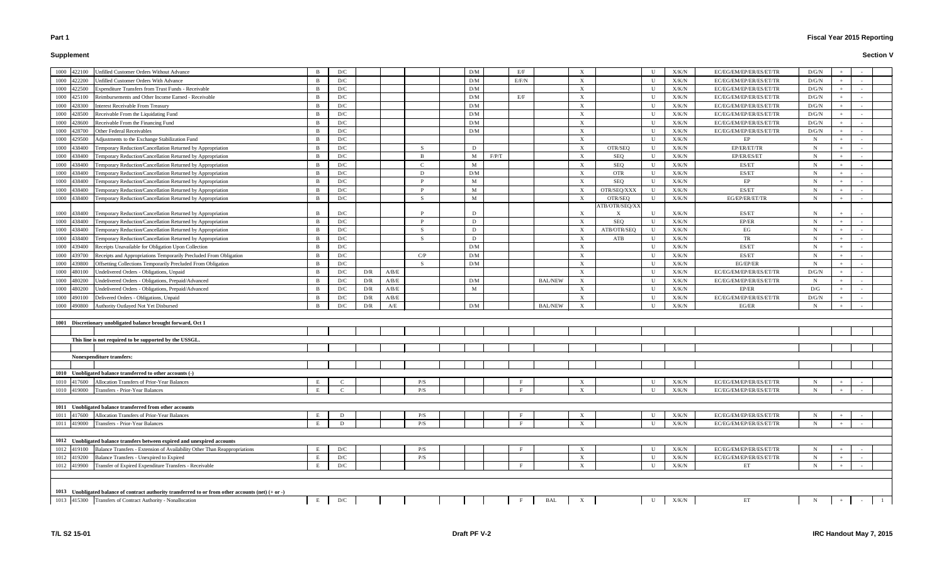# **Supplement**

| 1000<br>422100 | Unfilled Customer Orders Without Advance                                                              |     | D/C         |     |       |     | D/M |       | E/F          |                |                           |                | $\mathbf{U}$ | X/K/N         | EC/EG/EM/EP/ER/ES/ET/TR | D/G/N |       |  |
|----------------|-------------------------------------------------------------------------------------------------------|-----|-------------|-----|-------|-----|-----|-------|--------------|----------------|---------------------------|----------------|--------------|---------------|-------------------------|-------|-------|--|
| 1000<br>422200 | <b>Unfilled Customer Orders With Advance</b>                                                          | - R | D/C         |     |       |     | D/M |       | E/F/N        |                | $\boldsymbol{\mathrm{X}}$ |                | U            | X/K/N         | EC/EG/EM/EP/ER/ES/ET/TR | D/G/N |       |  |
| 1000<br>422500 | <b>Expenditure Transfers from Trust Funds - Receivable</b>                                            |     | D/C         |     |       |     | D/M |       |              |                | $\boldsymbol{\mathrm{X}}$ |                | U            | X/K/N         | EC/EG/EM/EP/ER/ES/ET/TR | D/G/N |       |  |
| 1000<br>425100 | Reimbursements and Other Income Earned - Receivable                                                   |     | D/C         |     |       |     | D/M |       | E/F          |                | $\boldsymbol{\mathrm{X}}$ |                | U            | X/K/N         | EC/EG/EM/EP/ER/ES/ET/TR | D/G/N |       |  |
| 1000<br>428300 | <b>Interest Receivable From Treasury</b>                                                              |     | D/C         |     |       |     | D/M |       |              |                | $\boldsymbol{\mathrm{X}}$ |                | U            | X/K/N         | EC/EG/EM/EP/ER/ES/ET/TR | D/G/N |       |  |
| 1000<br>428500 | Receivable From the Liquidating Fund                                                                  |     | D/C         |     |       |     | D/M |       |              |                | $\boldsymbol{\mathrm{X}}$ |                | U            | X/K/N         | EC/EG/EM/EP/ER/ES/ET/TR | D/G/N |       |  |
| 1000<br>428600 | Receivable From the Financing Fund                                                                    | - R | D/C         |     |       |     | D/M |       |              |                | $\boldsymbol{\mathrm{X}}$ |                | U            | X/K/N         | EC/EG/EM/EP/ER/ES/ET/TR | D/G/N |       |  |
| 1000<br>428700 | Other Federal Receivables                                                                             | -R  | D/C         |     |       |     | D/M |       |              |                | $\boldsymbol{\mathrm{X}}$ |                | U            | X/K/N         | EC/EG/EM/EP/ER/ES/ET/TR | D/G/N |       |  |
| 1000<br>429500 | Adjustments to the Exchange Stabilization Fund                                                        | - R | D/C         |     |       |     |     |       |              |                | $\boldsymbol{\mathrm{X}}$ |                | U            | X/K/N         | EP                      | N     | $+$   |  |
| 1000<br>438400 | Temporary Reduction/Cancellation Returned by Appropriation                                            | R   | D/C         |     |       | -S  | D   |       |              |                | $\boldsymbol{\mathrm{X}}$ | OTR/SEQ        | U            | X/K/N         | EP/ER/ET/TR             |       | $\pm$ |  |
| 1000<br>438400 | Temporary Reduction/Cancellation Returned by Appropriation                                            |     | D/C         |     |       | B   | M   | F/P/T |              |                | $\boldsymbol{\mathrm{X}}$ | SEQ            | U            | X/K/N         | EP/ER/ES/ET             |       | $+$   |  |
| 1000<br>438400 | Temporary Reduction/Cancellation Returned by Appropriation                                            | R   | D/C         |     |       |     | M   |       |              |                | $\boldsymbol{\mathrm{X}}$ | SEQ            | U            | X/K/N         | ES/ET                   | N     | $+$   |  |
| 1000<br>438400 | Temporary Reduction/Cancellation Returned by Appropriation                                            |     | D/C         |     |       | D   | D/M |       |              |                | $\boldsymbol{\mathrm{X}}$ | <b>OTR</b>     | U            | X/K/N         | ES/ET                   | N     |       |  |
| 1000<br>438400 | Temporary Reduction/Cancellation Returned by Appropriation                                            |     | D/C         |     |       | D   | M   |       |              |                | $\boldsymbol{\mathrm{X}}$ | SEQ            | U            | X/K/N         | EP                      |       |       |  |
| 1000<br>438400 | Temporary Reduction/Cancellation Returned by Appropriation                                            |     | D/C         |     |       |     | M   |       |              |                | X                         | OTR/SEQ/XXX    | U            | X/K/N         | ES/ET                   |       |       |  |
| 1000<br>438400 | Temporary Reduction/Cancellation Returned by Appropriation                                            |     | D/C         |     |       | -S  | M   |       |              |                | $\boldsymbol{\mathrm{X}}$ | OTR/SEQ        | U            | X/K/N         | EG/EP/ER/ET/TR          |       |       |  |
|                |                                                                                                       |     |             |     |       |     |     |       |              |                |                           | ATB/OTR/SEQ/XX |              |               |                         |       |       |  |
| 1000<br>438400 | Temporary Reduction/Cancellation Returned by Appropriation                                            |     | D/C         |     |       |     | D   |       |              |                | $\boldsymbol{\mathrm{X}}$ | X              | U            | X/K/N         | ES/ET                   | N     |       |  |
| 1000<br>438400 | Temporary Reduction/Cancellation Returned by Appropriation                                            | B   | D/C         |     |       | D   | D   |       |              |                | X                         | <b>SEQ</b>     | U            | X/K/N         | EP/ER                   | N     | $+$   |  |
| 1000<br>438400 | Temporary Reduction/Cancellation Returned by Appropriation                                            |     | D/C         |     |       | -S  | D   |       |              |                | X                         | ATB/OTR/SEQ    | U            | X/K/N         | EG                      |       |       |  |
| 1000<br>438400 | Temporary Reduction/Cancellation Returned by Appropriation                                            |     | D/C         |     |       | -S  | D   |       |              |                | $\boldsymbol{\mathrm{X}}$ | ATB            | U            | X/K/N         | TR                      |       |       |  |
| 1000<br>439400 | Receipts Unavailable for Obligation Upon Collection                                                   |     | D/C         |     |       |     | D/M |       |              |                | $\boldsymbol{\mathrm{X}}$ |                | U            | X/K/N         | ES/ET                   |       |       |  |
| 1000<br>439700 | Receipts and Appropriations Temporarily Precluded From Obligation                                     |     | D/C         |     |       | C/P | D/M |       |              |                | $\boldsymbol{\mathrm{X}}$ |                | - U          | X/K/N         | ES/ET                   |       |       |  |
| 1000<br>439800 | Offsetting Collections Temporarily Precluded From Obligation                                          |     | D/C         |     |       | -S  | D/M |       |              |                | $\boldsymbol{\mathrm{X}}$ |                | U            | X/K/N         | EG/EP/ER                |       |       |  |
| 1000<br>480100 | Undelivered Orders - Obligations, Unpaid                                                              | - R | D/C         | D/R | A/B/E |     |     |       |              |                | $\boldsymbol{\mathrm{X}}$ |                | U            | X/K/N         | EC/EG/EM/EP/ER/ES/ET/TR | D/G/N |       |  |
| 1000<br>480200 | Undelivered Orders - Obligations, Prepaid/Advanced                                                    | R   | D/C         | D/R | A/B/E |     | D/M |       |              | <b>BAL/NEW</b> | $\boldsymbol{\mathrm{X}}$ |                | U            | X/K/N         | EC/EG/EM/EP/ER/ES/ET/TR |       |       |  |
| 1000<br>480200 | Undelivered Orders - Obligations, Prepaid/Advanced                                                    |     | D/C         | D/R | A/B/E |     | M   |       |              |                | $\boldsymbol{\mathrm{X}}$ |                | U            | X/K/N         | EP/ER                   | D/G   |       |  |
| 1000<br>490100 | Delivered Orders - Obligations, Unpaid                                                                |     | D/C         | D/R | A/B/E |     |     |       |              |                | $\boldsymbol{\mathrm{X}}$ |                | U            | X/K/N         | EC/EG/EM/EP/ER/ES/ET/TR | D/G/N |       |  |
| 1000<br>490800 | Authority Outlayed Not Yet Disbursed                                                                  |     | D/C         | D/R | A/E   |     | D/M |       |              | <b>BAL/NEW</b> | $\boldsymbol{\mathrm{X}}$ |                | $\mathbf{U}$ | X/K/N         | EG/ER                   |       |       |  |
|                |                                                                                                       |     |             |     |       |     |     |       |              |                |                           |                |              |               |                         |       |       |  |
|                | 1001 Discretionary unobligated balance brought forward, Oct 1                                         |     |             |     |       |     |     |       |              |                |                           |                |              |               |                         |       |       |  |
|                |                                                                                                       |     |             |     |       |     |     |       |              |                |                           |                |              |               |                         |       |       |  |
|                | This line is not required to be supported by the USSGL.                                               |     |             |     |       |     |     |       |              |                |                           |                |              |               |                         |       |       |  |
|                |                                                                                                       |     |             |     |       |     |     |       |              |                |                           |                |              |               |                         |       |       |  |
|                | Nonexpenditure transfers:                                                                             |     |             |     |       |     |     |       |              |                |                           |                |              |               |                         |       |       |  |
|                |                                                                                                       |     |             |     |       |     |     |       |              |                |                           |                |              |               |                         |       |       |  |
|                | 1010 Unobligated balance transferred to other accounts (-)                                            |     |             |     |       |     |     |       |              |                |                           |                |              |               |                         |       |       |  |
| 1010<br>417600 | Allocation Transfers of Prior-Year Balances                                                           | E   |             |     |       | P/S |     |       |              |                | $\boldsymbol{\mathrm{X}}$ |                | U            | X/K/N         | EC/EG/EM/EP/ER/ES/ET/TR |       |       |  |
| 1010 419000    | Transfers - Prior-Year Balances                                                                       | E   | $\mathbf C$ |     |       | P/S |     |       | $\mathbf{F}$ |                | $\boldsymbol{\mathrm{X}}$ |                | $\mathbf U$  | ${\rm X/K/N}$ | EC/EG/EM/EP/ER/ES/ET/TR | N     |       |  |
|                |                                                                                                       |     |             |     |       |     |     |       |              |                |                           |                |              |               |                         |       |       |  |
|                | 1011 Unobligated balance transferred from other accounts                                              |     |             |     |       |     |     |       |              |                |                           |                |              |               |                         |       |       |  |
| 1011<br>417600 | Allocation Transfers of Prior-Year Balances                                                           |     | D           |     |       | P/S |     |       |              |                | X                         |                | U            | ${\rm X/K/N}$ | EC/EG/EM/EP/ER/ES/ET/TR |       |       |  |
| 1011 419000    | Transfers - Prior-Year Balances                                                                       | E   | D           |     |       | P/S |     |       | F            |                | $\mathbf{X}$              |                | U            | X/K/N         | EC/EG/EM/EP/ER/ES/ET/TR |       |       |  |
|                |                                                                                                       |     |             |     |       |     |     |       |              |                |                           |                |              |               |                         |       |       |  |
|                | 1012 Unobligated balance transfers between expired and unexpired accounts                             |     |             |     |       |     |     |       |              |                |                           |                |              |               |                         |       |       |  |
| 1012 419100    | Balance Transfers - Extension of Availability Other Than Reappropriations                             |     | D/C         |     |       | P/S |     |       | F            |                | $\boldsymbol{\mathrm{X}}$ |                | U            | X/K/N         | EC/EG/EM/EP/ER/ES/ET/TR |       | $+$   |  |
| 1012 419200    | Balance Transfers - Unexpired to Expired                                                              | E   | D/C         |     |       | P/S |     |       |              |                | $\boldsymbol{\mathrm{X}}$ |                | U            | X/K/N         | EC/EG/EM/EP/ER/ES/ET/TR | N     | $+$   |  |
| 1012<br>419900 | Transfer of Expired Expenditure Transfers - Receivable                                                | E   | D/C         |     |       |     |     |       | F            |                | $\boldsymbol{\mathrm{X}}$ |                | U            | X/K/N         | ET                      | N     |       |  |
|                |                                                                                                       |     |             |     |       |     |     |       |              |                |                           |                |              |               |                         |       |       |  |
|                |                                                                                                       |     |             |     |       |     |     |       |              |                |                           |                |              |               |                         |       |       |  |
|                | 1013 Unobligated balance of contract authority transferred to or from other accounts (net) $(+$ or -) |     |             |     |       |     |     |       |              |                |                           |                |              |               |                         |       |       |  |
|                | 1013 415300 Transfers of Contract Authority - Nonallocation                                           | E   | D/C         |     |       |     |     |       |              | BAL            | $\boldsymbol{\mathrm{X}}$ |                | U            | X/K/N         | ET                      | N     |       |  |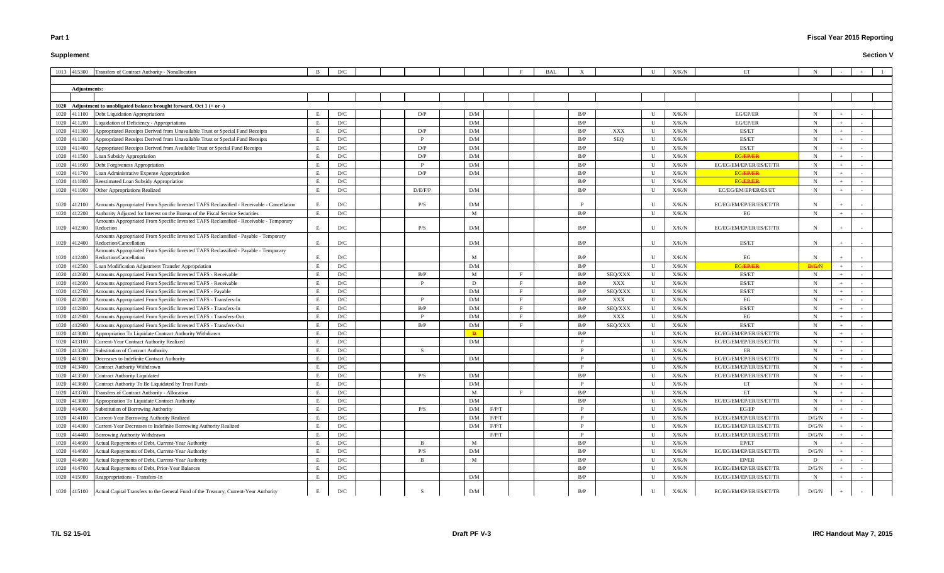# **Supplement**

# **Fiscal Year 2015 Reporting**

|      |              | 1013 415300 Transfers of Contract Authority - Nonallocation                                                   |   | D/C |  |              |             |       |              | <b>BAL</b> |     |         |              | X/K/N         | ET                      |             |  |  |
|------|--------------|---------------------------------------------------------------------------------------------------------------|---|-----|--|--------------|-------------|-------|--------------|------------|-----|---------|--------------|---------------|-------------------------|-------------|--|--|
|      |              |                                                                                                               |   |     |  |              |             |       |              |            |     |         |              |               |                         |             |  |  |
|      | Adjustments: |                                                                                                               |   |     |  |              |             |       |              |            |     |         |              |               |                         |             |  |  |
|      |              |                                                                                                               |   |     |  |              |             |       |              |            |     |         |              |               |                         |             |  |  |
|      |              | 1020 Adjustment to unobligated balance brought forward, Oct $1 (+ or -)$                                      |   |     |  |              |             |       |              |            |     |         |              |               |                         |             |  |  |
|      | 1020 411100  | Debt Liquidation Appropriations                                                                               |   | D/C |  | D/P          | D/M         |       |              |            | B/P |         | U            | X/K/N         | EG/EP/ER                |             |  |  |
|      | 1020 411200  | Liquidation of Deficiency - Appropriations                                                                    | E | D/C |  |              | D/M         |       |              |            | B/P |         | U            | X/K/N         | EG/EP/ER                | N           |  |  |
|      | 1020 411300  | Appropriated Receipts Derived from Unavailable Trust or Special Fund Receipts                                 | E | D/C |  | D/P          | D/M         |       |              |            | B/P | XXX     | U            | X/K/N         | ES/ET                   |             |  |  |
|      | 1020 411300  | Appropriated Receipts Derived from Unavailable Trust or Special Fund Receipts                                 | E | D/C |  |              | D/M         |       |              |            | B/P | SEQ     | U            | ${\rm X/K/N}$ | ES/ET                   |             |  |  |
|      | 1020 411400  | Appropriated Receipts Derived from Available Trust or Special Fund Receipts                                   | E | D/C |  | D/P          | D/M         |       |              |            | B/P |         | U            | X/K/N         | ES/ET                   | N           |  |  |
|      | 1020 411500  | Loan Subsidy Appropriation                                                                                    |   | D/C |  | D/P          | D/M         |       |              |            | B/P |         | $\mathbf{U}$ | X/K/N         | <b>EG/EP/ER</b>         | N           |  |  |
|      | 1020 411600  | Debt Forgiveness Appropriation                                                                                | E | D/C |  | D            | D/M         |       |              |            | B/P |         | U            | X/K/N         | EC/EG/EM/EP/ER/ES/ET/TR | N           |  |  |
|      | 1020 411700  | Loan Administrative Expense Appropriation                                                                     |   | D/C |  | D/P          | D/M         |       |              |            | B/P |         | U            | X/K/N         | <b>EGÆPÆR</b>           | N           |  |  |
|      | 1020 411800  | Reestimated Loan Subsidy Appropriation                                                                        |   | D/C |  |              |             |       |              |            | B/P |         | U            | X/K/N         | <b>EG/EP/ER</b>         |             |  |  |
|      | 1020 411900  | Other Appropriations Realized                                                                                 |   | D/C |  | D/E/F/P      | D/M         |       |              |            | B/P |         | U            | X/K/N         | EC/EG/EM/EP/ER/ES/ET    |             |  |  |
|      | 1020 412100  | Amounts Appropriated From Specific Invested TAFS Reclassified - Receivable - Cancellation                     |   | D/C |  | P/S          | D/M         |       |              |            |     |         | $\mathbf{U}$ | X/K/N         | EC/EG/EM/EP/ER/ES/ET/TR |             |  |  |
|      | 1020 412200  | Authority Adjusted for Interest on the Bureau of the Fiscal Service Securities                                | E | D/C |  |              | M           |       |              |            | B/P |         | U            | X/K/N         | EG                      | N           |  |  |
|      | 1020 412300  | Amounts Appropriated From Specific Invested TAFS Reclassified - Receivable - Temporary<br>Reduction           | Ε | D/C |  | P/S          | D/M         |       |              |            | B/P |         | U            | X/K/N         | EC/EG/EM/EP/ER/ES/ET/TR |             |  |  |
|      | 1020 412400  | Amounts Appropriated From Specific Invested TAFS Reclassified - Payable - Temporary<br>Reduction/Cancellation | E | D/C |  |              | D/M         |       |              |            | B/P |         | U            | X/K/N         | ES/ET                   |             |  |  |
|      | 1020 412400  | Amounts Appropriated From Specific Invested TAFS Reclassified - Payable - Temporary<br>Reduction/Cancellation |   | D/C |  |              | M           |       |              |            | B/P |         | U            | X/K/N         | EG                      |             |  |  |
|      | 1020 412500  | Loan Modification Adjustment Transfer Appropriation                                                           |   | D/C |  |              | D/M         |       |              |            | B/P |         | U            | X/K/N         | <b>EG/EP/ER</b>         | D/G/N       |  |  |
|      | 1020 412600  | Amounts Appropriated From Specific Invested TAFS - Receivable                                                 |   | D/C |  | B/P          | M           |       |              |            | B/P | SEQ/XXX | U            | X/K/N         | ES/ET                   | N           |  |  |
|      | 1020 412600  | Amounts Appropriated From Specific Invested TAFS - Receivable                                                 |   | D/C |  |              | D           |       |              |            | B/P | XXX     | U            | X/K/N         | ES/ET                   |             |  |  |
|      | 1020 412700  | Amounts Appropriated From Specific Invested TAFS - Payable                                                    |   | D/C |  |              | D/M         |       |              |            | B/P | SEQ/XXX | U            | X/K/N         | ES/ET                   |             |  |  |
|      | 1020 412800  | Amounts Appropriated From Specific Invested TAFS - Transfers-In                                               |   | D/C |  |              | D/M         |       |              |            | B/P | XXX     | U            | X/K/N         | EG                      |             |  |  |
|      | 1020 412800  | Amounts Appropriated From Specific Invested TAFS - Transfers-In                                               |   | D/C |  | B/P          | D/M         |       |              |            | B/P | SEQ/XXX | U            | X/K/N         | ES/ET                   |             |  |  |
|      | 1020 412900  | Amounts Appropriated From Specific Invested TAFS - Transfers-Out                                              |   | D/C |  |              | D/M         |       | E            |            | B/P | XXX     | $\mathbf U$  | X/K/N         | EG                      | N           |  |  |
|      | 1020 412900  | Amounts Appropriated From Specific Invested TAFS - Transfers-Out                                              | E | D/C |  | B/P          | D/M         |       | $\mathbf{F}$ |            | B/P | SEQ/XXX | U            | X/K/N         | ES/ET                   |             |  |  |
| 1020 | 413000       | Appropriation To Liquidate Contract Authority Withdrawn                                                       |   | D/C |  |              |             |       |              |            | B/P |         | $\mathbf{U}$ | ${\rm X/K/N}$ | EC/EG/EM/EP/ER/ES/ET/TR |             |  |  |
| 1020 | 413100       | <b>Current-Year Contract Authority Realized</b>                                                               | E | D/C |  |              | D/M         |       |              |            |     |         | U            | ${\rm X/K/N}$ | EC/EG/EM/EP/ER/ES/ET/TR | N           |  |  |
|      | 1020 413200  | Substitution of Contract Authority                                                                            |   | D/C |  | <sup>S</sup> |             |       |              |            | D   |         | U            | X/K/N         | ER                      | N           |  |  |
|      | 1020 413300  | Decreases to Indefinite Contract Authority                                                                    |   | D/C |  |              | D/M         |       |              |            |     |         | U            | X/K/N         | EC/EG/EM/EP/ER/ES/ET/TR |             |  |  |
|      |              | 1020 413400 Contract Authority Withdrawn                                                                      | E | D/C |  |              |             |       |              |            |     |         | U            | ${\rm X/K/N}$ | EC/EG/EM/EP/ER/ES/ET/TR | $N_{\odot}$ |  |  |
|      | 1020 413500  | <b>Contract Authority Liquidated</b>                                                                          | E | D/C |  | P/S          | ${\rm D/M}$ |       |              |            | B/P |         | U            | X/K/N         | EC/EG/EM/EP/ER/ES/ET/TR | N           |  |  |
|      | 1020 413600  | Contract Authority To Be Liquidated by Trust Funds                                                            | E | D/C |  |              | D/M         |       |              |            | P   |         | U            | X/K/N         | ET                      | N           |  |  |
|      | 1020 413700  | Transfers of Contract Authority - Allocation                                                                  | E | D/C |  |              | M           |       | F            |            | B/P |         | $\mathbf U$  | X/K/N         | ET                      | N           |  |  |
|      | 1020 413800  | Appropriation To Liquidate Contract Authority                                                                 |   | D/C |  |              | D/M         |       |              |            | B/P |         | U            | X/K/N         | EC/EG/EM/EP/ER/ES/ET/TR | N           |  |  |
|      | 1020 414000  | Substitution of Borrowing Authority                                                                           | E | D/C |  | P/S          | D/M         | F/P/T |              |            | P   |         | U            | X/K/N         | EG/EP                   | N           |  |  |
|      | 1020 414100  | Current-Year Borrowing Authority Realized                                                                     | E | D/C |  |              | D/M         | F/P/T |              |            | P   |         | U            | X/K/N         | EC/EG/EM/EP/ER/ES/ET/TR | D/G/N       |  |  |
|      | 1020 414300  | Current-Year Decreases to Indefinite Borrowing Authority Realized                                             |   | D/C |  |              | D/M         | F/P/T |              |            | P   |         | U            | ${\rm X/K/N}$ | EC/EG/EM/EP/ER/ES/ET/TR | D/G/N       |  |  |
|      | 1020 414400  | Borrowing Authority Withdrawn                                                                                 | E | D/C |  |              |             | F/P/T |              |            | D   |         | U            | ${\rm X/K/N}$ | EC/EG/EM/EP/ER/ES/ET/TR | D/G/N       |  |  |
|      | 1020 414600  | Actual Repayments of Debt, Current-Year Authority                                                             |   | D/C |  | B            | M           |       |              |            | B/P |         | U            | ${\rm X/K/N}$ | EP/ET                   | N           |  |  |
|      | 1020 414600  | Actual Repayments of Debt, Current-Year Authority                                                             |   | D/C |  | P/S          | D/M         |       |              |            | B/P |         | U            | ${\rm X/K/N}$ | EC/EG/EM/EP/ER/ES/ET/TR | D/G/N       |  |  |
|      | 1020 414600  | Actual Repayments of Debt, Current-Year Authority                                                             |   | D/C |  |              | M           |       |              |            | B/P |         | $\mathbf{U}$ | X/K/N         | EP/ER                   | D           |  |  |
|      | 1020 414700  | Actual Repayments of Debt, Prior-Year Balances                                                                |   | D/C |  |              |             |       |              |            | B/P |         | U            | X/K/N         | EC/EG/EM/EP/ER/ES/ET/TR | D/G/N       |  |  |
|      |              | 1020 415000 Reappropriations - Transfers-In                                                                   | E | D/C |  |              | D/M         |       |              |            | B/P |         | $\mathbf U$  | X/K/N         | EC/EG/EM/EP/ER/ES/ET/TR | N           |  |  |
|      |              | 1020 415100 Actual Capital Transfers to the General Fund of the Treasury, Current-Year Authority              | E | D/C |  |              | D/M         |       |              |            | B/P |         | U            | X/K/N         | EC/EG/EM/EP/ER/ES/ET/TR | D/G/N       |  |  |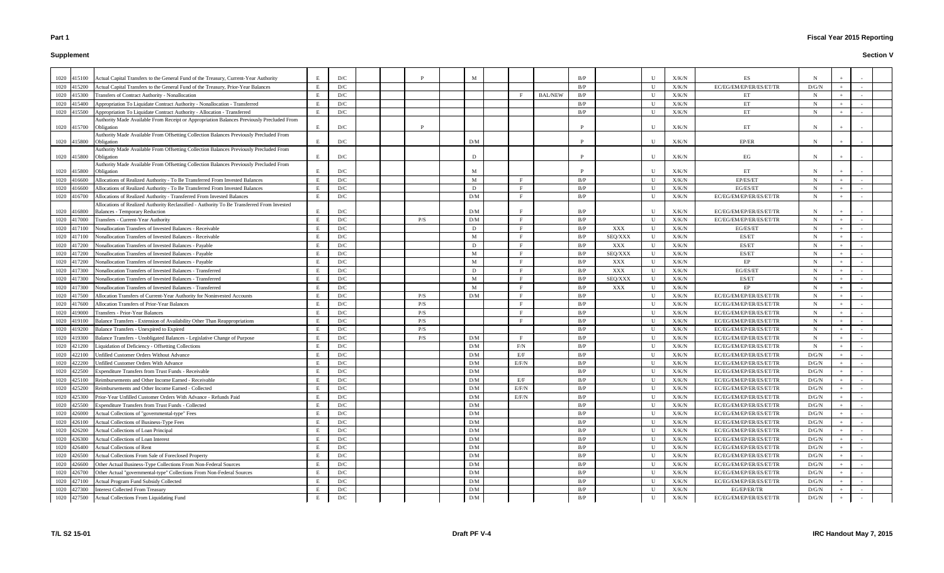# **Supplement**

|      | 1020 415100 | Actual Capital Transfers to the General Fund of the Treasury, Current-Year Authority                 | E  | D/C |  |     | M   |              |                | B/P |         | U            | X/K/N | ES                      |              |       |  |
|------|-------------|------------------------------------------------------------------------------------------------------|----|-----|--|-----|-----|--------------|----------------|-----|---------|--------------|-------|-------------------------|--------------|-------|--|
|      | 1020 415200 | Actual Capital Transfers to the General Fund of the Treasury, Prior-Year Balances                    | E  | D/C |  |     |     |              |                | B/P |         | U            | X/K/N | EC/EG/EM/EP/ER/ES/ET/TR | D/G/N        |       |  |
| 1020 | 415300      | Transfers of Contract Authority - Nonallocation                                                      | E  | D/C |  |     |     |              | <b>BAL/NEW</b> | B/P |         | $\mathbf{U}$ | X/K/N | ET                      | N            |       |  |
|      | 1020 415400 | Appropriation To Liquidate Contract Authority - Nonallocation - Transferred                          | E  | D/C |  |     |     |              |                | B/P |         | U            | X/K/N | ET                      | $\mathbf N$  |       |  |
|      | 1020 415500 | Appropriation To Liquidate Contract Authority - Allocation - Transferred                             | E  | D/C |  |     |     |              |                | B/P |         | U            | X/K/N | ET                      | N            |       |  |
|      |             | Authority Made Available From Receipt or Appropriation Balances Previously Precluded From            |    |     |  |     |     |              |                |     |         |              |       |                         |              |       |  |
|      | 1020 415700 | Obligation                                                                                           | Е  | D/C |  | P   |     |              |                |     |         | U            | X/K/N | ET                      | N            |       |  |
|      |             | Authority Made Available From Offsetting Collection Balances Previously Precluded From               |    |     |  |     |     |              |                |     |         |              |       |                         |              |       |  |
|      | 1020 415800 | Obligation<br>Authority Made Available From Offsetting Collection Balances Previously Precluded From | E  | D/C |  |     | D/M |              |                |     |         | $\mathbf{U}$ | X/K/N | EP/ER                   | N            |       |  |
|      | 1020 415800 | Obligation                                                                                           | Е  | D/C |  |     | D   |              |                | P   |         | U            | X/K/N | EG                      | N            |       |  |
|      |             | Authority Made Available From Offsetting Collection Balances Previously Precluded From               |    |     |  |     |     |              |                |     |         |              |       |                         |              |       |  |
|      | 1020 415800 | Obligation                                                                                           | Ε  | D/C |  |     | M   |              |                |     |         | $\mathbf{U}$ | X/K/N | ET                      |              |       |  |
|      | 1020 416600 | Allocations of Realized Authority - To Be Transferred From Invested Balances                         | E  | D/C |  |     | M   |              |                | B/P |         | U            | X/K/N | EP/ES/ET                | N            |       |  |
| 1020 | 416600      | Allocations of Realized Authority - To Be Transferred From Invested Balances                         |    | D/C |  |     | D   |              |                | B/P |         | $\mathbf{U}$ | X/K/N | EG/ES/ET                | N            |       |  |
|      | 1020 416700 | Allocations of Realized Authority - Transferred From Invested Balances                               | E. | D/C |  |     | D/M |              |                | B/P |         | U            | X/K/N | EC/EG/EM/EP/ER/ES/ET/TR | N            | $\pm$ |  |
|      |             | Allocations of Realized Authority Reclassified - Authority To Be Transferred From Invested           |    |     |  |     |     |              |                |     |         |              |       |                         |              |       |  |
|      | 1020 416800 | <b>Balances - Temporary Reduction</b>                                                                | E  | D/C |  |     | D/M |              |                | B/P |         | U            | X/K/N | EC/EG/EM/EP/ER/ES/ET/TR |              |       |  |
|      | 1020 417000 | Transfers - Current-Year Authority                                                                   | E  | D/C |  | P/S | D/M |              |                | B/P |         | U            | X/K/N | EC/EG/EM/EP/ER/ES/ET/TR | $\mathbf N$  | $+$   |  |
|      | 1020 417100 | Nonallocation Transfers of Invested Balances - Receivable                                            |    | D/C |  |     | D   |              |                | B/P | XXX     | U            | X/K/N | EG/ES/ET                | $\mathbf N$  |       |  |
| 1020 | 417100      | Nonallocation Transfers of Invested Balances - Receivable                                            |    | D/C |  |     | M   |              |                | B/P | SEQ/XXX | U            | X/K/N | ES/ET                   | $\mathbf N$  |       |  |
| 1020 | 417200      | Nonallocation Transfers of Invested Balances - Payable                                               |    | D/C |  |     | D   |              |                | B/P | XXX     | U            | X/K/N | ES/ET                   | $\mathbf N$  | $+$   |  |
|      | 1020 417200 | Nonallocation Transfers of Invested Balances - Payable                                               |    | D/C |  |     | M   |              |                | B/P | SEQ/XXX | U            | X/K/N | ES/ET                   | N            |       |  |
|      | 1020 417200 | Nonallocation Transfers of Invested Balances - Payable                                               |    | D/C |  |     | M   |              |                | B/P | XXX     | U            | X/K/N | EP                      | N            | $+$   |  |
|      | 1020 417300 | Nonallocation Transfers of Invested Balances - Transferred                                           | E. | D/C |  |     | D   | $\mathbf{E}$ |                | B/P | XXX     | U            | X/K/N | EG/ES/ET                | $\mathbf N$  | $+$   |  |
|      | 1020 417300 | Nonallocation Transfers of Invested Balances - Transferred                                           |    | D/C |  |     | M   |              |                | B/P | SEQ/XXX | U            | X/K/N | ES/ET                   | N            |       |  |
| 1020 | 417300      | Nonallocation Transfers of Invested Balances - Transferred                                           |    | D/C |  |     | M   |              |                | B/P | XXX     | U            | X/K/N | EP                      | N            |       |  |
|      | 1020 417500 | Allocation Transfers of Current-Year Authority for Noninvested Accounts                              |    | D/C |  | P/S | D/M |              |                | B/P |         | U            | X/K/N | EC/EG/EM/EP/ER/ES/ET/TR | $\mathbf N$  |       |  |
|      | 1020 417600 | Allocation Transfers of Prior-Year Balances                                                          |    | D/C |  | P/S |     |              |                | B/P |         | U            | X/K/N | EC/EG/EM/EP/ER/ES/ET/TR | N            |       |  |
|      | 1020 419000 | <b>Transfers - Prior-Year Balances</b>                                                               | E  | D/C |  | P/S |     |              |                | B/P |         | U            | X/K/N | EC/EG/EM/EP/ER/ES/ET/TR | $\mathbf N$  |       |  |
|      | 1020 419100 | Balance Transfers - Extension of Availability Other Than Reappropriations                            | E  | D/C |  | P/S |     |              |                | B/P |         | U            | X/K/N | EC/EG/EM/EP/ER/ES/ET/TR | $\mathbf N$  |       |  |
| 1020 | 419200      | Balance Transfers - Unexpired to Expired                                                             | E  | D/C |  | P/S |     |              |                | B/P |         | U            | X/K/N | EC/EG/EM/EP/ER/ES/ET/TR | $\mathbf N$  |       |  |
| 1020 | 419300      | Balance Transfers - Unobligated Balances - Legislative Change of Purpose                             | E  | D/C |  | P/S | D/M |              |                | B/P |         | $\mathbf{U}$ | X/K/N | EC/EG/EM/EP/ER/ES/ET/TR | $\mathbf N$  |       |  |
|      | 1020 421200 | Liquidation of Deficiency - Offsetting Collections                                                   | E  | D/C |  |     | D/M | F/N          |                | B/P |         | U            | X/K/N | EC/EG/EM/EP/ER/ES/ET/TR | $\mathbf N$  |       |  |
| 1020 | 422100      | <b>Jnfilled Customer Orders Without Advance</b>                                                      | E  | D/C |  |     | D/M | E/F          |                | B/P |         | U            | X/K/N | EC/EG/EM/EP/ER/ES/ET/TR | D/G/N        |       |  |
|      | 1020 422200 | Unfilled Customer Orders With Advance                                                                | Ε  | D/C |  |     | D/M | E/F/N        |                | B/P |         | U            | X/K/N | EC/EG/EM/EP/ER/ES/ET/TR | D/G/N        |       |  |
|      |             | 1020 422500 Expenditure Transfers from Trust Funds - Receivable                                      | E  | D/C |  |     | D/M |              |                | B/P |         | U            | X/K/N | EC/EG/EM/EP/ER/ES/ET/TR | D/G/N        |       |  |
|      | 1020 425100 | Reimbursements and Other Income Earned - Receivable                                                  | E  | D/C |  |     | D/M | E/F          |                | B/P |         | $\mathbf U$  | X/K/N | EC/EG/EM/EP/ER/ES/ET/TR | $\rm{D/G/N}$ |       |  |
|      | 1020 425200 | Reimbursements and Other Income Earned - Collected                                                   |    | D/C |  |     | D/M | E/F/N        |                | B/P |         | U            | X/K/N | EC/EG/EM/EP/ER/ES/ET/TR | $\rm{D/G/N}$ |       |  |
|      | 1020 425300 | Prior-Year Unfilled Customer Orders With Advance - Refunds Paid                                      |    | D/C |  |     | D/M | E/F/N        |                | B/P |         | U            | X/K/N | EC/EG/EM/EP/ER/ES/ET/TR | $D/G/N$      |       |  |
|      | 1020 425500 | <b>Expenditure Transfers from Trust Funds - Collected</b>                                            | E  | D/C |  |     | D/M |              |                | B/P |         | U            | X/K/N | EC/EG/EM/EP/ER/ES/ET/TR | D/G/N        |       |  |
|      | 1020 426000 | Actual Collections of "governmental-type" Fees                                                       | E  | D/C |  |     | D/M |              |                | B/P |         | U            | X/K/N | EC/EG/EM/EP/ER/ES/ET/TR | D/G/N        |       |  |
|      | 1020 426100 | Actual Collections of Business-Type Fees                                                             | E  | D/C |  |     | D/M |              |                | B/P |         | U            | X/K/N | EC/EG/EM/EP/ER/ES/ET/TR | D/G/N        |       |  |
|      | 1020 426200 | Actual Collections of Loan Principal                                                                 | E  | D/C |  |     | D/M |              |                | B/P |         | $\mathbf U$  | X/K/N | EC/EG/EM/EP/ER/ES/ET/TR | $\rm{D/G/N}$ |       |  |
|      | 1020 426300 | Actual Collections of Loan Interest                                                                  | E  | D/C |  |     | D/M |              |                | B/P |         | U            | X/K/N | EC/EG/EM/EP/ER/ES/ET/TR | $\rm{D/G/N}$ |       |  |
|      | 1020 426400 | Actual Collections of Rent                                                                           |    | D/C |  |     | D/M |              |                | B/P |         | U            | X/K/N | EC/EG/EM/EP/ER/ES/ET/TR | $\rm{D/G/N}$ |       |  |
|      | 1020 426500 | Actual Collections From Sale of Foreclosed Property                                                  |    | D/C |  |     | D/M |              |                | B/P |         | U            | X/K/N | EC/EG/EM/EP/ER/ES/ET/TR | D/G/N        |       |  |
|      | 1020 426600 | Other Actual Business-Type Collections From Non-Federal Sources                                      |    | D/C |  |     | D/M |              |                | B/P |         | U            | X/K/N | EC/EG/EM/EP/ER/ES/ET/TR | D/G/N        | $+$   |  |
|      | 1020 426700 | Other Actual "governmental-type" Collections From Non-Federal Sources                                |    | D/C |  |     | D/M |              |                | B/P |         | U            | X/K/N | EC/EG/EM/EP/ER/ES/ET/TR | D/G/N        | $+$   |  |
|      | 1020 427100 | Actual Program Fund Subsidy Collected                                                                |    | D/C |  |     | D/M |              |                | B/P |         | U            | X/K/N | EC/EG/EM/EP/ER/ES/ET/TR | $\rm{D/G/N}$ |       |  |
|      | 1020 427300 | <b>Interest Collected From Treasury</b>                                                              |    | D/C |  |     | D/M |              |                | B/P |         | U            | X/K/N | EG/EP/ER/TR             | $\rm{D/G/N}$ |       |  |
|      | 1020 427500 | Actual Collections From Liquidating Fund                                                             | E  | D/C |  |     | D/M |              |                | B/P |         | U            | X/K/N | EC/EG/EM/EP/ER/ES/ET/TR | $D/G/N$      |       |  |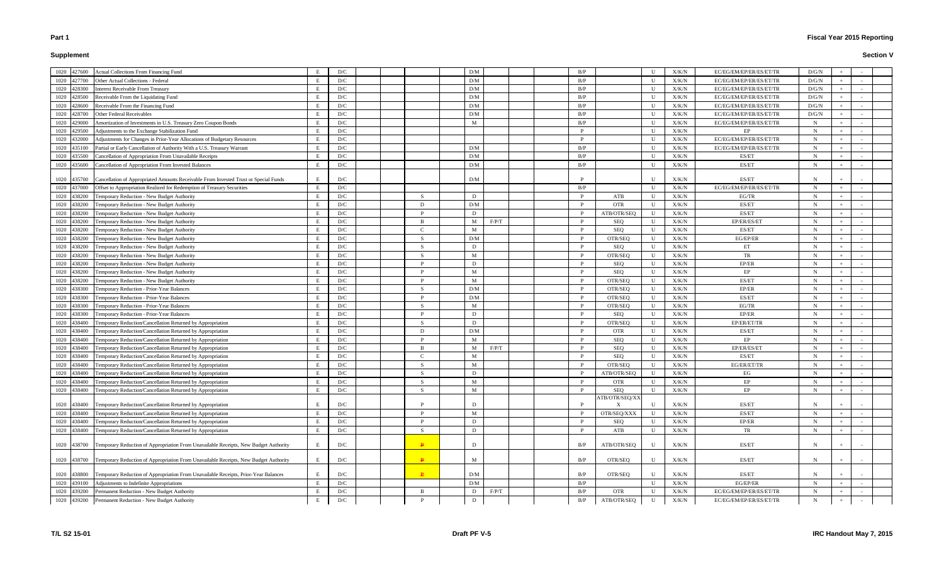# **Supplement**

| 1020 427600<br><b>Actual Collections From Financing Fund</b>                                           | D/C                          |              | D/M         |       |  | B/P      |                           | $\mathbf{U}$ | X/K/N         | EC/EG/EM/EP/ER/ES/ET/TR | D/G/N       |     |  |
|--------------------------------------------------------------------------------------------------------|------------------------------|--------------|-------------|-------|--|----------|---------------------------|--------------|---------------|-------------------------|-------------|-----|--|
| 1020<br><b>Other Actual Collections - Federal</b><br>427700                                            | D/C                          |              | D/M         |       |  | B/P      |                           | $\mathbf{U}$ | X/K/N         | EC/EG/EM/EP/ER/ES/ET/TR | D/G/N       |     |  |
| <b>Interest Receivable From Treasury</b><br>1020<br>428300                                             | D/C                          |              | D/M         |       |  | B/P      |                           | U            | X/K/N         | EC/EG/EM/EP/ER/ES/ET/TR | D/G/N       |     |  |
| Receivable From the Liquidating Fund<br>1020<br>28500                                                  | D/C                          |              | D/M         |       |  | B/P      |                           | U            | X/K/N         | EC/EG/EM/EP/ER/ES/ET/TR | D/G/N       |     |  |
| Receivable From the Financing Fund<br>1020<br>28600                                                    | D/C                          |              | D/M         |       |  | B/P      |                           | U            | X/K/N         | EC/EG/EM/EP/ER/ES/ET/TR | D/G/N       |     |  |
| Other Federal Receivables<br>1020<br>28700                                                             | D/C                          |              | D/M         |       |  | B/P      |                           | U            | X/K/N         | EC/EG/EM/EP/ER/ES/ET/TR | D/G/N       |     |  |
| Amortization of Investments in U.S. Treasury Zero Coupon Bonds<br>1020<br>29000                        | D/C                          |              | M           |       |  | B/P      |                           | U            | X/K/N         | EC/EG/EM/EP/ER/ES/ET/TR | N           |     |  |
| Adjustments to the Exchange Stabilization Fund<br>1020<br>29500                                        | D/C                          |              |             |       |  |          |                           | U            | X/K/N         | EP                      | $\mathbf N$ |     |  |
| 1020<br>Adjustments for Changes in Prior-Year Allocations of Budgetary Resources<br>32000              | D/C                          |              |             |       |  | <b>D</b> |                           | U            | X/K/N         | EC/EG/EM/EP/ER/ES/ET/TR | $\mathbf N$ |     |  |
| 1020<br>Partial or Early Cancellation of Authority With a U.S. Treasury Warrant<br>35100               | D/C                          |              | D/M         |       |  | B/P      |                           | $\mathbf{U}$ | X/K/N         | EC/EG/EM/EP/ER/ES/ET/TR | N           |     |  |
| Cancellation of Appropriation From Unavailable Receipts<br>1020<br>435500                              | D/C                          |              | D/M         |       |  | B/P      |                           | $\mathbf{U}$ | X/K/N         | ES/ET                   | N           |     |  |
| 1020                                                                                                   | D/C                          |              | D/M         |       |  | B/P      |                           | U            | X/K/N         | ES/ET                   | N           |     |  |
| Cancellation of Appropriation From Invested Balances<br>435600                                         |                              |              |             |       |  |          |                           |              |               |                         |             |     |  |
| Cancellation of Appropriated Amounts Receivable From Invested Trust or Special Funds<br>1020<br>435700 | D/C<br>E                     |              | D/M         |       |  |          |                           | U            | X/K/N         | ES/ET                   | N           |     |  |
| 1020<br>Offset to Appropriation Realized for Redemption of Treasury Securities<br>437000               | E<br>D/C                     |              |             |       |  | B/P      |                           | U            | X/K/N         | EC/EG/EM/EP/ER/ES/ET/TR | $\mathbf N$ |     |  |
| 1020<br>Temporary Reduction - New Budget Authority<br>38200                                            | D/C                          | <sup>S</sup> | D           |       |  | P        | ATB                       | U            | X/K/N         | EG/TR                   | N           |     |  |
| Temporary Reduction - New Budget Authority<br>1020<br>38200                                            | D/C                          |              | D/M         |       |  |          | <b>OTR</b>                | $\mathbf{U}$ | X/K/N         | ES/ET                   | N           |     |  |
| 1020<br>Temporary Reduction - New Budget Authority<br>138200                                           | D/C                          |              | D           |       |  |          | ATB/OTR/SEQ               | U            | X/K/N         | ES/ET                   | N           |     |  |
| 1020<br>Temporary Reduction - New Budget Authority<br>438200                                           | D/C                          |              | M           | F/P/T |  |          | SEQ                       | U            | X/K/N         | EP/ER/ES/ET             | N           |     |  |
| 1020<br>Temporary Reduction - New Budget Authority<br>438200                                           | D/C                          |              | M           |       |  |          | SEQ                       | U            | X/K/N         | ES/ET                   | $\mathbf N$ |     |  |
| 1020<br>438200<br>Temporary Reduction - New Budget Authority                                           | D/C                          | <sup>S</sup> | D/M         |       |  |          | OTR/SEQ                   | $\mathbf U$  | X/K/N         | EG/EP/ER                | $\mathbf N$ |     |  |
| 1020<br>Temporary Reduction - New Budget Authority<br>138200                                           | D/C                          | <sup>S</sup> | D           |       |  |          | SEQ                       | U            | X/K/N         | ET                      | N           |     |  |
| Temporary Reduction - New Budget Authority<br>1020<br>138200                                           | D/C                          |              | M           |       |  |          | OTR/SEQ                   | U            | X/K/N         | TR                      | N           |     |  |
| Temporary Reduction - New Budget Authority<br>1020<br>38200                                            | D/C                          |              | D           |       |  |          | SEQ                       | U            | X/K/N         | EP/ER                   | $\mathbf N$ |     |  |
| 1020<br><b>Femporary Reduction - New Budget Authority</b><br>38200                                     | D/C                          |              | M           |       |  |          | SEQ                       | U            | X/K/N         | EP                      | N           |     |  |
| 1020<br><b>Femporary Reduction - New Budget Authority</b><br>38200                                     | D/C                          |              | M           |       |  |          | OTR/SEQ                   | U            | X/K/N         | ES/ET                   | N           |     |  |
| 1020<br>Temporary Reduction - Prior-Year Balances<br>38300                                             | D/C                          | <sup>S</sup> | D/M         |       |  |          | OTR/SEQ                   | U            | X/K/N         | EP/ER                   | $\mathbf N$ |     |  |
| 1020<br>Temporary Reduction - Prior-Year Balances<br>38300                                             | D/C                          |              | D/M         |       |  | <b>D</b> | OTR/SEQ                   | $\mathbf{U}$ | X/K/N         | ES/ET                   | N           |     |  |
|                                                                                                        |                              | <sup>S</sup> | M           |       |  |          |                           | U            |               |                         | N           |     |  |
| Temporary Reduction - Prior-Year Balances<br>1020<br>38300                                             | D/C                          |              | D           |       |  | P        | OTR/SEQ                   |              | X/K/N         | EG/TR                   |             |     |  |
| Temporary Reduction - Prior-Year Balances<br>1020<br>38300                                             | D/C                          |              | D           |       |  |          | <b>SEQ</b>                | U<br>U       | X/K/N         | EP/ER                   | N<br>N      |     |  |
| 1020<br>Temporary Reduction/Cancellation Returned by Appropriation<br>438400                           | D/C                          | -S<br>D.     |             |       |  |          | OTR/SEQ                   | U            | X/K/N         | EP/ER/ET/TR             | N           |     |  |
| 1020<br>438400<br>Temporary Reduction/Cancellation Returned by Appropriation                           | D/C                          |              | D/M<br>M    |       |  |          | <b>OTR</b>                |              | X/K/N         | ES/ET                   |             |     |  |
| 1020<br>438400<br>Temporary Reduction/Cancellation Returned by Appropriation                           | D/C                          | B            |             |       |  |          | SEQ                       | U            | X/K/N         | EP                      | N           |     |  |
| 1020<br>Temporary Reduction/Cancellation Returned by Appropriation<br>438400                           | D/C                          |              | M           | F/P/T |  |          | SEQ                       | $\mathbf{U}$ | X/K/N         | EP/ER/ES/ET             | N           |     |  |
| Temporary Reduction/Cancellation Returned by Appropriation<br>1020<br>38400                            | D/C                          |              | M           |       |  |          | <b>SEQ</b>                | U            | X/K/N         | ES/ET                   | N           |     |  |
| 1020<br>438400<br>Temporary Reduction/Cancellation Returned by Appropriation                           | D/C<br>E.                    | S.           | M           |       |  |          | OTR/SEO                   | $\mathbf{U}$ | X/K/N         | EG/ER/ET/TR             | N           |     |  |
| 1020<br>Temporary Reduction/Cancellation Returned by Appropriation<br>438400                           | D/C<br>E                     | S.           | D           |       |  |          | ATB/OTR/SEQ               | U            | X/K/N         | EG                      | N           |     |  |
| 1020<br>Femporary Reduction/Cancellation Returned by Appropriation<br>438400                           | D/C                          | -S           | M           |       |  |          | <b>OTR</b>                | U            | X/K/N         | EP                      | $\mathbf N$ |     |  |
| 1020<br>438400<br>Temporary Reduction/Cancellation Returned by Appropriation                           | $\mathbf{D}/\mathbf{C}$      | S            | M           |       |  | P        | <b>SEQ</b>                | U            | ${\rm X/K/N}$ | EP                      | $\mathbf N$ |     |  |
| Temporary Reduction/Cancellation Returned by Appropriation<br>1020<br>438400                           | D/C                          |              | D           |       |  |          | ATB/OTR/SEQ/XX            | $\mathbf{U}$ | ${\rm X/K/N}$ | ES/ET                   | N           |     |  |
| Temporary Reduction/Cancellation Returned by Appropriation<br>1020<br>438400                           | $\mathbf{D}/\mathbf{C}$      |              | $\mathbf M$ |       |  |          | OTR/SEQ/XXX               | $\mathbf U$  | X/K/N         | ES/ET                   | $\mathbf N$ |     |  |
| Temporary Reduction/Cancellation Returned by Appropriation<br>1020<br>438400                           | D/C                          |              | D           |       |  |          | SEQ                       | U            | X/K/N         | $\rm EP/ER$             | $\mathbf N$ |     |  |
| Temporary Reduction/Cancellation Returned by Appropriation<br>1020<br>438400                           | D/C<br>E                     | S            | D           |       |  | P        | ATB                       | U            | X/K/N         | TR                      | $\mathbf N$ |     |  |
|                                                                                                        |                              |              |             |       |  |          |                           |              |               |                         |             |     |  |
| Temporary Reduction of Appropriation From Unavailable Receipts, New Budget Authority<br>1020 438700    | D/C<br>E                     | $\mathbf{P}$ | D           |       |  | B/P      | ATB/OTR/SEQ               | $\mathbf U$  | X/K/N         | ES/ET                   | N           |     |  |
| Temporary Reduction of Appropriation From Unavailable Receipts, New Budget Authority<br>1020 438700    | D/C<br>E                     | $\mathbf{P}$ | M           |       |  | B/P      | OTR/SEQ                   | U            | X/K/N         | ES/ET                   | $\mathbf N$ |     |  |
| 1020 438800<br>Temporary Reduction of Appropriation From Unavailable Receipts, Prior-Year Balances     | D/C                          | $\mathbf{P}$ | D/M         |       |  | B/P      | OTR/SEQ                   | U            | X/K/N         | ES/ET                   | N           |     |  |
| Adjustments to Indefinite Appropriations<br>1020<br>439100                                             | D/C                          |              | D/M         |       |  | B/P      |                           | U            | X/K/N         | EG/EP/ER                | $\mathbf N$ |     |  |
| Permanent Reduction - New Budget Authority<br>439200<br>1020                                           | D/C                          | B            | D           | F/P/T |  | B/P      | $\ensuremath{\text{OTR}}$ | $\mathbf U$  | ${\rm X/K/N}$ | EC/EG/EM/EP/ER/ES/ET/TR | N           |     |  |
| Permanent Reduction - New Budget Authority<br>1020 439200                                              | $\mathbf{D}/\mathbf{C}$<br>E |              | D           |       |  | B/P      | ATB/OTR/SEQ               | U            | ${\rm X/K/N}$ | EC/EG/EM/EP/ER/ES/ET/TR | $\mathbf N$ | $+$ |  |
|                                                                                                        |                              |              |             |       |  |          |                           |              |               |                         |             |     |  |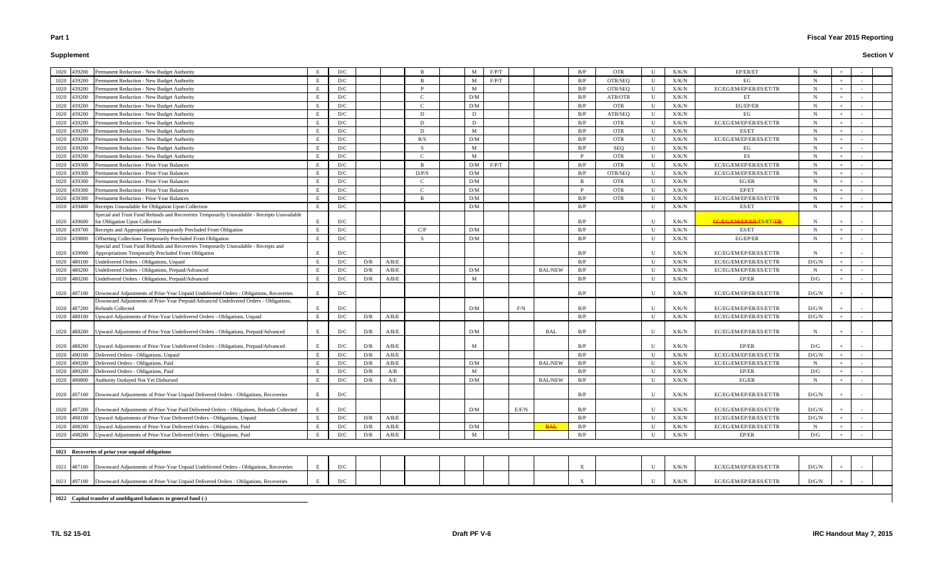# **Supplement**

# **Fiscal Year 2015 Reporting**

| 1020 | 439200      | Permanent Reduction - New Budget Authority                                                                                                                                      |    | D/C |     |       |       | M            | F/P/T |       |                | B/P      | <b>OTR</b> | U            | X/K/N | EP/ER/ET                       |       |     |        |  |
|------|-------------|---------------------------------------------------------------------------------------------------------------------------------------------------------------------------------|----|-----|-----|-------|-------|--------------|-------|-------|----------------|----------|------------|--------------|-------|--------------------------------|-------|-----|--------|--|
| 1020 | 439200      | Permanent Reduction - New Budget Authority                                                                                                                                      | E  | D/C |     |       |       | M            | F/P/T |       |                | B/P      | OTR/SEQ    | U            | X/K/N | EG                             | -N    |     |        |  |
| 1020 | 439200      | Permanent Reduction - New Budget Authority                                                                                                                                      | E  | D/C |     |       |       | $\mathbf{M}$ |       |       |                | B/P      | OTR/SEQ    | $\mathbf U$  | X/K/N | EC/EG/EM/EP/ER/ES/ET/TR        | N     |     |        |  |
| 1020 | 439200      | Permanent Reduction - New Budget Authority                                                                                                                                      | E  | D/C |     |       |       | D/M          |       |       |                | B/P      | ATB/OTR    | U            | X/K/N | ET                             | N     | $+$ |        |  |
| 1020 | 439200      | Permanent Reduction - New Budget Authority                                                                                                                                      | E  | D/C |     |       |       | D/M          |       |       |                | B/P      | <b>OTR</b> | U            | X/K/N | EG/EP/ER                       | -N    | $+$ |        |  |
| 1020 | 439200      | Permanent Reduction - New Budget Authority                                                                                                                                      | E  | D/C |     |       | D     | D            |       |       |                | B/P      | ATB/SEQ    | U            | X/K/N | EG                             | N     | $+$ |        |  |
| 1020 | 439200      | Permanent Reduction - New Budget Authority                                                                                                                                      |    | D/C |     |       | D     | D            |       |       |                | B/P      | <b>OTR</b> | U            | X/K/N | EC/EG/EM/EP/ER/ES/ET/TR        | N     | $+$ |        |  |
| 1020 | 439200      | Permanent Reduction - New Budget Authority                                                                                                                                      |    | D/C |     |       | D     | M            |       |       |                | B/P      | <b>OTR</b> | U            | X/K/N | ES/ET                          | N     | $+$ |        |  |
| 1020 | 439200      | Permanent Reduction - New Budget Authority                                                                                                                                      | E  | D/C |     |       | R/S   | D/M          |       |       |                | B/P      | <b>OTR</b> | U            | X/K/N | EC/EG/EM/EP/ER/ES/ET/TR        | N     |     |        |  |
| 1020 | 439200      | Permanent Reduction - New Budget Authority                                                                                                                                      |    | D/C |     |       | - S   | M            |       |       |                | B/P      | SEQ        | U            | X/K/N | EG                             | N     |     |        |  |
|      | 1020 439200 | Permanent Reduction - New Budget Authority                                                                                                                                      |    | D/C |     |       |       | M            |       |       |                | P        | <b>OTR</b> | U            | X/K/N | ES                             | -N    |     |        |  |
|      | 1020 439300 | ermanent Reduction - Prior-Year Balances                                                                                                                                        |    | D/C |     |       |       | D/M          | F/P/T |       |                | B/P      | <b>OTR</b> | U            | X/K/N | EC/EG/EM/EP/ER/ES/ET/TR        | N     |     |        |  |
| 1020 | 439300      | ermanent Reduction - Prior-Year Balances                                                                                                                                        |    | D/C |     |       | D/P/S | D/M          |       |       |                | B/P      | OTR/SEQ    | U            | X/K/N | EC/EG/EM/EP/ER/ES/ET/TR        | N     |     |        |  |
| 1020 | 439300      | ermanent Reduction - Prior-Year Balances                                                                                                                                        |    | D/C |     |       |       | D/M          |       |       |                | B        | <b>OTR</b> | U            | X/K/N | EG/ER                          | -N    |     |        |  |
| 1020 | 439300      | Permanent Reduction - Prior-Year Balances                                                                                                                                       |    | D/C |     |       |       | D/M          |       |       |                | <b>P</b> | <b>OTR</b> | U            | X/K/N | EP/ET                          | N     |     |        |  |
| 1020 | 439300      | Permanent Reduction - Prior-Year Balances                                                                                                                                       |    | D/C |     |       |       | D/M          |       |       |                | B/P      | <b>OTR</b> | U            | X/K/N | EC/EG/EM/EP/ER/ES/ET/TR        |       |     |        |  |
| 1020 | 439400      | Receipts Unavailable for Obligation Upon Collection                                                                                                                             | E  | D/C |     |       |       | D/M          |       |       |                | B/P      |            | $\mathbf{U}$ | X/K/N | ES/ET                          | -N    |     |        |  |
|      |             | Special and Trust Fund Refunds and Recoveries Temporarily Unavailable - Receipts Unavailable                                                                                    |    |     |     |       |       |              |       |       |                |          |            |              |       |                                |       |     |        |  |
| 1020 | 439600      | for Obligation Upon Collection                                                                                                                                                  |    | D/C |     |       |       |              |       |       |                | B/P      |            | U            | X/K/N | <b>EC/EG/EM/EP/ER/ES/ET/TR</b> | N     |     |        |  |
| 1020 | 439700      | Receipts and Appropriations Temporarily Precluded From Obligation                                                                                                               |    | D/C |     |       | C/P   | D/M          |       |       |                | B/P      |            | U            | X/K/N | ES/ET                          | -N    |     |        |  |
| 1020 | 439800      | Offsetting Collections Temporarily Precluded From Obligation                                                                                                                    |    | D/C |     |       |       | D/M          |       |       |                | B/P      |            | U            | X/K/N | EG/EP/ER                       | N     |     |        |  |
|      |             | Special and Trust Fund Refunds and Recoveries Temporarily Unavailable - Receipts and                                                                                            |    |     |     |       |       |              |       |       |                |          |            |              |       |                                |       |     |        |  |
|      | 1020 439900 | Appropriations Temporarily Precluded From Obligation                                                                                                                            |    | D/C |     |       |       |              |       |       |                | B/P      |            | U            | X/K/N | EC/EG/EM/EP/ER/ES/ET/TR        | N     |     |        |  |
| 1020 | 480100      | Undelivered Orders - Obligations, Unpaid                                                                                                                                        |    | D/C | D/R | A/B/E |       |              |       |       |                | B/P      |            | U            | X/K/N | EC/EG/EM/EP/ER/ES/ET/TR        | D/G/N |     |        |  |
| 1020 | 480200      | <b>Jndelivered Orders - Obligations, Prepaid/Advanced</b>                                                                                                                       |    | D/C | D/R | A/B/E |       | D/M          |       |       | <b>BAL/NEW</b> | B/P      |            | U            | X/K/N | EC/EG/EM/EP/ER/ES/ET/TR        | N     |     |        |  |
| 1020 | 480200      | Undelivered Orders - Obligations, Prepaid/Advanced                                                                                                                              | E  | D/C | D/R | A/B/E |       | M            |       |       |                | B/P      |            | U            | X/K/N | EP/ER                          | D/G   |     |        |  |
|      | 1020 487100 |                                                                                                                                                                                 | E  | D/C |     |       |       |              |       |       |                | B/P      |            | U            | X/K/N | EC/EG/EM/EP/ER/ES/ET/TR        | D/G/N |     |        |  |
|      |             | Downward Adjustments of Prior-Year Unpaid Undelivered Orders - Obligations, Recoveries<br>Downward Adjustments of Prior-Year Prepaid/Advanced Undelivered Orders - Obligations, |    |     |     |       |       |              |       |       |                |          |            |              |       |                                |       |     |        |  |
|      | 1020 487200 | <b>Refunds Collected</b>                                                                                                                                                        |    | D/C |     |       |       | D/M          |       | F/N   |                | B/P      |            | $\mathbf{U}$ | X/K/N | EC/EG/EM/EP/ER/ES/ET/TR        | D/G/N |     |        |  |
| 1020 | 488100      | Upward Adjustments of Prior-Year Undelivered Orders - Obligations, Unpaid                                                                                                       | E  | D/C | D/R | A/B/E |       |              |       |       |                | B/P      |            | U            | X/K/N | EC/EG/EM/EP/ER/ES/ET/TR        | D/G/N | $+$ |        |  |
|      |             |                                                                                                                                                                                 |    |     |     |       |       |              |       |       |                |          |            |              |       |                                |       |     |        |  |
|      | 1020 488200 | Upward Adjustments of Prior-Year Undelivered Orders - Obligations, Prepaid/Advanced                                                                                             | E  | D/C | D/R | A/B/E |       | D/M          |       |       | BAL            | B/P      |            | U            | X/K/N | EC/EG/EM/EP/ER/ES/ET/TR        | N     |     |        |  |
|      |             |                                                                                                                                                                                 |    |     |     |       |       |              |       |       |                |          |            |              |       |                                |       |     |        |  |
|      | 1020 488200 | Upward Adjustments of Prior-Year Undelivered Orders - Obligations, Prepaid/Advanced                                                                                             | E  | D/C | D/R | A/B/E |       | M            |       |       |                | B/P      |            | U            | X/K/N | EP/ER                          | D/G   |     |        |  |
|      | 1020 490100 | Delivered Orders - Obligations, Unpaid                                                                                                                                          |    | D/C | D/R | A/B/E |       |              |       |       |                | B/P      |            | U            | X/K/N | EC/EG/EM/EP/ER/ES/ET/TR        | D/G/N |     |        |  |
|      | 1020 490200 | Delivered Orders - Obligations, Paid                                                                                                                                            | E  | D/C | D/R | A/B/E |       | D/M          |       |       | <b>BAL/NEW</b> | B/P      |            | $\mathbf{U}$ | X/K/N | EC/EG/EM/EP/ER/ES/ET/TR        | N     | $+$ | $\sim$ |  |
| 1020 | 490200      | Delivered Orders - Obligations, Paid                                                                                                                                            | E  | D/C | D/R | A/B   |       | M            |       |       |                | B/P      |            | $\mathbf U$  | X/K/N | EP/ER                          | D/G   |     |        |  |
| 1020 | 490800      | Authority Outlayed Not Yet Disbursed                                                                                                                                            | E  | D/C | D/R | A/E   |       | D/M          |       |       | <b>BAL/NEW</b> | B/P      |            | $\mathbf U$  | X/K/N | EG/ER                          | N     |     |        |  |
|      |             |                                                                                                                                                                                 |    |     |     |       |       |              |       |       |                |          |            |              |       |                                |       |     |        |  |
|      | 1020 497100 | Downward Adjustments of Prior-Year Unpaid Delivered Orders - Obligations, Recoveries                                                                                            | E  | D/C |     |       |       |              |       |       |                | B/P      |            | U            | X/K/N | EC/EG/EM/EP/ER/ES/ET/TR        | D/G/N |     |        |  |
|      |             |                                                                                                                                                                                 |    |     |     |       |       |              |       |       |                |          |            |              |       |                                |       |     |        |  |
| 1020 | 497200      | Downward Adjustments of Prior-Year Paid Delivered Orders - Obligations, Refunds Collected                                                                                       |    | D/C |     |       |       | D/M          |       | E/F/N |                | B/P      |            | U            | X/K/N | EC/EG/EM/EP/ER/ES/ET/TR        | D/G/N |     |        |  |
| 1020 | 498100      | Upward Adjustments of Prior-Year Delivered Orders - Obligations, Unpaid                                                                                                         | E  | D/C | D/R | A/B/E |       |              |       |       |                | B/P      |            | U            | X/K/N | EC/EG/EM/EP/ER/ES/ET/TR        | D/G/N |     |        |  |
| 1020 | 498200      | Upward Adjustments of Prior-Year Delivered Orders - Obligations, Paid                                                                                                           | E  | D/C | D/R | A/B/E |       | D/M          |       |       | <b>BAL</b>     | B/P      |            | U            | X/K/N | EC/EG/EM/EP/ER/ES/ET/TR        | N     |     |        |  |
|      | 1020 498200 | Upward Adjustments of Prior-Year Delivered Orders - Obligations, Paid                                                                                                           |    | D/C | D/R | A/B/E |       | $\mathbf{M}$ |       |       |                | B/P      |            | $\mathbf{U}$ | X/K/N | EP/ER                          | D/G   |     |        |  |
|      |             |                                                                                                                                                                                 |    |     |     |       |       |              |       |       |                |          |            |              |       |                                |       |     |        |  |
|      |             | 1021 Recoveries of prior year unpaid obligations                                                                                                                                |    |     |     |       |       |              |       |       |                |          |            |              |       |                                |       |     |        |  |
| 1021 | 487100      | Downward Adjustments of Prior-Year Unpaid Undelivered Orders - Obligations, Recoveries                                                                                          | E. | D/C |     |       |       |              |       |       |                | X        |            | $\mathbf U$  | X/K/N | EC/EG/EM/EP/ER/ES/ET/TR        | D/G/N |     |        |  |
|      |             | 1021 497100 Downward Adjustments of Prior-Year Unpaid Delivered Orders - Obligations, Recoveries                                                                                | E. | D/C |     |       |       |              |       |       |                |          |            | U            | X/K/N | EC/EG/EM/EP/ER/ES/ET/TR        | D/G/N |     |        |  |
|      |             |                                                                                                                                                                                 |    |     |     |       |       |              |       |       |                |          |            |              |       |                                |       |     |        |  |
|      |             | 1022 Capital transfer of unobligated balances to general fund (-)                                                                                                               |    |     |     |       |       |              |       |       |                |          |            |              |       |                                |       |     |        |  |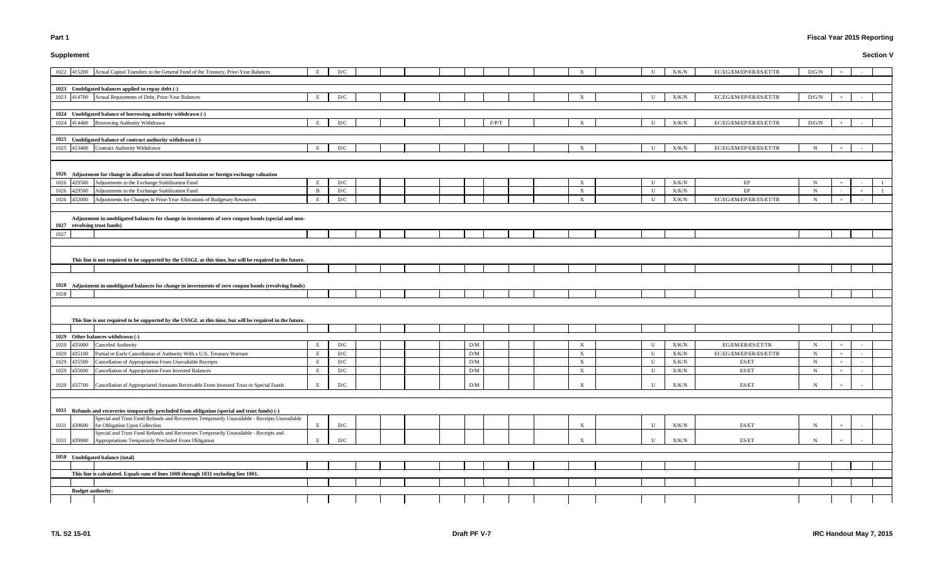# **Supplement**

# **Fiscal Year 2015 Reporting**

|      | 1022 415200              | Actual Capital Transfers to the General Fund of the Treasury, Prior-Year Balances                                                            | E            | D/C |  |  |                         |       |  |                           | U           | X/K/N         | EC/EG/EM/EP/ER/ES/ET/TR | D/G/N       |     |     |  |
|------|--------------------------|----------------------------------------------------------------------------------------------------------------------------------------------|--------------|-----|--|--|-------------------------|-------|--|---------------------------|-------------|---------------|-------------------------|-------------|-----|-----|--|
|      |                          |                                                                                                                                              |              |     |  |  |                         |       |  |                           |             |               |                         |             |     |     |  |
|      |                          | 1023 Unobligated balances applied to repay debt (-)                                                                                          |              |     |  |  |                         |       |  |                           |             |               |                         |             |     |     |  |
|      |                          | 1023 414700 Actual Repayments of Debt, Prior-Year Balances                                                                                   | E            | D/C |  |  |                         |       |  | $\mathbf{X}$              | $\mathbf U$ | X/K/N         | EC/EG/EM/EP/ER/ES/ET/TR | D/G/N       |     |     |  |
|      |                          | 1024 Unobligated balance of borrowing authority withdrawn (-)                                                                                |              |     |  |  |                         |       |  |                           |             |               |                         |             |     |     |  |
|      |                          |                                                                                                                                              |              |     |  |  |                         |       |  |                           |             |               |                         |             |     |     |  |
|      | 1024 414400              | Borrowing Authority Withdrawn                                                                                                                | E            | D/C |  |  |                         | F/P/T |  | X                         | U           | X/K/N         | EC/EG/EM/EP/ER/ES/ET/TR | D/G/N       |     |     |  |
|      |                          | 1025 Unobligated balance of contract authority withdrawn (-)                                                                                 |              |     |  |  |                         |       |  |                           |             |               |                         |             |     |     |  |
|      | 1025 413400              | Contract Authority Withdrawn                                                                                                                 | E            | D/C |  |  |                         |       |  | $\mathbf{x}$              | U           | X/K/N         | EC/EG/EM/EP/ER/ES/ET/TR | N           |     |     |  |
|      |                          |                                                                                                                                              |              |     |  |  |                         |       |  |                           |             |               |                         |             |     |     |  |
|      |                          |                                                                                                                                              |              |     |  |  |                         |       |  |                           |             |               |                         |             |     |     |  |
|      |                          | 1026 Adjustment for change in allocation of trust fund limitation or foreign exchange valuation                                              |              |     |  |  |                         |       |  |                           |             |               |                         |             |     |     |  |
| 1026 | 429500                   | Adjustments to the Exchange Stabilization Fund                                                                                               | E            | D/C |  |  |                         |       |  | $\boldsymbol{\mathrm{X}}$ | $\mathbf U$ | X/K/N         | EP                      | N           |     |     |  |
| 1026 | 429500                   | Adjustments to the Exchange Stabilization Fund                                                                                               | $\mathbf{B}$ | D/C |  |  |                         |       |  | $\boldsymbol{\mathrm{X}}$ | U           | X/K/N         | EP                      | N           |     | $+$ |  |
| 1026 | 432000                   | Adjustments for Changes in Prior-Year Allocations of Budgetary Resources                                                                     | $\mathbf{F}$ | D/C |  |  |                         |       |  | $\boldsymbol{\mathrm{X}}$ | U           | ${\rm X/K/N}$ | EC/EG/EM/EP/ER/ES/ET/TR | N           |     |     |  |
|      |                          |                                                                                                                                              |              |     |  |  |                         |       |  |                           |             |               |                         |             |     |     |  |
|      |                          | Adjustment in unobligated balances for change in investments of zero coupon bonds (special and non-                                          |              |     |  |  |                         |       |  |                           |             |               |                         |             |     |     |  |
|      |                          | 1027 revolving trust funds)                                                                                                                  |              |     |  |  |                         |       |  |                           |             |               |                         |             |     |     |  |
| 1027 |                          |                                                                                                                                              |              |     |  |  |                         |       |  |                           |             |               |                         |             |     |     |  |
|      |                          |                                                                                                                                              |              |     |  |  |                         |       |  |                           |             |               |                         |             |     |     |  |
|      |                          |                                                                                                                                              |              |     |  |  |                         |       |  |                           |             |               |                         |             |     |     |  |
|      |                          | This line is not required to be supported by the USSGL at this time, but will be required in the future.                                     |              |     |  |  |                         |       |  |                           |             |               |                         |             |     |     |  |
|      |                          |                                                                                                                                              |              |     |  |  |                         |       |  |                           |             |               |                         |             |     |     |  |
|      |                          |                                                                                                                                              |              |     |  |  |                         |       |  |                           |             |               |                         |             |     |     |  |
|      |                          | 1028 Adjustment in unobligated balances for change in investments of zero coupon bonds (revolving funds)                                     |              |     |  |  |                         |       |  |                           |             |               |                         |             |     |     |  |
| 1028 |                          |                                                                                                                                              |              |     |  |  |                         |       |  |                           |             |               |                         |             |     |     |  |
|      |                          |                                                                                                                                              |              |     |  |  |                         |       |  |                           |             |               |                         |             |     |     |  |
|      |                          |                                                                                                                                              |              |     |  |  |                         |       |  |                           |             |               |                         |             |     |     |  |
|      |                          | This line is not required to be supported by the USSGL at this time, but will be required in the future.                                     |              |     |  |  |                         |       |  |                           |             |               |                         |             |     |     |  |
|      |                          |                                                                                                                                              |              |     |  |  |                         |       |  |                           |             |               |                         |             |     |     |  |
|      |                          | 1029 Other balances withdrawn (-)                                                                                                            |              |     |  |  |                         |       |  |                           |             |               |                         |             |     |     |  |
| 1029 | 435000                   | Canceled Authority                                                                                                                           |              | D/C |  |  | D/M                     |       |  | X                         | U           | X/K/N         | EG/EM/ER/ES/ET/TR       | N           |     |     |  |
| 1029 | 435100                   | Partial or Early Cancellation of Authority With a U.S. Treasury Warrant                                                                      | E            | D/C |  |  | D/M                     |       |  | X                         | $\mathbf U$ | X/K/N         | EC/EG/EM/EP/ER/ES/ET/TR | N           |     |     |  |
| 1029 |                          | 435500 Cancellation of Appropriation From Unavailable Receipts                                                                               | E            | D/C |  |  | D/M                     |       |  | $\boldsymbol{\mathrm{X}}$ | U           | X/K/N         | ES/ET                   | $\mathbf N$ | $+$ |     |  |
| 1029 | 435600                   | Cancellation of Appropriation From Invested Balances                                                                                         | E            | D/C |  |  | D/M                     |       |  | $\boldsymbol{\mathrm{X}}$ | $\mathbf U$ | X/K/N         | ES/ET                   | N           |     |     |  |
|      |                          |                                                                                                                                              |              |     |  |  |                         |       |  |                           |             |               |                         |             |     |     |  |
| 1029 |                          | 435700 Cancellation of Appropriated Amounts Receivable From Invested Trust or Special Funds                                                  | E            | D/C |  |  | $\mathrm{D}/\mathrm{M}$ |       |  | $\boldsymbol{\mathrm{X}}$ | $\mathbf U$ | X/K/N         | ES/ET                   | N           |     |     |  |
|      |                          |                                                                                                                                              |              |     |  |  |                         |       |  |                           |             |               |                         |             |     |     |  |
|      |                          |                                                                                                                                              |              |     |  |  |                         |       |  |                           |             |               |                         |             |     |     |  |
|      |                          | 1031 Refunds and recoveries temporarily precluded from obligation (special and trust funds) (-)                                              |              |     |  |  |                         |       |  |                           |             |               |                         |             |     |     |  |
|      |                          | Special and Trust Fund Refunds and Recoveries Temporarily Unavailable - Receipts Unavailable                                                 |              |     |  |  |                         |       |  |                           |             |               |                         |             |     |     |  |
| 1031 |                          | 439600 for Obligation Upon Collection                                                                                                        | E            | D/C |  |  |                         |       |  | X                         | $\mathbf U$ | X/K/N         | ES/ET                   | N           |     |     |  |
| 1031 | 439900                   | Special and Trust Fund Refunds and Recoveries Temporarily Unavailable - Receipts and<br>Appropriations Temporarily Precluded From Obligation | E            | D/C |  |  |                         |       |  | $\boldsymbol{\mathrm{X}}$ | U           | X/K/N         | ES/ET                   |             |     |     |  |
|      |                          |                                                                                                                                              |              |     |  |  |                         |       |  |                           |             |               |                         |             |     |     |  |
|      |                          | 1050 Unobligated balance (total)                                                                                                             |              |     |  |  |                         |       |  |                           |             |               |                         |             |     |     |  |
|      |                          |                                                                                                                                              |              |     |  |  |                         |       |  |                           |             |               |                         |             |     |     |  |
|      |                          | This line is calculated. Equals sum of lines 1000 through 1031 excluding line 1001.                                                          |              |     |  |  |                         |       |  |                           |             |               |                         |             |     |     |  |
|      |                          |                                                                                                                                              |              |     |  |  |                         |       |  |                           |             |               |                         |             |     |     |  |
|      | <b>Budget authority:</b> |                                                                                                                                              |              |     |  |  |                         |       |  |                           |             |               |                         |             |     |     |  |
|      |                          |                                                                                                                                              |              |     |  |  |                         |       |  |                           |             |               |                         |             |     |     |  |
|      |                          |                                                                                                                                              |              |     |  |  |                         |       |  |                           |             |               |                         |             |     |     |  |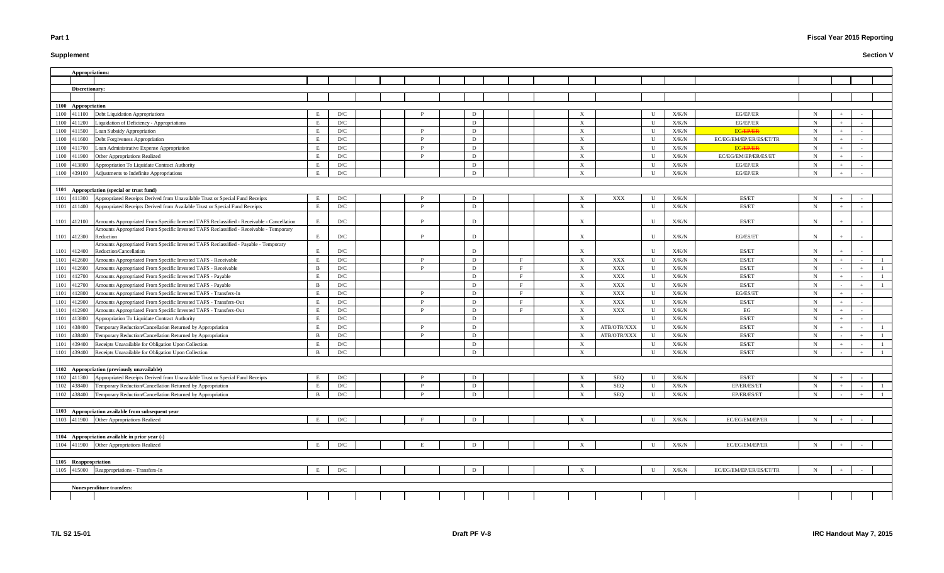# **Supplement**

# **Fiscal Year 2015 Reporting**

| Appropriations:                                                                                                                                  |              |                         |          |   |  |                           |             |              |                |                         |             |       |                |
|--------------------------------------------------------------------------------------------------------------------------------------------------|--------------|-------------------------|----------|---|--|---------------------------|-------------|--------------|----------------|-------------------------|-------------|-------|----------------|
|                                                                                                                                                  |              |                         |          |   |  |                           |             |              |                |                         |             |       |                |
| Discretionary:                                                                                                                                   |              |                         |          |   |  |                           |             |              |                |                         |             |       |                |
|                                                                                                                                                  |              |                         |          |   |  |                           |             |              |                |                         |             |       |                |
| 1100 Appropriation                                                                                                                               |              |                         |          |   |  |                           |             |              |                |                         |             |       |                |
| 1100 411100<br>Debt Liquidation Appropriations                                                                                                   | E            | D/C                     |          |   |  | $\boldsymbol{\mathrm{X}}$ |             | U            | X/K/N          | EG/EP/ER                | N           |       |                |
| 1100 411200<br>Liquidation of Deficiency - Appropriations                                                                                        | E            | D/C                     |          | D |  | $\mathbf{X}$              |             | $\mathbf{U}$ | X/K/N          | EG/EP/ER                | N           | $+$   |                |
| Loan Subsidy Appropriation<br>1100 411500                                                                                                        | E            | D/C                     | P        | D |  | $\boldsymbol{\mathrm{X}}$ |             | - U          | X/K/N          | <b>EGÆPÆR</b>           | N           | $+$   |                |
| 411600<br>Debt Forgiveness Appropriation<br>1100                                                                                                 | E            | D/C                     | P        | D |  | X                         |             | U            | X/K/N          | EC/EG/EM/EP/ER/ES/ET/TR | $\mathbf N$ |       |                |
| Loan Administrative Expense Appropriation<br>411700<br>1100                                                                                      | E            | D/C                     | P        | D |  | $\boldsymbol{\mathrm{X}}$ |             | U            | X/K/N          | <b>EGÆPÆR</b>           | N           |       |                |
| Other Appropriations Realized<br>1100 411900                                                                                                     | E            | D/C                     | P        | D |  | $\mathbf{X}$              |             | U            | X/K/N          | EC/EG/EM/EP/ER/ES/ET    | N           |       |                |
| 1100 413800<br>Appropriation To Liquidate Contract Authority                                                                                     | E            | D/C                     |          | D |  | $\mathbf{X}$              |             | U            | X/K/N          | EG/EP/ER                | N           |       |                |
| 1100 439100 Adjustments to Indefinite Appropriations                                                                                             | E            | D/C                     |          | D |  | $\mathbf{X}$              |             | U            | X/K/N          | EG/EP/ER                | N           | $+$   |                |
|                                                                                                                                                  |              |                         |          |   |  |                           |             |              |                |                         |             |       |                |
| 1101 Appropriation (special or trust fund)                                                                                                       |              |                         |          |   |  |                           |             |              |                |                         |             |       |                |
| 1101 411300 Appropriated Receipts Derived from Unavailable Trust or Special Fund Receipts                                                        | Е            | D/C                     |          | D |  | $\boldsymbol{\mathrm{X}}$ | XXX         | U            | X/K/N          | ES/ET                   | N           | $+$   |                |
| 1101 411400 Appropriated Receipts Derived from Available Trust or Special Fund Receipts                                                          | E            | D/C                     | P        | D |  | $\boldsymbol{\mathrm{X}}$ |             | $\mathbf{U}$ | X/K/N          | ES/ET                   | N           |       |                |
|                                                                                                                                                  |              |                         |          |   |  |                           |             |              |                |                         |             |       |                |
| 1101 412100 Amounts Appropriated From Specific Invested TAFS Reclassified - Receivable - Cancellation                                            | Е            | D/C                     |          | D |  | X                         |             | U            | X/K/N          | ES/ET                   | N           |       |                |
| Amounts Appropriated From Specific Invested TAFS Reclassified - Receivable - Temporary                                                           |              |                         |          |   |  |                           |             |              |                |                         |             |       |                |
| 1101 412300<br>Reduction                                                                                                                         | Ε            | $\mathbf{D}/\mathbf{C}$ |          | D |  | $\boldsymbol{\mathrm{X}}$ |             | U            | X/K/N          | EG/ES/ET                |             |       |                |
| Amounts Appropriated From Specific Invested TAFS Reclassified - Payable - Temporary<br>1101 412400<br>Reduction/Cancellation                     |              | D/C                     |          |   |  | $\mathbf{x}$              |             | $\mathbf{H}$ | X/K/N          | ES/ET                   |             |       |                |
| 1101 412600                                                                                                                                      | E            | D/C                     | P        | D |  | $\mathbf{X}$              | XXX         | U            | X/K/N          | ES/ET                   | $\mathbf N$ | $+$   |                |
| Amounts Appropriated From Specific Invested TAFS - Receivable<br>412600<br>Amounts Appropriated From Specific Invested TAFS - Receivable<br>1101 | -B           | $\mathbf{D}/\mathbf{C}$ | P        | D |  | $\mathbf{X}$              | XXX         | $\mathbf{U}$ | ${\rm X/K/N}$  | ES/ET                   | N           |       |                |
| 412700<br>Amounts Appropriated From Specific Invested TAFS - Payable<br>1101                                                                     |              | D/C                     |          | D |  | $\mathbf{X}$              | XXX         | U            | X/K/N          | ES/ET                   | N           | $\pm$ |                |
| 412700<br>Amounts Appropriated From Specific Invested TAFS - Payable                                                                             | B            | $\mathbf{D}/\mathbf{C}$ |          | D |  | $\boldsymbol{\mathrm{X}}$ | XXX         | U            | ${\rm X/K/N}$  | ES/ET                   | N           |       |                |
| 1101<br>Amounts Appropriated From Specific Invested TAFS - Transfers-In<br>412800<br>1101                                                        | E            | D/C                     | P        | D |  | $\mathbf{X}$              | XXX         | U            | X/K/N          | EG/ES/ET                | N           |       |                |
| Amounts Appropriated From Specific Invested TAFS - Transfers-Out<br>1101<br>412900                                                               | E            | D/C                     | <b>P</b> | D |  | $\mathbf{X}$              | XXX         | U            | X/K/N          | ES/ET                   | N           |       |                |
| 412900<br>Amounts Appropriated From Specific Invested TAFS - Transfers-Out<br>1101                                                               | E            | D/C                     | P        | D |  | X                         | XXX         | U            |                | EG                      | $\mathbf N$ |       |                |
| Appropriation To Liquidate Contract Authority<br>1101<br>413800                                                                                  | E            | D/C                     |          | D |  | $\mathbf{X}$              |             | U            | X/K/N<br>X/K/N | ES/ET                   | N           | $+$   |                |
| Temporary Reduction/Cancellation Returned by Appropriation<br>438400<br>1101                                                                     | E            | D/C                     | P        | D |  | $\mathbf{X}$              | ATB/OTR/XXX | U            | X/K/N          | ES/ET                   | N           | $+$   |                |
| 438400<br>Temporary Reduction/Cancellation Returned by Appropriation<br>1101                                                                     | B            | D/C                     | P        | D |  | X                         | ATB/OTR/XXX | U            | X/K/N          | ES/ET                   | $\mathbf N$ |       | $\overline{1}$ |
| Receipts Unavailable for Obligation Upon Collection<br>439400<br>1101                                                                            | Е            | $\mathbf{D}/\mathbf{C}$ |          | D |  | $\boldsymbol{\mathrm{X}}$ |             | U            | X/K/N          | ES/ET                   | N           | $+$   | -1             |
| 1101 439400 Receipts Unavailable for Obligation Upon Collection                                                                                  | B            | D/C                     |          | D |  | $\mathbf{x}$              |             | $\mathbf{H}$ | X/K/N          | ES/ET                   | N           |       | $\overline{1}$ |
|                                                                                                                                                  |              |                         |          |   |  |                           |             |              |                |                         |             |       |                |
| 1102 Appropriation (previously unavailable)                                                                                                      |              |                         |          |   |  |                           |             |              |                |                         |             |       |                |
| Appropriated Receipts Derived from Unavailable Trust or Special Fund Receipts<br>1102 411300                                                     | E            | D/C                     |          | D |  | X                         | SEQ         | U            | X/K/N          | ES/ET                   | N           | $+$   |                |
| 1102 438400<br>Temporary Reduction/Cancellation Returned by Appropriation                                                                        | E            | D/C                     | P        | D |  | $\mathbf{X}$              | SEQ         | U            | ${\rm X/K/N}$  | EP/ER/ES/ET             | $\mathbf N$ |       |                |
| 1102 438400<br>Temporary Reduction/Cancellation Returned by Appropriation                                                                        | $\mathbf{B}$ | D/C                     | P        | D |  | $\mathbf{X}$              | SEQ         | $\mathbf U$  | X/K/N          | EP/ER/ES/ET             | N           |       |                |
|                                                                                                                                                  |              |                         |          |   |  |                           |             |              |                |                         |             |       |                |
| 1103 Appropriation available from subsequent year                                                                                                |              |                         |          |   |  |                           |             |              |                |                         |             |       |                |
| 1103 411900 Other Appropriations Realized                                                                                                        | E            | $\mathbf{D}/\mathbf{C}$ |          | D |  | $\mathbf{X}$              |             | U            | ${\rm X/K/N}$  | EC/EG/EM/EP/ER          | N           | $+$   |                |
|                                                                                                                                                  |              |                         |          |   |  |                           |             |              |                |                         |             |       |                |
| 1104 Appropriation available in prior year (-)                                                                                                   |              |                         |          |   |  |                           |             |              |                |                         |             |       |                |
| 1104 411900 Other Appropriations Realized                                                                                                        | E            | D/C                     | Е.       | D |  | $\mathbf{X}$              |             | U            | X/K/N          | EC/EG/EM/EP/ER          | N           | $+$   |                |
|                                                                                                                                                  |              |                         |          |   |  |                           |             |              |                |                         |             |       |                |
| 1105 Reappropriation                                                                                                                             |              |                         |          |   |  |                           |             |              |                |                         |             |       |                |
| 1105 415000 Reappropriations - Transfers-In                                                                                                      | E            | $\mathbf{D}/\mathbf{C}$ |          | D |  | $\mathbf{X}$              |             | U            | X/K/N          | EC/EG/EM/EP/ER/ES/ET/TR | N           | $+$   |                |
|                                                                                                                                                  |              |                         |          |   |  |                           |             |              |                |                         |             |       |                |
| Nonexpenditure transfers:                                                                                                                        |              |                         |          |   |  |                           |             |              |                |                         |             |       |                |
|                                                                                                                                                  |              |                         |          |   |  |                           |             |              |                |                         |             |       |                |
|                                                                                                                                                  |              |                         |          |   |  |                           |             |              |                |                         |             |       |                |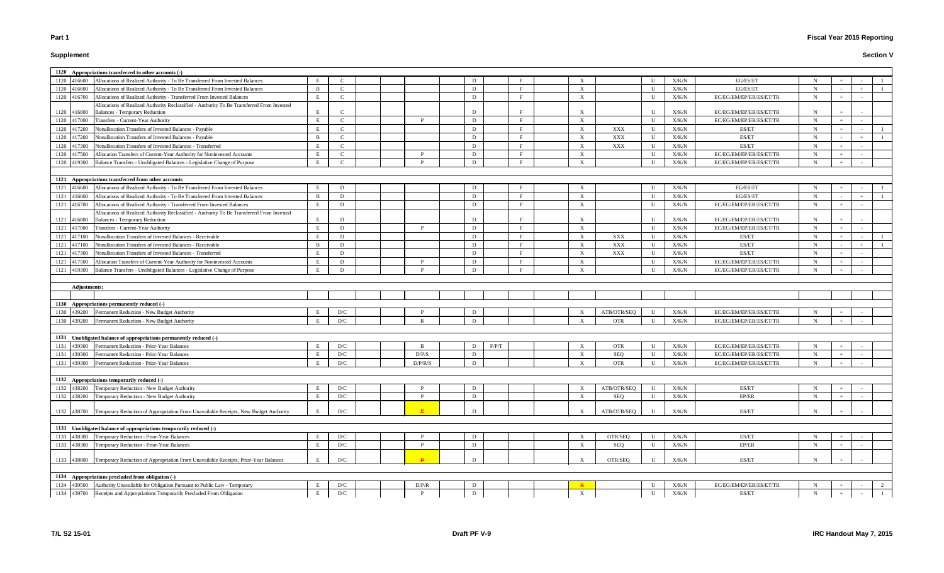# **Supplement**

|                     | 1120 Appropriations transferred to other accounts (-)                                                                                                    |                |              |  |         |              |       |  |                           |             |              |                |                                  |             |     |   |
|---------------------|----------------------------------------------------------------------------------------------------------------------------------------------------------|----------------|--------------|--|---------|--------------|-------|--|---------------------------|-------------|--------------|----------------|----------------------------------|-------------|-----|---|
| 1120 416600         | Allocations of Realized Authority - To Be Transferred From Invested Balances                                                                             |                |              |  |         |              |       |  |                           |             |              | X/K/N          | EG/ES/ET                         |             |     |   |
| 1120 416600         | Allocations of Realized Authority - To Be Transferred From Invested Balances                                                                             | $\overline{B}$ | $\mathbf C$  |  |         | D            |       |  | $\boldsymbol{\mathrm{X}}$ |             | $\mathbf{U}$ | X/K/N          | EG/ES/ET                         | N           |     |   |
| 1120 416700         | Allocations of Realized Authority - Transferred From Invested Balances                                                                                   | E              | $\mathsf{C}$ |  |         | D            |       |  | X                         |             | U            | X/K/N          | EC/EG/EM/EP/ER/ES/ET/TR          | N           |     |   |
|                     | Allocations of Realized Authority Reclassified - Authority To Be Transferred From Invested                                                               |                |              |  |         |              |       |  |                           |             |              |                |                                  |             |     |   |
| 1120 416800         | <b>Balances - Temporary Reduction</b>                                                                                                                    | E.             |              |  |         |              |       |  | X                         |             | $\mathbf{U}$ | X/K/N          | EC/EG/EM/EP/ER/ES/ET/TR          | N           |     |   |
| 1120 417000         | Transfers - Current-Year Authority                                                                                                                       | E              | C            |  |         | D            |       |  | $\boldsymbol{\mathrm{X}}$ |             | - U          | X/K/N          | EC/EG/EM/EP/ER/ES/ET/TR          | N           | $+$ |   |
| 1120 417200         | Nonallocation Transfers of Invested Balances - Payable                                                                                                   | E              | C.           |  |         | D            |       |  | $\boldsymbol{\mathrm{X}}$ | XXX         | U            | X/K/N          | ES/ET                            | N           |     |   |
| 1120 417200         | Nonallocation Transfers of Invested Balances - Payable                                                                                                   | B              | $\mathsf{C}$ |  |         | D            |       |  | $\boldsymbol{\mathrm{X}}$ | XXX         | $\mathbf{U}$ | X/K/N          | ES/ET                            | N           |     |   |
| 1120 417300         | Nonallocation Transfers of Invested Balances - Transferred                                                                                               |                | $\mathsf{C}$ |  |         | D            |       |  | $\boldsymbol{\mathrm{X}}$ | XXX         | U            | X/K/N          | ES/ET                            | N           |     |   |
| 1120 417500         | Allocation Transfers of Current-Year Authority for Noninvested Accounts                                                                                  | E              | $\mathsf{C}$ |  |         | D            |       |  | $\boldsymbol{\mathrm{X}}$ |             | U            | X/K/N          | EC/EG/EM/EP/ER/ES/ET/TR          | N           |     |   |
| 1120<br>419300      | Balance Transfers - Unobligated Balances - Legislative Change of Purpose                                                                                 | E              |              |  |         | $\mathbf{D}$ |       |  | X                         |             | $\mathbf{I}$ | X/K/N          | EC/EG/EM/EP/ER/ES/ET/TR          | N           |     |   |
|                     |                                                                                                                                                          |                |              |  |         |              |       |  |                           |             |              |                |                                  |             |     |   |
|                     | 1121 Appropriations transferred from other accounts                                                                                                      |                |              |  |         |              |       |  |                           |             |              |                |                                  |             |     |   |
| 1121 416600         | Allocations of Realized Authority - To Be Transferred From Invested Balances                                                                             | E              | D            |  |         | D            |       |  | $\boldsymbol{\mathrm{X}}$ |             | U            | X/K/N          | EG/ES/ET                         | N           | $+$ |   |
| 1121 416600         | Allocations of Realized Authority - To Be Transferred From Invested Balances                                                                             | B              | D            |  |         | D            |       |  | $\mathbf{X}$              |             | U            | X/K/N          | EG/ES/ET                         | N           |     |   |
| 1121<br>416700      | Allocations of Realized Authority - Transferred From Invested Balances                                                                                   | E              | D            |  |         | D            |       |  | $\mathbf{X}$              |             | U            | X/K/N          | EC/EG/EM/EP/ER/ES/ET/TR          | $\mathbf N$ | $+$ |   |
|                     | Allocations of Realized Authority Reclassified - Authority To Be Transferred From Invested                                                               |                |              |  |         |              |       |  |                           |             |              |                |                                  |             |     |   |
| 1121 416800         | <b>Balances - Temporary Reduction</b>                                                                                                                    | E              | D            |  |         |              |       |  | $\boldsymbol{\mathrm{X}}$ |             | U            | X/K/N          | EC/EG/EM/EP/ER/ES/ET/TR          | N           |     |   |
| 1121<br>417000      | Transfers - Current-Year Authority                                                                                                                       | E              | D            |  | D       | D            |       |  | $\mathbf{X}$              |             | U            | X/K/N          | EC/EG/EM/EP/ER/ES/ET/TR          | $\mathbf N$ | $+$ |   |
| 1121<br>417100      | Nonallocation Transfers of Invested Balances - Receivable                                                                                                | E              | D            |  |         | D            |       |  | $\mathbf{X}$              | XXX         | U            | X/K/N          | ES/ET                            | $\mathbf N$ | $+$ |   |
| 1121<br>417100      | Nonallocation Transfers of Invested Balances - Receivable                                                                                                | B              | D            |  |         | D            |       |  | $\mathbf{X}$              | XXX         | U            | X/K/N          | ES/ET                            | N           |     |   |
| 1121<br>417300      | Nonallocation Transfers of Invested Balances - Transferred                                                                                               | E              | D            |  |         | D            |       |  | $\mathbf{X}$              | <b>XXX</b>  | U            | X/K/N          | ES/ET                            | N           | $+$ |   |
| 1121<br>417500      | Allocation Transfers of Current-Year Authority for Noninvested Accounts                                                                                  | E              | D            |  | D       | D            |       |  | $\boldsymbol{\mathrm{X}}$ |             | U            | X/K/N          | EC/EG/EM/EP/ER/ES/ET/TR          | $\mathbf N$ | $+$ |   |
| 1121<br>419300      | Balance Transfers - Unobligated Balances - Legislative Change of Purpose                                                                                 | E              | D            |  |         | $\mathbf{D}$ |       |  | $\mathbf{X}$              |             | $\mathbf{I}$ | X/K/N          | EC/EG/EM/EP/ER/ES/ET/TR          | $\mathbf N$ |     |   |
|                     |                                                                                                                                                          |                |              |  |         |              |       |  |                           |             |              |                |                                  |             |     |   |
|                     |                                                                                                                                                          |                |              |  |         |              |       |  |                           |             |              |                |                                  |             |     |   |
| <b>Adjustments:</b> |                                                                                                                                                          |                |              |  |         |              |       |  |                           |             |              |                |                                  |             |     |   |
|                     |                                                                                                                                                          |                |              |  |         |              |       |  |                           |             |              |                |                                  |             |     |   |
|                     | 1130 Appropriations permanently reduced (-)                                                                                                              |                |              |  |         |              |       |  |                           |             |              |                |                                  |             |     |   |
|                     | 1130 439200 Permanent Reduction - New Budget Authority                                                                                                   |                | D/C          |  |         |              |       |  | $\boldsymbol{\mathrm{X}}$ | ATB/OTR/SEQ | U            | X/K/N          | EC/EG/EM/EP/ER/ES/ET/TR          | N           |     |   |
| 1130 439200         | Permanent Reduction - New Budget Authority                                                                                                               | E              | D/C          |  |         |              |       |  | $\mathbf{x}$              | <b>OTR</b>  | U            | X/K/N          | EC/EG/EM/EP/ER/ES/ET/TR          | N           |     |   |
|                     |                                                                                                                                                          |                |              |  |         |              |       |  |                           |             |              |                |                                  |             |     |   |
|                     | 1131 Unobligated balance of appropriations permanently reduced (-)                                                                                       |                |              |  |         |              |       |  |                           |             |              |                |                                  |             |     |   |
| 1131 439300         | Permanent Reduction - Prior-Year Balances                                                                                                                |                | D/C          |  |         | D            | F/P/T |  | $\boldsymbol{\mathrm{X}}$ | <b>OTR</b>  | U            | X/K/N          | EC/EG/EM/EP/ER/ES/ET/TR          | N           |     |   |
| 1131<br>439300      | Permanent Reduction - Prior-Year Balances                                                                                                                | E              | D/C          |  | D/P/S   | D            |       |  | $\mathbf{X}$              | <b>SEQ</b>  | U            | X/K/N          | EC/EG/EM/EP/ER/ES/ET/TR          | N           |     |   |
|                     | 1131 439300 Permanent Reduction - Prior-Year Balances                                                                                                    | E              | D/C          |  | D/P/R/S | D            |       |  | X                         | <b>OTR</b>  | U            | X/K/N          | EC/EG/EM/EP/ER/ES/ET/TR          | $\mathbf N$ |     |   |
|                     |                                                                                                                                                          |                |              |  |         |              |       |  |                           |             |              |                |                                  |             |     |   |
|                     | 1132 Appropriations temporarily reduced (-)                                                                                                              |                |              |  |         |              |       |  |                           |             |              |                |                                  |             |     |   |
| 1132 438200         | Temporary Reduction - New Budget Authority                                                                                                               |                | D/C          |  | P       | D            |       |  | $\boldsymbol{\mathrm{X}}$ | ATB/OTR/SEQ | U            | X/K/N          | ES/ET                            | N           |     |   |
| 1132 438200         | Temporary Reduction - New Budget Authority                                                                                                               | E              | D/C          |  |         | D            |       |  | $\boldsymbol{\mathrm{X}}$ | <b>SEQ</b>  | U            | X/K/N          | EP/ER                            | N           |     |   |
| 1132 438700         | Temporary Reduction of Appropriation From Unavailable Receipts, New Budget Authority                                                                     | E              | D/C          |  |         | D            |       |  | $\boldsymbol{\mathrm{X}}$ | ATB/OTR/SEQ | U            | X/K/N          | ES/ET                            | N           |     |   |
|                     |                                                                                                                                                          |                |              |  |         |              |       |  |                           |             |              |                |                                  |             |     |   |
|                     | 1133 Unobligated balance of appropriations temporarily reduced (-)                                                                                       |                |              |  |         |              |       |  |                           |             |              |                |                                  |             |     |   |
| 1133 438300         | Temporary Reduction - Prior-Year Balances                                                                                                                |                | D/C          |  |         | D            |       |  | $\boldsymbol{\mathrm{X}}$ | OTR/SEQ     | U            | X/K/N          | ES/ET                            | N           |     |   |
| 1133 438300         | Temporary Reduction - Prior-Year Balances                                                                                                                | E              | D/C          |  | P       | D            |       |  | $\boldsymbol{\mathrm{X}}$ | <b>SEQ</b>  | $\mathbf U$  | X/K/N          | EP/ER                            | N           |     |   |
|                     |                                                                                                                                                          |                |              |  |         |              |       |  |                           |             |              |                |                                  |             |     |   |
|                     | 1133 438800 Temporary Reduction of Appropriation From Unavailable Receipts, Prior-Year Balances                                                          | E              | D/C          |  |         | D            |       |  | $\boldsymbol{\mathrm{X}}$ | OTR/SEQ     | U            | X/K/N          | ES/ET                            | $\mathbf N$ |     |   |
|                     |                                                                                                                                                          |                |              |  |         |              |       |  |                           |             |              |                |                                  |             |     |   |
|                     | 1134 Appropriations precluded from obligation (-)                                                                                                        |                |              |  |         |              |       |  |                           |             |              |                |                                  |             |     |   |
| 1134 439500         | Authority Unavailable for Obligation Pursuant to Public Law - Temporary<br>1134 439700 Receipts and Appropriations Temporarily Precluded From Obligation | Е<br>E         | D/C<br>D/C   |  | D/P/R   | D<br>D       |       |  | $\boldsymbol{\mathrm{X}}$ |             | U<br>U       | X/K/N<br>X/K/N | EC/EG/EM/EP/ER/ES/ET/TR<br>ES/ET | N<br>N      |     | 2 |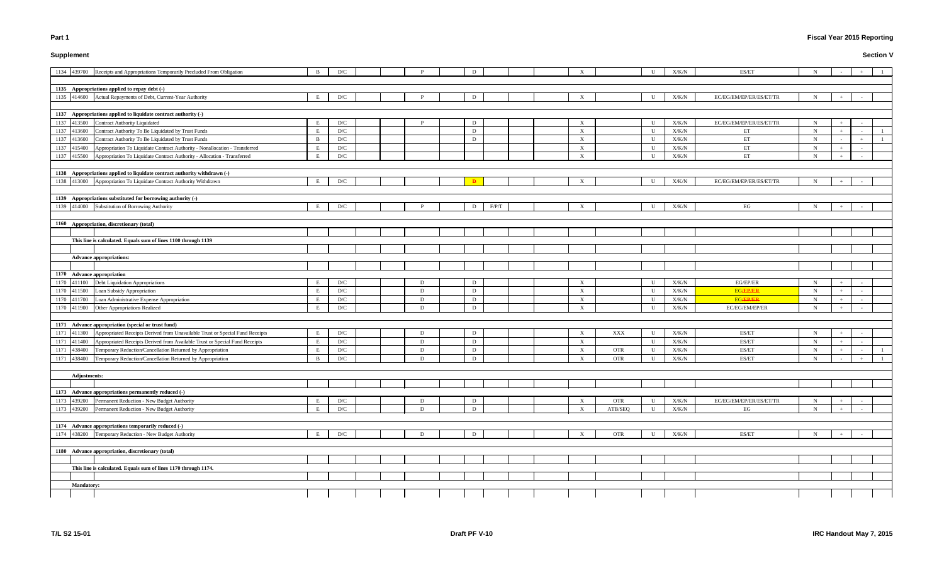# **Supplement**

# **Fiscal Year 2015 Reporting**

|             | 1134 439700 Receipts and Appropriations Temporarily Precluded From Obligation           | B            | D/C |   | D          |  | X                         |            |                | X/K/N | ES/ET                   | N |  |  |
|-------------|-----------------------------------------------------------------------------------------|--------------|-----|---|------------|--|---------------------------|------------|----------------|-------|-------------------------|---|--|--|
|             |                                                                                         |              |     |   |            |  |                           |            |                |       |                         |   |  |  |
|             | 1135 Appropriations applied to repay debt (-)                                           |              |     |   |            |  |                           |            |                |       |                         |   |  |  |
|             | 1135 414600 Actual Repayments of Debt, Current-Year Authority                           | E            | D/C |   | D          |  | X                         |            | U              | X/K/N | EC/EG/EM/EP/ER/ES/ET/TR | N |  |  |
|             |                                                                                         |              |     |   |            |  |                           |            |                |       |                         |   |  |  |
|             | 1137 Appropriations applied to liquidate contract authority (-)                         |              |     |   |            |  |                           |            |                |       |                         |   |  |  |
| 1137        | 413500<br><b>Contract Authority Liquidated</b>                                          |              | D/C |   | D          |  | X                         |            |                | X/K/N | EC/EG/EM/EP/ER/ES/ET/TR | N |  |  |
| 1137 413600 | Contract Authority To Be Liquidated by Trust Funds                                      | E            | D/C |   | D          |  | X                         |            | U              | X/K/N | ET                      | N |  |  |
| 1137 413600 | Contract Authority To Be Liquidated by Trust Funds                                      | <b>B</b>     | D/C |   | D          |  | $\boldsymbol{\mathrm{X}}$ |            | $\mathbf{U}$   | X/K/N | ET                      | N |  |  |
| 1137 415400 | Appropriation To Liquidate Contract Authority - Nonallocation - Transferred             |              | D/C |   |            |  | $\boldsymbol{\mathrm{X}}$ |            | $\mathbf{U}$   | X/K/N | ET                      | N |  |  |
|             | 1137 415500 Appropriation To Liquidate Contract Authority - Allocation - Transferred    | E            | D/C |   |            |  | $\mathbf{X}$              |            | U              | X/K/N | ET                      | N |  |  |
|             |                                                                                         |              |     |   |            |  |                           |            |                |       |                         |   |  |  |
|             | 1138 Appropriations applied to liquidate contract authority withdrawn (-)               |              |     |   |            |  |                           |            |                |       |                         |   |  |  |
|             | 1138 413000 Appropriation To Liquidate Contract Authority Withdrawn                     | E            | D/C |   |            |  | $\boldsymbol{\mathrm{X}}$ |            | U              | X/K/N | EC/EG/EM/EP/ER/ES/ET/TR | N |  |  |
|             |                                                                                         |              |     |   |            |  |                           |            |                |       |                         |   |  |  |
|             | 1139 Appropriations substituted for borrowing authority (-)                             |              |     |   |            |  |                           |            |                |       |                         |   |  |  |
|             | 1139 414000 Substitution of Borrowing Authority                                         | E            | D/C |   | F/P/T<br>D |  | X                         |            | U              | X/K/N | EG                      |   |  |  |
|             |                                                                                         |              |     |   |            |  |                           |            |                |       |                         |   |  |  |
|             | 1160 Appropriation, discretionary (total)                                               |              |     |   |            |  |                           |            |                |       |                         |   |  |  |
|             |                                                                                         |              |     |   |            |  |                           |            |                |       |                         |   |  |  |
|             | This line is calculated. Equals sum of lines 1100 through 1139                          |              |     |   |            |  |                           |            |                |       |                         |   |  |  |
|             |                                                                                         |              |     |   |            |  |                           |            |                |       |                         |   |  |  |
|             | Advance appropriations:                                                                 |              |     |   |            |  |                           |            |                |       |                         |   |  |  |
|             |                                                                                         |              |     |   |            |  |                           |            |                |       |                         |   |  |  |
|             | 1170 Advance appropriation                                                              |              |     |   |            |  |                           |            |                |       |                         |   |  |  |
| 1170        | Debt Liquidation Appropriations<br>411100                                               |              | D/C | D | D          |  | $\mathbf{X}$              |            | U              | X/K/N | EG/EP/ER                | N |  |  |
| 1170        | Loan Subsidy Appropriation<br>411500                                                    | E            | D/C | D | D          |  | $\mathbf X$               |            | U              | X/K/N | <b>EG/EP/ER</b>         | N |  |  |
| 1170        | Loan Administrative Expense Appropriation<br>411700                                     |              | D/C | D | D          |  | $\boldsymbol{\mathrm{X}}$ |            | U              | X/K/N | <b>EG/EP/ER</b>         | N |  |  |
| 1170        | 411900 Other Appropriations Realized                                                    | $\mathbf{E}$ | D/C | D | D          |  | $\boldsymbol{\mathrm{X}}$ |            | $\blacksquare$ | X/K/N | EC/EG/EM/EP/ER          | N |  |  |
|             |                                                                                         |              |     |   |            |  |                           |            |                |       |                         |   |  |  |
|             | 1171 Advance appropriation (special or trust fund)                                      |              |     |   |            |  |                           |            |                |       |                         |   |  |  |
| 1171        | Appropriated Receipts Derived from Unavailable Trust or Special Fund Receipts<br>411300 |              | D/C | D | D          |  | $\boldsymbol{\mathrm{X}}$ | XXX        |                | X/K/N | ES/ET                   | N |  |  |
| 1171        | Appropriated Receipts Derived from Available Trust or Special Fund Receipts<br>411400   |              | D/C | D | D          |  | $\boldsymbol{\mathrm{X}}$ |            | $\mathbf{U}$   | X/K/N | ES/ET                   | N |  |  |
| 1171        | 438400<br>Temporary Reduction/Cancellation Returned by Appropriation                    |              | D/C | D | D          |  | $\boldsymbol{\mathrm{X}}$ | <b>OTR</b> |                | X/K/N | ES/ET                   | N |  |  |
| 1171        | 438400 Temporary Reduction/Cancellation Returned by Appropriation                       | B            | D/C | D | D          |  | $\boldsymbol{\mathrm{X}}$ | <b>OTR</b> |                | X/K/N | ES/ET                   | N |  |  |
|             |                                                                                         |              |     |   |            |  |                           |            |                |       |                         |   |  |  |
|             | <b>Adjustments:</b>                                                                     |              |     |   |            |  |                           |            |                |       |                         |   |  |  |
|             |                                                                                         |              |     |   |            |  |                           |            |                |       |                         |   |  |  |
|             | 1173 Advance appropriations permanently reduced (-)                                     |              |     |   |            |  |                           |            |                |       |                         |   |  |  |
| 1173        | 439200<br>Permanent Reduction - New Budget Authority                                    | E            | D/C | D | D          |  | X                         | <b>OTR</b> | U              | X/K/N | EC/EG/EM/EP/ER/ES/ET/TR | N |  |  |
| 1173        | 439200<br>Permanent Reduction - New Budget Authority                                    | E            | D/C | D | D          |  | $\mathbf{X}$              | ATB/SEQ    | U              | X/K/N | EG                      | N |  |  |
|             |                                                                                         |              |     |   |            |  |                           |            |                |       |                         |   |  |  |
|             | 1174 Advance appropriations temporarily reduced (-)                                     |              |     |   |            |  |                           |            |                |       |                         |   |  |  |
| 1174        | Temporary Reduction - New Budget Authority<br>438200                                    | E            | D/C | D | D          |  |                           | <b>OTR</b> | U              | X/K/N | ES/ET                   |   |  |  |
|             |                                                                                         |              |     |   |            |  | X                         |            |                |       |                         | N |  |  |
|             |                                                                                         |              |     |   |            |  |                           |            |                |       |                         |   |  |  |
|             | 1180 Advance appropriation, discretionary (total)                                       |              |     |   |            |  |                           |            |                |       |                         |   |  |  |
|             |                                                                                         |              |     |   |            |  |                           |            |                |       |                         |   |  |  |
|             | This line is calculated. Equals sum of lines 1170 through 1174.                         |              |     |   |            |  |                           |            |                |       |                         |   |  |  |
|             |                                                                                         |              |     |   |            |  |                           |            |                |       |                         |   |  |  |
|             | <b>Mandatory:</b>                                                                       |              |     |   |            |  |                           |            |                |       |                         |   |  |  |
|             |                                                                                         |              |     |   |            |  |                           |            |                |       |                         |   |  |  |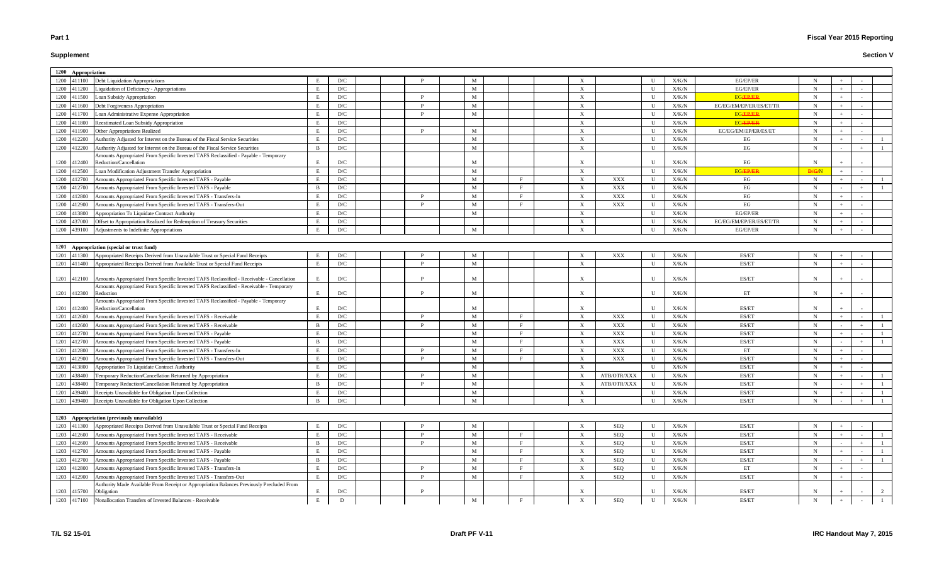# **Supplement**

| 1200 Appropriation |                                                                                                               |                |                         |  |   |              |              |                           |                |              |               |                         |               |  |  |
|--------------------|---------------------------------------------------------------------------------------------------------------|----------------|-------------------------|--|---|--------------|--------------|---------------------------|----------------|--------------|---------------|-------------------------|---------------|--|--|
|                    | 1200 411100 Debt Liquidation Appropriations                                                                   |                | D/C                     |  |   | M            |              |                           |                | $\mathbf{U}$ | X/K/N         | EG/EP/ER                | N             |  |  |
| 1200<br>411200     | Liquidation of Deficiency - Appropriations                                                                    |                | D/C                     |  |   | M            |              | X                         |                | U            | X/K/N         | EG/EP/ER                | N             |  |  |
| 411500<br>1200     | Loan Subsidy Appropriation                                                                                    |                | D/C                     |  |   | M            |              | $\boldsymbol{\mathrm{X}}$ |                | U            | X/K/N         | <b>EGÆPÆR</b>           | N             |  |  |
| 1200<br>411600     | Debt Forgiveness Appropriation                                                                                |                | D/C                     |  |   | M            |              | X                         |                | U            | X/K/N         | EC/EG/EM/EP/ER/ES/ET/TR | N             |  |  |
| 1200<br>411700     | Loan Administrative Expense Appropriation                                                                     |                | D/C                     |  |   | M            |              | X                         |                | U            | X/K/N         | <b>EGÆPÆR</b>           | $\mathbf N$   |  |  |
| 1200<br>411800     | Reestimated Loan Subsidy Appropriation                                                                        |                | D/C                     |  |   |              |              | $\boldsymbol{\mathrm{X}}$ |                | $\mathbf{U}$ | X/K/N         | <b>EGÆPÆR</b>           | $\mathbf N$   |  |  |
| 1200<br>411900     | Other Appropriations Realized                                                                                 | E              | D/C                     |  | D | M            |              | $\mathbf{X}$              |                | $\mathbf{U}$ | X/K/N         | EC/EG/EM/EP/ER/ES/ET    | N             |  |  |
| 412200<br>1200     | Authority Adjusted for Interest on the Bureau of the Fiscal Service Securities                                | E              | D/C                     |  |   | M            |              | X                         |                | $\mathbf{U}$ | X/K/N         | EG                      | $\mathbf N$   |  |  |
| 412200<br>1200     | Authority Adjusted for Interest on the Bureau of the Fiscal Service Securities                                | B              | D/C                     |  |   | M            |              | $\boldsymbol{\mathrm{X}}$ |                | U            | X/K/N         | EG                      | $\mathbf N$   |  |  |
|                    | Amounts Appropriated From Specific Invested TAFS Reclassified - Payable - Temporary                           |                |                         |  |   |              |              |                           |                |              |               |                         |               |  |  |
| 1200<br>412400     | Reduction/Cancellation                                                                                        | E.             | D/C                     |  |   | M            |              |                           |                | U            | X/K/N         | EG                      | N             |  |  |
| 412500<br>1200     | Loan Modification Adjustment Transfer Appropriation                                                           | - F            | D/C                     |  |   | M            |              | X                         |                | U            | X/K/N         | <b>EGAPPAN!</b>         | <b>D</b> /G/N |  |  |
| 412700<br>1200     | Amounts Appropriated From Specific Invested TAFS - Payable                                                    |                | D/C                     |  |   | M            |              | $\mathbf{X}$              | XXX            | U            | X/K/N         | EG                      | N             |  |  |
| 1200<br>412700     | Amounts Appropriated From Specific Invested TAFS - Payable                                                    | -R             | D/C                     |  |   | M            |              | $\boldsymbol{\mathrm{X}}$ | XXX            | U            | X/K/N         | EG                      | N             |  |  |
| 1200<br>412800     | Amounts Appropriated From Specific Invested TAFS - Transfers-In                                               |                | D/C                     |  |   | M            |              | X                         | XXX            | U            | X/K/N         | EG                      | N             |  |  |
| 1200<br>412900     | Amounts Appropriated From Specific Invested TAFS - Transfers-Out                                              |                | D/C                     |  |   | M            |              | X                         | XXX            | U            | X/K/N         | EG                      | N             |  |  |
| 1200<br>413800     | Appropriation To Liquidate Contract Authority                                                                 | - E            | D/C                     |  |   | M            |              | X                         |                | U            | X/K/N         | EG/EP/ER                | $\mathbf N$   |  |  |
| 1200<br>437000     | Offset to Appropriation Realized for Redemption of Treasury Securities                                        |                | D/C                     |  |   |              |              | X                         |                | U            | X/K/N         | EC/EG/EM/EP/ER/ES/ET/TR | N             |  |  |
| 1200               | 439100 Adjustments to Indefinite Appropriations                                                               |                | D/C                     |  |   | M            |              | $\boldsymbol{\mathrm{X}}$ |                | $\mathbf{U}$ | X/K/N         | EG/EP/ER                | N             |  |  |
|                    |                                                                                                               |                |                         |  |   |              |              |                           |                |              |               |                         |               |  |  |
|                    | 1201 Appropriation (special or trust fund)                                                                    |                |                         |  |   |              |              |                           |                |              |               |                         |               |  |  |
| 1201               | 411300 Appropriated Receipts Derived from Unavailable Trust or Special Fund Receipts                          | E              | D/C                     |  |   | M            |              | X                         | XXX            | U            | X/K/N         | ES/ET                   | $\mathbf N$   |  |  |
|                    | 1201 411400 Appropriated Receipts Derived from Available Trust or Special Fund Receipts                       | E              | D/C                     |  | D | M            |              | X                         |                | U            | X/K/N         | ES/ET                   | $\mathbf N$   |  |  |
|                    | 1201 412100 Amounts Appropriated From Specific Invested TAFS Reclassified - Receivable - Cancellation         | E              | D/C                     |  |   | M            |              | X                         |                | U            | X/K/N         | ES/ET                   | N             |  |  |
|                    | Amounts Appropriated From Specific Invested TAFS Reclassified - Receivable - Temporary                        |                |                         |  |   |              |              |                           |                |              |               |                         |               |  |  |
| 1201 412300        | Reduction                                                                                                     |                | D/C                     |  |   | M            |              | X                         |                | U            | X/K/N         | ET                      | N             |  |  |
| 1201 412400        | Amounts Appropriated From Specific Invested TAFS Reclassified - Payable - Temporary<br>Reduction/Cancellation |                | D/C                     |  |   | M            |              |                           |                | U            | X/K/N         | ES/ET                   | N             |  |  |
| 1201<br>412600     | Amounts Appropriated From Specific Invested TAFS - Receivable                                                 |                | D/C                     |  |   | M            |              | $\mathbf{X}$              | XXX            | U            | X/K/N         | ES/ET                   | N             |  |  |
| 1201<br>412600     | Amounts Appropriated From Specific Invested TAFS - Receivable                                                 | - B            | D/C                     |  |   | M            |              | $\mathbf{X}$              | XXX            | U            | X/K/N         | ES/ET                   | N             |  |  |
| 1201<br>412700     | Amounts Appropriated From Specific Invested TAFS - Payable                                                    |                | D/C                     |  |   | M            |              | $\boldsymbol{\mathrm{X}}$ | $\mathbf{XXX}$ | U            | X/K/N         | ES/ET                   | N             |  |  |
| 1201<br>412700     | Amounts Appropriated From Specific Invested TAFS - Payable                                                    | -B             | D/C                     |  |   | M            |              | X                         | XXX            | U            | X/K/N         | ES/ET                   | N             |  |  |
| 1201<br>412800     | Amounts Appropriated From Specific Invested TAFS - Transfers-In                                               |                | D/C                     |  |   | M            |              | X                         | XXX            | U            | X/K/N         | ET                      | N             |  |  |
| 1201<br>412900     | Amounts Appropriated From Specific Invested TAFS - Transfers-Out                                              |                | D/C                     |  | D | M            | Е.           | $\mathbf{X}$              | XXX            | U            | X/K/N         | ES/ET                   | N             |  |  |
| 1201<br>413800     | Appropriation To Liquidate Contract Authority                                                                 | E              | D/C                     |  |   | M            |              |                           |                | U            | X/K/N         | ES/ET                   | N             |  |  |
| 1201<br>438400     | Temporary Reduction/Cancellation Returned by Appropriation                                                    | E              | D/C                     |  |   | M            |              | $\boldsymbol{\mathrm{X}}$ | ATB/OTR/XXX    | U            | X/K/N         | ES/ET                   | N             |  |  |
| 1201<br>438400     | Temporary Reduction/Cancellation Returned by Appropriation                                                    | -B             | $\mathbf{D}/\mathbf{C}$ |  |   | $\mathbf{M}$ |              | X                         | ATB/OTR/XXX    | $\mathbf U$  | ${\rm X/K/N}$ | ES/ET                   | $\mathbf N$   |  |  |
| 1201<br>439400     | Receipts Unavailable for Obligation Upon Collection                                                           |                | $\mathbf{D}/\mathbf{C}$ |  |   | M            |              | X                         |                | $\mathbf U$  | ${\rm X/K/N}$ | ES/ET                   | $\mathbf N$   |  |  |
| 439400<br>1201     | Receipts Unavailable for Obligation Upon Collection                                                           | $\mathbf{B}$   | D/C                     |  |   | $\mathbf{M}$ |              | X                         |                | U            | X/K/N         | ES/ET                   | $\mathbf N$   |  |  |
|                    |                                                                                                               |                |                         |  |   |              |              |                           |                |              |               |                         |               |  |  |
|                    | 1203 Appropriation (previously unavailable)                                                                   |                |                         |  |   |              |              |                           |                |              |               |                         |               |  |  |
| 1203 411300        | Appropriated Receipts Derived from Unavailable Trust or Special Fund Receipts                                 |                | D/C                     |  |   | M            |              | X                         | SEQ            | U            | X/K/N         | ES/ET                   | N             |  |  |
| 1203<br>412600     | Amounts Appropriated From Specific Invested TAFS - Receivable                                                 | E              | D/C                     |  |   | M            |              | $\mathbf X$               | SEQ            | U            | X/K/N         | ES/ET                   | $\mathbf N$   |  |  |
| 1203<br>412600     | Amounts Appropriated From Specific Invested TAFS - Receivable                                                 | - B            | D/C                     |  |   | M            |              | X                         | SEQ            | U            | X/K/N         | ES/ET                   | $\mathbf N$   |  |  |
| 1203<br>412700     | Amounts Appropriated From Specific Invested TAFS - Payable                                                    | E              | D/C                     |  |   | M            |              | X                         | SEQ            | U            | X/K/N         | ES/ET                   | $\mathbf N$   |  |  |
| 1203<br>412700     | Amounts Appropriated From Specific Invested TAFS - Payable                                                    | $\overline{B}$ | D/C                     |  |   | M            |              | X                         | SEQ            | U            | X/K/N         | ES/ET                   | $\mathbf N$   |  |  |
| 1203<br>412800     | Amounts Appropriated From Specific Invested TAFS - Transfers-In                                               | E              | $\mathbf{D}/\mathbf{C}$ |  | D | M            | $\mathbf{E}$ | $\mathbf{X}$              | SEQ            | U            | X/K/N         | ET                      | $\mathbf N$   |  |  |
| 1203<br>412900     | Amounts Appropriated From Specific Invested TAFS - Transfers-Out                                              | E              | D/C                     |  | D | M            |              | X                         | SEQ            | U            | X/K/N         | ES/ET                   | N             |  |  |
|                    | Authority Made Available From Receipt or Appropriation Balances Previously Precluded From                     |                |                         |  |   |              |              |                           |                |              |               |                         |               |  |  |
| 1203 415700        | Obligation                                                                                                    | E              | D/C                     |  |   |              |              | X                         |                | U            | X/K/N         | ES/ET                   | $\mathbf N$   |  |  |
|                    | 1203 417100 Nonallocation Transfers of Invested Balances - Receivable                                         | E              | D                       |  |   | $\mathbf{M}$ | F            | $\mathbf{X}$              | SEQ            | $\mathbf U$  | X/K/N         | ES/ET                   | N             |  |  |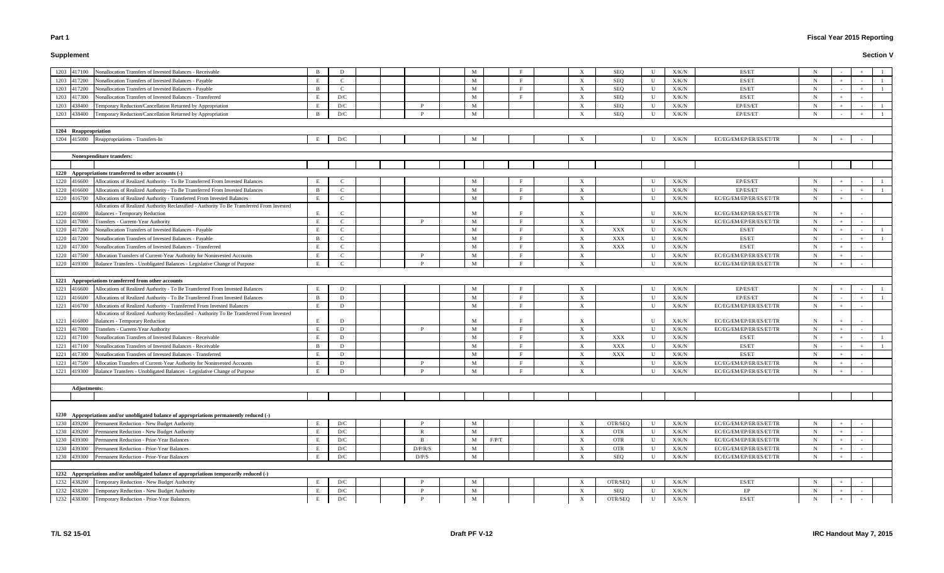# **Supplement**

# **Fiscal Year 2015 Reporting**

|             | Nonallocation Transfers of Invested Balances - Receivable                                  | <sup>B</sup>   |               |  |         | M            |              |  | $\boldsymbol{\mathrm{X}}$ |            | $\mathbf{U}$ | X/K/N         | ES/ET                   | N           |  |
|-------------|--------------------------------------------------------------------------------------------|----------------|---------------|--|---------|--------------|--------------|--|---------------------------|------------|--------------|---------------|-------------------------|-------------|--|
| 1203 417100 |                                                                                            | E              | D<br>C        |  |         | M            |              |  |                           | <b>SEQ</b> | U            |               | ES/ET                   | $\mathbf N$ |  |
| 1203 417200 | Nonallocation Transfers of Invested Balances - Payable                                     |                |               |  |         |              | $\mathbf{F}$ |  | $\boldsymbol{\mathrm{X}}$ | <b>SEQ</b> |              | X/K/N         |                         |             |  |
| 1203 417200 | Nonallocation Transfers of Invested Balances - Payable                                     | $\overline{B}$ | $\mathcal{C}$ |  |         | M            |              |  | $\boldsymbol{\mathrm{X}}$ | SEQ        | U            | X/K/N         | ES/ET                   | $\mathbf N$ |  |
| 1203 417300 | Nonallocation Transfers of Invested Balances - Transferred                                 | E              | D/C           |  |         | M            |              |  | $\mathbf{X}$              | SEQ        | U            | X/K/N         | ES/ET                   | $\mathbf N$ |  |
| 1203 438400 | Temporary Reduction/Cancellation Returned by Appropriation                                 | E              | D/C           |  |         | M            |              |  | X                         | <b>SEQ</b> | $\mathbf{U}$ | X/K/N         | EP/ES/ET                | N           |  |
| 1203 438400 | Temporary Reduction/Cancellation Returned by Appropriation                                 | $\overline{B}$ | D/C           |  |         | M            |              |  | X                         | <b>SEQ</b> | II           | X/K/N         | EP/ES/ET                | $\mathbf N$ |  |
|             |                                                                                            |                |               |  |         |              |              |  |                           |            |              |               |                         |             |  |
|             | 1204 Reappropriation                                                                       |                |               |  |         |              |              |  |                           |            |              |               |                         |             |  |
|             | 1204 415000 Reappropriations - Transfers-In                                                |                | D/C           |  |         | M            |              |  |                           |            | $\mathbf{H}$ | X/K/N         | EC/EG/EM/EP/ER/ES/ET/TR | N           |  |
|             |                                                                                            |                |               |  |         |              |              |  |                           |            |              |               |                         |             |  |
|             | <b>Nonexpenditure transfers:</b>                                                           |                |               |  |         |              |              |  |                           |            |              |               |                         |             |  |
|             |                                                                                            |                |               |  |         |              |              |  |                           |            |              |               |                         |             |  |
|             | 1220 Appropriations transferred to other accounts (-)                                      |                |               |  |         |              |              |  |                           |            |              |               |                         |             |  |
| 1220 416600 | Allocations of Realized Authority - To Be Transferred From Invested Balances               |                |               |  |         | M            |              |  |                           |            |              | X/K/N         | EP/ES/ET                | N           |  |
| 1220 416600 | Allocations of Realized Authority - To Be Transferred From Invested Balances               | -B             | $\mathcal{C}$ |  |         | M            |              |  | $\boldsymbol{\mathrm{X}}$ |            | $\mathbf{U}$ | X/K/N         | EP/ES/ET                | $\mathbf N$ |  |
| 1220 416700 | Allocations of Realized Authority - Transferred From Invested Balances                     | E              | $\mathcal{C}$ |  |         | M            |              |  | $\boldsymbol{\mathrm{X}}$ |            | U            | X/K/N         | EC/EG/EM/EP/ER/ES/ET/TR | $\mathbf N$ |  |
|             | Allocations of Realized Authority Reclassified - Authority To Be Transferred From Invested |                |               |  |         |              |              |  |                           |            |              |               |                         |             |  |
| 1220 416800 | <b>Balances - Temporary Reduction</b>                                                      | E              |               |  |         | M            |              |  |                           |            | $\mathbf{U}$ | X/K/N         | EC/EG/EM/EP/ER/ES/ET/TR | N           |  |
| 1220 417000 | Transfers - Current-Year Authority                                                         | E              | $\mathcal{C}$ |  |         | M            |              |  | $\boldsymbol{\mathrm{X}}$ |            | $\mathbf{U}$ | X/K/N         | EC/EG/EM/EP/ER/ES/ET/TR | N           |  |
| 1220 417200 | Nonallocation Transfers of Invested Balances - Payable                                     | E              | $\mathcal{C}$ |  |         | M            |              |  | $\boldsymbol{\mathrm{X}}$ | XXX        | U            | X/K/N         | ES/ET                   | $\mathbf N$ |  |
| 1220 417200 | Nonallocation Transfers of Invested Balances - Payable                                     | -B             | $\mathcal{C}$ |  |         | M            |              |  | $\mathbf{X}$              | XXX        | U            | X/K/N         | ES/ET                   | $\mathbf N$ |  |
| 1220 417300 | Nonallocation Transfers of Invested Balances - Transferred                                 | E              | $\Gamma$      |  |         | M            |              |  | $\mathbf{X}$              | XXX        | U            | X/K/N         | ES/ET                   | $\mathbf N$ |  |
| 1220 417500 | Allocation Transfers of Current-Year Authority for Noninvested Accounts                    | E              | $\mathcal{C}$ |  |         | M            |              |  | X                         |            | $\mathbf{U}$ | X/K/N         | EC/EG/EM/EP/ER/ES/ET/TR | N           |  |
| 1220 419300 | Balance Transfers - Unobligated Balances - Legislative Change of Purpose                   | E              | $\mathcal{C}$ |  |         | M            |              |  | $\boldsymbol{\mathrm{X}}$ |            | II           | X/K/N         | EC/EG/EM/EP/ER/ES/ET/TR | $\mathbf N$ |  |
|             |                                                                                            |                |               |  |         |              |              |  |                           |            |              |               |                         |             |  |
|             | 1221 Appropriations transferred from other accounts                                        |                |               |  |         |              |              |  |                           |            |              |               |                         |             |  |
| 1221 416600 | Allocations of Realized Authority - To Be Transferred From Invested Balances               | E              | D             |  |         | M            |              |  | $\boldsymbol{\mathrm{X}}$ |            | U            | X/K/N         | EP/ES/ET                | $\mathbf N$ |  |
| 1221 416600 | Allocations of Realized Authority - To Be Transferred From Invested Balances               | $\overline{B}$ | D             |  |         | M            |              |  | $\boldsymbol{\mathrm{X}}$ |            | $\mathbf{U}$ | X/K/N         | EP/ES/ET                | $\mathbf N$ |  |
| 1221 416700 | Allocations of Realized Authority - Transferred From Invested Balances                     | E              | D             |  |         | M            |              |  | $\boldsymbol{\mathrm{X}}$ |            | U            | X/K/N         | EC/EG/EM/EP/ER/ES/ET/TR | N           |  |
|             | Allocations of Realized Authority Reclassified - Authority To Be Transferred From Invested |                |               |  |         |              |              |  |                           |            |              |               |                         |             |  |
| 1221 416800 | <b>Balances - Temporary Reduction</b>                                                      | E              | D             |  |         | M            |              |  | $\boldsymbol{\mathrm{X}}$ |            | $\mathbf{U}$ | X/K/N         | EC/EG/EM/EP/ER/ES/ET/TR | N           |  |
| 1221 417000 | Transfers - Current-Year Authority                                                         | E              | D             |  | P.      | M            | F            |  | $\boldsymbol{\mathrm{X}}$ |            | U            | X/K/N         | EC/EG/EM/EP/ER/ES/ET/TR | $\mathbf N$ |  |
| 1221 417100 | Nonallocation Transfers of Invested Balances - Receivable                                  | E              | D             |  |         | M            | $\mathbf{F}$ |  | $\boldsymbol{\mathrm{X}}$ | XXX        | U            | X/K/N         | ES/ET                   | $\mathbf N$ |  |
| 1221 417100 | Nonallocation Transfers of Invested Balances - Receivable                                  | -B             | D             |  |         | M            |              |  | X                         | XXX        | U            | X/K/N         | ES/ET                   | N           |  |
| 1221 417300 | Nonallocation Transfers of Invested Balances - Transferred                                 |                | D             |  |         | M            |              |  | X                         | <b>XXX</b> | U            | X/K/N         | ES/ET                   | N           |  |
| 1221 417500 | Allocation Transfers of Current-Year Authority for Noninvested Accounts                    | E              | D             |  |         | M            |              |  | $\boldsymbol{\mathrm{X}}$ |            | U            | X/K/N         | EC/EG/EM/EP/ER/ES/ET/TR | N           |  |
| 1221 419300 | Balance Transfers - Unobligated Balances - Legislative Change of Purpose                   | E              | D             |  |         | $\mathbf{M}$ |              |  | X                         |            | U            | X/K/N         | EC/EG/EM/EP/ER/ES/ET/TR | $\mathbf N$ |  |
|             |                                                                                            |                |               |  |         |              |              |  |                           |            |              |               |                         |             |  |
|             | <b>Adjustments:</b>                                                                        |                |               |  |         |              |              |  |                           |            |              |               |                         |             |  |
|             |                                                                                            |                |               |  |         |              |              |  |                           |            |              |               |                         |             |  |
|             |                                                                                            |                |               |  |         |              |              |  |                           |            |              |               |                         |             |  |
|             | 1230 Appropriations and/or unobligated balance of appropriations permanently reduced (-)   |                |               |  |         |              |              |  |                           |            |              |               |                         |             |  |
|             | 1230 439200 Permanent Reduction - New Budget Authority                                     | E              | D/C           |  |         | M            |              |  | $\boldsymbol{\mathrm{X}}$ | OTR/SEQ    | U            | X/K/N         | EC/EG/EM/EP/ER/ES/ET/TR | $\mathbf N$ |  |
| 1230 439200 | Permanent Reduction - New Budget Authority                                                 | E              | D/C           |  |         | $\mathbf M$  |              |  | $\mathbf{X}$              | <b>OTR</b> | U            | ${\rm X/K/N}$ | EC/EG/EM/EP/ER/ES/ET/TR | $\mathbf N$ |  |
| 1230 439300 | Permanent Reduction - Prior-Year Balances                                                  | E              | D/C           |  | - B     | M            | F/P/T        |  | X                         | <b>OTR</b> | U            | X/K/N         | EC/EG/EM/EP/ER/ES/ET/TR | $\mathbf N$ |  |
| 1230 439300 | Permanent Reduction - Prior-Year Balances                                                  | E              | D/C           |  | D/P/R/S | $\mathbf{M}$ |              |  | $\mathbf{X}$              | <b>OTR</b> | U            | X/K/N         | EC/EG/EM/EP/ER/ES/ET/TR | $\mathbf N$ |  |
| 1230 439300 | Permanent Reduction - Prior-Year Balances                                                  | E              | D/C           |  | D/P/S   | $\mathbf M$  |              |  | $\boldsymbol{\mathrm{X}}$ | SEQ        | U            | X/K/N         | EC/EG/EM/EP/ER/ES/ET/TR | $\mathbf N$ |  |
|             |                                                                                            |                |               |  |         |              |              |  |                           |            |              |               |                         |             |  |
|             | 1232 Appropriations and/or unobligated balance of appropriations temporarily reduced (-)   |                |               |  |         |              |              |  |                           |            |              |               |                         |             |  |
| 1232 438200 | Temporary Reduction - New Budget Authority                                                 | E              | D/C           |  |         | M            |              |  | X                         | OTR/SEQ    | U            | ${\rm X/K/N}$ | ES/ET                   | $\mathbf N$ |  |
| 1232 438200 | Temporary Reduction - New Budget Authority                                                 | E              | D/C           |  |         | $\mathbf M$  |              |  | $\mathbf{X}$              | <b>SEQ</b> | U            | X/K/N         | EP                      | $\mathbf N$ |  |
|             | 1232 438300 Temporary Reduction - Prior-Year Balances                                      | Е              | D/C           |  |         | $\mathbf M$  |              |  | $\boldsymbol{\mathrm{X}}$ | OTR/SEQ    | U            | X/K/N         | ES/ET                   | $\mathbf N$ |  |
|             |                                                                                            |                |               |  |         |              |              |  |                           |            |              |               |                         |             |  |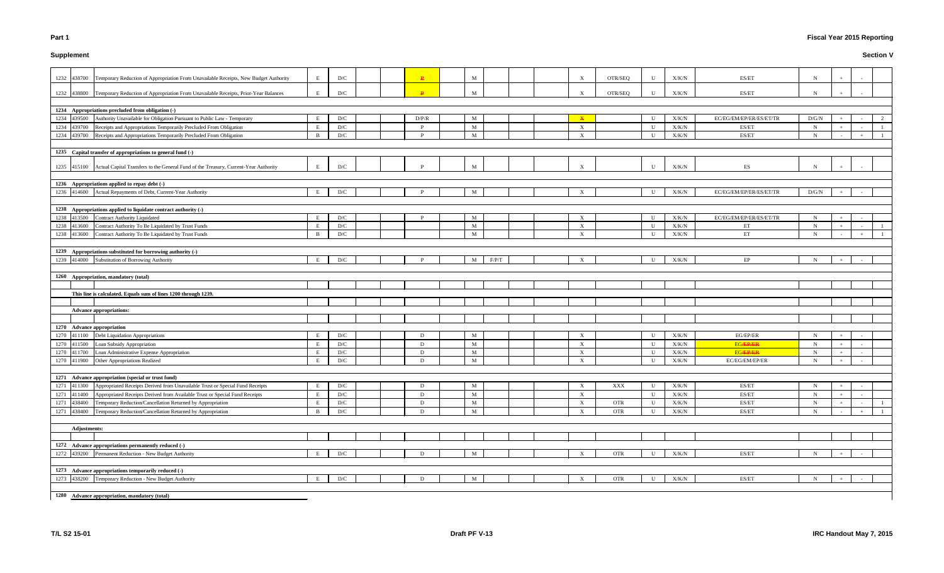# **Supplement**

# **Fiscal Year 2015 Reporting**

| 1232 438700         | Temporary Reduction of Appropriation From Unavailable Receipts, New Budget Authority             | E            | D/C                     |  | $\mathbf{P}$ | M            |       |  | $\mathbf X$               | OTR/SEQ    | U            | X/K/N | ES/ET                   | N           |        |  |
|---------------------|--------------------------------------------------------------------------------------------------|--------------|-------------------------|--|--------------|--------------|-------|--|---------------------------|------------|--------------|-------|-------------------------|-------------|--------|--|
| 1232 438800         | Temporary Reduction of Appropriation From Unavailable Receipts, Prior-Year Balances              | E            | D/C                     |  | $\mathbf{p}$ | M            |       |  | $\mathbf{x}$              | OTR/SEQ    | $\mathbf{U}$ | X/K/N | ES/ET                   | N           |        |  |
|                     |                                                                                                  |              |                         |  |              |              |       |  |                           |            |              |       |                         |             |        |  |
|                     | 1234 Appropriations precluded from obligation (-)                                                |              |                         |  |              |              |       |  |                           |            |              |       |                         |             |        |  |
|                     |                                                                                                  | E            |                         |  |              |              |       |  |                           |            |              |       |                         |             |        |  |
| 1234 439500         | Authority Unavailable for Obligation Pursuant to Public Law - Temporary                          |              | D/C                     |  | D/P/R        | M            |       |  | $\mathbf{x}$              |            | U            | X/K/N | EC/EG/EM/EP/ER/ES/ET/TR | D/G/N       | $+$    |  |
| 1234 439700         | Receipts and Appropriations Temporarily Precluded From Obligation                                | E            | D/C                     |  | P            | M            |       |  | $\boldsymbol{\mathrm{X}}$ |            | U            | X/K/N | ES/ET                   | $\mathbf N$ | $+$    |  |
| 1234 439700         | Receipts and Appropriations Temporarily Precluded From Obligation                                | $\mathbf{B}$ | D/C                     |  | P            | M            |       |  | $\mathbf{X}$              |            | U            | X/K/N | ES/ET                   | $\mathbf N$ | $\sim$ |  |
|                     |                                                                                                  |              |                         |  |              |              |       |  |                           |            |              |       |                         |             |        |  |
|                     | 1235 Capital transfer of appropriations to general fund (-)                                      |              |                         |  |              |              |       |  |                           |            |              |       |                         |             |        |  |
|                     | 1235 415100 Actual Capital Transfers to the General Fund of the Treasury, Current-Year Authority | E            | D/C                     |  |              | M            |       |  | $\mathbf{x}$              |            | $\mathbf{U}$ | X/K/N | ES                      | N           |        |  |
|                     |                                                                                                  |              |                         |  |              |              |       |  |                           |            |              |       |                         |             |        |  |
|                     | 1236 Appropriations applied to repay debt (-)                                                    |              |                         |  |              |              |       |  |                           |            |              |       |                         |             |        |  |
|                     | 1236 414600 Actual Repayments of Debt, Current-Year Authority                                    | E            | D/C                     |  |              | M            |       |  | $\boldsymbol{\mathrm{X}}$ |            | U            | X/K/N | EC/EG/EM/EP/ER/ES/ET/TR | D/G/N       |        |  |
|                     |                                                                                                  |              |                         |  |              |              |       |  |                           |            |              |       |                         |             |        |  |
|                     |                                                                                                  |              |                         |  |              |              |       |  |                           |            |              |       |                         |             |        |  |
|                     | 1238 Appropriations applied to liquidate contract authority (-)                                  |              |                         |  |              |              |       |  |                           |            |              |       |                         |             |        |  |
| 1238 413500         | <b>Contract Authority Liquidated</b>                                                             | E            | D/C                     |  | P            | M            |       |  | $\boldsymbol{\mathrm{X}}$ |            | U            | X/K/N | EC/EG/EM/EP/ER/ES/ET/TR | $\mathbf N$ | $+$    |  |
| 1238 413600         | Contract Authority To Be Liquidated by Trust Funds                                               | E            | D/C                     |  |              | M            |       |  | $\boldsymbol{\mathrm{X}}$ |            | U            | X/K/N | ET                      | $\mathbf N$ | $+$    |  |
| 1238 413600         | Contract Authority To Be Liquidated by Trust Funds                                               | B            | D/C                     |  |              | M            |       |  | $\mathbf{X}$              |            | U            | X/K/N | ET                      | $\mathbf N$ |        |  |
|                     |                                                                                                  |              |                         |  |              |              |       |  |                           |            |              |       |                         |             |        |  |
|                     | 1239 Appropriations substituted for borrowing authority (-)                                      |              |                         |  |              |              |       |  |                           |            |              |       |                         |             |        |  |
|                     | 1239 414000 Substitution of Borrowing Authority                                                  | E            | D/C                     |  | D            | M            | F/P/T |  | X                         |            | U            | X/K/N | EP                      | $\mathbf N$ | $+$    |  |
|                     |                                                                                                  |              |                         |  |              |              |       |  |                           |            |              |       |                         |             |        |  |
|                     | 1260 Appropriation, mandatory (total)                                                            |              |                         |  |              |              |       |  |                           |            |              |       |                         |             |        |  |
|                     |                                                                                                  |              |                         |  |              |              |       |  |                           |            |              |       |                         |             |        |  |
|                     |                                                                                                  |              |                         |  |              |              |       |  |                           |            |              |       |                         |             |        |  |
|                     | This line is calculated. Equals sum of lines 1200 through 1239.                                  |              |                         |  |              |              |       |  |                           |            |              |       |                         |             |        |  |
|                     |                                                                                                  |              |                         |  |              |              |       |  |                           |            |              |       |                         |             |        |  |
|                     | <b>Advance appropriations:</b>                                                                   |              |                         |  |              |              |       |  |                           |            |              |       |                         |             |        |  |
|                     |                                                                                                  |              |                         |  |              |              |       |  |                           |            |              |       |                         |             |        |  |
|                     | 1270 Advance appropriation                                                                       |              |                         |  |              |              |       |  |                           |            |              |       |                         |             |        |  |
| 1270 411100         | Debt Liquidation Appropriations                                                                  | E            | D/C                     |  | D            | M            |       |  | $\boldsymbol{\mathrm{X}}$ |            | U            | X/K/N | EG/EP/ER                | N           | $+$    |  |
| 1270 411500         | Loan Subsidy Appropriation                                                                       | E            | D/C                     |  | D            | M            |       |  | $\mathbf{X}$              |            | U            | X/K/N | <b>EG/EP/ER</b>         | $\mathbf N$ | $+$    |  |
| 1270 411700         | Loan Administrative Expense Appropriation                                                        |              | D/C                     |  | D            | M            |       |  | $\boldsymbol{\mathrm{X}}$ |            | U            | X/K/N | <b>EG/EP/ER</b>         | N           | $+$    |  |
| 1270 411900         | Other Appropriations Realized                                                                    | E            | D/C                     |  | D            | M            |       |  | X                         |            | U            | X/K/N | EC/EG/EM/EP/ER          | $\mathbf N$ |        |  |
|                     |                                                                                                  |              |                         |  |              |              |       |  |                           |            |              |       |                         |             |        |  |
|                     | 1271 Advance appropriation (special or trust fund)                                               |              |                         |  |              |              |       |  |                           |            |              |       |                         |             |        |  |
| 1271 411300         | Appropriated Receipts Derived from Unavailable Trust or Special Fund Receipts                    | E            | D/C                     |  | D            | M            |       |  | $\mathbf{X}$              | XXX        | U            | X/K/N | ES/ET                   | $\mathbf N$ | $+$    |  |
|                     | Appropriated Receipts Derived from Available Trust or Special Fund Receipts                      | E            |                         |  |              |              |       |  |                           |            |              |       |                         |             |        |  |
| 1271 411400         |                                                                                                  |              | $\mathbf{D}/\mathbf{C}$ |  | D            | M            |       |  | $\mathbf X$               |            | U            | X/K/N | ES/ET                   | $\mathbf N$ | $+$    |  |
| 1271 438400         | Temporary Reduction/Cancellation Returned by Appropriation                                       | E            | D/C                     |  | D            | M            |       |  | $\mathbf X$               | OTR        | U            | X/K/N | ES/ET                   | $\mathbf N$ | $+$    |  |
| 1271 438400         | Temporary Reduction/Cancellation Returned by Appropriation                                       | B            | D/C                     |  | D            | $\mathbf{M}$ |       |  | $\mathbf{X}$              | <b>OTR</b> | U            | X/K/N | ES/ET                   | $\mathbf N$ |        |  |
|                     |                                                                                                  |              |                         |  |              |              |       |  |                           |            |              |       |                         |             |        |  |
| <b>Adjustments:</b> |                                                                                                  |              |                         |  |              |              |       |  |                           |            |              |       |                         |             |        |  |
|                     |                                                                                                  |              |                         |  |              |              |       |  |                           |            |              |       |                         |             |        |  |
|                     | 1272 Advance appropriations permanently reduced (-)                                              |              |                         |  |              |              |       |  |                           |            |              |       |                         |             |        |  |
| 1272 439200         | Permanent Reduction - New Budget Authority                                                       | E            | D/C                     |  | D            | M            |       |  | $\mathbf{X}$              | OTR        | U            | X/K/N | ES/ET                   | $\mathbf N$ |        |  |
|                     |                                                                                                  |              |                         |  |              |              |       |  |                           |            |              |       |                         |             |        |  |
|                     | 1273 Advance appropriations temporarily reduced (-)                                              |              |                         |  |              |              |       |  |                           |            |              |       |                         |             |        |  |
|                     | 1273 438200 Temporary Reduction - New Budget Authority                                           | E            | D/C                     |  | D            | M            |       |  | X                         | <b>OTR</b> | U            | X/K/N | ES/ET                   | N           |        |  |
|                     |                                                                                                  |              |                         |  |              |              |       |  |                           |            |              |       |                         |             |        |  |
|                     |                                                                                                  |              |                         |  |              |              |       |  |                           |            |              |       |                         |             |        |  |
|                     | 1280 Advance appropriation, mandatory (total)                                                    |              |                         |  |              |              |       |  |                           |            |              |       |                         |             |        |  |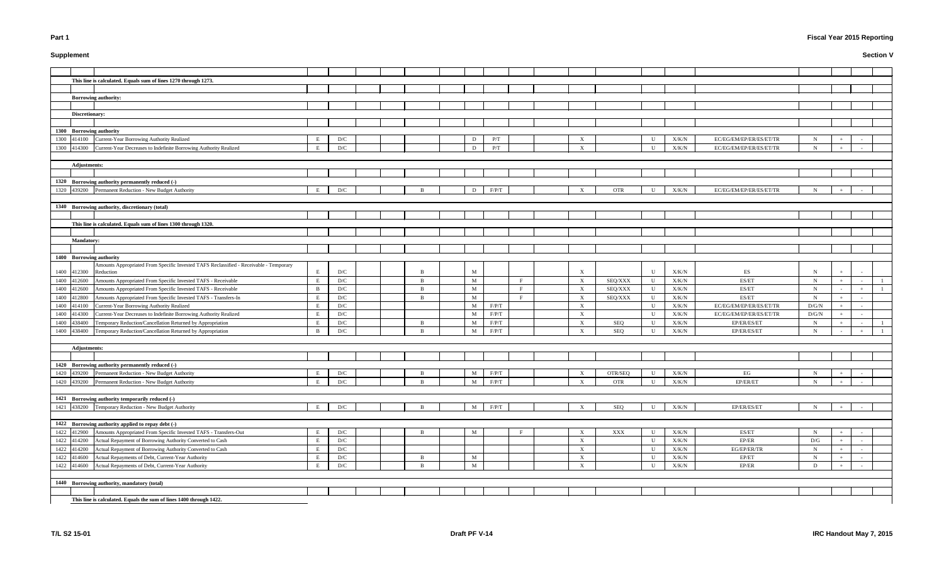**Supplement**

# **Fiscal Year 2015 Reporting**

|                     | This line is calculated. Equals sum of lines 1270 through 1273.                                                  |              |            |  |              |                            |                      |              |                                           |                |              |                |                                                                                                         |                            |  |  |
|---------------------|------------------------------------------------------------------------------------------------------------------|--------------|------------|--|--------------|----------------------------|----------------------|--------------|-------------------------------------------|----------------|--------------|----------------|---------------------------------------------------------------------------------------------------------|----------------------------|--|--|
|                     | <b>Borrowing authority:</b>                                                                                      |              |            |  |              |                            |                      |              |                                           |                |              |                |                                                                                                         |                            |  |  |
|                     |                                                                                                                  |              |            |  |              |                            |                      |              |                                           |                |              |                |                                                                                                         |                            |  |  |
| Discretionary:      |                                                                                                                  |              |            |  |              |                            |                      |              |                                           |                |              |                |                                                                                                         |                            |  |  |
|                     |                                                                                                                  |              |            |  |              |                            |                      |              |                                           |                |              |                |                                                                                                         |                            |  |  |
|                     | 1300 Borrowing authority                                                                                         |              |            |  |              |                            |                      |              |                                           |                |              |                |                                                                                                         |                            |  |  |
|                     | 1300 414100 Current-Year Borrowing Authority Realized                                                            |              | D/C        |  |              | D                          | P/T                  |              |                                           |                | U            | X/K/N          | EC/EG/EM/EP/ER/ES/ET/TR                                                                                 | N                          |  |  |
| 1300 414300         | Current-Year Decreases to Indefinite Borrowing Authority Realized                                                | E            | D/C        |  |              | D                          | P/T                  |              | $\mathbf{x}$                              |                | $\mathbf{U}$ | X/K/N          | EC/EG/EM/EP/ER/ES/ET/TR                                                                                 | $\mathbf N$                |  |  |
|                     |                                                                                                                  |              |            |  |              |                            |                      |              |                                           |                |              |                |                                                                                                         |                            |  |  |
| <b>Adjustments:</b> |                                                                                                                  |              |            |  |              |                            |                      |              |                                           |                |              |                |                                                                                                         |                            |  |  |
|                     |                                                                                                                  |              |            |  |              |                            |                      |              |                                           |                |              |                |                                                                                                         |                            |  |  |
|                     | 1320 Borrowing authority permanently reduced (-)                                                                 |              |            |  |              |                            |                      |              |                                           |                |              |                |                                                                                                         |                            |  |  |
|                     | 1320 439200 Permanent Reduction - New Budget Authority                                                           | E            | D/C        |  |              | D                          | F/P/T                |              |                                           | <b>OTR</b>     | U            | X/K/N          | EC/EG/EM/EP/ER/ES/ET/TR                                                                                 | $\mathbf N$                |  |  |
|                     |                                                                                                                  |              |            |  |              |                            |                      |              |                                           |                |              |                |                                                                                                         |                            |  |  |
|                     | 1340 Borrowing authority, discretionary (total)                                                                  |              |            |  |              |                            |                      |              |                                           |                |              |                |                                                                                                         |                            |  |  |
|                     |                                                                                                                  |              |            |  |              |                            |                      |              |                                           |                |              |                |                                                                                                         |                            |  |  |
|                     | This line is calculated. Equals sum of lines 1300 through 1320.                                                  |              |            |  |              |                            |                      |              |                                           |                |              |                |                                                                                                         |                            |  |  |
|                     |                                                                                                                  |              |            |  |              |                            |                      |              |                                           |                |              |                |                                                                                                         |                            |  |  |
| <b>Mandatory:</b>   |                                                                                                                  |              |            |  |              |                            |                      |              |                                           |                |              |                |                                                                                                         |                            |  |  |
|                     |                                                                                                                  |              |            |  |              |                            |                      |              |                                           |                |              |                |                                                                                                         |                            |  |  |
|                     | 1400 Borrowing authority                                                                                         |              |            |  |              |                            |                      |              |                                           |                |              |                |                                                                                                         |                            |  |  |
|                     | Amounts Appropriated From Specific Invested TAFS Reclassified - Receivable - Temporary                           |              |            |  |              |                            |                      |              |                                           |                |              |                |                                                                                                         |                            |  |  |
| 1400 412300         | Reduction                                                                                                        | E            | D/C        |  |              | $M_{\odot}$                |                      |              | $\mathbf{X}$                              |                | U            | X/K/N          | ES                                                                                                      | N                          |  |  |
| 1400 412600         | Amounts Appropriated From Specific Invested TAFS - Receivable                                                    | E            | D/C        |  | $\mathbf{R}$ | $\mathbf M$                |                      | $\mathbf{F}$ | X                                         | SEQ/XXX        | U            | X/K/N          | ES/ET                                                                                                   | $\mathbf N$                |  |  |
| 1400 412600         | Amounts Appropriated From Specific Invested TAFS - Receivable                                                    | -B           | D/C        |  | R            | $\mathbf M$                |                      |              | $\mathbf{X}$                              | SEQ/XXX        | U            | X/K/N          | ES/ET                                                                                                   | $\mathbf N$                |  |  |
| 1400 412800         | Amounts Appropriated From Specific Invested TAFS - Transfers-In                                                  |              | D/C        |  | - B          | $\mathbf M$                |                      |              | $\boldsymbol{\mathrm{X}}$                 | SEQ/XXX        | U            | X/K/N          | ES/ET                                                                                                   | $\mathbf N$                |  |  |
| 1400 414100         | Current-Year Borrowing Authority Realized                                                                        | - E          | D/C        |  |              | M                          | $\rm F/P/T$          |              | $\boldsymbol{\mathrm{X}}$                 |                | U            | X/K/N          | EC/EG/EM/EP/ER/ES/ET/TR                                                                                 | $\rm{D/G/N}$               |  |  |
| 1400 414300         | Current-Year Decreases to Indefinite Borrowing Authority Realized                                                | E            | D/C        |  |              | M                          | F/P/T                |              | $\mathbf{X}$                              |                | U            | X/K/N          | EC/EG/EM/EP/ER/ES/ET/TR                                                                                 | D/G/N                      |  |  |
| 1400 438400         | Temporary Reduction/Cancellation Returned by Appropriation                                                       | E            | D/C        |  | -R           | M                          | F/P/T                |              | X                                         | SEQ            | $\mathbf U$  | X/K/N          | EP/ER/ES/ET                                                                                             | N                          |  |  |
| 1400 438400         | Temporary Reduction/Cancellation Returned by Appropriation                                                       | B            | D/C        |  | <b>D</b>     | M                          | F/P/T                |              | $\mathbf{X}$                              | SEQ            | U            | X/K/N          | EP/ER/ES/ET                                                                                             | N                          |  |  |
|                     |                                                                                                                  |              |            |  |              |                            |                      |              |                                           |                |              |                |                                                                                                         |                            |  |  |
| <b>Adjustments:</b> |                                                                                                                  |              |            |  |              |                            |                      |              |                                           |                |              |                |                                                                                                         |                            |  |  |
|                     |                                                                                                                  |              |            |  |              |                            |                      |              |                                           |                |              |                |                                                                                                         |                            |  |  |
|                     | 1420 Borrowing authority permanently reduced (-)                                                                 |              |            |  |              |                            |                      |              |                                           |                |              |                |                                                                                                         |                            |  |  |
|                     | 1420 439200 Permanent Reduction - New Budget Authority<br>1420 439200 Permanent Reduction - New Budget Authority | E<br>E       | D/C<br>D/C |  | R            | $M_{\odot}$<br>$\mathbf M$ | F/P/T<br>$\rm F/P/T$ |              | $\boldsymbol{\mathrm{X}}$<br>$\mathbf{X}$ | OTR/SEQ<br>OTR | U<br>U       | X/K/N<br>X/K/N | EG<br>$\ensuremath{\mathrm{EP}}\xspace/\ensuremath{\mathrm{ER}}\xspace/\ensuremath{\mathrm{ET}}\xspace$ | $\mathbf N$<br>$\mathbf N$ |  |  |
|                     |                                                                                                                  |              |            |  |              |                            |                      |              |                                           |                |              |                |                                                                                                         |                            |  |  |
|                     | 1421 Borrowing authority temporarily reduced (-)                                                                 |              |            |  |              |                            |                      |              |                                           |                |              |                |                                                                                                         |                            |  |  |
|                     | 1421 438200 Temporary Reduction - New Budget Authority                                                           | E            | D/C        |  |              | $\mathbf{M}$               | F/P/T                |              | $\boldsymbol{\mathrm{X}}$                 | SEQ            | $\mathbf U$  | X/K/N          | EP/ER/ES/ET                                                                                             | $\mathbf N$                |  |  |
|                     |                                                                                                                  |              |            |  |              |                            |                      |              |                                           |                |              |                |                                                                                                         |                            |  |  |
|                     | 1422 Borrowing authority applied to repay debt (-)                                                               |              |            |  |              |                            |                      |              |                                           |                |              |                |                                                                                                         |                            |  |  |
| 1422 412900         | Amounts Appropriated From Specific Invested TAFS - Transfers-Out                                                 | E            | D/C        |  |              | M                          |                      |              | $\boldsymbol{\mathrm{X}}$                 | $\mathbf{XXX}$ | U            | X/K/N          | ES/ET                                                                                                   | $\mathbf N$                |  |  |
| 1422 414200         | Actual Repayment of Borrowing Authority Converted to Cash                                                        | E            | D/C        |  |              |                            |                      |              | $\mathbf{X}$                              |                | U            | ${\rm X/K/N}$  | $\rm EP/ER$                                                                                             | $\mathbf{D}/\mathbf{G}$    |  |  |
| 1422 414200         | Actual Repayment of Borrowing Authority Converted to Cash                                                        | E.           | D/C        |  |              |                            |                      |              | $\mathbf X$                               |                | U            | X/K/N          | EG/EP/ER/TR                                                                                             | $\mathbf N$                |  |  |
| 1422 414600         | Actual Repayments of Debt, Current-Year Authority                                                                | E            | D/C        |  | - B          | $M_{\odot}$                |                      |              | $\boldsymbol{\mathrm{X}}$                 |                | U            | X/K/N          | $\ensuremath{\mathrm{EP}}\xspace/\ensuremath{\mathrm{ET}}\xspace$                                       | $\mathbf N$                |  |  |
|                     | 1422 414600 Actual Repayments of Debt, Current-Year Authority                                                    | $\mathbf{E}$ | D/C        |  |              | $M_{\odot}$                |                      |              | $\mathbf{X}$                              |                | U            | X/K/N          | $\rm EP/ER$                                                                                             | D                          |  |  |
|                     |                                                                                                                  |              |            |  |              |                            |                      |              |                                           |                |              |                |                                                                                                         |                            |  |  |
|                     | 1440 Borrowing authority, mandatory (total)                                                                      |              |            |  |              |                            |                      |              |                                           |                |              |                |                                                                                                         |                            |  |  |
|                     |                                                                                                                  |              |            |  |              |                            |                      |              |                                           |                |              |                |                                                                                                         |                            |  |  |
|                     | This line is calculated. Equals the sum of lines 1400 through 1422.                                              |              |            |  |              |                            |                      |              |                                           |                |              |                |                                                                                                         |                            |  |  |
|                     |                                                                                                                  |              |            |  |              |                            |                      |              |                                           |                |              |                |                                                                                                         |                            |  |  |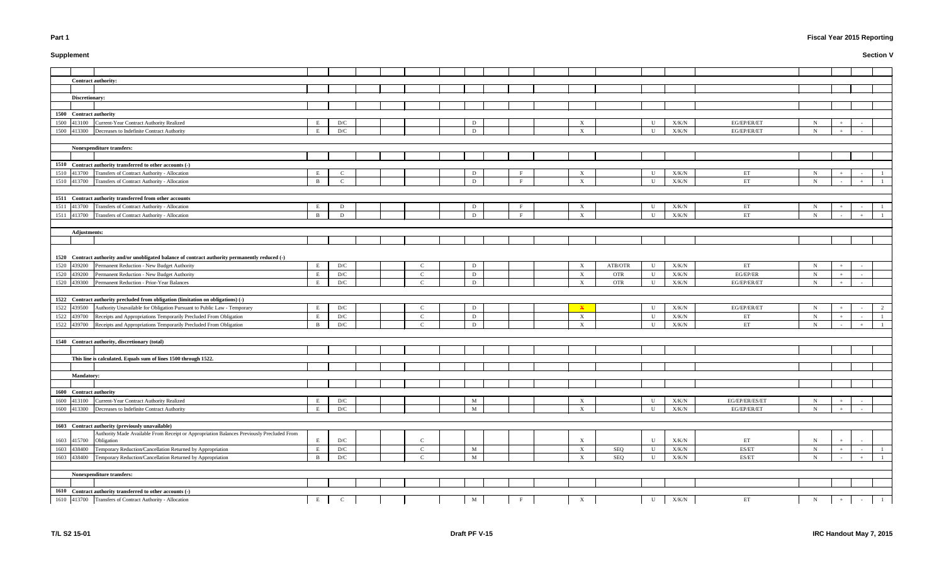# **Supplement**

# **Fiscal Year 2015 Reporting**

|                           | ${\bf U}$   | $\rm X/K/N$   | EG/EP/ER/ET                | ${\bf N}$ | $^{\mathrm{+}}$          | $\sim$                       |              |
|---------------------------|-------------|---------------|----------------------------|-----------|--------------------------|------------------------------|--------------|
|                           | ${\bf U}$   | $\rm X/K/N$   | EG/EP/ER/ET                | ${\bf N}$ | $\qquad \qquad +$        | $\overline{\phantom{a}}$     |              |
|                           |             |               |                            |           |                          |                              |              |
|                           |             |               |                            |           |                          |                              |              |
|                           |             |               |                            |           |                          |                              |              |
|                           |             |               |                            |           |                          |                              |              |
|                           | $\mathbf U$ | $\rm X/K/N$   | ET                         | ${\bf N}$ | $^{\mathrm{+}}$          | $\overline{\phantom{a}}$     | $\mathbf{1}$ |
|                           | ${\bf U}$   | $\rm X/K/N$   | $\mathop{\rm ET}\nolimits$ | ${\bf N}$ | $\overline{\phantom{a}}$ | $\ddot{}$                    | $\mathbf{1}$ |
|                           |             |               |                            |           |                          |                              |              |
|                           |             |               |                            |           |                          |                              |              |
|                           | ${\bf U}$   | $\rm X/K/N$   | ET                         | ${\bf N}$ | $^+$                     | $\overline{\phantom{a}}$     | $\mathbf{1}$ |
|                           | ${\bf U}$   | $\rm X/K/N$   | $\mathop{\rm ET}\nolimits$ | ${\bf N}$ | $\blacksquare$           | $\,+\,$                      | $\,1$        |
|                           |             |               |                            |           |                          |                              |              |
|                           |             |               |                            |           |                          |                              |              |
|                           |             |               |                            |           |                          |                              |              |
|                           |             |               |                            |           |                          |                              |              |
|                           |             |               |                            |           |                          |                              |              |
| ${\bf ATB/OTR}$           | ${\bf U}$   | $\rm X/K/N$   | ET                         | ${\bf N}$ | $\boldsymbol{+}$         | $\overline{\phantom{a}}$     |              |
| $\ensuremath{\text{OTR}}$ | ${\bf U}$   | $\rm X/K/N$   | $EG/EP/ER$                 | ${\bf N}$ |                          | $\overline{\phantom{a}}$     |              |
| <b>OTR</b>                | ${\bf U}$   | $\rm X/K/N$   | EG/EP/ER/ET                | ${\bf N}$ | $\, +$                   | $\Box$                       |              |
|                           |             |               |                            |           |                          |                              |              |
|                           |             |               |                            |           |                          |                              |              |
|                           | ${\bf U}$   | $\rm X/K/N$   | EG/EP/ER/ET                | ${\bf N}$ | $\, +$                   | ÷                            | $\sqrt{2}$   |
|                           | $\mathbf U$ | $\rm X/K/N$   | ET                         | ${\bf N}$ | $\boldsymbol{+}$         | $\overline{\phantom{a}}$     | $\mathbf{1}$ |
|                           | ${\bf U}$   | $\rm X/K/N$   | $\mathop{\rm ET}\nolimits$ | ${\bf N}$ | $\overline{\phantom{a}}$ | $\qquad \qquad +$            | $\mathbf{1}$ |
|                           |             |               |                            |           |                          |                              |              |
|                           |             |               |                            |           |                          |                              |              |
|                           |             |               |                            |           |                          |                              |              |
|                           |             |               |                            |           |                          |                              |              |
|                           |             |               |                            |           |                          |                              |              |
|                           |             |               |                            |           |                          |                              |              |
|                           |             |               |                            |           |                          |                              |              |
|                           |             |               |                            |           |                          |                              |              |
|                           | ${\bf U}$   | ${\rm X/K/N}$ | EG/EP/ER/ES/ET             | ${\bf N}$ | $^+$                     | $\qquad \qquad \blacksquare$ |              |
|                           | ${\bf U}$   | ${\rm X/K/N}$ | EG/EP/ER/ET                | ${\bf N}$ | $^+$                     | ÷                            |              |
|                           |             |               |                            |           |                          |                              |              |
|                           |             |               |                            |           |                          |                              |              |
|                           |             |               |                            |           |                          |                              |              |
|                           | $\mathbf U$ | X/K/N         | ET                         | N         | $\boldsymbol{+}$         | $\overline{\phantom{a}}$     |              |
| <b>SEQ</b>                | ${\bf U}$   | ${\rm X/K/N}$ | ES/ET                      | ${\bf N}$ | $\hspace{1.0cm} +$       | $\qquad \qquad \blacksquare$ | $\mathbf{1}$ |
| <b>SEQ</b>                | ${\bf U}$   | $\rm X/K/N$   | ES/ET                      | ${\bf N}$ | $\overline{\phantom{a}}$ | $^{\mathrm{+}}$              | $\mathbf{1}$ |
|                           |             |               |                            |           |                          |                              |              |
|                           |             |               |                            |           |                          |                              |              |
|                           |             |               |                            |           |                          |                              |              |
|                           |             |               |                            |           |                          |                              |              |
|                           | ${\bf U}$   | $\rm X/K/N$   | ET                         | ${\bf N}$ | $\qquad \qquad +$        | $\Box$                       | $\,1$        |

|                         | <b>Contract authority:</b>                                                                       |              |                         |  |               |             |              |                           |            |              |               |                |             |     |            |                |
|-------------------------|--------------------------------------------------------------------------------------------------|--------------|-------------------------|--|---------------|-------------|--------------|---------------------------|------------|--------------|---------------|----------------|-------------|-----|------------|----------------|
|                         |                                                                                                  |              |                         |  |               |             |              |                           |            |              |               |                |             |     |            |                |
| Discretionary:          |                                                                                                  |              |                         |  |               |             |              |                           |            |              |               |                |             |     |            |                |
|                         |                                                                                                  |              |                         |  |               |             |              |                           |            |              |               |                |             |     |            |                |
| 1500 Contract authority |                                                                                                  |              |                         |  |               |             |              |                           |            |              |               |                |             |     |            |                |
| 1500 413100             | Current-Year Contract Authority Realized                                                         | E            | D/C                     |  |               | D           |              | X                         |            | $\mathbf{U}$ | X/K/N         | EG/EP/ER/ET    | $\mathbf N$ |     |            |                |
|                         | 1500 413300 Decreases to Indefinite Contract Authority                                           | E            | D/C                     |  |               | D           |              | $\boldsymbol{\mathrm{X}}$ |            | $\mathbf{H}$ | X/K/N         | EG/EP/ER/ET    | $\mathbf N$ | $+$ | $\sim$     |                |
|                         |                                                                                                  |              |                         |  |               |             |              |                           |            |              |               |                |             |     |            |                |
|                         | Nonexpenditure transfers:                                                                        |              |                         |  |               |             |              |                           |            |              |               |                |             |     |            |                |
|                         |                                                                                                  |              |                         |  |               |             |              |                           |            |              |               |                |             |     |            |                |
|                         | 1510 Contract authority transferred to other accounts (-)                                        |              |                         |  |               |             |              |                           |            |              |               |                |             |     |            |                |
|                         | 1510 413700 Transfers of Contract Authority - Allocation                                         |              | $\mathsf{C}$            |  |               |             | $\mathbf{F}$ |                           |            | U            |               |                |             |     |            |                |
|                         |                                                                                                  | E            |                         |  |               | D           | $\mathbf{F}$ | $\boldsymbol{\mathrm{X}}$ |            | $\mathbf{I}$ | X/K/N         | ET             | $\mathbf N$ |     |            |                |
|                         | 1510 413700 Transfers of Contract Authority - Allocation                                         | B            | $\mathsf{C}$            |  |               | D           |              | $\boldsymbol{\mathrm{X}}$ |            |              | X/K/N         | ET             | $\mathbf N$ |     |            |                |
|                         |                                                                                                  |              |                         |  |               |             |              |                           |            |              |               |                |             |     |            |                |
|                         | 1511 Contract authority transferred from other accounts                                          |              |                         |  |               |             |              |                           |            |              |               |                |             |     |            |                |
|                         | 1511 413700 Transfers of Contract Authority - Allocation                                         | E            | D                       |  |               | D           | F            | $\mathbf{X}$              |            | $\mathbf{U}$ | X/K/N         | ET             | $\mathbf N$ |     |            |                |
|                         | 1511 413700 Transfers of Contract Authority - Allocation                                         | $\mathbf{B}$ | D                       |  |               | D           | $\mathbf{F}$ | $\mathbf{X}$              |            | $\mathbf{H}$ | X/K/N         | ET             | $\mathbf N$ |     | $+$        |                |
|                         |                                                                                                  |              |                         |  |               |             |              |                           |            |              |               |                |             |     |            |                |
| <b>Adjustments:</b>     |                                                                                                  |              |                         |  |               |             |              |                           |            |              |               |                |             |     |            |                |
|                         |                                                                                                  |              |                         |  |               |             |              |                           |            |              |               |                |             |     |            |                |
|                         |                                                                                                  |              |                         |  |               |             |              |                           |            |              |               |                |             |     |            |                |
|                         | 1520 Contract authority and/or unobligated balance of contract authority permanently reduced (-) |              |                         |  |               |             |              |                           |            |              |               |                |             |     |            |                |
|                         | 1520 439200 Permanent Reduction - New Budget Authority                                           | E            | D/C                     |  | $\mathcal{C}$ | D           |              | X                         | ATB/OTR    | U            | ${\rm X/K/N}$ | ET             | $\mathbf N$ | $+$ |            |                |
| 1520 439200             | Permanent Reduction - New Budget Authority                                                       | E            | D/C                     |  | $\mathcal{C}$ | D           |              | X                         | <b>OTR</b> | U            | X/K/N         | EG/EP/ER       | $\mathbf N$ |     |            |                |
| 1520 439300             | Permanent Reduction - Prior-Year Balances                                                        | E            | D/C                     |  | $\Gamma$      | D           |              | $\boldsymbol{\mathrm{X}}$ | <b>OTR</b> | $\mathbf{H}$ | X/K/N         | EG/EP/ER/ET    | $\mathbf N$ |     |            |                |
|                         |                                                                                                  |              |                         |  |               |             |              |                           |            |              |               |                |             |     |            |                |
|                         | 1522 Contract authority precluded from obligation (limitation on obligations) (-)                |              |                         |  |               |             |              |                           |            |              |               |                |             |     |            |                |
|                         | 1522 439500 Authority Unavailable for Obligation Pursuant to Public Law - Temporary              | E            | D/C                     |  | $\mathsf{C}$  | D           |              | $\mathbf x$               |            | U            | ${\rm X/K/N}$ | EG/EP/ER/ET    | $\mathbf N$ | $+$ |            |                |
|                         | 1522 439700 Receipts and Appropriations Temporarily Precluded From Obligation                    | E            | D/C                     |  | $\mathbf C$   | D           |              | X                         |            | U            | X/K/N         | ET             | $\mathbf N$ | $+$ | $\sim$     |                |
|                         | 1522 439700 Receipts and Appropriations Temporarily Precluded From Obligation                    | B            | $\mathbf{D}/\mathbf{C}$ |  | $\Gamma$      | D           |              | $\boldsymbol{\mathrm{X}}$ |            | $\mathbf{U}$ | X/K/N         | ET             | $\mathbf N$ |     | $+$        |                |
|                         |                                                                                                  |              |                         |  |               |             |              |                           |            |              |               |                |             |     |            |                |
|                         |                                                                                                  |              |                         |  |               |             |              |                           |            |              |               |                |             |     |            |                |
|                         | 1540 Contract authority, discretionary (total)                                                   |              |                         |  |               |             |              |                           |            |              |               |                |             |     |            |                |
|                         |                                                                                                  |              |                         |  |               |             |              |                           |            |              |               |                |             |     |            |                |
|                         | This line is calculated. Equals sum of lines 1500 through 1522.                                  |              |                         |  |               |             |              |                           |            |              |               |                |             |     |            |                |
|                         |                                                                                                  |              |                         |  |               |             |              |                           |            |              |               |                |             |     |            |                |
| <b>Mandatory:</b>       |                                                                                                  |              |                         |  |               |             |              |                           |            |              |               |                |             |     |            |                |
|                         |                                                                                                  |              |                         |  |               |             |              |                           |            |              |               |                |             |     |            |                |
| 1600 Contract authority |                                                                                                  |              |                         |  |               |             |              |                           |            |              |               |                |             |     |            |                |
| 1600 413100             | Current-Year Contract Authority Realized                                                         | E            | D/C                     |  |               | M           |              | $\boldsymbol{\mathrm{X}}$ |            | U            | X/K/N         | EG/EP/ER/ES/ET | $\mathbf N$ |     |            |                |
| 1600 413300             | Decreases to Indefinite Contract Authority                                                       | E            | D/C                     |  |               | $\mathbf M$ |              | X                         |            | U            | X/K/N         | EG/EP/ER/ET    | $\mathbf N$ | $+$ | $\sim$     |                |
|                         |                                                                                                  |              |                         |  |               |             |              |                           |            |              |               |                |             |     |            |                |
|                         | 1603 Contract authority (previously unavailable)                                                 |              |                         |  |               |             |              |                           |            |              |               |                |             |     |            |                |
|                         | Authority Made Available From Receipt or Appropriation Balances Previously Precluded From        |              |                         |  |               |             |              |                           |            |              |               |                |             |     |            |                |
| 1603 415700             | Obligation                                                                                       | E            | $\mathbf{D}/\mathbf{C}$ |  | $\Gamma$      |             |              | $\boldsymbol{\mathrm{X}}$ |            | U            | X/K/N         | ET             | $\mathbf N$ |     |            |                |
| 1603 438400             | Temporary Reduction/Cancellation Returned by Appropriation                                       | E            | D/C                     |  | C             | M           |              | X                         | SEQ        | U            | ${\rm X/K/N}$ | ES/ET          | $\mathbf N$ |     | $\sim$     |                |
| 1603 438400             | Temporary Reduction/Cancellation Returned by Appropriation                                       | B            | $\mathbf{D}/\mathbf{C}$ |  | $\mathbf C$   | $\mathbf M$ |              | $\boldsymbol{\mathrm{X}}$ | SEQ        | U            | X/K/N         | ES/ET          | $\mathbf N$ |     | $+$        |                |
|                         |                                                                                                  |              |                         |  |               |             |              |                           |            |              |               |                |             |     |            |                |
|                         | Nonexpenditure transfers:                                                                        |              |                         |  |               |             |              |                           |            |              |               |                |             |     |            |                |
|                         |                                                                                                  |              |                         |  |               |             |              |                           |            |              |               |                |             |     |            |                |
|                         | 1610 Contract authority transferred to other accounts (-)                                        |              |                         |  |               |             |              |                           |            |              |               |                |             |     |            |                |
|                         | 1610 413700 Transfers of Contract Authority - Allocation                                         | E            | C                       |  |               | $\mathbf M$ | $\mathbf{F}$ | X                         |            | U            | X/K/N         | ET             | $\mathbf N$ |     | $\sim$ $-$ | $\overline{1}$ |
|                         |                                                                                                  |              |                         |  |               |             |              |                           |            |              |               |                |             |     |            |                |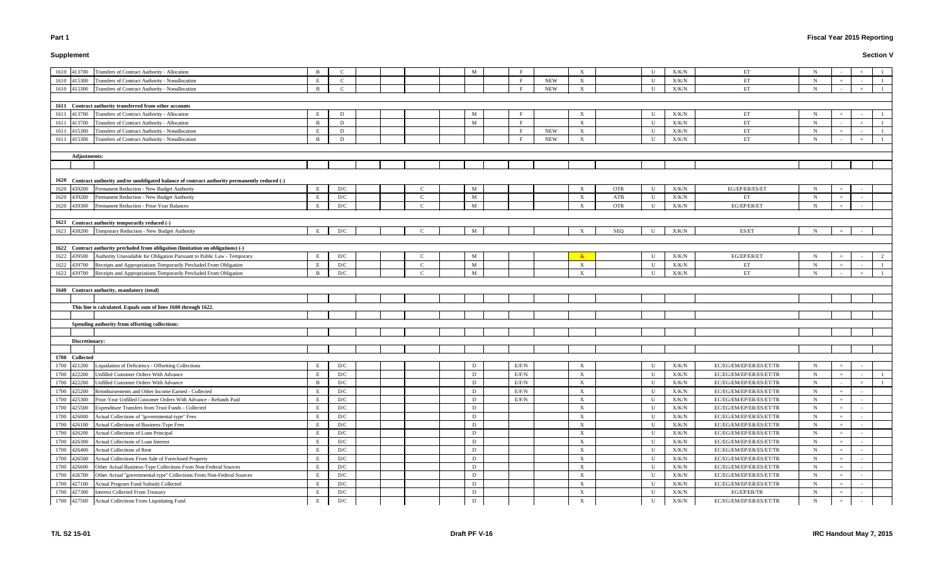# **Supplement**

# **Fiscal Year 2015 Reporting**

| Transfers of Contract Authority - Allocation<br>1610 413700                                                          | B            | -C                             |  |               | M                 |       |            | X                         |            | U            | X/K/N          | ET                                     | N                          |     |   |
|----------------------------------------------------------------------------------------------------------------------|--------------|--------------------------------|--|---------------|-------------------|-------|------------|---------------------------|------------|--------------|----------------|----------------------------------------|----------------------------|-----|---|
| Transfers of Contract Authority - Nonallocation<br>1610 415300                                                       | E            | $\mathbf C$                    |  |               |                   |       | <b>NEW</b> | $\mathbf{X}$              |            | U            | X/K/N          | ET                                     | $\mathbf N$                |     |   |
| 1610 415300<br>Transfers of Contract Authority - Nonallocation                                                       | B            | $\mathbf C$                    |  |               |                   |       | <b>NEW</b> | $\mathbf{X}$              |            | $\mathbf U$  | X/K/N          | ET                                     | $\mathbf N$                |     |   |
|                                                                                                                      |              |                                |  |               |                   |       |            |                           |            |              |                |                                        |                            |     |   |
| 1611 Contract authority transferred from other accounts                                                              |              |                                |  |               |                   |       |            |                           |            |              |                |                                        |                            |     |   |
| Transfers of Contract Authority - Allocation<br>1611<br>413700                                                       | E            | D                              |  |               | M                 |       |            | X                         |            | U            | X/K/N          | ЕT                                     | N                          |     |   |
| Transfers of Contract Authority - Allocation<br>1611 413700                                                          | B            | D                              |  |               | M                 |       |            | X                         |            | U            | X/K/N          | ET                                     | N                          |     |   |
| 415300 Transfers of Contract Authority - Nonallocation<br>1611                                                       |              | D                              |  |               |                   |       | <b>NEW</b> | X                         |            | U            | X/K/N          | ET                                     | N                          |     |   |
| 415300 Transfers of Contract Authority - Nonallocation<br>1611                                                       |              | D                              |  |               |                   |       | <b>NEW</b> | X                         |            | $\mathbf{U}$ | X/K/N          | ET                                     | N                          |     |   |
|                                                                                                                      |              |                                |  |               |                   |       |            |                           |            |              |                |                                        |                            |     |   |
| <b>Adjustments:</b>                                                                                                  |              |                                |  |               |                   |       |            |                           |            |              |                |                                        |                            |     |   |
|                                                                                                                      |              |                                |  |               |                   |       |            |                           |            |              |                |                                        |                            |     |   |
|                                                                                                                      |              |                                |  |               |                   |       |            |                           |            |              |                |                                        |                            |     |   |
| 1620 Contract authority and/or unobligated balance of contract authority permanently reduced (-)                     |              |                                |  |               |                   |       |            |                           |            |              |                |                                        |                            |     |   |
| Permanent Reduction - New Budget Authority<br>439200<br>1620                                                         | Е            | D/C                            |  |               | M                 |       |            | X                         | <b>OTR</b> | U            | X/K/N          | EG/EP/ER/ES/ET                         | $\mathbf N$                |     |   |
| Permanent Reduction - New Budget Authority<br>1620<br>439200                                                         | E            | D/C                            |  |               | M                 |       |            | X                         | ATB        | U            | X/K/N          | ET                                     | N                          |     |   |
| Permanent Reduction - Prior-Year Balances<br>439300<br>1620                                                          | E            | D/C                            |  |               | M                 |       |            | X                         | <b>OTR</b> | U            | X/K/N          | EG/EP/ER/ET                            | $\mathbf N$                |     |   |
| 1621 Contract authority temporarily reduced (-)                                                                      |              |                                |  |               |                   |       |            |                           |            |              |                |                                        |                            |     |   |
| 1621 438200 Temporary Reduction - New Budget Authority                                                               |              | D/C                            |  |               | M                 |       |            |                           | SEQ        | $\mathbf{U}$ | X/K/N          | ES/ET                                  | N                          |     |   |
|                                                                                                                      |              |                                |  |               |                   |       |            |                           |            |              |                |                                        |                            |     |   |
| 1622 Contract authority precluded from obligation (limitation on obligations) (-)                                    |              |                                |  |               |                   |       |            |                           |            |              |                |                                        |                            |     |   |
| 1622 439500 Authority Unavailable for Obligation Pursuant to Public Law - Temporary                                  | E            | D/C                            |  |               | M                 |       |            |                           |            | U            | X/K/N          | EG/EP/ER/ET                            | $\mathbf N$                |     | 2 |
| 439700 Receipts and Appropriations Temporarily Precluded From Obligation<br>1622                                     | E            | D/C                            |  | $\mathcal{C}$ | M                 |       |            | $\mathbf{X}$              |            | U            | X/K/N          | ЕT                                     | N                          |     |   |
| 1622<br>439700<br>Receipts and Appropriations Temporarily Precluded From Obligation                                  | <sup>B</sup> | D/C                            |  |               | M                 |       |            | $\mathbf{X}$              |            | $\mathbf{U}$ | X/K/N          | ET                                     | N                          |     |   |
|                                                                                                                      |              |                                |  |               |                   |       |            |                           |            |              |                |                                        |                            |     |   |
| 1640 Contract authority, mandatory (total)                                                                           |              |                                |  |               |                   |       |            |                           |            |              |                |                                        |                            |     |   |
|                                                                                                                      |              |                                |  |               |                   |       |            |                           |            |              |                |                                        |                            |     |   |
| This line is calculated. Equals sum of lines 1600 through 1622.                                                      |              |                                |  |               |                   |       |            |                           |            |              |                |                                        |                            |     |   |
|                                                                                                                      |              |                                |  |               |                   |       |            |                           |            |              |                |                                        |                            |     |   |
| Spending authority from offsetting collections:                                                                      |              |                                |  |               |                   |       |            |                           |            |              |                |                                        |                            |     |   |
|                                                                                                                      |              |                                |  |               |                   |       |            |                           |            |              |                |                                        |                            |     |   |
|                                                                                                                      |              |                                |  |               |                   |       |            |                           |            |              |                |                                        |                            |     |   |
| Discretionary:                                                                                                       |              |                                |  |               |                   |       |            |                           |            |              |                |                                        |                            |     |   |
|                                                                                                                      |              |                                |  |               |                   |       |            |                           |            |              |                |                                        |                            |     |   |
| 1700 Collected                                                                                                       |              |                                |  |               |                   |       |            |                           |            |              |                |                                        |                            |     |   |
| 1700 421200 Liquidation of Deficiency - Offsetting Collections                                                       | $\,$ E       | D/C                            |  |               | $\mathbf{D}$      | E/F/N |            | $\boldsymbol{\mathrm{X}}$ |            | $\mathbf U$  | $\rm X/K/N$    | EC/EG/EM/EP/ER/ES/ET/TR                | $N_{\rm}$                  |     |   |
| 422200<br>Unfilled Customer Orders With Advance<br>1700                                                              | E            | D/C                            |  |               | D                 | E/F/N |            | X                         |            | $\mathbf U$  | X/K/N          | EC/EG/EM/EP/ER/ES/ET/TR                | $\mathbf N$                |     |   |
| Unfilled Customer Orders With Advance<br>1700<br>422200                                                              | <sub>B</sub> | D/C                            |  |               | D                 | E/F/N |            | $\mathbf X$               |            | $\mathbf U$  | X/K/N          | EC/EG/EM/EP/ER/ES/ET/TR                | $\mathbf N$                |     |   |
| Reimbursements and Other Income Earned - Collected<br>1700<br>425200                                                 | E            | D/C                            |  |               | D                 | E/F/N |            | $\mathbf{X}$              |            | $\mathbf U$  | X/K/N          | EC/EG/EM/EP/ER/ES/ET/TR                | $\mathbf N$                |     |   |
| Prior-Year Unfilled Customer Orders With Advance - Refunds Paid<br>1700<br>425300                                    |              | D/C                            |  |               | D                 | E/F/N |            | $\mathbf{X}$              |            | U            | X/K/N          | EC/EG/EM/EP/ER/ES/ET/TR                | $\mathbf N$                |     |   |
| Expenditure Transfers from Trust Funds - Collected<br>1700<br>425500                                                 |              | D/C                            |  |               | D                 |       |            | $\mathbf{X}$              |            | U            | X/K/N          | EC/EG/EM/EP/ER/ES/ET/TR                | $\mathbf N$                |     |   |
| Actual Collections of "governmental-type" Fees<br>1700<br>426000                                                     |              | D/C                            |  |               | D                 |       |            | X                         |            | U            | X/K/N          | EC/EG/EM/EP/ER/ES/ET/TR                | $\mathbf N$                |     |   |
| Actual Collections of Business-Type Fees<br>1700<br>426100                                                           |              | D/C                            |  |               | D                 |       |            | X                         |            | U            | X/K/N          | EC/EG/EM/EP/ER/ES/ET/TR                | $\mathbf N$                |     |   |
| Actual Collections of Loan Principal<br>1700<br>426200                                                               | E            | $\mathbf{D}/\mathbf{C}$        |  |               | D                 |       |            | X                         |            | U            | X/K/N          | EC/EG/EM/EP/ER/ES/ET/TR                | $\mathbf N$                |     |   |
| Actual Collections of Loan Interest<br>1700<br>426300                                                                | E            | D/C                            |  |               | D                 |       |            | $\mathbf{X}$              |            | U            | X/K/N          | EC/EG/EM/EP/ER/ES/ET/TR                | $\mathbf N$                |     |   |
| 426400 Actual Collections of Rent<br>1700                                                                            | E            | D/C                            |  |               | D                 |       |            | $\mathbf{X}$              |            | U            | X/K/N          | EC/EG/EM/EP/ER/ES/ET/TR                | $\mathbf N$                |     |   |
| 1700 426500 Actual Collections From Sale of Foreclosed Property                                                      |              | D/C                            |  |               | D                 |       |            | $\mathbf{X}$              |            | U            | X/K/N          | EC/EG/EM/EP/ER/ES/ET/TR                | $\mathbf N$                |     |   |
| 1700 426600 Other Actual Business-Type Collections From Non-Federal Sources                                          |              | D/C                            |  |               | D                 |       |            | $\mathbf{X}$              |            | $\mathbf U$  | X/K/N          | EC/EG/EM/EP/ER/ES/ET/TR                | $\mathbf N$                |     |   |
| 426700 Other Actual "governmental-type" Collections From Non-Federal Sources<br>1700                                 |              | D/C                            |  |               | D                 |       |            | $\boldsymbol{\mathrm{X}}$ |            | U            | X/K/N          | EC/EG/EM/EP/ER/ES/ET/TR                | $\mathbf N$                |     |   |
| Actual Program Fund Subsidy Collected<br>1700<br>427100                                                              |              | $\mathbf{D}/\mathbf{C}$        |  |               | D                 |       |            | $\boldsymbol{\mathrm{X}}$ |            | U            | ${\rm X/K/N}$  | EC/EG/EM/EP/ER/ES/ET/TR                | $\mathbf N$                |     |   |
| 427300<br><b>Interest Collected From Treasury</b><br>1700<br>Actual Collections From Liquidating Fund<br>1700 427500 | E            | $\mathbf{D}/\mathbf{C}$<br>D/C |  |               | D<br>$\mathbf{D}$ |       |            | X<br>$\mathbf X$          |            | U<br>U       | X/K/N<br>X/K/N | EG/EP/ER/TR<br>EC/EG/EM/EP/ER/ES/ET/TR | $\mathbf N$<br>$\mathbf N$ | $+$ |   |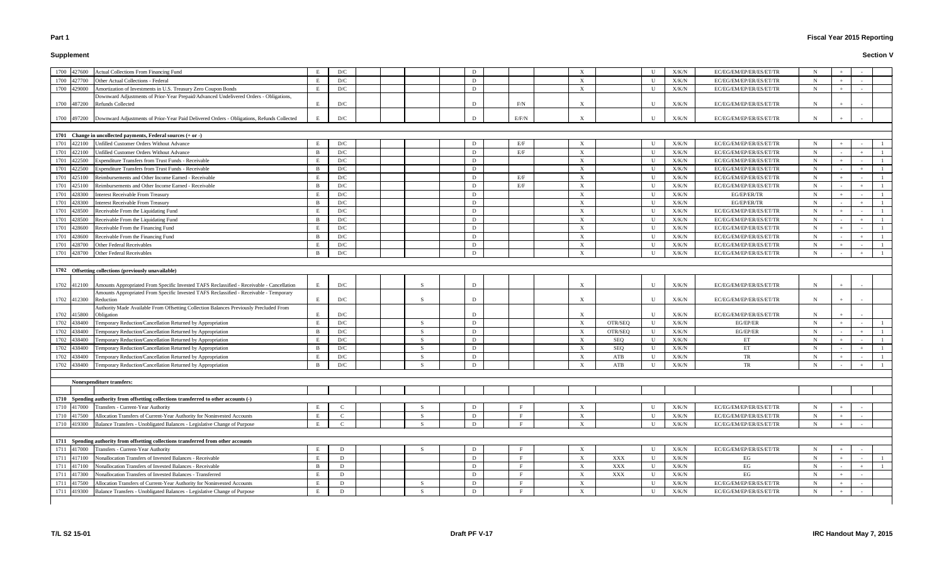# **Supplement**

# **Fiscal Year 2015 Reporting**

| 1700 427600           | Actual Collections From Financing Fund                                                                |              | D/C                     |              | D |       |  | $\boldsymbol{\mathrm{X}}$ |                | U            | X/K/N         | EC/EG/EM/EP/ER/ES/ET/TR |             |     |        |                                                                     |  |
|-----------------------|-------------------------------------------------------------------------------------------------------|--------------|-------------------------|--------------|---|-------|--|---------------------------|----------------|--------------|---------------|-------------------------|-------------|-----|--------|---------------------------------------------------------------------|--|
| 1700 427700           | Other Actual Collections - Federal                                                                    |              | D/C                     |              | D |       |  | $\boldsymbol{\mathrm{X}}$ |                | U            | X/K/N         | EC/EG/EM/EP/ER/ES/ET/TR | N           |     |        |                                                                     |  |
| 1700 429000           | Amortization of Investments in U.S. Treasury Zero Coupon Bonds                                        |              | D/C                     |              | D |       |  | $\boldsymbol{\mathrm{X}}$ |                | U            | X/K/N         | EC/EG/EM/EP/ER/ES/ET/TR | N           |     |        |                                                                     |  |
|                       | Downward Adjustments of Prior-Year Prepaid/Advanced Undelivered Orders - Obligations,                 |              |                         |              |   |       |  |                           |                |              |               |                         |             |     |        |                                                                     |  |
| 1700 487200           | Refunds Collected                                                                                     |              | D/C                     |              | D | F/N   |  | $\boldsymbol{\mathrm{X}}$ |                | U            | X/K/N         | EC/EG/EM/EP/ER/ES/ET/TR |             |     |        |                                                                     |  |
|                       |                                                                                                       |              |                         |              |   |       |  |                           |                |              |               |                         |             |     |        |                                                                     |  |
|                       | 1700 497200 Downward Adjustments of Prior-Year Paid Delivered Orders - Obligations, Refunds Collected |              | D/C                     |              |   | E/F/N |  | $\boldsymbol{\mathrm{X}}$ |                | U            | X/K/N         | EC/EG/EM/EP/ER/ES/ET/TR |             |     |        |                                                                     |  |
|                       |                                                                                                       |              |                         |              |   |       |  |                           |                |              |               |                         |             |     |        |                                                                     |  |
|                       | 1701 Change in uncollected payments, Federal sources (+ or -)                                         |              |                         |              |   |       |  |                           |                |              |               |                         |             |     |        |                                                                     |  |
| 1701 422100           | Unfilled Customer Orders Without Advance                                                              |              | D/C                     |              | D | E/F   |  | $\boldsymbol{\mathrm{X}}$ |                | U            | X/K/N         | EC/EG/EM/EP/ER/ES/ET/TR |             |     |        |                                                                     |  |
| 1701 422100           | Unfilled Customer Orders Without Advance                                                              |              | D/C                     |              | D | E/F   |  | $\boldsymbol{\mathrm{X}}$ |                | U            | X/K/N         | EC/EG/EM/EP/ER/ES/ET/TR | N           |     |        |                                                                     |  |
| 422500<br>1701        | Expenditure Transfers from Trust Funds - Receivable                                                   |              | D/C                     |              | D |       |  | $\boldsymbol{\mathrm{X}}$ |                | U            | X/K/N         | EC/EG/EM/EP/ER/ES/ET/TR | N           |     |        |                                                                     |  |
| 422500<br>1701        | Expenditure Transfers from Trust Funds - Receivable                                                   |              | D/C                     |              | D |       |  | $\boldsymbol{\mathrm{X}}$ |                | U            | X/K/N         | EC/EG/EM/EP/ER/ES/ET/TR | N           |     |        |                                                                     |  |
| 1701 425100           | Reimbursements and Other Income Earned - Receivable                                                   |              | D/C                     |              | D | E/F   |  | $\boldsymbol{\mathrm{X}}$ |                | U            | X/K/N         | EC/EG/EM/EP/ER/ES/ET/TR | $\mathbf N$ |     |        |                                                                     |  |
| 1701<br>425100        | Reimbursements and Other Income Earned - Receivable                                                   |              | D/C                     |              | D | E/F   |  | $\boldsymbol{\mathrm{X}}$ |                | U            | X/K/N         | EC/EG/EM/EP/ER/ES/ET/TR | N           |     |        |                                                                     |  |
| 1701<br>428300        | <b>Interest Receivable From Treasury</b>                                                              |              | D/C                     |              | D |       |  | $\boldsymbol{\mathrm{X}}$ |                | U            | ${\rm X/K/N}$ | EG/EP/ER/TR             |             |     |        |                                                                     |  |
| 1701<br>428300        | <b>Interest Receivable From Treasury</b>                                                              |              | D/C                     |              | D |       |  | $\boldsymbol{\mathrm{X}}$ |                | U            | ${\rm X/K/N}$ | EG/EP/ER/TR             | N           |     |        |                                                                     |  |
| 1701<br>428500        | Receivable From the Liquidating Fund                                                                  |              | D/C                     |              | D |       |  | X                         |                | $\mathbf{U}$ | X/K/N         | EC/EG/EM/EP/ER/ES/ET/TR | N           |     |        |                                                                     |  |
| 1701 428500           | Receivable From the Liquidating Fund                                                                  |              | D/C                     |              | D |       |  | $\boldsymbol{\mathrm{X}}$ |                | U            | X/K/N         | EC/EG/EM/EP/ER/ES/ET/TR | N           |     |        |                                                                     |  |
| 1701 428600           | Receivable From the Financing Fund                                                                    |              | D/C                     |              | D |       |  | $\boldsymbol{\mathrm{X}}$ |                | U            | X/K/N         | EC/EG/EM/EP/ER/ES/ET/TR | N           | $+$ |        |                                                                     |  |
| 1701 428600           | Receivable From the Financing Fund                                                                    |              | D/C                     |              | D |       |  | X                         |                | $\mathbf{U}$ | X/K/N         | EC/EG/EM/EP/ER/ES/ET/TR |             |     |        |                                                                     |  |
| 1701<br>428700        | Other Federal Receivables                                                                             |              | D/C                     |              | D |       |  | $\boldsymbol{\mathrm{X}}$ |                | U            | X/K/N         | EC/EG/EM/EP/ER/ES/ET/TR |             |     |        |                                                                     |  |
| 1701 428700           | Other Federal Receivables                                                                             |              | D/C                     |              | D |       |  | $\boldsymbol{\mathrm{X}}$ |                | U            | X/K/N         | EC/EG/EM/EP/ER/ES/ET/TR | N           |     |        |                                                                     |  |
|                       |                                                                                                       |              |                         |              |   |       |  |                           |                |              |               |                         |             |     |        |                                                                     |  |
|                       | 1702 Offsetting collections (previously unavailable)                                                  |              |                         |              |   |       |  |                           |                |              |               |                         |             |     |        |                                                                     |  |
|                       |                                                                                                       |              |                         |              |   |       |  |                           |                |              |               |                         |             |     |        |                                                                     |  |
|                       | 1702 412100 Amounts Appropriated From Specific Invested TAFS Reclassified - Receivable - Cancellation | E            | D/C                     | <sup>S</sup> | D |       |  | $\boldsymbol{\mathrm{X}}$ |                | U            | X/K/N         | EC/EG/EM/EP/ER/ES/ET/TR |             |     |        |                                                                     |  |
|                       | Amounts Appropriated From Specific Invested TAFS Reclassified - Receivable - Temporary                |              |                         |              |   |       |  |                           |                |              |               |                         |             |     |        |                                                                     |  |
| 1702 412300 Reduction |                                                                                                       |              | D/C                     | S            | D |       |  | $\boldsymbol{\mathrm{X}}$ |                | U            | X/K/N         | EC/EG/EM/EP/ER/ES/ET/TR | N           |     |        |                                                                     |  |
| 1702 415800           | Authority Made Available From Offsetting Collection Balances Previously Precluded From<br>Obligation  |              | D/C                     |              | D |       |  | $\boldsymbol{\mathrm{X}}$ |                | U            | X/K/N         | EC/EG/EM/EP/ER/ES/ET/TR |             |     |        |                                                                     |  |
| 1702 438400           | Temporary Reduction/Cancellation Returned by Appropriation                                            |              | D/C                     | S            | D |       |  | $\mathbf{X}$              | OTR/SEQ        | U            | X/K/N         | EG/EP/ER                | N           |     |        |                                                                     |  |
| 1702 438400           | Temporary Reduction/Cancellation Returned by Appropriation                                            |              | D/C                     | S.           | D |       |  | $\mathbf{X}$              | OTR/SEQ        | $\mathbf U$  | X/K/N         | EG/EP/ER                | N           |     |        |                                                                     |  |
| 1702<br>438400        | Temporary Reduction/Cancellation Returned by Appropriation                                            |              | D/C                     | <sup>S</sup> | D |       |  | $\boldsymbol{\mathrm{X}}$ | <b>SEQ</b>     | U            | X/K/N         | ET                      | N           |     |        |                                                                     |  |
| 1702 438400           | Temporary Reduction/Cancellation Returned by Appropriation                                            |              | D/C                     | S            | D |       |  | $\boldsymbol{\mathrm{X}}$ | <b>SEQ</b>     | U            | ${\rm X/K/N}$ | ET                      | N           |     |        |                                                                     |  |
| 1702 438400           | Temporary Reduction/Cancellation Returned by Appropriation                                            |              | D/C                     | S.           | D |       |  | $\boldsymbol{\mathrm{X}}$ | ATB            | U            | X/K/N         | TR                      | N           |     | $\sim$ |                                                                     |  |
|                       | 1702 438400 Temporary Reduction/Cancellation Returned by Appropriation                                |              | $\mathbf{D}/\mathbf{C}$ |              | D |       |  | $\mathbf{X}$              | ATB            |              | $U$ $X/K/N$   | TR                      | $\mathbf N$ |     |        | $\begin{array}{ c c c c c } \hline \quad & 1 \\ \hline \end{array}$ |  |
|                       |                                                                                                       |              |                         |              |   |       |  |                           |                |              |               |                         |             |     |        |                                                                     |  |
|                       | Nonexpenditure transfers:                                                                             |              |                         |              |   |       |  |                           |                |              |               |                         |             |     |        |                                                                     |  |
|                       |                                                                                                       |              |                         |              |   |       |  |                           |                |              |               |                         |             |     |        |                                                                     |  |
|                       | 1710 Spending authority from offsetting collections transferred to other accounts (-)                 |              |                         |              |   |       |  |                           |                |              |               |                         |             |     |        |                                                                     |  |
| 1710 417000           | Transfers - Current-Year Authority                                                                    |              |                         | S.           |   |       |  | X                         |                | U            | X/K/N         | EC/EG/EM/EP/ER/ES/ET/TR |             |     |        |                                                                     |  |
| 1710 417500           | Allocation Transfers of Current-Year Authority for Noninvested Accounts                               |              | $\mathbf C$             | S.           | D |       |  | $\boldsymbol{\mathrm{X}}$ |                | $\mathbf U$  | X/K/N         | EC/EG/EM/EP/ER/ES/ET/TR | N           |     |        |                                                                     |  |
|                       | 1710 419300 Balance Transfers - Unobligated Balances - Legislative Change of Purpose                  | E            | $\mathcal{C}$           | S            | D |       |  | X                         |                | U            | X/K/N         | EC/EG/EM/EP/ER/ES/ET/TR | $\mathbf N$ |     |        |                                                                     |  |
|                       |                                                                                                       |              |                         |              |   |       |  |                           |                |              |               |                         |             |     |        |                                                                     |  |
|                       | 1711 Spending authority from offsetting collections transferred from other accounts                   |              |                         |              |   |       |  |                           |                |              |               |                         |             |     |        |                                                                     |  |
| 1711 417000           | Transfers - Current-Year Authority                                                                    |              | D                       | S.           | D |       |  | $\boldsymbol{\mathrm{X}}$ |                | U            | X/K/N         | EC/EG/EM/EP/ER/ES/ET/TR | N           |     |        |                                                                     |  |
| 1711 417100           | Nonallocation Transfers of Invested Balances - Receivable                                             | E            | D                       |              | D |       |  | $\boldsymbol{\mathrm{X}}$ | $\mathbf{XXX}$ | U            | X/K/N         | EG                      | N           |     |        |                                                                     |  |
| 1711 417100           | Nonallocation Transfers of Invested Balances - Receivable                                             | <sup>B</sup> | D                       |              | D |       |  | X                         | $\mathbf{XXX}$ | U            | X/K/N         | EG                      | N           |     |        |                                                                     |  |
| 1711 417300           | Nonallocation Transfers of Invested Balances - Transferred                                            |              | D                       |              | D |       |  | $\mathbf{X}$              | XXX            | U            | X/K/N         | EG                      | N           |     |        |                                                                     |  |
| 1711 417500           | Allocation Transfers of Current-Year Authority for Noninvested Accounts                               |              | D                       | S.           | D |       |  | $\mathbf{X}$              |                | $\mathbf U$  | X/K/N         | EC/EG/EM/EP/ER/ES/ET/TR | N           |     |        |                                                                     |  |
|                       | 1711 419300 Balance Transfers - Unobligated Balances - Legislative Change of Purpose                  |              | D                       |              | D |       |  | $\mathbf{X}$              |                | U            | X/K/N         | EC/EG/EM/EP/ER/ES/ET/TR | N           |     |        |                                                                     |  |
|                       |                                                                                                       |              |                         |              |   |       |  |                           |                |              |               |                         |             |     |        |                                                                     |  |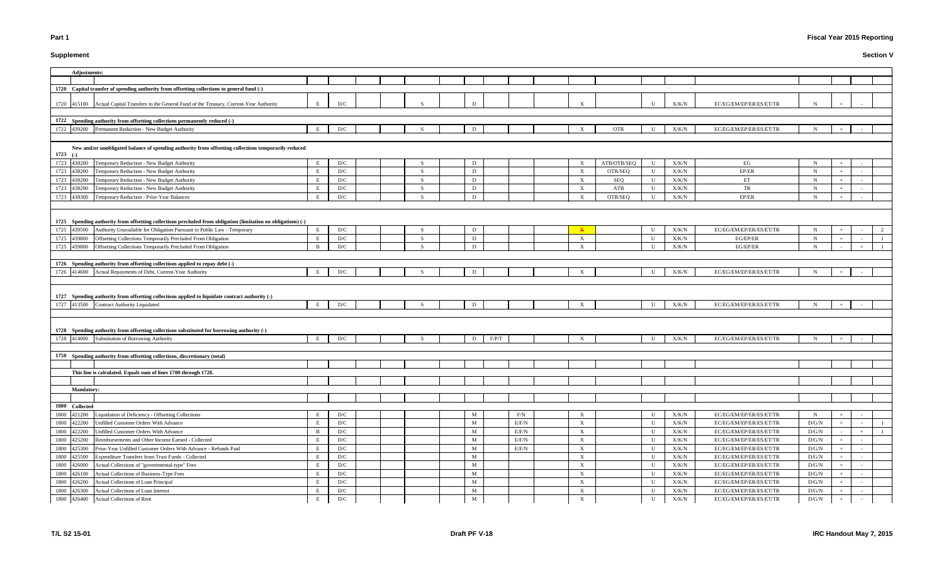# **Supplement**

# **Fiscal Year 2015 Reporting**

| Adjustments:                                                                                                       |              |                         |  |     |                  |       |                           |             |              |                |                                                    |                              |  |  |
|--------------------------------------------------------------------------------------------------------------------|--------------|-------------------------|--|-----|------------------|-------|---------------------------|-------------|--------------|----------------|----------------------------------------------------|------------------------------|--|--|
|                                                                                                                    |              |                         |  |     |                  |       |                           |             |              |                |                                                    |                              |  |  |
| 1720 Capital transfer of spending authority from offsetting collections to general fund (-)                        |              |                         |  |     |                  |       |                           |             |              |                |                                                    |                              |  |  |
|                                                                                                                    |              |                         |  |     |                  |       |                           |             |              |                |                                                    |                              |  |  |
| 1720 415100 Actual Capital Transfers to the General Fund of the Treasury, Current-Year Authority                   |              | D/C                     |  |     |                  |       |                           |             | $\mathbf{U}$ | X/K/N          | EC/EG/EM/EP/ER/ES/ET/TR                            |                              |  |  |
|                                                                                                                    |              |                         |  |     |                  |       |                           |             |              |                |                                                    |                              |  |  |
| 1722 Spending authority from offsetting collections permanently reduced (-)                                        |              |                         |  |     |                  |       |                           |             |              |                |                                                    |                              |  |  |
| 1722 439200 Permanent Reduction - New Budget Authority                                                             | E            | D/C                     |  |     | D                |       | $\mathbf{X}$              | <b>OTR</b>  | U            | X/K/N          | EC/EG/EM/EP/ER/ES/ET/TR                            | N                            |  |  |
|                                                                                                                    |              |                         |  |     |                  |       |                           |             |              |                |                                                    |                              |  |  |
|                                                                                                                    |              |                         |  |     |                  |       |                           |             |              |                |                                                    |                              |  |  |
| New and/or unobligated balance of spending authority from offsetting collections temporarily reduced<br>$1723$ (-) |              |                         |  |     |                  |       |                           |             |              |                |                                                    |                              |  |  |
| Temporary Reduction - New Budget Authority<br>438200                                                               | E            | D/C                     |  | -S  | D                |       |                           | ATB/OTR/SEQ | U            | X/K/N          | EG                                                 | $\mathbf N$                  |  |  |
| 1723                                                                                                               |              |                         |  | -S  |                  |       | $\mathbf{X}$              |             |              |                | EP/ER                                              |                              |  |  |
| 1723<br>Temporary Reduction - New Budget Authority<br>438200                                                       | E            | D/C                     |  |     | D                |       | $\mathbf{X}$              | OTR/SEQ     | U            | X/K/N          |                                                    | $\mathbf N$                  |  |  |
| 438200 Temporary Reduction - New Budget Authority<br>1723                                                          |              | D/C                     |  | -S  | D                |       | $\mathbf{X}$              | SEQ         | U            | X/K/N          | ET                                                 | $\mathbf N$                  |  |  |
| 1723 438200 Temporary Reduction - New Budget Authority                                                             |              | D/C                     |  | - S | D                |       | $\boldsymbol{\mathrm{X}}$ | ATB         | U            | X/K/N          | TR                                                 | N                            |  |  |
| 438300 Temporary Reduction - Prior-Year Balances<br>1723                                                           | E            | D/C                     |  |     | D                |       | $\mathbf{X}$              | OTR/SEQ     | U            | X/K/N          | EP/ER                                              | N                            |  |  |
|                                                                                                                    |              |                         |  |     |                  |       |                           |             |              |                |                                                    |                              |  |  |
|                                                                                                                    |              |                         |  |     |                  |       |                           |             |              |                |                                                    |                              |  |  |
| 1725 Spending authority from offsetting collections precluded from obligation (limitation on obligations) (-)      |              |                         |  |     |                  |       |                           |             |              |                |                                                    |                              |  |  |
| Authority Unavailable for Obligation Pursuant to Public Law - Temporary<br>1725<br>439500                          | E            | D/C                     |  | S   | D                |       | $\mathbf x$               |             | U            | X/K/N          | EC/EG/EM/EP/ER/ES/ET/TR                            | $\mathbf N$                  |  |  |
| Offsetting Collections Temporarily Precluded From Obligation<br>1725<br>439800                                     | E            | D/C                     |  | -S  | D                |       | $\mathbf{X}$              |             | U            | X/K/N          | EG/EP/ER                                           | N                            |  |  |
| 439800 Offsetting Collections Temporarily Precluded From Obligation<br>1725                                        | $\mathbf{B}$ | D/C                     |  | -S  | D                |       | X                         |             | U            | X/K/N          | EG/EP/ER                                           | $\mathbf N$                  |  |  |
|                                                                                                                    |              |                         |  |     |                  |       |                           |             |              |                |                                                    |                              |  |  |
| 1726 Spending authority from offsetting collections applied to repay debt (-)                                      |              |                         |  |     |                  |       |                           |             |              |                |                                                    |                              |  |  |
| 1726 414600 Actual Repayments of Debt, Current-Year Authority                                                      | E            | D/C                     |  |     | D                |       | X                         |             | U            | X/K/N          | EC/EG/EM/EP/ER/ES/ET/TR                            | N                            |  |  |
|                                                                                                                    |              |                         |  |     |                  |       |                           |             |              |                |                                                    |                              |  |  |
|                                                                                                                    |              |                         |  |     |                  |       |                           |             |              |                |                                                    |                              |  |  |
|                                                                                                                    |              |                         |  |     |                  |       |                           |             |              |                |                                                    |                              |  |  |
| 1727 Spending authority from offsetting collections applied to liquidate contract authority (-)                    |              |                         |  |     |                  |       |                           |             |              |                |                                                    |                              |  |  |
| 1727 413500 Contract Authority Liquidated                                                                          | E            | D/C                     |  |     | D                |       |                           |             | U            | X/K/N          | EC/EG/EM/EP/ER/ES/ET/TR                            | $\mathbf N$                  |  |  |
|                                                                                                                    |              |                         |  |     |                  |       |                           |             |              |                |                                                    |                              |  |  |
|                                                                                                                    |              |                         |  |     |                  |       |                           |             |              |                |                                                    |                              |  |  |
| 1728 Spending authority from offsetting collections substituted for borrowing authority (-)                        |              |                         |  |     |                  |       |                           |             |              |                |                                                    |                              |  |  |
| 1728 414000 Substitution of Borrowing Authority                                                                    | E            | D/C                     |  |     | F/P/T<br>D       |       | $\mathbf{X}$              |             | U            | X/K/N          | EC/EG/EM/EP/ER/ES/ET/TR                            | $\mathbf N$                  |  |  |
|                                                                                                                    |              |                         |  |     |                  |       |                           |             |              |                |                                                    |                              |  |  |
| 1750 Spending authority from offsetting collections, discretionary (total)                                         |              |                         |  |     |                  |       |                           |             |              |                |                                                    |                              |  |  |
|                                                                                                                    |              |                         |  |     |                  |       |                           |             |              |                |                                                    |                              |  |  |
| This line is calculated. Equals sum of lines 1700 through 1728.                                                    |              |                         |  |     |                  |       |                           |             |              |                |                                                    |                              |  |  |
|                                                                                                                    |              |                         |  |     |                  |       |                           |             |              |                |                                                    |                              |  |  |
| <b>Mandatory:</b>                                                                                                  |              |                         |  |     |                  |       |                           |             |              |                |                                                    |                              |  |  |
|                                                                                                                    |              |                         |  |     |                  |       |                           |             |              |                |                                                    |                              |  |  |
|                                                                                                                    |              |                         |  |     |                  |       |                           |             |              |                |                                                    |                              |  |  |
| 1800 Collected                                                                                                     |              |                         |  |     |                  |       |                           |             | U            |                |                                                    |                              |  |  |
| Liquidation of Deficiency - Offsetting Collections<br>1800 421200                                                  |              | D/C                     |  |     | M                | F/N   | X                         |             |              | X/K/N          | EC/EG/EM/EP/ER/ES/ET/TR                            | $\mathbf N$                  |  |  |
| 422200<br>Unfilled Customer Orders With Advance<br>1800                                                            | E            | $\mathbf{D}/\mathbf{C}$ |  |     | M                | E/F/N | $\mathbf{X}$              |             | U            | X/K/N          | EC/EG/EM/EP/ER/ES/ET/TR                            | D/G/N                        |  |  |
| 422200<br>Unfilled Customer Orders With Advance<br>1800                                                            | - B          | D/C                     |  |     | M                | E/F/N | $\mathbf X$               |             | U            | X/K/N          | EC/EG/EM/EP/ER/ES/ET/TR                            | $\rm{D/G/N}$                 |  |  |
| Reimbursements and Other Income Earned - Collected<br>425200<br>1800                                               | E            | D/C                     |  |     | M                | E/F/N | $\mathbf{X}$              |             | U            | X/K/N          | EC/EG/EM/EP/ER/ES/ET/TR                            | D/G/N                        |  |  |
| Prior-Year Unfilled Customer Orders With Advance - Refunds Paid<br>425300<br>1800                                  |              | D/C                     |  |     | M                | E/F/N | X                         |             | U            | X/K/N          | EC/EG/EM/EP/ER/ES/ET/TR                            | D/G/N                        |  |  |
| Expenditure Transfers from Trust Funds - Collected<br>1800<br>425500                                               | E            | D/C                     |  |     | M                |       | X                         |             | $\mathbf U$  | X/K/N          | EC/EG/EM/EP/ER/ES/ET/TR                            | D/G/N                        |  |  |
| Actual Collections of "governmental-type" Fees<br>1800<br>426000                                                   | - E          | D/C                     |  |     | M                |       | $\mathbf{X}$              |             | U            | X/K/N          | EC/EG/EM/EP/ER/ES/ET/TR                            | D/G/N                        |  |  |
| Actual Collections of Business-Type Fees<br>1800<br>426100                                                         | E            | D/C                     |  |     | M                |       | $\mathbf{X}$              |             | U            | X/K/N          | EC/EG/EM/EP/ER/ES/ET/TR                            | D/G/N                        |  |  |
| Actual Collections of Loan Principal<br>1800<br>426200                                                             |              | D/C                     |  |     | $\mathbf{M}$     |       | $\mathbf X$               |             | U            | X/K/N          | EC/EG/EM/EP/ER/ES/ET/TR                            | $\rm D/G/N$                  |  |  |
| Actual Collections of Loan Interest<br>1800<br>426300<br>1800 426400 Actual Collections of Rent                    | E<br>E       | D/C<br>D/C              |  |     | M<br>$\mathbf M$ |       | X<br>$\mathbf X$          |             | U<br>U       | X/K/N<br>X/K/N | EC/EG/EM/EP/ER/ES/ET/TR<br>EC/EG/EM/EP/ER/ES/ET/TR | $\rm{D/G/N}$<br>$\rm{D/G/N}$ |  |  |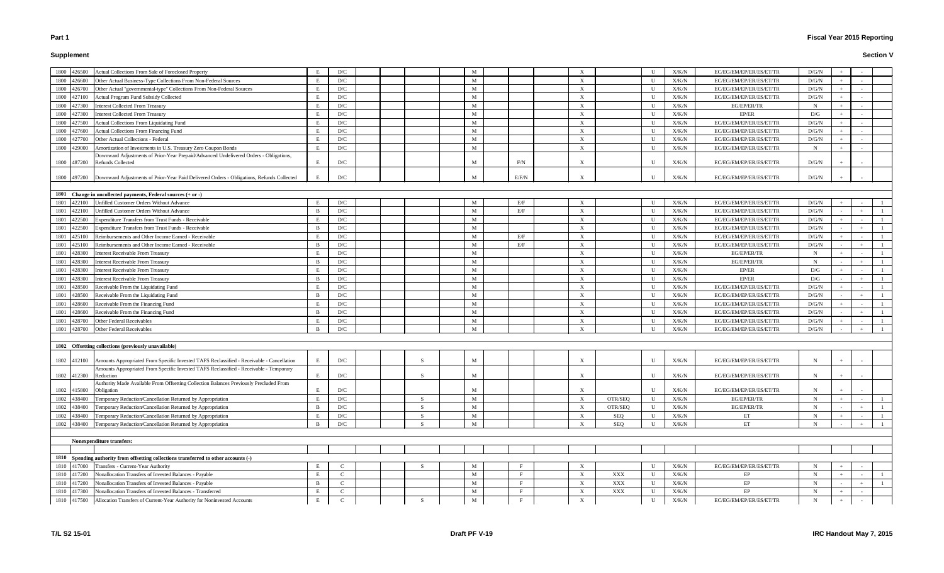# **Supplement**

# **Fiscal Year 2015 Reporting**

| 1800 426500<br>Actual Collections From Sale of Foreclosed Property                                                 |              | D/C           |  |              | M            |       | X            |                | $\mathbf{U}$ | X/K/N         | EC/EG/EM/EP/ER/ES/ET/TR | D/G/N       |  |  |
|--------------------------------------------------------------------------------------------------------------------|--------------|---------------|--|--------------|--------------|-------|--------------|----------------|--------------|---------------|-------------------------|-------------|--|--|
| Other Actual Business-Type Collections From Non-Federal Sources<br>1800<br>426600                                  |              | D/C           |  |              | M            |       | X            |                | U            | X/K/N         | EC/EG/EM/EP/ER/ES/ET/TR | D/G/N       |  |  |
| Other Actual "governmental-type" Collections From Non-Federal Sources<br>1800<br>426700                            |              | D/C           |  |              | M            |       | $\mathbf{X}$ |                | $\mathbf U$  | X/K/N         | EC/EG/EM/EP/ER/ES/ET/TR | D/G/N       |  |  |
| 427100<br>Actual Program Fund Subsidy Collected<br>1800                                                            |              | D/C           |  |              | M            |       | X            |                | U            | X/K/N         | EC/EG/EM/EP/ER/ES/ET/TR | D/G/N       |  |  |
| <b>Interest Collected From Treasury</b><br>1800<br>427300                                                          |              | D/C           |  |              | M            |       | X            |                | U            | X/K/N         | EG/EP/ER/TR             | $\mathbf N$ |  |  |
| <b>Interest Collected From Treasury</b><br>427300<br>1800                                                          |              | D/C           |  |              | M            |       | X            |                | U            | X/K/N         | EP/ER                   | D/G         |  |  |
| Actual Collections From Liquidating Fund<br>1800<br>427500                                                         | E            | D/C           |  |              | M            |       | X            |                | $\mathbf U$  | X/K/N         | EC/EG/EM/EP/ER/ES/ET/TR | D/G/N       |  |  |
| Actual Collections From Financing Fund<br>1800<br>427600                                                           |              | D/C           |  |              | M            |       | X            |                | $\mathbf U$  | X/K/N         | EC/EG/EM/EP/ER/ES/ET/TR | D/G/N       |  |  |
| Other Actual Collections - Federal<br>1800<br>427700                                                               |              | D/C           |  |              | M            |       | X            |                | $\mathbf U$  | X/K/N         | EC/EG/EM/EP/ER/ES/ET/TR | D/G/N       |  |  |
| 429000<br>Amortization of Investments in U.S. Treasury Zero Coupon Bonds<br>1800                                   | E            | D/C           |  |              | M            |       | $\mathbf{X}$ |                | $\mathbf U$  | X/K/N         | EC/EG/EM/EP/ER/ES/ET/TR | $\mathbf N$ |  |  |
| Downward Adjustments of Prior-Year Prepaid/Advanced Undelivered Orders - Obligations,                              |              |               |  |              |              |       |              |                |              |               |                         |             |  |  |
| 1800 487200<br><b>Refunds Collected</b>                                                                            | E            | D/C           |  |              | M            | F/N   |              |                | U            | X/K/N         | EC/EG/EM/EP/ER/ES/ET/TR | D/G/N       |  |  |
|                                                                                                                    |              |               |  |              |              |       |              |                |              |               |                         |             |  |  |
| 1800 497200 Downward Adjustments of Prior-Year Paid Delivered Orders - Obligations, Refunds Collected              |              | D/C           |  |              | M            | E/F/N | X            |                | $\mathbf{U}$ | X/K/N         | EC/EG/EM/EP/ER/ES/ET/TR | D/G/N       |  |  |
|                                                                                                                    |              |               |  |              |              |       |              |                |              |               |                         |             |  |  |
| 1801 Change in uncollected payments, Federal sources (+ or -)                                                      |              |               |  |              |              |       |              |                |              |               |                         |             |  |  |
| 422100<br>Unfilled Customer Orders Without Advance<br>1801                                                         |              | D/C           |  |              | M            | E/F   | X            |                | U            | X/K/N         | EC/EG/EM/EP/ER/ES/ET/TR | D/G/N       |  |  |
| Unfilled Customer Orders Without Advance<br>1801<br>422100                                                         | B            | D/C           |  |              | M            | E/F   | X            |                | U            | X/K/N         | EC/EG/EM/EP/ER/ES/ET/TR | D/G/N       |  |  |
| 422500<br><b>Expenditure Transfers from Trust Funds - Receivable</b><br>1801                                       |              | D/C           |  |              | M            |       | X            |                | U            | X/K/N         | EC/EG/EM/EP/ER/ES/ET/TR | D/G/N       |  |  |
| <b>Expenditure Transfers from Trust Funds - Receivable</b><br>1801<br>122500                                       | - B          | D/C           |  |              | M            |       | X            |                | U            | X/K/N         | EC/EG/EM/EP/ER/ES/ET/TR | D/G/N       |  |  |
| Reimbursements and Other Income Earned - Receivable<br>1801<br>425100                                              |              | D/C           |  |              | M            | E/F   | $\mathbf{X}$ |                | $\mathbf U$  | X/K/N         | EC/EG/EM/EP/ER/ES/ET/TR | D/G/N       |  |  |
| Reimbursements and Other Income Earned - Receivable<br>1801<br>425100                                              | - B          | D/C           |  |              | M            | E/F   | $\mathbf{X}$ |                | U            | X/K/N         | EC/EG/EM/EP/ER/ES/ET/TR | D/G/N       |  |  |
| Interest Receivable From Treasury<br>1801<br>128300                                                                | E            | D/C           |  |              | M            |       | $\mathbf{X}$ |                | U            | X/K/N         | EG/EP/ER/TR             | $\mathbf N$ |  |  |
| Interest Receivable From Treasury<br>1801<br>428300                                                                | <sup>B</sup> | D/C           |  |              | M            |       | X            |                | U            | X/K/N         | EG/EP/ER/TR             | $\mathbf N$ |  |  |
| Interest Receivable From Treasury<br>1801<br>428300                                                                |              | D/C           |  |              | M            |       | $\mathbf{X}$ |                | U            | X/K/N         | EP/ER                   | D/G         |  |  |
| Interest Receivable From Treasury<br>1801<br>428300                                                                |              | D/C           |  |              | M            |       | X            |                | U            | X/K/N         | EP/ER                   | D/G         |  |  |
| Receivable From the Liquidating Fund<br>1801<br>428500                                                             |              | D/C           |  |              | M            |       | $\mathbf{X}$ |                | U            | X/K/N         | EC/EG/EM/EP/ER/ES/ET/TR | D/G/N       |  |  |
| Receivable From the Liquidating Fund<br>428500                                                                     | - B          | D/C           |  |              | M            |       | $\mathbf{X}$ |                | U            | X/K/N         | EC/EG/EM/EP/ER/ES/ET/TR | D/G/N       |  |  |
| 1801                                                                                                               |              | D/C           |  |              | M            |       |              |                | U            |               |                         |             |  |  |
| Receivable From the Financing Fund<br>1801<br>428600                                                               |              |               |  |              |              |       | X            |                |              | X/K/N         | EC/EG/EM/EP/ER/ES/ET/TR | D/G/N       |  |  |
| Receivable From the Financing Fund<br>1801<br>428600                                                               | - B          | D/C           |  |              | M            |       | X            |                | U            | X/K/N         | EC/EG/EM/EP/ER/ES/ET/TR | D/G/N       |  |  |
| Other Federal Receivables<br>428700<br>1801                                                                        |              | D/C           |  |              | M            |       | X            |                | U            | X/K/N         | EC/EG/EM/EP/ER/ES/ET/TR | D/G/N       |  |  |
| 428700 Other Federal Receivables<br>1801                                                                           | - B          | D/C           |  |              | M            |       | X            |                | U            | X/K/N         | EC/EG/EM/EP/ER/ES/ET/TR | D/G/N       |  |  |
|                                                                                                                    |              |               |  |              |              |       |              |                |              |               |                         |             |  |  |
| 1802 Offsetting collections (previously unavailable)                                                               |              |               |  |              |              |       |              |                |              |               |                         |             |  |  |
|                                                                                                                    |              |               |  |              |              |       |              |                |              |               |                         |             |  |  |
| 1802 412100 Amounts Appropriated From Specific Invested TAFS Reclassified - Receivable - Cancellation              |              | D/C           |  |              | M            |       |              |                | U            | X/K/N         | EC/EG/EM/EP/ER/ES/ET/TR | $\mathbf N$ |  |  |
| Amounts Appropriated From Specific Invested TAFS Reclassified - Receivable - Temporary<br>1802 412300<br>Reduction | E            | D/C           |  | -S           | M            |       | X            |                | U            | X/K/N         | EC/EG/EM/EP/ER/ES/ET/TR | $\mathbf N$ |  |  |
| Authority Made Available From Offsetting Collection Balances Previously Precluded From                             |              |               |  |              |              |       |              |                |              |               |                         |             |  |  |
| 1802 415800<br>Obligation                                                                                          | E            | D/C           |  |              | M            |       | X            |                | U            | X/K/N         | EC/EG/EM/EP/ER/ES/ET/TR | N           |  |  |
| 1802<br>Temporary Reduction/Cancellation Returned by Appropriation<br>438400                                       | $\mathbf{F}$ | D/C           |  | -S           | $\mathbf{M}$ |       | $\mathbf X$  | OTR/SEQ        | $\mathbf U$  | X/K/N         | EG/EP/ER/TR             | $\mathbf N$ |  |  |
| Temporary Reduction/Cancellation Returned by Appropriation<br>1802<br>438400                                       | <sup>B</sup> | D/C           |  | <sup>S</sup> | M            |       | $\mathbf{X}$ | OTR/SEQ        | U            | X/K/N         | EG/EP/ER/TR             | $\mathbf N$ |  |  |
| Temporary Reduction/Cancellation Returned by Appropriation<br>1802<br>438400                                       |              | D/C           |  | -S           | M            |       | X            | SEQ            | U            | X/K/N         | ET                      | N           |  |  |
| Temporary Reduction/Cancellation Returned by Appropriation<br>438400<br>1802                                       | - R          | D/C           |  | S.           | M            |       | X            | SEQ            | $\mathbf{U}$ | X/K/N         | ET                      | $\mathbf N$ |  |  |
|                                                                                                                    |              |               |  |              |              |       |              |                |              |               |                         |             |  |  |
|                                                                                                                    |              |               |  |              |              |       |              |                |              |               |                         |             |  |  |
| Nonexpenditure transfers:                                                                                          |              |               |  |              |              |       |              |                |              |               |                         |             |  |  |
|                                                                                                                    |              |               |  |              |              |       |              |                |              |               |                         |             |  |  |
| 1810 Spending authority from offsetting collections transferred to other accounts (-)                              |              |               |  |              |              |       |              |                |              |               |                         |             |  |  |
| Transfers - Current-Year Authority<br>1810 417000                                                                  | E            | <sup>C</sup>  |  | - S          | M            |       | X            |                | U            | X/K/N         | EC/EG/EM/EP/ER/ES/ET/TR | $\mathbf N$ |  |  |
| Nonallocation Transfers of Invested Balances - Payable<br>417200<br>1810                                           | E            | $\mathbf C$   |  |              | M            |       | $\mathbf{X}$ | $\mathbf{XXX}$ | U            | X/K/N         | EP                      | $\mathbf N$ |  |  |
| 417200<br>Nonallocation Transfers of Invested Balances - Payable<br>1810                                           | <sup>B</sup> | $\mathcal{C}$ |  |              | M            |       | $\mathbf{X}$ | XXX            | U            | X/K/N         | EP                      | $\mathbf N$ |  |  |
| Nonallocation Transfers of Invested Balances - Transferred<br>417300<br>1810                                       | E            | $\mathcal{C}$ |  |              | M            |       | $\mathbf{X}$ | $\mathbf{XXX}$ | U            | X/K/N         | EP                      | N           |  |  |
| Allocation Transfers of Current-Year Authority for Noninvested Accounts<br>1810 417500                             | E            | $\mathbf C$   |  | S            | $\mathbf M$  |       | $\mathbf X$  |                | $\mathbf U$  | ${\rm X/K/N}$ | EC/EG/EM/EP/ER/ES/ET/TR | $\mathbf N$ |  |  |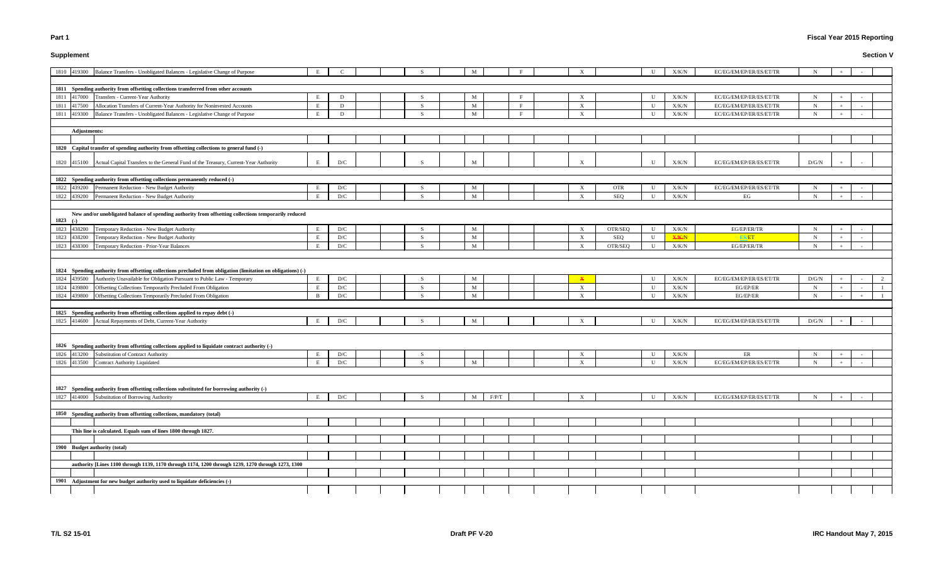# **Supplement**

# **Fiscal Year 2015 Reporting**

|             |              | 1810 419300 Balance Transfers - Unobligated Balances - Legislative Change of Purpose                          | E |     |  |               | M |       |                  |                           |            | U           | X/K/N        | EC/EG/EM/EP/ER/ES/ET/TR | N           |     |  |
|-------------|--------------|---------------------------------------------------------------------------------------------------------------|---|-----|--|---------------|---|-------|------------------|---------------------------|------------|-------------|--------------|-------------------------|-------------|-----|--|
|             |              |                                                                                                               |   |     |  |               |   |       |                  |                           |            |             |              |                         |             |     |  |
|             |              | 1811 Spending authority from offsetting collections transferred from other accounts                           |   |     |  |               |   |       |                  |                           |            |             |              |                         |             |     |  |
| 1811 417000 |              | Transfers - Current-Year Authority                                                                            | E | D   |  | -S            | M |       |                  | $\mathbf{X}$              |            | U           | X/K/N        | EC/EG/EM/EP/ER/ES/ET/TR | $\mathbf N$ |     |  |
| 1811 417500 |              | Allocation Transfers of Current-Year Authority for Noninvested Accounts                                       | E | D   |  | -S            | M |       | $\mathbf{F}$     | X                         |            | $\mathbf U$ | X/K/N        | EC/EG/EM/EP/ER/ES/ET/TR | $\mathbf N$ |     |  |
| 1811        | 419300       | Balance Transfers - Unobligated Balances - Legislative Change of Purpose                                      | E | D   |  | -S            | M |       | $\mathbf \Gamma$ | $\mathbf{X}$              |            | $\mathbf U$ | X/K/N        | EC/EG/EM/EP/ER/ES/ET/TR | $\mathbf N$ |     |  |
|             |              |                                                                                                               |   |     |  |               |   |       |                  |                           |            |             |              |                         |             |     |  |
|             | Adjustments: |                                                                                                               |   |     |  |               |   |       |                  |                           |            |             |              |                         |             |     |  |
|             |              |                                                                                                               |   |     |  |               |   |       |                  |                           |            |             |              |                         |             |     |  |
|             |              | 1820 Capital transfer of spending authority from offsetting collections to general fund (-)                   |   |     |  |               |   |       |                  |                           |            |             |              |                         |             |     |  |
|             |              | 1820 415100 Actual Capital Transfers to the General Fund of the Treasury, Current-Year Authority              | E | D/C |  |               | M |       |                  |                           |            | $\mathbf U$ | X/K/N        | EC/EG/EM/EP/ER/ES/ET/TR | D/G/N       |     |  |
|             |              | 1822 Spending authority from offsetting collections permanently reduced (-)                                   |   |     |  |               |   |       |                  |                           |            |             |              |                         |             |     |  |
| 1822 439200 |              | Permanent Reduction - New Budget Authority                                                                    | E | D/C |  | <sup>S</sup>  | M |       |                  | X                         | <b>OTR</b> | U           | X/K/N        | EC/EG/EM/EP/ER/ES/ET/TR | N           |     |  |
| 1822 439200 |              | Permanent Reduction - New Budget Authority                                                                    | E | D/C |  | -S            | M |       |                  | X                         | <b>SEQ</b> | U           | X/K/N        | EG                      | N           |     |  |
|             |              |                                                                                                               |   |     |  |               |   |       |                  |                           |            |             |              |                         |             |     |  |
| 1823 (-)    |              | New and/or unobligated balance of spending authority from offsetting collections temporarily reduced          |   |     |  |               |   |       |                  |                           |            |             |              |                         |             |     |  |
| 1823 438200 |              | Temporary Reduction - New Budget Authority                                                                    | E | D/C |  | -S            | M |       |                  | $\boldsymbol{\mathrm{X}}$ | OTR/SEQ    | $\mathbf U$ | X/K/N        | EG/EP/ER/TR             | $\mathbf N$ |     |  |
| 1823 438200 |              | Temporary Reduction - New Budget Authority                                                                    | E | D/C |  | S.            | M |       |                  | X                         | SEQ        | U           | <b>X/K/N</b> | <b>ES/ET</b>            | N           |     |  |
| 1823 438300 |              | Temporary Reduction - Prior-Year Balances                                                                     | E | D/C |  | $\mathcal{S}$ | M |       |                  | $\mathbf{X}$              | OTR/SEQ    | U           | X/K/N        | EG/EP/ER/TR             | N           |     |  |
|             |              |                                                                                                               |   |     |  |               |   |       |                  |                           |            |             |              |                         |             |     |  |
|             |              | 1824 Spending authority from offsetting collections precluded from obligation (limitation on obligations) (-) |   |     |  |               |   |       |                  |                           |            |             |              |                         |             |     |  |
| 1824 439500 |              | Authority Unavailable for Obligation Pursuant to Public Law - Temporary                                       | E | D/C |  |               | M |       |                  |                           |            | U           | X/K/N        | EC/EG/EM/EP/ER/ES/ET/TR | D/G/N       |     |  |
| 1824        | 439800       | Offsetting Collections Temporarily Precluded From Obligation                                                  | E | D/C |  | <sup>S</sup>  | M |       |                  | X                         |            | U           | X/K/N        | EG/EP/ER                | N           |     |  |
| 1824 439800 |              | Offsetting Collections Temporarily Precluded From Obligation                                                  | B | D/C |  |               | M |       |                  | X                         |            | $\mathbf U$ | X/K/N        | EG/EP/ER                | N           |     |  |
|             |              |                                                                                                               |   |     |  |               |   |       |                  |                           |            |             |              |                         |             |     |  |
|             |              | 1825 Spending authority from offsetting collections applied to repay debt (-)                                 |   |     |  |               |   |       |                  |                           |            |             |              |                         |             |     |  |
|             |              | 1825 414600 Actual Repayments of Debt, Current-Year Authority                                                 | E | D/C |  |               | M |       |                  |                           |            | U           | X/K/N        | EC/EG/EM/EP/ER/ES/ET/TR | D/G/N       |     |  |
|             |              | 1826 Spending authority from offsetting collections applied to liquidate contract authority (-)               |   |     |  |               |   |       |                  |                           |            |             |              |                         |             |     |  |
| 1826 413200 |              | Substitution of Contract Authority                                                                            | E | D/C |  | -S            |   |       |                  |                           |            | U           | X/K/N        | ER                      | N           |     |  |
|             |              | 1826 413500 Contract Authority Liquidated                                                                     | E | D/C |  | -S            | M |       |                  | X                         |            | U           | X/K/N        | EC/EG/EM/EP/ER/ES/ET/TR | N           |     |  |
|             |              |                                                                                                               |   |     |  |               |   |       |                  |                           |            |             |              |                         |             |     |  |
|             |              | 1827 Spending authority from offsetting collections substituted for borrowing authority (-)                   |   |     |  |               |   |       |                  |                           |            |             |              |                         |             |     |  |
| 1827 414000 |              | Substitution of Borrowing Authority                                                                           | E | D/C |  | S.            | M | F/P/T |                  | X                         |            | U           | X/K/N        | EC/EG/EM/EP/ER/ES/ET/TR | $\mathbf N$ | $+$ |  |
|             |              |                                                                                                               |   |     |  |               |   |       |                  |                           |            |             |              |                         |             |     |  |
|             |              | 1850 Spending authority from offsetting collections, mandatory (total)                                        |   |     |  |               |   |       |                  |                           |            |             |              |                         |             |     |  |
|             |              |                                                                                                               |   |     |  |               |   |       |                  |                           |            |             |              |                         |             |     |  |
|             |              | This line is calculated. Equals sum of lines 1800 through 1827.                                               |   |     |  |               |   |       |                  |                           |            |             |              |                         |             |     |  |
|             |              |                                                                                                               |   |     |  |               |   |       |                  |                           |            |             |              |                         |             |     |  |
|             |              | 1900 Budget authority (total)                                                                                 |   |     |  |               |   |       |                  |                           |            |             |              |                         |             |     |  |
|             |              |                                                                                                               |   |     |  |               |   |       |                  |                           |            |             |              |                         |             |     |  |
|             |              | authority [Lines 1100 through 1139, 1170 through 1174, 1200 through 1239, 1270 through 1273, 1300             |   |     |  |               |   |       |                  |                           |            |             |              |                         |             |     |  |
|             |              |                                                                                                               |   |     |  |               |   |       |                  |                           |            |             |              |                         |             |     |  |
|             |              | 1901 Adjustment for new budget authority used to liquidate deficiencies (-)                                   |   |     |  |               |   |       |                  |                           |            |             |              |                         |             |     |  |
|             |              |                                                                                                               |   |     |  |               |   |       |                  |                           |            |             |              |                         |             |     |  |
|             |              |                                                                                                               |   |     |  |               |   |       |                  |                           |            |             |              |                         |             |     |  |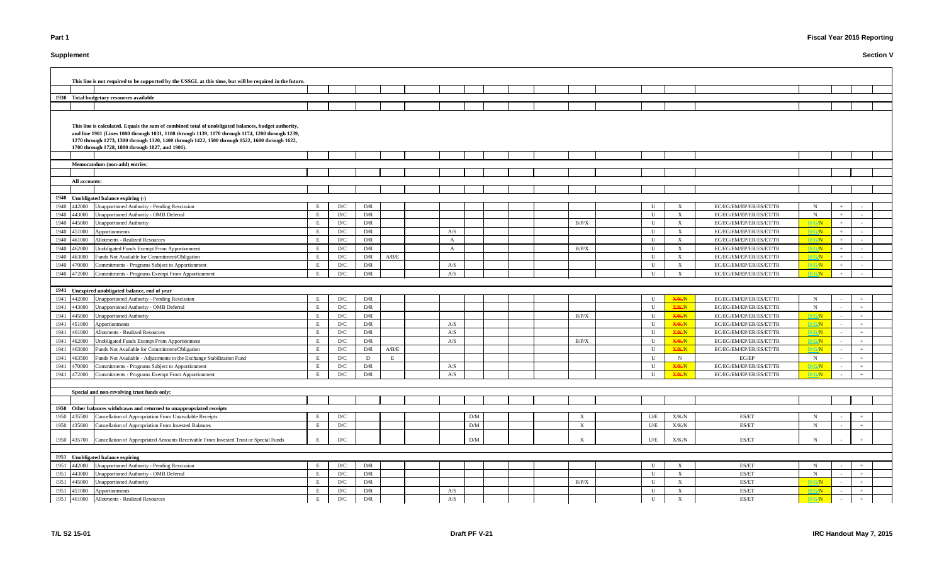# **Supplement**

# **Fiscal Year 2015 Reporting**

|      |               | This line is not required to be supported by the USSGL at this time, but will be required in the future.                                                                                                                                                                                                                                                       |   |     |                         |                                                                           |     |                 |  |                           |             |              |                         |              |        |        |  |
|------|---------------|----------------------------------------------------------------------------------------------------------------------------------------------------------------------------------------------------------------------------------------------------------------------------------------------------------------------------------------------------------------|---|-----|-------------------------|---------------------------------------------------------------------------|-----|-----------------|--|---------------------------|-------------|--------------|-------------------------|--------------|--------|--------|--|
|      |               |                                                                                                                                                                                                                                                                                                                                                                |   |     |                         |                                                                           |     |                 |  |                           |             |              |                         |              |        |        |  |
|      |               | 1930 Total budgetary resources available                                                                                                                                                                                                                                                                                                                       |   |     |                         |                                                                           |     |                 |  |                           |             |              |                         |              |        |        |  |
|      |               |                                                                                                                                                                                                                                                                                                                                                                |   |     |                         |                                                                           |     |                 |  |                           |             |              |                         |              |        |        |  |
|      |               | This line is calculated. Equals the sum of combined total of unobligated balances, budget authority,<br>and line 1901 (Lines 1000 through 1031, 1100 through 1139, 1170 through 1174, 1200 through 1239,<br>1270 through 1273, 1300 through 1320, 1400 through 1422, 1500 through 1522, 1600 through 1622,<br>1700 through 1728, 1800 through 1827, and 1901). |   |     |                         |                                                                           |     |                 |  |                           |             |              |                         |              |        |        |  |
|      |               |                                                                                                                                                                                                                                                                                                                                                                |   |     |                         |                                                                           |     |                 |  |                           |             |              |                         |              |        |        |  |
|      |               | Memorandum (non-add) entries:                                                                                                                                                                                                                                                                                                                                  |   |     |                         |                                                                           |     |                 |  |                           |             |              |                         |              |        |        |  |
|      |               |                                                                                                                                                                                                                                                                                                                                                                |   |     |                         |                                                                           |     |                 |  |                           |             |              |                         |              |        |        |  |
|      | All accounts: |                                                                                                                                                                                                                                                                                                                                                                |   |     |                         |                                                                           |     |                 |  |                           |             |              |                         |              |        |        |  |
|      |               |                                                                                                                                                                                                                                                                                                                                                                |   |     |                         |                                                                           |     |                 |  |                           |             |              |                         |              |        |        |  |
|      |               | 1940 Unobligated balance expiring (-)                                                                                                                                                                                                                                                                                                                          |   |     |                         |                                                                           |     |                 |  |                           |             |              |                         |              |        |        |  |
|      | 1940 442000   | Jnapportioned Authority - Pending Rescission                                                                                                                                                                                                                                                                                                                   | E | D/C | D/R                     |                                                                           |     |                 |  |                           | U           |              | EC/EG/EM/EP/ER/ES/ET/TR | $\mathbf N$  |        |        |  |
|      | 1940 443000   | Unapportioned Authority - OMB Deferral                                                                                                                                                                                                                                                                                                                         | E | D/C | D/R                     |                                                                           |     |                 |  |                           | U           | $\mathbf{X}$ | EC/EG/EM/EP/ER/ES/ET/TR | $\mathbf N$  |        |        |  |
|      | 1940 445000   | <b>Unapportioned Authority</b>                                                                                                                                                                                                                                                                                                                                 | E | D/C | D/R                     |                                                                           |     |                 |  | B/P/X                     | $\mathbf U$ | X            | EC/EG/EM/EP/ER/ES/ET/TR | D/G/N        | $+$    |        |  |
|      | 1940 451000   | Apportionments                                                                                                                                                                                                                                                                                                                                                 | E | D/C | D/R                     |                                                                           | A/S |                 |  |                           | U           | X            | EC/EG/EM/EP/ER/ES/ET/TR | D/G/N        | $+$    |        |  |
|      | 1940 461000   | <b>Allotments - Realized Resources</b>                                                                                                                                                                                                                                                                                                                         | E | D/C | D/R                     |                                                                           | A   |                 |  |                           | U           | X            | EC/EG/EM/EP/ER/ES/ET/TR | D/G/N        | $+$    |        |  |
|      | 1940 462000   | Unobligated Funds Exempt From Apportionment                                                                                                                                                                                                                                                                                                                    | E | D/C | D/R                     |                                                                           | A   |                 |  | B/P/X                     | U           | X            | EC/EG/EM/EP/ER/ES/ET/TR | D/G/N        | $+$    |        |  |
|      | 1940 463000   | Funds Not Available for Commitment/Obligation                                                                                                                                                                                                                                                                                                                  | E | D/C | D/R                     | A/B/E                                                                     |     |                 |  |                           | U           | $\mathbf{X}$ | EC/EG/EM/EP/ER/ES/ET/TR | D/G/N        | $+$    | $\sim$ |  |
|      | 1940 470000   | Commitments - Programs Subject to Apportionment                                                                                                                                                                                                                                                                                                                |   | D/C | D/R                     |                                                                           | A/S |                 |  |                           | U           | $\mathbf{X}$ | EC/EG/EM/EP/ER/ES/ET/TR | D/G/N        | $+$    |        |  |
|      | 1940 472000   | Commitments - Programs Exempt From Apportionment                                                                                                                                                                                                                                                                                                               | E | D/C | D/R                     |                                                                           | A/S |                 |  |                           | U           |              | EC/EG/EM/EP/ER/ES/ET/TR | D/G/N        |        |        |  |
|      |               |                                                                                                                                                                                                                                                                                                                                                                |   |     |                         |                                                                           |     |                 |  |                           |             |              |                         |              |        |        |  |
|      |               | 1941 Unexpired unobligated balance, end of year                                                                                                                                                                                                                                                                                                                |   |     |                         |                                                                           |     |                 |  |                           |             |              |                         |              |        |        |  |
|      | 1941 442000   | Unapportioned Authority - Pending Rescission                                                                                                                                                                                                                                                                                                                   |   | D/C | D/R                     |                                                                           |     |                 |  |                           | U           | <b>X/K/N</b> | EC/EG/EM/EP/ER/ES/ET/TR | N            |        |        |  |
|      | 1941 443000   | Unapportioned Authority - OMB Deferral                                                                                                                                                                                                                                                                                                                         | E | D/C | D/R                     |                                                                           |     |                 |  |                           | $\mathbf U$ | <b>X/K/N</b> | EC/EG/EM/EP/ER/ES/ET/TR | N            |        |        |  |
|      | 1941 445000   | Unapportioned Authority                                                                                                                                                                                                                                                                                                                                        |   | D/C | D/R                     |                                                                           |     |                 |  | B/P/X                     | $\mathbf U$ | <b>X/K/N</b> | EC/EG/EM/EP/ER/ES/ET/TR | D/G/N        |        |        |  |
|      | 1941 451000   | Apportionments                                                                                                                                                                                                                                                                                                                                                 | E | D/C | D/R                     |                                                                           | A/S |                 |  |                           | U           | <b>X/K/N</b> | EC/EG/EM/EP/ER/ES/ET/TR | D/G/N        |        |        |  |
|      | 1941 461000   | Allotments - Realized Resources                                                                                                                                                                                                                                                                                                                                | E | D/C | D/R                     |                                                                           | A/S |                 |  |                           | U           | <b>X/K/N</b> | EC/EG/EM/EP/ER/ES/ET/TR | D/G/N        | $\sim$ |        |  |
| 1941 | 462000        | Unobligated Funds Exempt From Apportionment                                                                                                                                                                                                                                                                                                                    | E | D/C | D/R                     |                                                                           | A/S |                 |  | B/P/X                     | U           | <b>X/K/N</b> | EC/EG/EM/EP/ER/ES/ET/TR | D/G/N        |        |        |  |
| 1941 | 463000        | Funds Not Available for Commitment/Obligation                                                                                                                                                                                                                                                                                                                  | E | D/C | D/R                     | $\ensuremath{\mathrm{A}}/\ensuremath{\mathrm{B}}/\ensuremath{\mathrm{E}}$ |     |                 |  |                           | U           | <b>X/K/N</b> | EC/EG/EM/EP/ER/ES/ET/TR | D/G/N        |        | $+$    |  |
| 1941 | 463500        | Funds Not Available - Adjustments to the Exchange Stabilization Fund                                                                                                                                                                                                                                                                                           | E | D/C | D                       | Е                                                                         |     |                 |  |                           | U           | N            | EG/EP                   | N            |        | $+$    |  |
|      | 1941 470000   | Commitments - Programs Subject to Apportionment                                                                                                                                                                                                                                                                                                                | E | D/C | D/R                     |                                                                           | A/S |                 |  |                           | U           | <b>X/K/N</b> | EC/EG/EM/EP/ER/ES/ET/TR | <b>D/G/N</b> | $\sim$ | $+$    |  |
|      |               | 1941 472000 Commitments - Programs Exempt From Apportionment                                                                                                                                                                                                                                                                                                   | E | D/C | D/R                     |                                                                           | A/S |                 |  |                           | U           | <b>X/K/N</b> | EC/EG/EM/EP/ER/ES/ET/TR | D/G/N        |        |        |  |
|      |               |                                                                                                                                                                                                                                                                                                                                                                |   |     |                         |                                                                           |     |                 |  |                           |             |              |                         |              |        |        |  |
|      |               | Special and non-revolving trust funds only:                                                                                                                                                                                                                                                                                                                    |   |     |                         |                                                                           |     |                 |  |                           |             |              |                         |              |        |        |  |
|      |               |                                                                                                                                                                                                                                                                                                                                                                |   |     |                         |                                                                           |     |                 |  |                           |             |              |                         |              |        |        |  |
|      |               | 1950 Other balances withdrawn and returned to unappropriated receipts                                                                                                                                                                                                                                                                                          |   |     |                         |                                                                           |     |                 |  |                           |             |              |                         |              |        |        |  |
|      | 1950 435500   | Cancellation of Appropriation From Unavailable Receipts                                                                                                                                                                                                                                                                                                        | E | D/C |                         |                                                                           |     | $\rm{D}/\rm{M}$ |  | $\boldsymbol{\mathrm{X}}$ | U/E         | X/K/N        | ES/ET                   | N            |        |        |  |
|      | 1950 435600   | Cancellation of Appropriation From Invested Balances                                                                                                                                                                                                                                                                                                           | E | D/C |                         |                                                                           |     | D/M             |  | $\boldsymbol{\mathrm{X}}$ | U/E         | X/K/N        | ES/ET                   | N            |        |        |  |
|      | 1950 435700   | Cancellation of Appropriated Amounts Receivable From Invested Trust or Special Funds                                                                                                                                                                                                                                                                           | E | D/C |                         |                                                                           |     | D/M             |  | $\boldsymbol{\mathrm{X}}$ | U/E         | X/K/N        | ES/ET                   |              |        |        |  |
|      |               |                                                                                                                                                                                                                                                                                                                                                                |   |     |                         |                                                                           |     |                 |  |                           |             |              |                         |              |        |        |  |
|      |               | 1951 Unobligated balance expiring                                                                                                                                                                                                                                                                                                                              |   |     |                         |                                                                           |     |                 |  |                           |             |              |                         |              |        |        |  |
|      | 1951 442000   | Unapportioned Authority - Pending Rescission                                                                                                                                                                                                                                                                                                                   | E | D/C | D/R                     |                                                                           |     |                 |  |                           | $\mathbf U$ | $\mathbf{X}$ | ES/ET                   | N            |        |        |  |
|      | 1951 443000   | Unapportioned Authority - OMB Deferral                                                                                                                                                                                                                                                                                                                         | E | D/C | D/R                     |                                                                           |     |                 |  |                           | $\mathbf U$ | $\mathbf{X}$ | ES/ET                   | N            |        |        |  |
|      | 1951 445000   | <b>Unapportioned Authority</b>                                                                                                                                                                                                                                                                                                                                 | E | D/C | $\mathbf{D}/\mathbf{R}$ |                                                                           |     |                 |  | B/P/X                     | $\mathbf U$ | X            | ES/ET                   | D/G/N        |        |        |  |
| 1951 | 451000        | Apportionments                                                                                                                                                                                                                                                                                                                                                 | E | D/C | $\mathbf{D}/\mathbf{R}$ |                                                                           | A/S |                 |  |                           | U           |              | ES/ET                   | D/G/N        |        |        |  |
|      | 1951 461000   | <b>Allotments - Realized Resources</b>                                                                                                                                                                                                                                                                                                                         | E | D/C | D/R                     |                                                                           | A/S |                 |  |                           | U           |              | ES/ET                   | D/G/N        |        |        |  |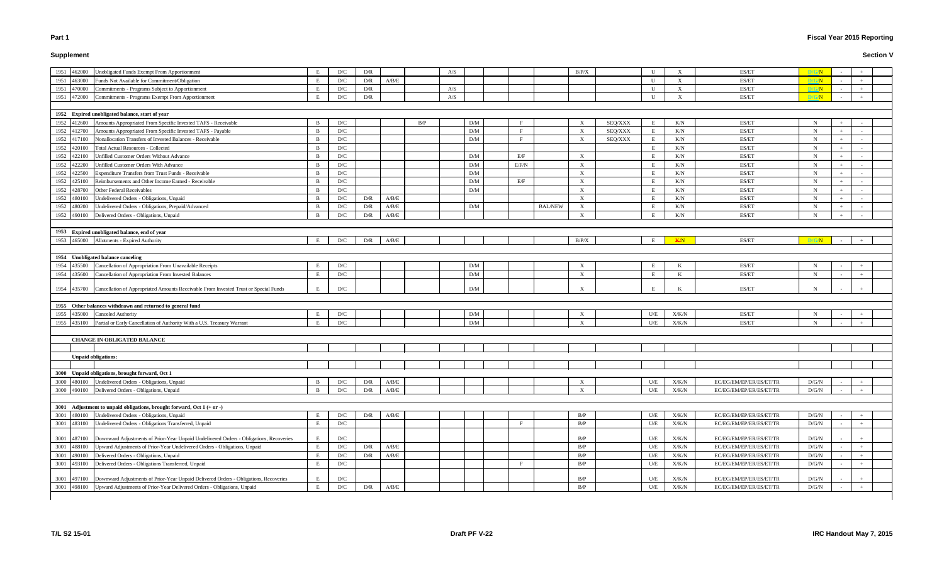# **Supplement**

# **Fiscal Year 2015 Reporting**

| Unobligated Funds Exempt From Apportionment<br>462000                                               |   |                         | D/R                     |             |     |     |     |       |                | B/P/X                     |         | U   |               | ES/ET                   | D/G/N        |        |  |
|-----------------------------------------------------------------------------------------------------|---|-------------------------|-------------------------|-------------|-----|-----|-----|-------|----------------|---------------------------|---------|-----|---------------|-------------------------|--------------|--------|--|
| 1951<br>Funds Not Available for Commitment/Obligation<br>1951<br>463000                             |   | D/C                     | D/R                     | A/B/E       |     | A/S |     |       |                |                           |         |     |               | ES/ET                   | <b>D/G/N</b> |        |  |
| Commitments - Programs Subject to Apportionment                                                     |   | D/C                     |                         |             |     |     |     |       |                |                           |         |     |               |                         |              |        |  |
| 1951<br>470000                                                                                      |   | D/C                     | D/R                     |             |     | A/S |     |       |                |                           |         | U   | $\mathbf{x}$  | ES/ET                   | D/G/N        |        |  |
| 472000 Commitments - Programs Exempt From Apportionment<br>1951                                     |   | D/C                     | D/R                     |             |     | A/S |     |       |                |                           |         | U   |               | ES/ET                   | D/G/N        | $+$    |  |
| 1952 Expired unobligated balance, start of year                                                     |   |                         |                         |             |     |     |     |       |                |                           |         |     |               |                         |              |        |  |
| Amounts Appropriated From Specific Invested TAFS - Receivable<br>1952<br>412600                     |   | D/C                     |                         |             | B/P |     | D/M |       |                | $\boldsymbol{\mathrm{X}}$ | SEQ/XXX | E   | K/N           | ES/ET                   | N            |        |  |
| 412700 Amounts Appropriated From Specific Invested TAFS - Payable<br>1952                           |   | D/C                     |                         |             |     |     | D/M |       |                | $\mathbf{X}$              | SEQ/XXX | E   | K/N           | ES/ET                   | N            |        |  |
| 417100 Nonallocation Transfers of Invested Balances - Receivable<br>1952                            |   | D/C                     |                         |             |     |     | D/M |       |                | $\boldsymbol{\mathrm{X}}$ | SEQ/XXX | E   | K/N           | ES/ET                   | N            |        |  |
| 420100 Total Actual Resources - Collected<br>1952                                                   |   | D/C                     |                         |             |     |     |     |       |                |                           |         | E   | K/N           | ES/ET                   | $\mathbf N$  |        |  |
| 1952<br>422100 Unfilled Customer Orders Without Advance                                             |   | D/C                     |                         |             |     |     | D/M | E/F   |                | $\mathbf{X}$              |         | E   | K/N           | ES/ET                   | $\mathbf N$  |        |  |
| 1952<br>422200<br>Unfilled Customer Orders With Advance                                             |   | D/C                     |                         |             |     |     | D/M | E/F/N |                | $\boldsymbol{\mathrm{X}}$ |         | E   | K/N           | ES/ET                   | N            |        |  |
| Expenditure Transfers from Trust Funds - Receivable<br>1952<br>422500                               |   | D/C                     |                         |             |     |     | D/M |       |                | $\boldsymbol{\mathrm{X}}$ |         | E   | K/N           | ES/ET                   | $\mathbf N$  |        |  |
| 425100 Reimbursements and Other Income Earned - Receivable<br>1952                                  |   | D/C                     |                         |             |     |     | D/M | E/F   |                | $\boldsymbol{\mathrm{X}}$ |         | E   | K/N           | ES/ET                   | N            |        |  |
| 428700 Other Federal Receivables<br>1952                                                            |   | D/C                     |                         |             |     |     | D/M |       |                | $\boldsymbol{\mathrm{X}}$ |         | E   | K/N           | ES/ET                   | N            |        |  |
| Undelivered Orders - Obligations, Unpaid<br>1952<br>480100                                          |   | D/C                     | D/R                     | A/B/E       |     |     |     |       |                | $\boldsymbol{\mathrm{X}}$ |         | E   | K/N           | ES/ET                   | N            |        |  |
| 480200 Undelivered Orders - Obligations, Prepaid/Advanced<br>1952                                   |   | D/C                     | D/R                     | A/B/E       |     |     | D/M |       | <b>BAL/NEW</b> | $\boldsymbol{\mathrm{X}}$ |         | E   | K/N           | ES/ET                   | $\mathbf N$  | $\sim$ |  |
| 490100 Delivered Orders - Obligations, Unpaid<br>1952                                               |   | D/C                     | D/R                     | A/B/E       |     |     |     |       |                | $\boldsymbol{\mathrm{X}}$ |         | E   | K/N           | ES/ET                   | $\mathbf N$  | $\sim$ |  |
|                                                                                                     |   |                         |                         |             |     |     |     |       |                |                           |         |     |               |                         |              |        |  |
| 1953 Expired unobligated balance, end of year                                                       |   |                         |                         |             |     |     |     |       |                |                           |         |     |               |                         |              |        |  |
| 465000 Allotments - Expired Authority<br>1953                                                       | Е | D/C                     | D/R                     | A/B/E       |     |     |     |       |                | B/P/X                     |         | E   | K/N           | ES/ET                   | D/G/N        |        |  |
|                                                                                                     |   |                         |                         |             |     |     |     |       |                |                           |         |     |               |                         |              |        |  |
| 1954 Unobligated balance canceling                                                                  |   |                         |                         |             |     |     |     |       |                |                           |         |     |               |                         |              |        |  |
| 435500 Cancellation of Appropriation From Unavailable Receipts<br>1954                              |   | D/C                     |                         |             |     |     | D/M |       |                | $\boldsymbol{\mathrm{X}}$ |         | E   |               | ES/ET                   | N            |        |  |
| 1954 435600 Cancellation of Appropriation From Invested Balances                                    |   | D/C                     |                         |             |     |     | D/M |       |                | X                         |         | E   |               | ES/ET                   | N            |        |  |
|                                                                                                     |   |                         |                         |             |     |     |     |       |                |                           |         |     |               |                         |              |        |  |
| 1954 435700 Cancellation of Appropriated Amounts Receivable From Invested Trust or Special Funds    |   | D/C                     |                         |             |     |     | D/M |       |                | $\boldsymbol{\mathrm{X}}$ |         |     |               | ES/ET                   | N            |        |  |
|                                                                                                     |   |                         |                         |             |     |     |     |       |                |                           |         |     |               |                         |              |        |  |
| 1955 Other balances withdrawn and returned to general fund                                          |   |                         |                         |             |     |     |     |       |                |                           |         |     |               |                         |              |        |  |
| 1955<br>435000 Canceled Authority                                                                   |   | D/C                     |                         |             |     |     | D/M |       |                | X                         |         | U/E | X/K/N         | ES/ET                   | N            |        |  |
| 1955<br>435100 Partial or Early Cancellation of Authority With a U.S. Treasury Warrant              |   | D/C                     |                         |             |     |     | D/M |       |                | $\mathbf{X}$              |         | U/E | X/K/N         | ES/ET                   | $\mathbf N$  |        |  |
|                                                                                                     |   |                         |                         |             |     |     |     |       |                |                           |         |     |               |                         |              |        |  |
| <b>CHANGE IN OBLIGATED BALANCE</b>                                                                  |   |                         |                         |             |     |     |     |       |                |                           |         |     |               |                         |              |        |  |
|                                                                                                     |   |                         |                         |             |     |     |     |       |                |                           |         |     |               |                         |              |        |  |
| <b>Unpaid obligations:</b>                                                                          |   |                         |                         |             |     |     |     |       |                |                           |         |     |               |                         |              |        |  |
|                                                                                                     |   |                         |                         |             |     |     |     |       |                |                           |         |     |               |                         |              |        |  |
| 3000 Unpaid obligations, brought forward, Oct 1                                                     |   |                         |                         |             |     |     |     |       |                |                           |         |     |               |                         |              |        |  |
| 3000 480100 Undelivered Orders - Obligations, Unpaid                                                |   | D/C                     | D/R                     | A/B/E       |     |     |     |       |                |                           |         | U/E | X/K/N         | EC/EG/EM/EP/ER/ES/ET/TR | D/G/N        |        |  |
| 3000 490100 Delivered Orders - Obligations, Unpaid                                                  |   | D/C                     | D/R                     | $\rm A/B/E$ |     |     |     |       |                | $\boldsymbol{\mathrm{X}}$ |         | U/E | X/K/N         | EC/EG/EM/EP/ER/ES/ET/TR | D/G/N        |        |  |
| 3001 Adjustment to unpaid obligations, brought forward, Oct $1 (+ or -)$                            |   |                         |                         |             |     |     |     |       |                |                           |         |     |               |                         |              |        |  |
| 3001 480100 Undelivered Orders - Obligations, Unpaid                                                |   | D/C                     | $\mathbf{D}/\mathbf{R}$ | $\rm A/B/E$ |     |     |     |       |                | B/P                       |         | U/E | ${\rm X/K/N}$ | EC/EG/EM/EP/ER/ES/ET/TR | D/G/N        |        |  |
| 3001<br>Undelivered Orders - Obligations Transferred, Unpaid<br>483100                              | E | D/C                     |                         |             |     |     |     |       |                | B/P                       |         | U/E | ${\rm X/K/N}$ | EC/EG/EM/EP/ER/ES/ET/TR | D/G/N        |        |  |
|                                                                                                     |   |                         |                         |             |     |     |     |       |                |                           |         |     |               |                         |              |        |  |
| 3001 487100 Downward Adjustments of Prior-Year Unpaid Undelivered Orders - Obligations, Recoveries  |   | $\mathbf{D}/\mathbf{C}$ |                         |             |     |     |     |       |                | B/P                       |         | U/E | X/K/N         | EC/EG/EM/EP/ER/ES/ET/TR | D/G/N        |        |  |
| 3001<br>488100 Upward Adjustments of Prior-Year Undelivered Orders - Obligations, Unpaid            | E | D/C                     | D/R                     | A/B/E       |     |     |     |       |                | B/P                       |         | U/E | X/K/N         | EC/EG/EM/EP/ER/ES/ET/TR | D/G/N        | $+$    |  |
| 3001 490100 Delivered Orders - Obligations, Unpaid                                                  | E | D/C                     | D/R                     | $\rm A/B/E$ |     |     |     |       |                | B/P                       |         | U/E | X/K/N         | EC/EG/EM/EP/ER/ES/ET/TR | D/G/N        |        |  |
| 3001<br>Delivered Orders - Obligations Transferred, Unpaid<br>493100                                | E | D/C                     |                         |             |     |     |     |       |                | B/P                       |         | U/E | X/K/N         | EC/EG/EM/EP/ER/ES/ET/TR | D/G/N        |        |  |
|                                                                                                     |   |                         |                         |             |     |     |     |       |                |                           |         |     |               |                         |              |        |  |
| 497100 Downward Adjustments of Prior-Year Unpaid Delivered Orders - Obligations, Recoveries<br>3001 |   | D/C                     |                         |             |     |     |     |       |                | B/P                       |         | U/E | X/K/N         | EC/EG/EM/EP/ER/ES/ET/TR | D/G/N        |        |  |
| 498100 Upward Adjustments of Prior-Year Delivered Orders - Obligations, Unpaid<br>3001              | E | D/C                     | D/R                     | A/B/E       |     |     |     |       |                | B/P                       |         | U/E | X/K/N         | EC/EG/EM/EP/ER/ES/ET/TR | D/G/N        | $+$    |  |
|                                                                                                     |   |                         |                         |             |     |     |     |       |                |                           |         |     |               |                         |              |        |  |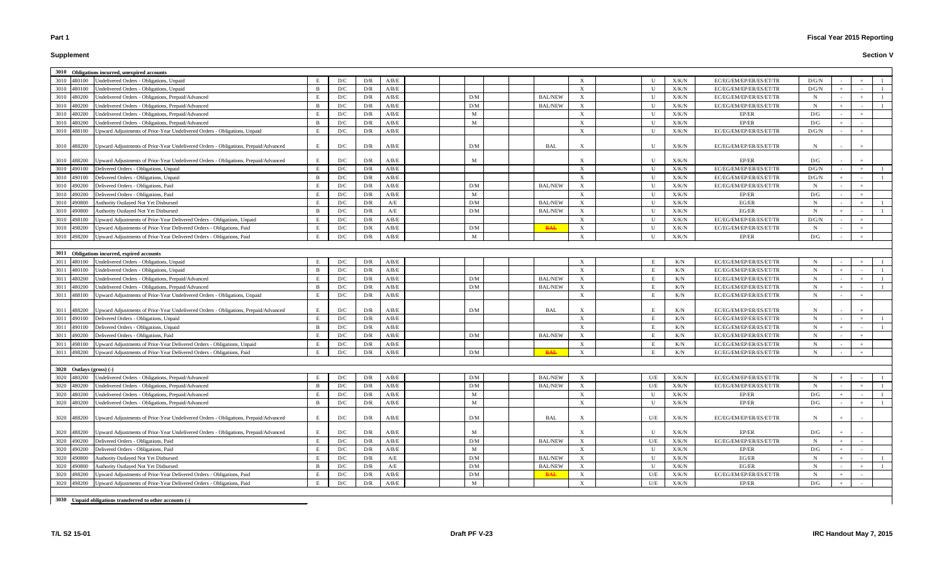# **Supplement**

### **Section V**

|      |                            | 3010 Obligations incurred, unexpired accounts                                       |              |     |     |       |              |                |              |              |       |                         |             |  |  |
|------|----------------------------|-------------------------------------------------------------------------------------|--------------|-----|-----|-------|--------------|----------------|--------------|--------------|-------|-------------------------|-------------|--|--|
|      | 3010 480100                | Undelivered Orders - Obligations, Unpaid                                            |              | D/C | D/R | A/B/E |              |                |              |              | X/K/N | EC/EG/EM/EP/ER/ES/ET/TR | D/G/N       |  |  |
|      | 3010 480100                | Undelivered Orders - Obligations, Unpaid                                            |              | D/C | D/R | A/B/E |              |                | X            | U            | X/K/N | EC/EG/EM/EP/ER/ES/ET/TR | D/G/N       |  |  |
| 3010 | 480200                     | Undelivered Orders - Obligations, Prepaid/Advanced                                  |              | D/C | D/R | A/B/E | D/M          | <b>BAL/NEW</b> | X            | $\mathbf{U}$ | X/K/N | EC/EG/EM/EP/ER/ES/ET/TR | $\mathbf N$ |  |  |
| 3010 | 480200                     | Undelivered Orders - Obligations, Prepaid/Advanced                                  |              | D/C | D/R | A/B/E | D/M          | <b>BAL/NEW</b> | X            | $\mathbf{U}$ | X/K/N | EC/EG/EM/EP/ER/ES/ET/TR | $\mathbf N$ |  |  |
| 3010 | 480200                     | Undelivered Orders - Obligations, Prepaid/Advanced                                  | E            | D/C | D/R | A/B/E | M            |                | X            | $\mathbf{U}$ | X/K/N | EP/ER                   | D/G         |  |  |
| 3010 | 480200                     | Undelivered Orders - Obligations, Prepaid/Advanced                                  | R            | D/C | D/R | A/B/E | M            |                | $\mathbf{X}$ | II           | X/K/N | EP/ER                   | D/G         |  |  |
| 3010 | 488100                     | Upward Adjustments of Prior-Year Undelivered Orders - Obligations, Unpaid           | E            | D/C | D/R | A/B/E |              |                | X            | $\mathbf{U}$ | X/K/N | EC/EG/EM/EP/ER/ES/ET/TR | D/G/N       |  |  |
|      |                            |                                                                                     |              |     |     |       |              |                |              |              |       |                         |             |  |  |
|      | 3010 488200                | Upward Adjustments of Prior-Year Undelivered Orders - Obligations, Prepaid/Advanced | E            | D/C | D/R | A/B/E | D/M          | BAL            | X            | U            | X/K/N | EC/EG/EM/EP/ER/ES/ET/TR | -N          |  |  |
|      |                            |                                                                                     |              |     |     |       |              |                |              |              |       |                         |             |  |  |
|      | 3010 488200                | Upward Adjustments of Prior-Year Undelivered Orders - Obligations, Prepaid/Advanced | E            | D/C | D/R | A/B/E | M            |                |              | U            | X/K/N | EP/ER                   | D/G         |  |  |
|      | 3010 490100                | Delivered Orders - Obligations, Unpaid                                              | E            | D/C | D/R | A/B/E |              |                | $\mathbf{X}$ | U            | X/K/N | EC/EG/EM/EP/ER/ES/ET/TR | D/G/N       |  |  |
|      | 3010 490100                | Delivered Orders - Obligations, Unpaid                                              |              | D/C | D/R | A/B/E |              |                | X            | $\mathbf{U}$ | X/K/N | EC/EG/EM/EP/ER/ES/ET/TR | D/G/N       |  |  |
| 3010 | 490200                     | Delivered Orders - Obligations, Paid                                                |              | D/C | D/R | A/B/E | D/M          | <b>BAL/NEW</b> | X            | U            | X/K/N | EC/EG/EM/EP/ER/ES/ET/TR | $\mathbf N$ |  |  |
| 3010 | 490200                     | Delivered Orders - Obligations, Paid                                                | E            | D/C | D/R | A/B/E | M            |                | X            | U            | X/K/N | EP/ER                   | D/G         |  |  |
| 3010 | 490800                     | Authority Outlayed Not Yet Disbursed                                                |              | D/C | D/R | A/E   | D/M          | <b>BAL/NEW</b> | X            | U            | X/K/N | EG/ER                   | $\mathbf N$ |  |  |
| 3010 | 490800                     | Authority Outlayed Not Yet Disbursed                                                | <sup>B</sup> | D/C | D/R | A/E   | D/M          | <b>BAL/NEW</b> | X            | $\mathbf{U}$ | X/K/N | EG/ER                   | $\mathbf N$ |  |  |
| 3010 | 498100                     | Upward Adjustments of Prior-Year Delivered Orders - Obligations, Unpaid             | E            | D/C | D/R | A/B/E |              |                | $\mathbf{X}$ | $\mathbf{U}$ | X/K/N | EC/EG/EM/EP/ER/ES/ET/TR | D/G/N       |  |  |
| 3010 | 498200                     | Upward Adjustments of Prior-Year Delivered Orders - Obligations, Paid               |              | D/C | D/R | A/B/E | D/M          | <b>BAL</b>     | X            | $\mathbf{H}$ | X/K/N | EC/EG/EM/EP/ER/ES/ET/TR | $\mathbf N$ |  |  |
| 3010 | 498200                     | Upward Adjustments of Prior-Year Delivered Orders - Obligations, Paid               |              | D/C | D/R | A/B/E | M            |                | X            | $\mathbf{H}$ | X/K/N | EP/ER                   | D/G         |  |  |
|      |                            |                                                                                     |              |     |     |       |              |                |              |              |       |                         |             |  |  |
|      |                            | 3011 Obligations incurred, expired accounts                                         |              |     |     |       |              |                |              |              |       |                         |             |  |  |
| 3011 | 480100                     | Undelivered Orders - Obligations, Unpaid                                            |              | D/C | D/R | A/B/E |              |                |              |              | K/N   | EC/EG/EM/EP/ER/ES/ET/TR | $\mathbf N$ |  |  |
| 3011 | 480100                     | Undelivered Orders - Obligations, Unpaid                                            |              | D/C | D/R | A/B/E |              |                | X            |              | K/N   | EC/EG/EM/EP/ER/ES/ET/TR | $\mathbf N$ |  |  |
| 3011 | 480200                     | Undelivered Orders - Obligations, Prepaid/Advanced                                  |              | D/C | D/R | A/B/E | D/M          | <b>BAL/NEW</b> | X            |              | K/N   | EC/EG/EM/EP/ER/ES/ET/TR | $\mathbf N$ |  |  |
| 3011 | 480200                     | Undelivered Orders - Obligations, Prepaid/Advanced                                  |              | D/C | D/R | A/B/E | D/M          | <b>BAL/NEW</b> | X            |              | K/N   | EC/EG/EM/EP/ER/ES/ET/TR | $\mathbf N$ |  |  |
| 3011 | 488100                     | Upward Adjustments of Prior-Year Undelivered Orders - Obligations, Unpaid           | E            | D/C | D/R | A/B/E |              |                | X            |              | K/N   | EC/EG/EM/EP/ER/ES/ET/TR | $\mathbf N$ |  |  |
|      |                            |                                                                                     |              |     |     |       |              |                |              |              |       |                         |             |  |  |
| 3011 | 488200                     | Upward Adjustments of Prior-Year Undelivered Orders - Obligations, Prepaid/Advanced |              | D/C | D/R | A/B/E | D/M          | BAL            |              |              | K/N   | EC/EG/EM/EP/ER/ES/ET/TR | -N          |  |  |
| 3011 | 490100                     | Delivered Orders - Obligations, Unpaid                                              | E            | D/C | D/R | A/B/E |              |                | $\mathbf{X}$ | E            | K/N   | EC/EG/EM/EP/ER/ES/ET/TR | $\mathbf N$ |  |  |
| 3011 | 490100                     | Delivered Orders - Obligations, Unpaid                                              |              | D/C | D/R | A/B/E |              |                | X            | E            | K/N   | EC/EG/EM/EP/ER/ES/ET/TR | - N         |  |  |
| 3011 | 490200                     | Delivered Orders - Obligations, Paid                                                |              | D/C | D/R | A/B/E | D/M          | <b>BAL/NEW</b> | X            |              | K/N   | EC/EG/EM/EP/ER/ES/ET/TR | $\mathbf N$ |  |  |
| 3011 | 498100                     | Upward Adjustments of Prior-Year Delivered Orders - Obligations, Unpaid             | E            | D/C | D/R | A/B/E |              |                | X            | E            | K/N   | EC/EG/EM/EP/ER/ES/ET/TR | $\mathbf N$ |  |  |
| 3011 | 498200                     | Upward Adjustments of Prior-Year Delivered Orders - Obligations, Paid               | E            | D/C | D/R | A/B/E | D/M          | <b>BAL</b>     | X            | E            | K/N   | EC/EG/EM/EP/ER/ES/ET/TR | $\mathbf N$ |  |  |
|      |                            |                                                                                     |              |     |     |       |              |                |              |              |       |                         |             |  |  |
|      | $3020$ Outlays (gross) (-) |                                                                                     |              |     |     |       |              |                |              |              |       |                         |             |  |  |
| 3020 | 480200                     | Undelivered Orders - Obligations, Prepaid/Advanced                                  |              | D/C | D/R | A/B/E | D/M          | <b>BAL/NEW</b> | X            | U/E          | X/K/N | EC/EG/EM/EP/ER/ES/ET/TR | - N         |  |  |
| 3020 | 480200                     | Undelivered Orders - Obligations, Prepaid/Advanced                                  |              | D/C | D/R | A/B/E | D/M          | <b>BAL/NEW</b> | X            | U/E          | X/K/N | EC/EG/EM/EP/ER/ES/ET/TR | $\mathbf N$ |  |  |
| 3020 | 480200                     | Undelivered Orders - Obligations, Prepaid/Advanced                                  |              | D/C | D/R | A/B/E | M            |                | X            | $\mathbf{U}$ | X/K/N | EP/ER                   | D/G         |  |  |
| 3020 | 480200                     | Undelivered Orders - Obligations, Prepaid/Advanced                                  |              | D/C | D/R | A/B/E | M            |                | X            | $\mathbf{U}$ | X/K/N | EP/ER                   | D/G         |  |  |
| 3020 | 488200                     |                                                                                     | E            |     |     | A/B/E | D/M          |                |              |              | X/K/N | EC/EG/EM/EP/ER/ES/ET/TR |             |  |  |
|      |                            | Upward Adjustments of Prior-Year Undelivered Orders - Obligations, Prepaid/Advanced |              | D/C | D/R |       |              | BAL            | X            | U/E          |       |                         | -N          |  |  |
|      | 3020 488200                | Upward Adjustments of Prior-Year Undelivered Orders - Obligations, Prepaid/Advanced | E            | D/C | D/R | A/B/E | M            |                | X            | U            | X/K/N | EP/ER                   | D/G         |  |  |
| 3020 | 490200                     | Delivered Orders - Obligations, Paid                                                | E            | D/C | D/R | A/B/E | D/M          | <b>BAL/NEW</b> | X            | U/E          | X/K/N | EC/EG/EM/EP/ER/ES/ET/TR | $\mathbf N$ |  |  |
| 3020 | 490200                     | Delivered Orders - Obligations, Paid                                                | E            | D/C | D/R | A/B/E | M            |                | X            | U            | X/K/N | EP/ER                   | D/G         |  |  |
| 3020 | 490800                     | Authority Outlayed Not Yet Disbursed                                                | E            | D/C | D/R | A/E   | D/M          | <b>BAL/NEW</b> | $\mathbf{X}$ | U            | X/K/N | EG/ER                   | $\mathbf N$ |  |  |
| 3020 | 490800                     | Authority Outlayed Not Yet Disbursed                                                |              | D/C | D/R | A/E   | D/M          | <b>BAL/NEW</b> | X            | U            | X/K/N | EG/ER                   | $\mathbf N$ |  |  |
| 3020 | 498200                     | Upward Adjustments of Prior-Year Delivered Orders - Obligations, Paid               |              | D/C | D/R | A/B/E | D/M          | <b>BAL</b>     | X            | U/E          | X/K/N | EC/EG/EM/EP/ER/ES/ET/TR | - N         |  |  |
| 3020 | 498200                     | Upward Adjustments of Prior-Year Delivered Orders - Obligations, Paid               |              | D/C | D/R | A/B/E | $\mathbf{M}$ |                | X            | U/E          | X/K/N | EP/ER                   | D/G         |  |  |
|      |                            |                                                                                     |              |     |     |       |              |                |              |              |       |                         |             |  |  |
|      |                            | 3030 Unpaid obligations transferred to other accounts (-)                           |              |     |     |       |              |                |              |              |       |                         |             |  |  |
|      |                            |                                                                                     |              |     |     |       |              |                |              |              |       |                         |             |  |  |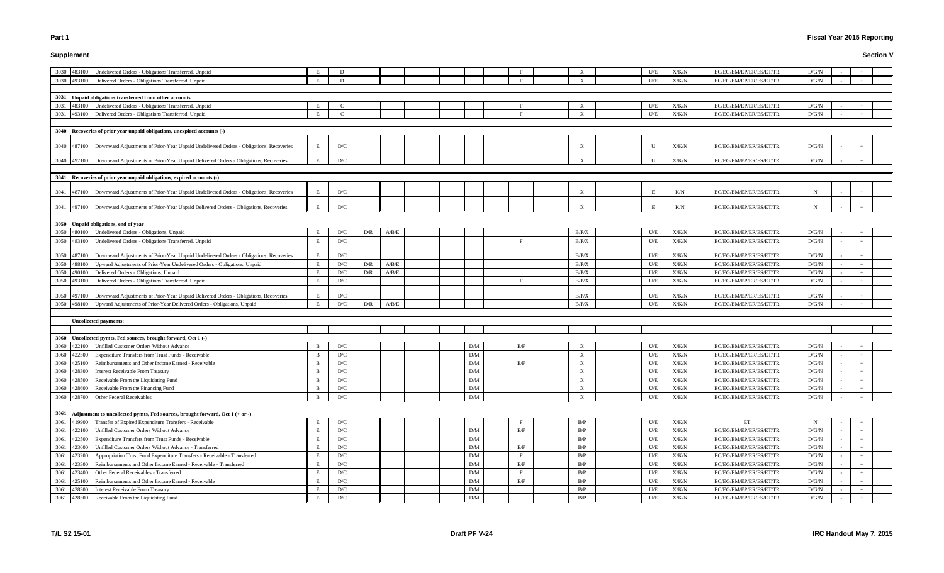### **Supplement**

# **Fiscal Year 2015 Reporting**

| Undelivered Orders - Obligations Transferred, Unpaid<br>3030<br>483100                                   |              | D                       |     |       |  |                 |              |                           | U/E          | X/K/N | EC/EG/EM/EP/ER/ES/ET/TR | D/G/N       |            |     |  |
|----------------------------------------------------------------------------------------------------------|--------------|-------------------------|-----|-------|--|-----------------|--------------|---------------------------|--------------|-------|-------------------------|-------------|------------|-----|--|
| Delivered Orders - Obligations Transferred, Unpaid<br>3030<br>493100                                     |              | D                       |     |       |  |                 |              | $\mathbf{x}$              | U/E          | X/K/N | EC/EG/EM/EP/ER/ES/ET/TR | D/G/N       |            |     |  |
|                                                                                                          |              |                         |     |       |  |                 |              |                           |              |       |                         |             |            |     |  |
| 3031 Unpaid obligations transferred from other accounts                                                  |              |                         |     |       |  |                 |              |                           |              |       |                         |             |            |     |  |
| 483100 Undelivered Orders - Obligations Transferred, Unpaid<br>3031                                      | E            | $\mathcal{C}$           |     |       |  |                 |              | X                         | U/E          | X/K/N | EC/EG/EM/EP/ER/ES/ET/TR | D/G/N       |            |     |  |
| 3031<br>493100 Delivered Orders - Obligations Transferred, Unpaid                                        | E            | $\mathcal{C}$           |     |       |  |                 |              | $\mathbf{X}$              | U/E          | X/K/N | EC/EG/EM/EP/ER/ES/ET/TR | D/G/N       |            |     |  |
|                                                                                                          |              |                         |     |       |  |                 |              |                           |              |       |                         |             |            |     |  |
| 3040 Recoveries of prior year unpaid obligations, unexpired accounts (-)                                 |              |                         |     |       |  |                 |              |                           |              |       |                         |             |            |     |  |
|                                                                                                          |              |                         |     |       |  |                 |              |                           |              |       |                         |             |            |     |  |
| 487100 Downward Adjustments of Prior-Year Unpaid Undelivered Orders - Obligations, Recoveries<br>3040    |              | D/C                     |     |       |  |                 |              | $\mathbf{x}$              | $\mathbf{U}$ | X/K/N | EC/EG/EM/EP/ER/ES/ET/TR | D/G/N       |            |     |  |
|                                                                                                          |              |                         |     |       |  |                 |              |                           |              |       |                         |             |            |     |  |
| 3040 497100 Downward Adjustments of Prior-Year Unpaid Delivered Orders - Obligations, Recoveries         |              | D/C                     |     |       |  |                 |              |                           | II           | X/K/N | EC/EG/EM/EP/ER/ES/ET/TR | D/G/N       |            |     |  |
|                                                                                                          |              |                         |     |       |  |                 |              |                           |              |       |                         |             |            |     |  |
| 3041 Recoveries of prior year unpaid obligations, expired accounts (-)                                   |              |                         |     |       |  |                 |              |                           |              |       |                         |             |            |     |  |
|                                                                                                          |              |                         |     |       |  |                 |              |                           |              |       |                         |             |            |     |  |
| 487100 Downward Adjustments of Prior-Year Unpaid Undelivered Orders - Obligations, Recoveries<br>3041    | E            | D/C                     |     |       |  |                 |              | $\mathbf{x}$              | E            | K/N   | EC/EG/EM/EP/ER/ES/ET/TR | N           |            |     |  |
|                                                                                                          |              |                         |     |       |  |                 |              |                           |              |       |                         |             |            |     |  |
| 497100 Downward Adjustments of Prior-Year Unpaid Delivered Orders - Obligations, Recoveries<br>3041      | E            | D/C                     |     |       |  |                 |              |                           |              | K/N   | EC/EG/EM/EP/ER/ES/ET/TR | N           |            |     |  |
|                                                                                                          |              |                         |     |       |  |                 |              |                           |              |       |                         |             |            |     |  |
| 3050 Unpaid obligations, end of year                                                                     |              |                         |     |       |  |                 |              |                           |              |       |                         |             |            |     |  |
| Undelivered Orders - Obligations, Unpaid<br>3050<br>480100                                               |              | D/C                     | D/R | A/B/E |  |                 |              | B/P/X                     | U/E          | X/K/N | EC/EG/EM/EP/ER/ES/ET/TR | D/G/N       |            |     |  |
| 3050<br>483100<br>Undelivered Orders - Obligations Transferred, Unpaid                                   | E            | D/C                     |     |       |  |                 | - F          | B/P/X                     | U/E          | X/K/N | EC/EG/EM/EP/ER/ES/ET/TR | D/G/N       |            |     |  |
|                                                                                                          |              |                         |     |       |  |                 |              |                           |              |       |                         |             |            |     |  |
| 487100<br>Downward Adjustments of Prior-Year Unpaid Undelivered Orders - Obligations, Recoveries<br>3050 |              | D/C                     |     |       |  |                 |              | B/P/X                     | U/E          | X/K/N | EC/EG/EM/EP/ER/ES/ET/TR | D/G/N       |            |     |  |
| 3050<br>Upward Adjustments of Prior-Year Undelivered Orders - Obligations, Unpaid<br>488100              |              | D/C                     | D/R | A/B/E |  |                 |              | B/P/X                     | U/E          | X/K/N | EC/EG/EM/EP/ER/ES/ET/TR | D/G/N       |            |     |  |
| Delivered Orders - Obligations, Unpaid<br>3050<br>490100                                                 |              | D/C                     | D/R | A/B/E |  |                 |              | B/P/X                     | U/E          | X/K/N | EC/EG/EM/EP/ER/ES/ET/TR | D/G/N       |            |     |  |
| Delivered Orders - Obligations Transferred, Unpaid<br>3050<br>493100                                     | E            | D/C                     |     |       |  |                 |              | B/P/X                     | U/E          | X/K/N | EC/EG/EM/EP/ER/ES/ET/TR | D/G/N       |            |     |  |
|                                                                                                          |              |                         |     |       |  |                 |              |                           |              |       |                         |             |            |     |  |
| 497100 Downward Adjustments of Prior-Year Unpaid Delivered Orders - Obligations, Recoveries<br>3050      |              | D/C                     |     |       |  |                 |              | B/P/X                     | U/E          | X/K/N | EC/EG/EM/EP/ER/ES/ET/TR | D/G/N       |            |     |  |
| 3050<br>498100 Upward Adjustments of Prior-Year Delivered Orders - Obligations, Unpaid                   |              | D/C                     | D/R | A/B/E |  |                 |              | B/P/X                     | U/E          | X/K/N | EC/EG/EM/EP/ER/ES/ET/TR | D/G/N       |            |     |  |
|                                                                                                          |              |                         |     |       |  |                 |              |                           |              |       |                         |             |            |     |  |
| <b>Uncollected payments:</b>                                                                             |              |                         |     |       |  |                 |              |                           |              |       |                         |             |            |     |  |
|                                                                                                          |              |                         |     |       |  |                 |              |                           |              |       |                         |             |            |     |  |
| 3060 Uncollected pymts, Fed sources, brought forward, Oct 1 (-)                                          |              |                         |     |       |  |                 |              |                           |              |       |                         |             |            |     |  |
| Unfilled Customer Orders Without Advance<br>3060<br>422100                                               |              | D/C                     |     |       |  | D/M             | E/F          |                           | U/E          | X/K/N | EC/EG/EM/EP/ER/ES/ET/TR | D/G/N       |            |     |  |
| 422500<br>Expenditure Transfers from Trust Funds - Receivable<br>3060                                    |              | D/C                     |     |       |  | D/M             |              | $\boldsymbol{\mathrm{X}}$ | U/E          | X/K/N | EC/EG/EM/EP/ER/ES/ET/TR | D/G/N       |            |     |  |
| 3060<br>425100<br>Reimbursements and Other Income Earned - Receivable                                    |              | D/C                     |     |       |  | D/M             | E/F          | $\mathbf{X}$              | U/E          | X/K/N | EC/EG/EM/EP/ER/ES/ET/TR | D/G/N       | $\sim$     | $+$ |  |
| 3060<br><b>Interest Receivable From Treasury</b><br>428300                                               | <sup>B</sup> | D/C                     |     |       |  | D/M             |              | $\mathbf{X}$              | U/E          | X/K/N | EC/EG/EM/EP/ER/ES/ET/TR | D/G/N       |            |     |  |
| Receivable From the Liquidating Fund<br>3060<br>428500                                                   |              | D/C                     |     |       |  | $\rm{D}/\rm{M}$ |              | X                         | U/E          | X/K/N | EC/EG/EM/EP/ER/ES/ET/TR | D/G/N       |            |     |  |
| Receivable From the Financing Fund<br>3060<br>428600                                                     | <sup>B</sup> | D/C                     |     |       |  | D/M             |              | $\mathbf{X}$              | U/E          | X/K/N | EC/EG/EM/EP/ER/ES/ET/TR | D/G/N       |            |     |  |
| 428700 Other Federal Receivables<br>3060                                                                 | <sup>B</sup> | D/C                     |     |       |  | D/M             |              | $\mathbf{X}$              | U/E          | X/K/N | EC/EG/EM/EP/ER/ES/ET/TR | D/G/N       |            | $+$ |  |
|                                                                                                          |              |                         |     |       |  |                 |              |                           |              |       |                         |             |            |     |  |
|                                                                                                          |              |                         |     |       |  |                 |              |                           |              |       |                         |             |            |     |  |
| 3061 Adjustment to uncollected pymts, Fed sources, brought forward, Oct 1 (+ or -)                       |              |                         |     |       |  |                 |              |                           |              |       |                         |             |            |     |  |
| 3061<br>Transfer of Expired Expenditure Transfers - Receivable<br>419900                                 |              | D/C                     |     |       |  |                 |              | B/P                       | U/E          | X/K/N | ET                      | $\mathbf N$ |            |     |  |
| 3061<br>422100<br>Unfilled Customer Orders Without Advance                                               |              | D/C                     |     |       |  | D/M             | E/F          | B/P                       | U/E          | X/K/N | EC/EG/EM/EP/ER/ES/ET/TR | D/G/N       |            |     |  |
| 3061<br>Expenditure Transfers from Trust Funds - Receivable<br>422500                                    | E            | D/C                     |     |       |  | D/M             |              | B/P                       | U/E          | X/K/N | EC/EG/EM/EP/ER/ES/ET/TR | D/G/N       |            |     |  |
| Unfilled Customer Orders Without Advance - Transferred<br>3061<br>423000                                 | E            | D/C                     |     |       |  | D/M             | E/F          | B/P                       | U/E          | X/K/N | EC/EG/EM/EP/ER/ES/ET/TR | D/G/N       |            |     |  |
| 3061<br>423200<br>Appropriation Trust Fund Expenditure Transfers - Receivable - Transferred              |              | D/C                     |     |       |  | D/M             | $\mathbf{F}$ | B/P                       | U/E          | X/K/N | EC/EG/EM/EP/ER/ES/ET/TR | D/G/N       |            |     |  |
| Reimbursements and Other Income Earned - Receivable - Transferred<br>3061<br>423300                      |              | D/C                     |     |       |  | D/M             | E/F          | B/P                       | U/E          | X/K/N | EC/EG/EM/EP/ER/ES/ET/TR | D/G/N       |            |     |  |
| Other Federal Receivables - Transferred<br>3061<br>423400                                                |              | D/C                     |     |       |  | D/M             |              | B/P                       | U/E          | X/K/N | EC/EG/EM/EP/ER/ES/ET/TR | D/G/N       |            |     |  |
| 3061<br>Reimbursements and Other Income Earned - Receivable<br>425100                                    |              | D/C                     |     |       |  | D/M             | E/F          | B/P                       | U/E          | X/K/N | EC/EG/EM/EP/ER/ES/ET/TR | D/G/N       |            |     |  |
| <b>Interest Receivable From Treasury</b><br>3061<br>428300                                               | E            | D/C                     |     |       |  | D/M             |              | B/P                       | U/E          | X/K/N | EC/EG/EM/EP/ER/ES/ET/TR | D/G/N       |            |     |  |
| Receivable From the Liquidating Fund<br>3061<br>428500                                                   | E            | $\mathbf{D}/\mathbf{C}$ |     |       |  | ${\rm D/M}$     |              | B/P                       | $U\!/\!E$    | X/K/N | EC/EG/EM/EP/ER/ES/ET/TR | D/G/N       | $\sim$ $-$ |     |  |
|                                                                                                          |              |                         |     |       |  |                 |              |                           |              |       |                         |             |            |     |  |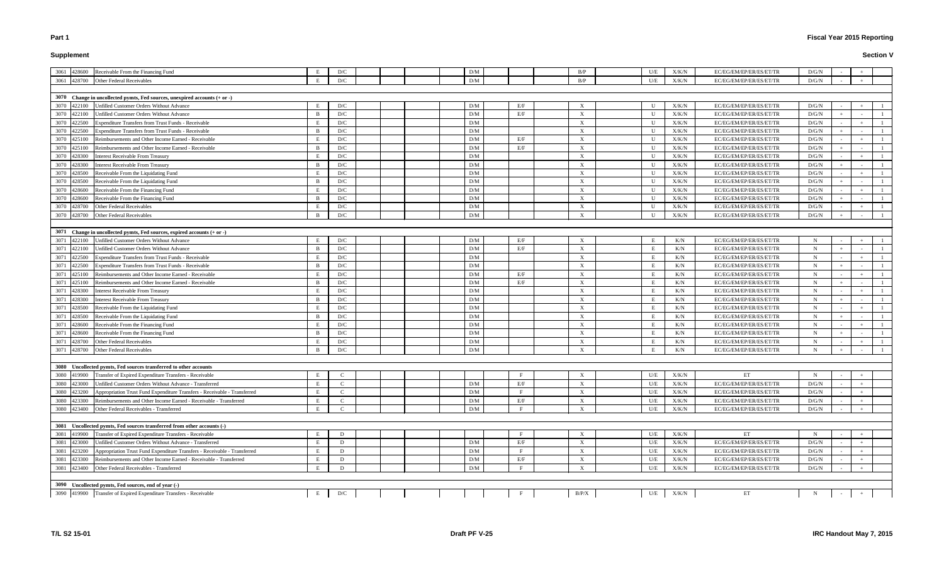# **Supplement**

| 3061 428600<br>Receivable From the Financing Fund                                           |                | D/C           |  | D/M             |     | B/P                       | U/E          | X/K/N         | EC/EG/EM/EP/ER/ES/ET/TR | D/G/N       |        |     |
|---------------------------------------------------------------------------------------------|----------------|---------------|--|-----------------|-----|---------------------------|--------------|---------------|-------------------------|-------------|--------|-----|
| 3061<br>428700<br>Other Federal Receivables                                                 | E              | D/C           |  | D/M             |     | B/P                       | U/E          | X/K/N         | EC/EG/EM/EP/ER/ES/ET/TR | D/G/N       |        |     |
|                                                                                             |                |               |  |                 |     |                           |              |               |                         |             |        |     |
| 3070 Change in uncollected pymts, Fed sources, unexpired accounts (+ or -)                  |                |               |  |                 |     |                           |              |               |                         |             |        |     |
| 3070 422100<br>Unfilled Customer Orders Without Advance                                     | E              | D/C           |  | D/M             | E/F | $\boldsymbol{\mathrm{X}}$ | U            | X/K/N         | EC/EG/EM/EP/ER/ES/ET/TR | D/G/N       |        |     |
| 3070 422100<br>Unfilled Customer Orders Without Advance                                     | $\mathbf{B}$   | D/C           |  | D/M             | E/F | $\boldsymbol{\mathrm{X}}$ | U            | X/K/N         | EC/EG/EM/EP/ER/ES/ET/TR | D/G/N       |        |     |
| 3070<br>422500<br>Expenditure Transfers from Trust Funds - Receivable                       | E              | D/C           |  | D/M             |     | $\boldsymbol{\mathrm{X}}$ | U            | X/K/N         | EC/EG/EM/EP/ER/ES/ET/TR | D/G/N       |        |     |
| 3070<br>422500<br>Expenditure Transfers from Trust Funds - Receivable                       | $\mathbf{B}$   | D/C           |  | D/M             |     | $\boldsymbol{\mathrm{X}}$ | $\mathbf{U}$ | ${\rm X/K/N}$ | EC/EG/EM/EP/ER/ES/ET/TR | D/G/N       |        |     |
| 3070<br>425100<br>Reimbursements and Other Income Earned - Receivable                       |                | D/C           |  | D/M             | E/F | X                         | $\mathbf{U}$ | X/K/N         | EC/EG/EM/EP/ER/ES/ET/TR | D/G/N       |        |     |
| 3070<br>425100<br>Reimbursements and Other Income Earned - Receivable                       | $\mathbf{R}$   | D/C           |  | D/M             | E/F | $\boldsymbol{\mathrm{X}}$ | U            | X/K/N         | EC/EG/EM/EP/ER/ES/ET/TR | D/G/N       |        |     |
| 3070 428300<br><b>Interest Receivable From Treasury</b>                                     | E              | D/C           |  | D/M             |     | $\boldsymbol{\mathrm{X}}$ | $\mathbf{U}$ | X/K/N         | EC/EG/EM/EP/ER/ES/ET/TR | D/G/N       |        |     |
| 3070 428300<br><b>Interest Receivable From Treasury</b>                                     | $\overline{B}$ | D/C           |  | D/M             |     | $\boldsymbol{\mathrm{X}}$ | $\mathbf U$  | X/K/N         | EC/EG/EM/EP/ER/ES/ET/TR | D/G/N       |        |     |
| 3070 428500<br>Receivable From the Liquidating Fund                                         | E              | D/C           |  | D/M             |     | $\boldsymbol{\mathrm{X}}$ | U            | X/K/N         | EC/EG/EM/EP/ER/ES/ET/TR | D/G/N       |        |     |
| 3070 428500<br>Receivable From the Liquidating Fund                                         | $\overline{B}$ | D/C           |  | D/M             |     | $\boldsymbol{\mathrm{X}}$ | U            | X/K/N         | EC/EG/EM/EP/ER/ES/ET/TR | D/G/N       |        |     |
| 3070<br>428600<br>Receivable From the Financing Fund                                        |                | D/C           |  | D/M             |     | $\boldsymbol{\mathrm{X}}$ | U            | X/K/N         | EC/EG/EM/EP/ER/ES/ET/TR | D/G/N       |        |     |
| 3070<br>Receivable From the Financing Fund<br>428600                                        | - B            | D/C           |  | D/M             |     | $\boldsymbol{\mathrm{X}}$ | U            | X/K/N         | EC/EG/EM/EP/ER/ES/ET/TR | D/G/N       |        |     |
| 3070<br>428700<br>Other Federal Receivables                                                 | E              | D/C           |  | D/M             |     | $\boldsymbol{\mathrm{X}}$ | U            | X/K/N         | EC/EG/EM/EP/ER/ES/ET/TR | D/G/N       |        |     |
| 3070 428700<br>Other Federal Receivables                                                    | B              | D/C           |  | D/M             |     | $\boldsymbol{\mathrm{X}}$ | U            | X/K/N         | EC/EG/EM/EP/ER/ES/ET/TR | D/G/N       |        |     |
|                                                                                             |                |               |  |                 |     |                           |              |               |                         |             |        |     |
| 3071 Change in uncollected pymts, Fed sources, expired accounts (+ or -)                    |                |               |  |                 |     |                           |              |               |                         |             |        |     |
| 3071<br>422100<br>Unfilled Customer Orders Without Advance                                  |                | D/C           |  | D/M             | E/F | X                         |              | K/N           | EC/EG/EM/EP/ER/ES/ET/TR |             |        |     |
| 3071<br>422100<br>Unfilled Customer Orders Without Advance                                  | $\mathbf{R}$   | D/C           |  | D/M             | E/F | $\boldsymbol{\mathrm{X}}$ | E            | K/N           | EC/EG/EM/EP/ER/ES/ET/TR | N           | $+$    |     |
| 3071                                                                                        | E              | D/C           |  | D/M             |     | $\boldsymbol{\mathrm{X}}$ | E            |               | EC/EG/EM/EP/ER/ES/ET/TR | N           |        |     |
| 422500<br>Expenditure Transfers from Trust Funds - Receivable                               |                |               |  |                 |     |                           |              | K/N           |                         |             |        |     |
| 3071<br>422500<br>Expenditure Transfers from Trust Funds - Receivable                       | $\overline{B}$ | D/C           |  | D/M             |     | $\boldsymbol{\mathrm{X}}$ | E            | K/N           | EC/EG/EM/EP/ER/ES/ET/TR | $\mathbf N$ |        |     |
| 3071<br>425100<br>Reimbursements and Other Income Earned - Receivable                       | E              | D/C           |  | D/M             | E/F | $\boldsymbol{\mathrm{X}}$ | E            | K/N           | EC/EG/EM/EP/ER/ES/ET/TR | N           |        |     |
| 3071<br>Reimbursements and Other Income Earned - Receivable<br>425100                       | $\overline{B}$ | D/C           |  | D/M             | E/F | $\boldsymbol{\mathrm{X}}$ | E            | K/N           | EC/EG/EM/EP/ER/ES/ET/TR | N           | $+$    |     |
| 3071<br>428300<br>Interest Receivable From Treasury                                         |                | D/C           |  | D/M             |     | $\boldsymbol{\mathrm{X}}$ | E            | K/N           | EC/EG/EM/EP/ER/ES/ET/TR | N           |        |     |
| 3071<br>428300<br>Interest Receivable From Treasury                                         | - B            | D/C           |  | D/M             |     | $\boldsymbol{\mathrm{X}}$ | E            | K/N           | EC/EG/EM/EP/ER/ES/ET/TR | N           |        |     |
| 3071<br>428500<br>Receivable From the Liquidating Fund                                      | E              | D/C           |  | D/M             |     | $\boldsymbol{\mathrm{X}}$ | E            | K/N           | EC/EG/EM/EP/ER/ES/ET/TR | N           |        |     |
| 3071<br>428500<br>Receivable From the Liquidating Fund                                      | B              | D/C           |  | D/M             |     | $\boldsymbol{\mathrm{X}}$ | E            | K/N           | EC/EG/EM/EP/ER/ES/ET/TR | $\mathbf N$ |        |     |
| 3071<br>428600<br>Receivable From the Financing Fund                                        | E              | D/C           |  | D/M             |     | $\boldsymbol{\mathrm{X}}$ | E            | K/N           | EC/EG/EM/EP/ER/ES/ET/TR | N           |        |     |
| 3071<br>428600<br>Receivable From the Financing Fund                                        | $\overline{B}$ | D/C           |  | D/M             |     | $\boldsymbol{\mathrm{X}}$ | E            | K/N           | EC/EG/EM/EP/ER/ES/ET/TR | N           | $+$    |     |
| 3071<br>428700<br>Other Federal Receivables                                                 |                | D/C           |  | D/M             |     | X                         | E            | K/N           | EC/EG/EM/EP/ER/ES/ET/TR | $\mathbf N$ |        |     |
| 3071<br>428700<br>Other Federal Receivables                                                 | $\overline{B}$ | D/C           |  | D/M             |     | $\boldsymbol{\mathrm{X}}$ | - E          | K/N           | EC/EG/EM/EP/ER/ES/ET/TR | N           |        |     |
|                                                                                             |                |               |  |                 |     |                           |              |               |                         |             |        |     |
| 3080 Uncollected pymts, Fed sources transferred to other accounts                           |                |               |  |                 |     |                           |              |               |                         |             |        |     |
| 3080 419900<br>Transfer of Expired Expenditure Transfers - Receivable                       | Е              |               |  |                 |     | X                         | U/E          | X/K/N         | ET                      | N           |        |     |
| 3080 423000<br>Unfilled Customer Orders Without Advance - Transferred                       | E              |               |  | D/M             | E/F | $\boldsymbol{\mathrm{X}}$ | U/E          | X/K/N         | EC/EG/EM/EP/ER/ES/ET/TR | D/G/N       |        |     |
| 3080<br>423200<br>Appropriation Trust Fund Expenditure Transfers - Receivable - Transferred | E              | C             |  | D/M             |     | $\boldsymbol{\mathrm{X}}$ | U/E          | X/K/N         | EC/EG/EM/EP/ER/ES/ET/TR | D/G/N       |        |     |
| 3080<br>423300<br>Reimbursements and Other Income Earned - Receivable - Transferred         | E              | C             |  | D/M             | E/F | $\boldsymbol{\mathrm{X}}$ | U/E          | X/K/N         | EC/EG/EM/EP/ER/ES/ET/TR | D/G/N       |        |     |
| 3080<br>423400<br>Other Federal Receivables - Transferred                                   | E              | $\mathcal{C}$ |  | D/M             | E   | $\boldsymbol{\mathrm{X}}$ | U/E          | X/K/N         | EC/EG/EM/EP/ER/ES/ET/TR | D/G/N       |        | $+$ |
|                                                                                             |                |               |  |                 |     |                           |              |               |                         |             |        |     |
| 3081 Uncollected pymts, Fed sources transferred from other accounts (-)                     |                |               |  |                 |     |                           |              |               |                         |             |        |     |
| 3081 419900<br>Transfer of Expired Expenditure Transfers - Receivable                       | E              | D             |  |                 |     | $\boldsymbol{\mathrm{X}}$ | U/E          | X/K/N         | ET                      |             | $\sim$ |     |
| 3081<br>423000<br>Unfilled Customer Orders Without Advance - Transferred                    | E              | D             |  | $\rm{D}/\rm{M}$ | E/F | X                         | U/E          | X/K/N         | EC/EG/EM/EP/ER/ES/ET/TR | D/G/N       |        |     |
| 3081<br>423200<br>Appropriation Trust Fund Expenditure Transfers - Receivable - Transferred | E              | D             |  | D/M             |     | $\boldsymbol{\mathrm{X}}$ | U/E          | X/K/N         | EC/EG/EM/EP/ER/ES/ET/TR | D/G/N       |        |     |
| 3081<br>Reimbursements and Other Income Earned - Receivable - Transferred<br>423300         | E              | D             |  | D/M             | E/F | $\boldsymbol{\mathrm{X}}$ | U/E          | X/K/N         | EC/EG/EM/EP/ER/ES/ET/TR | D/G/N       |        |     |
| 3081<br>423400<br>Other Federal Receivables - Transferred                                   | E              | D             |  | D/M             |     | $\boldsymbol{\mathrm{X}}$ | U/E          | X/K/N         | EC/EG/EM/EP/ER/ES/ET/TR | D/G/N       |        |     |
|                                                                                             |                |               |  |                 |     |                           |              |               |                         |             |        |     |
| 3090 Uncollected pymts, Fed sources, end of year (-)                                        |                |               |  |                 |     |                           |              |               |                         |             |        |     |
| 3090 419900 Transfer of Expired Expenditure Transfers - Receivable                          | E              | D/C           |  |                 |     | B/P/X                     | U/E          | X/K/N         | ET                      | $N_{\rm}$   |        |     |
|                                                                                             |                |               |  |                 |     |                           |              |               |                         |             |        |     |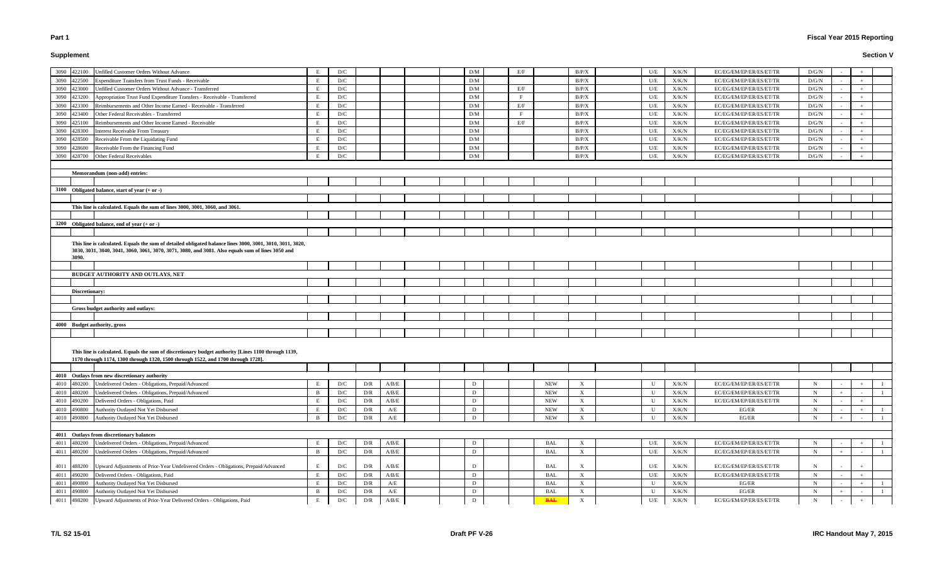# **Supplement**

# **Fiscal Year 2015 Reporting**

| Unfilled Customer Orders Without Advance<br>3090<br>422100                                                                                                                                                     |              | D/C                     |     |                                                                           |  | D/M | E/F |            | B/P/X        | U/E          | X/K/N         | EC/EG/EM/EP/ER/ES/ET/TR | D/G/N       |       |  |
|----------------------------------------------------------------------------------------------------------------------------------------------------------------------------------------------------------------|--------------|-------------------------|-----|---------------------------------------------------------------------------|--|-----|-----|------------|--------------|--------------|---------------|-------------------------|-------------|-------|--|
| <b>Expenditure Transfers from Trust Funds - Receivable</b><br>3090<br>422500                                                                                                                                   | E            | D/C                     |     |                                                                           |  | D/M |     |            | B/P/X        | U/E          | X/K/N         | EC/EG/EM/EP/ER/ES/ET/TR | D/G/N       |       |  |
| Unfilled Customer Orders Without Advance - Transferred<br>3090<br>23000                                                                                                                                        | E            | D/C                     |     |                                                                           |  | D/M | E/F |            | B/P/X        | U/E          | X/K/N         | EC/EG/EM/EP/ER/ES/ET/TR | D/G/N       |       |  |
| Appropriation Trust Fund Expenditure Transfers - Receivable - Transferred<br>3090<br>23200                                                                                                                     | E            | D/C                     |     |                                                                           |  | D/M |     |            | B/P/X        | U/E          | X/K/N         | EC/EG/EM/EP/ER/ES/ET/TR | D/G/N       |       |  |
| Reimbursements and Other Income Earned - Receivable - Transferred<br>3090<br>23300                                                                                                                             |              | D/C                     |     |                                                                           |  | D/M | E/F |            | B/P/X        | U/E          | X/K/N         | EC/EG/EM/EP/ER/ES/ET/TR | D/G/N       |       |  |
| Other Federal Receivables - Transferred<br>3090<br>423400                                                                                                                                                      |              | D/C                     |     |                                                                           |  | D/M |     |            | B/P/X        | U/E          | ${\rm X/K/N}$ | EC/EG/EM/EP/ER/ES/ET/TR | D/G/N       |       |  |
| Reimbursements and Other Income Earned - Receivable<br>3090<br>425100                                                                                                                                          |              | D/C                     |     |                                                                           |  | D/M | E/F |            | B/P/X        | U/E          | X/K/N         | EC/EG/EM/EP/ER/ES/ET/TR | D/G/N       | $\pm$ |  |
| <b>Interest Receivable From Treasury</b><br>3090<br>428300                                                                                                                                                     | E            | D/C                     |     |                                                                           |  | D/M |     |            | B/P/X        | U/E          | X/K/N         | EC/EG/EM/EP/ER/ES/ET/TR | D/G/N       |       |  |
| Receivable From the Liquidating Fund<br>3090<br>428500                                                                                                                                                         | $E_{\rm{c}}$ | D/C                     |     |                                                                           |  | D/M |     |            | B/P/X        | U/E          | X/K/N         | EC/EG/EM/EP/ER/ES/ET/TR | D/G/N       |       |  |
| Receivable From the Financing Fund<br>3090<br>428600                                                                                                                                                           | E            | D/C                     |     |                                                                           |  | D/M |     |            | B/P/X        | U/E          | X/K/N         | EC/EG/EM/EP/ER/ES/ET/TR | D/G/N       |       |  |
| Other Federal Receivables<br>428700<br>3090                                                                                                                                                                    |              | D/C                     |     |                                                                           |  | D/M |     |            | B/P/X        | U/E          | X/K/N         | EC/EG/EM/EP/ER/ES/ET/TR | D/G/N       |       |  |
|                                                                                                                                                                                                                |              |                         |     |                                                                           |  |     |     |            |              |              |               |                         |             |       |  |
| Memorandum (non-add) entries:                                                                                                                                                                                  |              |                         |     |                                                                           |  |     |     |            |              |              |               |                         |             |       |  |
|                                                                                                                                                                                                                |              |                         |     |                                                                           |  |     |     |            |              |              |               |                         |             |       |  |
| 3100 Obligated balance, start of year $(+ or -)$                                                                                                                                                               |              |                         |     |                                                                           |  |     |     |            |              |              |               |                         |             |       |  |
|                                                                                                                                                                                                                |              |                         |     |                                                                           |  |     |     |            |              |              |               |                         |             |       |  |
| This line is calculated. Equals the sum of lines 3000, 3001, 3060, and 3061.                                                                                                                                   |              |                         |     |                                                                           |  |     |     |            |              |              |               |                         |             |       |  |
|                                                                                                                                                                                                                |              |                         |     |                                                                           |  |     |     |            |              |              |               |                         |             |       |  |
| 3200 Obligated balance, end of year $(+ or -)$                                                                                                                                                                 |              |                         |     |                                                                           |  |     |     |            |              |              |               |                         |             |       |  |
|                                                                                                                                                                                                                |              |                         |     |                                                                           |  |     |     |            |              |              |               |                         |             |       |  |
|                                                                                                                                                                                                                |              |                         |     |                                                                           |  |     |     |            |              |              |               |                         |             |       |  |
| This line is calculated. Equals the sum of detailed obligated balance lines 3000, 3001, 3010, 3011, 3020,<br>3030, 3031, 3040, 3041, 3060, 3061, 3070, 3071, 3080, and 3081. Also equals sum of lines 3050 and |              |                         |     |                                                                           |  |     |     |            |              |              |               |                         |             |       |  |
| 3090.                                                                                                                                                                                                          |              |                         |     |                                                                           |  |     |     |            |              |              |               |                         |             |       |  |
|                                                                                                                                                                                                                |              |                         |     |                                                                           |  |     |     |            |              |              |               |                         |             |       |  |
| <b>BUDGET AUTHORITY AND OUTLAYS, NET</b>                                                                                                                                                                       |              |                         |     |                                                                           |  |     |     |            |              |              |               |                         |             |       |  |
|                                                                                                                                                                                                                |              |                         |     |                                                                           |  |     |     |            |              |              |               |                         |             |       |  |
| Discretionary:                                                                                                                                                                                                 |              |                         |     |                                                                           |  |     |     |            |              |              |               |                         |             |       |  |
|                                                                                                                                                                                                                |              |                         |     |                                                                           |  |     |     |            |              |              |               |                         |             |       |  |
| Gross budget authority and outlays:                                                                                                                                                                            |              |                         |     |                                                                           |  |     |     |            |              |              |               |                         |             |       |  |
|                                                                                                                                                                                                                |              |                         |     |                                                                           |  |     |     |            |              |              |               |                         |             |       |  |
| 4000 Budget authority, gross                                                                                                                                                                                   |              |                         |     |                                                                           |  |     |     |            |              |              |               |                         |             |       |  |
|                                                                                                                                                                                                                |              |                         |     |                                                                           |  |     |     |            |              |              |               |                         |             |       |  |
|                                                                                                                                                                                                                |              |                         |     |                                                                           |  |     |     |            |              |              |               |                         |             |       |  |
| This line is calculated. Equals the sum of discretionary budget authority [Lines 1100 through 1139,                                                                                                            |              |                         |     |                                                                           |  |     |     |            |              |              |               |                         |             |       |  |
| 1170 through 1174, 1300 through 1320, 1500 through 1522, and 1700 through 1728].                                                                                                                               |              |                         |     |                                                                           |  |     |     |            |              |              |               |                         |             |       |  |
|                                                                                                                                                                                                                |              |                         |     |                                                                           |  |     |     |            |              |              |               |                         |             |       |  |
| 4010 Outlays from new discretionary authority                                                                                                                                                                  |              |                         |     |                                                                           |  |     |     |            |              |              |               |                         |             |       |  |
| Undelivered Orders - Obligations, Prepaid/Advanced<br>4010 480200                                                                                                                                              |              | D/C                     | D/R | A/B/E                                                                     |  | D   |     | <b>NEW</b> | $\mathbf{X}$ | U            | X/K/N         | EC/EG/EM/EP/ER/ES/ET/TR | $\mathbf N$ |       |  |
| 4010<br>Undelivered Orders - Obligations, Prepaid/Advanced<br>480200                                                                                                                                           | B            | D/C                     | D/R | A/B/E                                                                     |  | D   |     | <b>NEW</b> | X            | U            | X/K/N         | EC/EG/EM/EP/ER/ES/ET/TR | $\mathbf N$ |       |  |
| 4010<br>Delivered Orders - Obligations, Paid<br>490200                                                                                                                                                         |              | D/C                     | D/R | $\ensuremath{\mathrm{A}}/\ensuremath{\mathrm{B}}/\ensuremath{\mathrm{E}}$ |  | D   |     | <b>NEW</b> | X            | U            | X/K/N         | EC/EG/EM/EP/ER/ES/ET/TR | $\mathbf N$ |       |  |
| Authority Outlayed Not Yet Disbursed<br>4010<br>490800                                                                                                                                                         |              | D/C                     | D/R | A/E                                                                       |  | D   |     | <b>NEW</b> | X            | U            | X/K/N         | EG/ER                   | $\mathbf N$ |       |  |
| Authority Outlayed Not Yet Disbursed<br>4010 490800                                                                                                                                                            | B            | D/C                     | D/R | A/E                                                                       |  | D   |     | <b>NEW</b> | X            | $\mathbf{U}$ | X/K/N         | EG/ER                   | $\mathbf N$ |       |  |
|                                                                                                                                                                                                                |              |                         |     |                                                                           |  |     |     |            |              |              |               |                         |             |       |  |
| 4011 Outlays from discretionary balances                                                                                                                                                                       |              |                         |     |                                                                           |  |     |     |            |              |              |               |                         |             |       |  |
| Undelivered Orders - Obligations, Prepaid/Advanced<br>4011<br>480200                                                                                                                                           | E            | D/C                     | D/R | A/B/E                                                                     |  | D   |     | <b>BAL</b> | X            | U/E          | X/K/N         | EC/EG/EM/EP/ER/ES/ET/TR | $\mathbf N$ |       |  |
| Undelivered Orders - Obligations, Prepaid/Advanced<br>4011<br>480200                                                                                                                                           | B            | $\mathbf{D}/\mathbf{C}$ | D/R | $\ensuremath{\mathrm{A}}/\ensuremath{\mathrm{B}}/\ensuremath{\mathrm{E}}$ |  | D   |     | <b>BAL</b> | $\mathbf X$  | $U\!/\!E$    | ${\rm X/K/N}$ | EC/EG/EM/EP/ER/ES/ET/TR | N           |       |  |
| Upward Adjustments of Prior-Year Undelivered Orders - Obligations, Prepaid/Advanced<br>4011 488200                                                                                                             |              | D/C                     | D/R | A/B/E                                                                     |  | D   |     | <b>BAL</b> | X            | U/E          | X/K/N         | EC/EG/EM/EP/ER/ES/ET/TR | $\mathbf N$ |       |  |
| Delivered Orders - Obligations, Paid<br>4011<br>490200                                                                                                                                                         |              | D/C                     | D/R | $\rm A/B/E$                                                               |  | D   |     | <b>BAL</b> | X            | U/E          | X/K/N         | EC/EG/EM/EP/ER/ES/ET/TR | $\mathbf N$ |       |  |
| 4011<br>Authority Outlayed Not Yet Disbursed<br>490800                                                                                                                                                         | $E_{\rm{c}}$ | D/C                     | D/R | $\mathbf{A}/\mathbf{E}$                                                   |  | D   |     | <b>BAL</b> | $\mathbf{X}$ | U            | X/K/N         | EG/ER                   | $\mathbf N$ |       |  |
| Authority Outlayed Not Yet Disbursed<br>4011<br>490800                                                                                                                                                         | B            | D/C                     | D/R | $\mathbf{A}/\mathbf{E}$                                                   |  | D   |     | <b>BAL</b> | X            | U            | X/K/N         | EG/ER                   | $\mathbf N$ |       |  |
| Upward Adjustments of Prior-Year Delivered Orders - Obligations, Paid<br>4011 498200                                                                                                                           | E            | D/C                     | D/R | A/B/E                                                                     |  | D   |     | <b>BAL</b> | $\mathbf{X}$ | $U\!/\!E$    | X/K/N         | EC/EG/EM/EP/ER/ES/ET/TR | $\mathbf N$ |       |  |
|                                                                                                                                                                                                                |              |                         |     |                                                                           |  |     |     |            |              |              |               |                         |             |       |  |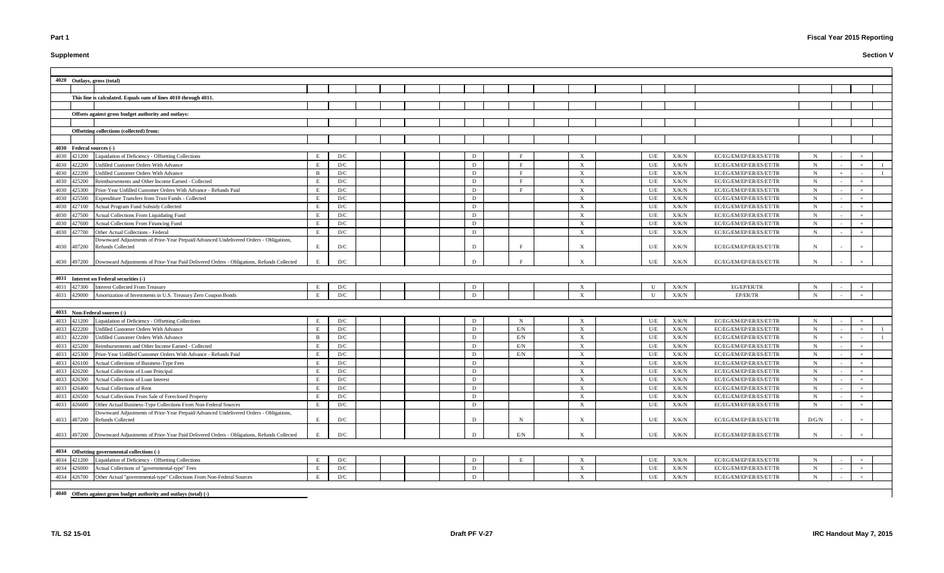# **Supplement**

# **Fiscal Year 2015 Reporting**

|      |                          | 4020 Outlays, gross (total)                                                                           |   |     |  |   |              |                           |              |               |                         |             |     |
|------|--------------------------|-------------------------------------------------------------------------------------------------------|---|-----|--|---|--------------|---------------------------|--------------|---------------|-------------------------|-------------|-----|
|      |                          |                                                                                                       |   |     |  |   |              |                           |              |               |                         |             |     |
|      |                          | This line is calculated. Equals sum of lines 4010 through 4011.                                       |   |     |  |   |              |                           |              |               |                         |             |     |
|      |                          |                                                                                                       |   |     |  |   |              |                           |              |               |                         |             |     |
|      |                          | Offsets against gross budget authority and outlays:                                                   |   |     |  |   |              |                           |              |               |                         |             |     |
|      |                          |                                                                                                       |   |     |  |   |              |                           |              |               |                         |             |     |
|      |                          | Offsetting collections (collected) from:                                                              |   |     |  |   |              |                           |              |               |                         |             |     |
|      |                          |                                                                                                       |   |     |  |   |              |                           |              |               |                         |             |     |
|      | 4030 Federal sources (-) |                                                                                                       |   |     |  |   |              |                           |              |               |                         |             |     |
|      | 4030 421200              | Liquidation of Deficiency - Offsetting Collections                                                    |   | D/C |  | D |              | X                         | U/E          | X/K/N         | EC/EG/EM/EP/ER/ES/ET/TR | N           |     |
|      | 4030 422200              | Unfilled Customer Orders With Advance                                                                 |   | D/C |  | D |              | X                         | U/E          | X/K/N         | EC/EG/EM/EP/ER/ES/ET/TR | $\mathbf N$ |     |
|      | 4030 422200              | <b>Unfilled Customer Orders With Advance</b>                                                          |   | D/C |  | D |              | X                         | U/E          | X/K/N         | EC/EG/EM/EP/ER/ES/ET/TR | $\mathbf N$ |     |
|      | 4030 425200              | Reimbursements and Other Income Earned - Collected                                                    |   | D/C |  | D | <b>D</b>     | X                         | U/E          | X/K/N         | EC/EG/EM/EP/ER/ES/ET/TR | $\mathbf N$ |     |
|      | 4030 425300              | Prior-Year Unfilled Customer Orders With Advance - Refunds Paid                                       |   | D/C |  | D | $\mathbf{F}$ | $\mathbf{X}$              | U/E          | X/K/N         | EC/EG/EM/EP/ER/ES/ET/TR | $\mathbf N$ |     |
| 4030 | 425500                   | Expenditure Transfers from Trust Funds - Collected                                                    |   | D/C |  | D |              | $\mathbf{X}$              | U/E          | X/K/N         | EC/EG/EM/EP/ER/ES/ET/TR | $\mathbf N$ |     |
| 4030 | 427100                   | Actual Program Fund Subsidy Collected                                                                 |   | D/C |  | D |              | $\mathbf{X}$              | U/E          | ${\rm X/K/N}$ | EC/EG/EM/EP/ER/ES/ET/TR | $\mathbf N$ |     |
|      | 4030 427500              | Actual Collections From Liquidating Fund                                                              |   | D/C |  | D |              | $\mathbf{X}$              | U/E          | X/K/N         | EC/EG/EM/EP/ER/ES/ET/TR | $\mathbf N$ |     |
|      | 4030 427600              | Actual Collections From Financing Fund                                                                |   | D/C |  | D |              | $\mathbf{X}$              | U/E          | X/K/N         | EC/EG/EM/EP/ER/ES/ET/TR | $\mathbf N$ |     |
|      | 4030 427700              | Other Actual Collections - Federal                                                                    |   | D/C |  | D |              | $\mathbf{X}$              | U/E          | X/K/N         | EC/EG/EM/EP/ER/ES/ET/TR | $\mathbf N$ |     |
|      |                          | Downward Adjustments of Prior-Year Prepaid/Advanced Undelivered Orders - Obligations,                 |   |     |  |   |              |                           |              |               |                         |             |     |
|      |                          | 4030 487200 Refunds Collected                                                                         |   | D/C |  | D |              | X                         | U/E          | X/K/N         | EC/EG/EM/EP/ER/ES/ET/TR | N           |     |
|      |                          |                                                                                                       |   |     |  |   |              |                           |              |               |                         |             |     |
|      |                          | 4030 497200 Downward Adjustments of Prior-Year Paid Delivered Orders - Obligations, Refunds Collected |   | D/C |  | D |              |                           | U/E          | X/K/N         | EC/EG/EM/EP/ER/ES/ET/TR | N           |     |
|      |                          |                                                                                                       |   |     |  |   |              |                           |              |               |                         |             |     |
|      |                          | 4031 Interest on Federal securities (-)                                                               |   |     |  |   |              |                           |              |               |                         |             |     |
|      | 4031 427300              | <b>Interest Collected From Treasury</b>                                                               |   | D/C |  | D |              | $\boldsymbol{\mathrm{X}}$ | U            | X/K/N         | EG/EP/ER/TR             | $\mathbf N$ |     |
|      |                          | 4031 429000 Amortization of Investments in U.S. Treasury Zero Coupon Bonds                            |   | D/C |  | D |              | $\mathbf{X}$              | $\mathbf{U}$ | X/K/N         | EP/ER/TR                | $\mathbf N$ |     |
|      |                          |                                                                                                       |   |     |  |   |              |                           |              |               |                         |             |     |
|      |                          | 4033 Non-Federal sources (-)                                                                          |   |     |  |   |              |                           |              |               |                         |             |     |
|      | 4033 421200              | Liquidation of Deficiency - Offsetting Collections                                                    |   | D/C |  | D | -N           | X                         | U/E          | X/K/N         | EC/EG/EM/EP/ER/ES/ET/TR | $\mathbf N$ |     |
|      | 4033 422200              | Unfilled Customer Orders With Advance                                                                 |   | D/C |  | D | E/N          | $\mathbf{X}$              | U/E          | X/K/N         | EC/EG/EM/EP/ER/ES/ET/TR | $\mathbf N$ |     |
|      | 4033 422200              | Unfilled Customer Orders With Advance                                                                 |   | D/C |  | D | E/N          | X                         | U/E          | X/K/N         | EC/EG/EM/EP/ER/ES/ET/TR | $\mathbf N$ |     |
|      | 4033 425200              | Reimbursements and Other Income Earned - Collected                                                    |   | D/C |  | D | E/N          | X                         | U/E          | X/K/N         | EC/EG/EM/EP/ER/ES/ET/TR | $\mathbf N$ |     |
|      | 4033 425300              | Prior-Year Unfilled Customer Orders With Advance - Refunds Paid                                       |   | D/C |  | D | E/N          | $\boldsymbol{\mathrm{X}}$ | U/E          | ${\rm X/K/N}$ | EC/EG/EM/EP/ER/ES/ET/TR | $\mathbf N$ |     |
|      | 4033 426100              | Actual Collections of Business-Type Fees                                                              |   | D/C |  | D |              | X                         | U/E          | ${\rm X/K/N}$ | EC/EG/EM/EP/ER/ES/ET/TR | $\mathbf N$ |     |
|      |                          | 4033 426200 Actual Collections of Loan Principal                                                      |   | D/C |  | D |              | X                         | U/E          | X/K/N         | EC/EG/EM/EP/ER/ES/ET/TR | N           | $+$ |
|      | 4033 426300              | Actual Collections of Loan Interest                                                                   | E | D/C |  | D |              | $\mathbf{X}$              | U/E          | X/K/N         | EC/EG/EM/EP/ER/ES/ET/TR | $\mathbf N$ |     |
|      | 4033 426400              | Actual Collections of Rent                                                                            | E | D/C |  | D |              | X                         | U/E          | X/K/N         | EC/EG/EM/EP/ER/ES/ET/TR | $\mathbf N$ |     |
|      |                          | 4033 426500 Actual Collections From Sale of Foreclosed Property                                       |   | D/C |  | D |              | $\mathbf{X}$              | U/E          | X/K/N         | EC/EG/EM/EP/ER/ES/ET/TR | $\mathbf N$ |     |
|      |                          | 4033 426600 Other Actual Business-Type Collections From Non-Federal Sources                           |   | D/C |  | D |              | $\boldsymbol{\mathrm{X}}$ | U/E          | X/K/N         | EC/EG/EM/EP/ER/ES/ET/TR | $\mathbf N$ |     |
|      |                          | Downward Adjustments of Prior-Year Prepaid/Advanced Undelivered Orders - Obligations,                 |   |     |  |   |              |                           |              |               |                         |             |     |
|      |                          | 4033 487200 Refunds Collected                                                                         |   | D/C |  | D | N            | X                         | U/E          | X/K/N         | EC/EG/EM/EP/ER/ES/ET/TR | D/G/N       |     |
|      |                          | 4033 497200 Downward Adjustments of Prior-Year Paid Delivered Orders - Obligations, Refunds Collected |   | D/C |  |   |              |                           |              |               |                         |             |     |
|      |                          |                                                                                                       |   |     |  |   | E/N          |                           | U/E          | X/K/N         | EC/EG/EM/EP/ER/ES/ET/TR | N           |     |
|      |                          |                                                                                                       |   |     |  |   |              |                           |              |               |                         |             |     |
|      |                          | 4034 Offsetting governmental collections (-)                                                          |   |     |  |   |              |                           |              |               |                         |             |     |
|      |                          | 4034 421200 Liquidation of Deficiency - Offsetting Collections                                        |   | D/C |  | D |              | $\mathbf{X}$              | U/E          | X/K/N         | EC/EG/EM/EP/ER/ES/ET/TR | $\mathbf N$ |     |
|      |                          | 4034 426000 Actual Collections of "governmental-type" Fees                                            | E | D/C |  | D |              | X                         | U/E          | X/K/N         | EC/EG/EM/EP/ER/ES/ET/TR | $\mathbf N$ |     |
|      |                          | 4034 426700 Other Actual "governmental-type" Collections From Non-Federal Sources                     | E | D/C |  | D |              | X                         | U/E          | X/K/N         | EC/EG/EM/EP/ER/ES/ET/TR | $\mathbf N$ |     |
|      |                          |                                                                                                       |   |     |  |   |              |                           |              |               |                         |             |     |
|      |                          | 4040 Offsets against gross budget authority and outlays (total) (-)                                   |   |     |  |   |              |                           |              |               |                         |             |     |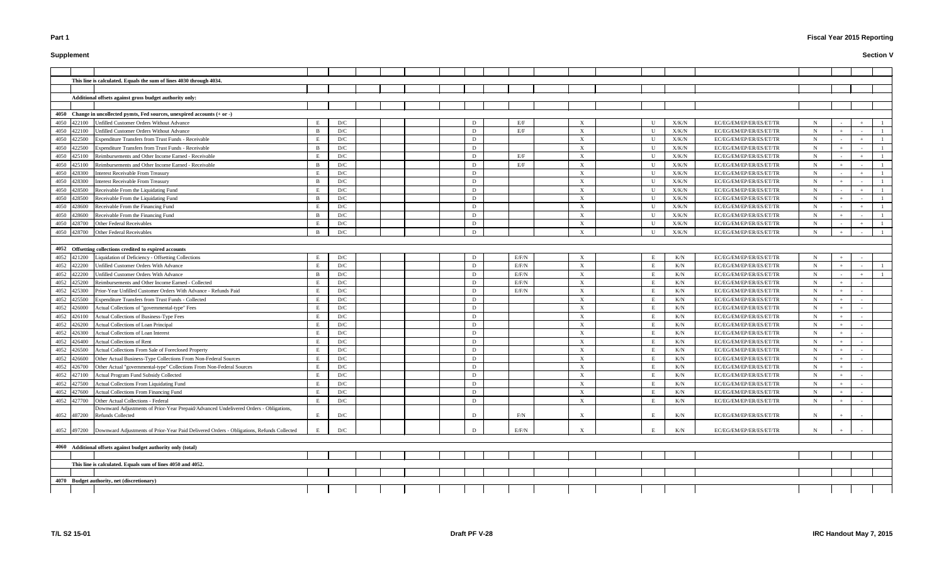# **Supplement**

|             |             | This line is calculated. Equals the sum of lines 4030 through 4034.                                        |                |                         |  |  |             |       |                           |                |           |                         |             |     |  |
|-------------|-------------|------------------------------------------------------------------------------------------------------------|----------------|-------------------------|--|--|-------------|-------|---------------------------|----------------|-----------|-------------------------|-------------|-----|--|
|             |             |                                                                                                            |                |                         |  |  |             |       |                           |                |           |                         |             |     |  |
|             |             | Additional offsets against gross budget authority only:                                                    |                |                         |  |  |             |       |                           |                |           |                         |             |     |  |
|             |             |                                                                                                            |                |                         |  |  |             |       |                           |                |           |                         |             |     |  |
|             |             | 4050 Change in uncollected pymts, Fed sources, unexpired accounts (+ or -)                                 |                |                         |  |  |             |       |                           |                |           |                         |             |     |  |
| 4050        | 422100      | Unfilled Customer Orders Without Advance                                                                   |                | D/C                     |  |  | D           | E/F   | X                         |                | X/K/N     | EC/EG/EM/EP/ER/ES/ET/TR | N           |     |  |
| 4050        | 422100      | Unfilled Customer Orders Without Advance                                                                   | $\overline{B}$ | D/C                     |  |  | D           | E/F   | $\boldsymbol{\mathrm{X}}$ | $\mathbf{H}$   | X/K/N     | EC/EG/EM/EP/ER/ES/ET/TR | N           |     |  |
| 4050        | 422500      | Expenditure Transfers from Trust Funds - Receivable                                                        | E              | D/C                     |  |  | D           |       | X                         | $\blacksquare$ | X/K/N     | EC/EG/EM/EP/ER/ES/ET/TR | N           |     |  |
| 4050        | 422500      | Expenditure Transfers from Trust Funds - Receivable                                                        | $\overline{B}$ | D/C                     |  |  | D           |       | X                         | $\blacksquare$ | X/K/N     | EC/EG/EM/EP/ER/ES/ET/TR | N           |     |  |
| 4050        | 425100      | Reimbursements and Other Income Earned - Receivable                                                        | E              | D/C                     |  |  | D           | E/F   | $\boldsymbol{\mathrm{X}}$ | U              | X/K/N     | EC/EG/EM/EP/ER/ES/ET/TR |             |     |  |
| 4050        | 425100      | Reimbursements and Other Income Earned - Receivable                                                        | $\overline{B}$ | D/C                     |  |  | D           | E/F   | $\boldsymbol{\mathrm{X}}$ | - U            | X/K/N     | EC/EG/EM/EP/ER/ES/ET/TR | N           |     |  |
| 4050 428300 |             | <b>Interest Receivable From Treasury</b>                                                                   | E              | D/C                     |  |  | D           |       | $\boldsymbol{\mathrm{X}}$ | U              | X/K/N     | EC/EG/EM/EP/ER/ES/ET/TR | N           |     |  |
| 4050        | 428300      | <b>Interest Receivable From Treasury</b>                                                                   | B              | D/C                     |  |  | D           |       | $\boldsymbol{\mathrm{X}}$ | U              | X/K/N     | EC/EG/EM/EP/ER/ES/ET/TR | N           |     |  |
| 4050        | 428500      | Receivable From the Liquidating Fund                                                                       | E              | D/C                     |  |  | D           |       | $\boldsymbol{\mathrm{X}}$ | U              | X/K/N     | EC/EG/EM/EP/ER/ES/ET/TR | N           |     |  |
| 4050        | 428500      | Receivable From the Liquidating Fund                                                                       | B              | D/C                     |  |  | D           |       | $\boldsymbol{\mathrm{X}}$ | U              | X/K/N     | EC/EG/EM/EP/ER/ES/ET/TR | N           |     |  |
| 4050        | 428600      | Receivable From the Financing Fund                                                                         | E              | D/C                     |  |  | D           |       | $\boldsymbol{\mathrm{X}}$ | $\mathbf{U}$   | X/K/N     | EC/EG/EM/EP/ER/ES/ET/TR | N           |     |  |
| 4050        | 428600      | Receivable From the Financing Fund                                                                         | <sup>B</sup>   | D/C                     |  |  | D           |       | $\boldsymbol{\mathrm{X}}$ | $\blacksquare$ | X/K/N     | EC/EG/EM/EP/ER/ES/ET/TR | N           |     |  |
|             | 4050 428700 | Other Federal Receivables                                                                                  | E              | D/C                     |  |  | D           |       | $\boldsymbol{\mathrm{X}}$ |                | X/K/N     | EC/EG/EM/EP/ER/ES/ET/TR | N           |     |  |
|             | 4050 428700 | Other Federal Receivables                                                                                  | - B            | D/C                     |  |  | D           |       | $\boldsymbol{\mathrm{X}}$ | $\blacksquare$ | X/K/N     | EC/EG/EM/EP/ER/ES/ET/TR | N           |     |  |
|             |             |                                                                                                            |                |                         |  |  |             |       |                           |                |           |                         |             |     |  |
|             |             | 4052 Offsetting collections credited to expired accounts                                                   |                |                         |  |  |             |       |                           |                |           |                         |             |     |  |
| 4052 421200 |             | Liquidation of Deficiency - Offsetting Collections                                                         |                | D/C                     |  |  | D           | E/F/N | $\boldsymbol{\mathrm{X}}$ |                | K/N       | EC/EG/EM/EP/ER/ES/ET/TR |             |     |  |
| 4052 422200 |             | Unfilled Customer Orders With Advance                                                                      | E              | D/C                     |  |  | D           | E/F/N | $\boldsymbol{\mathrm{X}}$ | E              | K/N       | EC/EG/EM/EP/ER/ES/ET/TR | N           |     |  |
| 4052        | 422200      | Unfilled Customer Orders With Advance                                                                      | B              | D/C                     |  |  | D           | E/F/N | $\boldsymbol{\mathrm{X}}$ |                | K/N       | EC/EG/EM/EP/ER/ES/ET/TR | N           |     |  |
| 4052        | 425200      | Reimbursements and Other Income Earned - Collected                                                         | E              | D/C                     |  |  | D           | E/F/N | $\boldsymbol{\mathrm{X}}$ |                | K/N       | EC/EG/EM/EP/ER/ES/ET/TR | N           |     |  |
| 4052        | 425300      | Prior-Year Unfilled Customer Orders With Advance - Refunds Paid                                            | E              | D/C                     |  |  | D           | E/F/N | $\boldsymbol{\mathrm{X}}$ | E              | K/N       | EC/EG/EM/EP/ER/ES/ET/TR | N           |     |  |
| 4052        | 425500      | Expenditure Transfers from Trust Funds - Collected                                                         | E              | D/C                     |  |  | D           |       | X                         |                | K/N       | EC/EG/EM/EP/ER/ES/ET/TR | N           |     |  |
| 4052        | 426000      | Actual Collections of "governmental-type" Fees                                                             | E              | D/C                     |  |  | D           |       | $\boldsymbol{\mathrm{X}}$ |                | K/N       | EC/EG/EM/EP/ER/ES/ET/TR |             |     |  |
| 4052        | 426100      | Actual Collections of Business-Type Fees                                                                   | E              | D/C                     |  |  | D           |       | $\mathbf X$               |                | K/N       | EC/EG/EM/EP/ER/ES/ET/TR | N           |     |  |
| 4052        | 426200      | Actual Collections of Loan Principal                                                                       |                | D/C                     |  |  | D           |       | X                         |                | K/N       | EC/EG/EM/EP/ER/ES/ET/TR | N           |     |  |
| 4052        | 426300      | Actual Collections of Loan Interest                                                                        |                | D/C                     |  |  | D           |       | X                         |                | K/N       | EC/EG/EM/EP/ER/ES/ET/TR | N           |     |  |
| 4052        | 426400      | Actual Collections of Rent                                                                                 |                | D/C                     |  |  | D           |       | X                         |                | K/N       | EC/EG/EM/EP/ER/ES/ET/TR |             |     |  |
| 4052        | 426500      | Actual Collections From Sale of Foreclosed Property                                                        |                | D/C                     |  |  | D           |       | X                         |                | K/N       | EC/EG/EM/EP/ER/ES/ET/TR |             |     |  |
| 4052        | 426600      | Other Actual Business-Type Collections From Non-Federal Sources                                            | E              | D/C                     |  |  | D           |       | X                         | Ε              | K/N       | EC/EG/EM/EP/ER/ES/ET/TR | N           |     |  |
|             |             | 4052 426700 Other Actual "governmental-type" Collections From Non-Federal Sources                          | E              | $\mathbf{D}/\mathbf{C}$ |  |  | $\mathbf D$ |       | $\mathbf X$               | $\mathbf E$    | $\rm K/N$ | EC/EG/EM/EP/ER/ES/ET/TR | $\mathbf N$ | $+$ |  |
| 4052        | 427100      | Actual Program Fund Subsidy Collected                                                                      | E              | D/C                     |  |  | D           |       | $\boldsymbol{\mathrm{X}}$ | Ε              | K/N       | EC/EG/EM/EP/ER/ES/ET/TR | N           |     |  |
| 4052        | 427500      | Actual Collections From Liquidating Fund                                                                   | E              | D/C                     |  |  | D           |       | X                         | E              | K/N       | EC/EG/EM/EP/ER/ES/ET/TR | N           |     |  |
| 4052        | 427600      | Actual Collections From Financing Fund                                                                     | E              | D/C                     |  |  | D           |       | $\mathbf X$               | E              | K/N       | EC/EG/EM/EP/ER/ES/ET/TR | N           |     |  |
| 4052        | 427700      | Other Actual Collections - Federal                                                                         | E              | D/C                     |  |  | D           |       | $\boldsymbol{\mathrm{X}}$ | E              | K/N       | EC/EG/EM/EP/ER/ES/ET/TR | N           |     |  |
|             | 4052 487200 | Downward Adjustments of Prior-Year Prepaid/Advanced Undelivered Orders - Obligations,<br>Refunds Collected | E              | D/C                     |  |  | D           | F/N   | $\mathbf X$               |                | K/N       | EC/EG/EM/EP/ER/ES/ET/TR |             |     |  |
| 4052 497200 |             | Downward Adjustments of Prior-Year Paid Delivered Orders - Obligations, Refunds Collected                  |                | D/C                     |  |  | D           | E/F/N | X                         |                | K/N       | EC/EG/EM/EP/ER/ES/ET/TR |             |     |  |
|             |             |                                                                                                            |                |                         |  |  |             |       |                           |                |           |                         |             |     |  |
|             |             | 4060 Additional offsets against budget authority only (total)                                              |                |                         |  |  |             |       |                           |                |           |                         |             |     |  |
|             |             |                                                                                                            |                |                         |  |  |             |       |                           |                |           |                         |             |     |  |
|             |             | This line is calculated. Equals sum of lines 4050 and 4052.                                                |                |                         |  |  |             |       |                           |                |           |                         |             |     |  |
|             |             |                                                                                                            |                |                         |  |  |             |       |                           |                |           |                         |             |     |  |
|             |             | 4070 Budget authority, net (discretionary)                                                                 |                |                         |  |  |             |       |                           |                |           |                         |             |     |  |
|             |             |                                                                                                            |                |                         |  |  |             |       |                           |                |           |                         |             |     |  |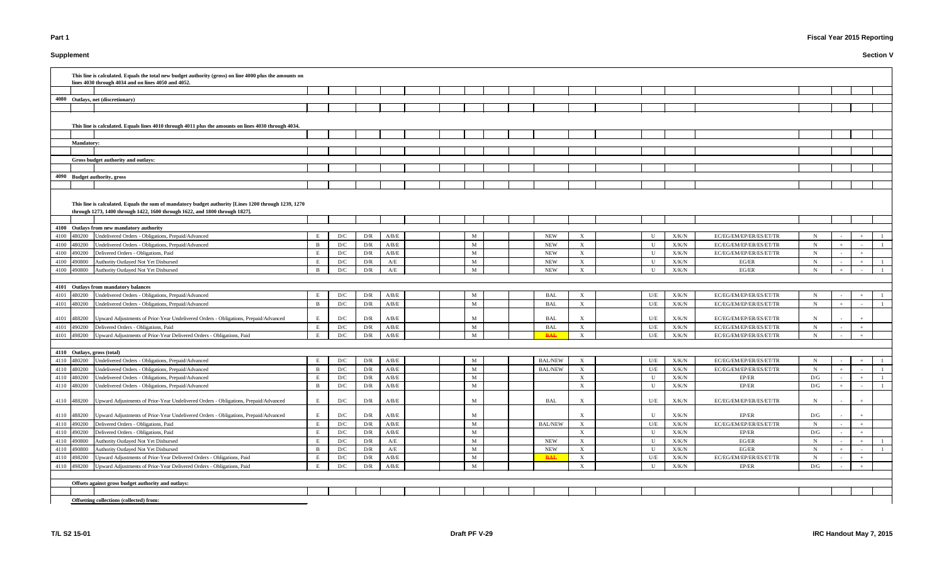# **Supplement**

# **Fiscal Year 2015 Reporting**

|                              | This line is calculated. Equals the total new budget authority (gross) on line 4000 plus the amounts on<br>lines 4030 through 4034 and on lines 4050 and 4052.                     |                |     |     |                                                                           |  |              |  |                |                           |              |               |                         |             |        |  |
|------------------------------|------------------------------------------------------------------------------------------------------------------------------------------------------------------------------------|----------------|-----|-----|---------------------------------------------------------------------------|--|--------------|--|----------------|---------------------------|--------------|---------------|-------------------------|-------------|--------|--|
|                              |                                                                                                                                                                                    |                |     |     |                                                                           |  |              |  |                |                           |              |               |                         |             |        |  |
|                              | 4080 Outlays, net (discretionary)                                                                                                                                                  |                |     |     |                                                                           |  |              |  |                |                           |              |               |                         |             |        |  |
|                              |                                                                                                                                                                                    |                |     |     |                                                                           |  |              |  |                |                           |              |               |                         |             |        |  |
|                              | This line is calculated. Equals lines 4010 through 4011 plus the amounts on lines 4030 through 4034.                                                                               |                |     |     |                                                                           |  |              |  |                |                           |              |               |                         |             |        |  |
|                              |                                                                                                                                                                                    |                |     |     |                                                                           |  |              |  |                |                           |              |               |                         |             |        |  |
| <b>Mandatory:</b>            |                                                                                                                                                                                    |                |     |     |                                                                           |  |              |  |                |                           |              |               |                         |             |        |  |
|                              |                                                                                                                                                                                    |                |     |     |                                                                           |  |              |  |                |                           |              |               |                         |             |        |  |
|                              | Gross budget authority and outlays:                                                                                                                                                |                |     |     |                                                                           |  |              |  |                |                           |              |               |                         |             |        |  |
|                              |                                                                                                                                                                                    |                |     |     |                                                                           |  |              |  |                |                           |              |               |                         |             |        |  |
| 4090 Budget authority, gross |                                                                                                                                                                                    |                |     |     |                                                                           |  |              |  |                |                           |              |               |                         |             |        |  |
|                              |                                                                                                                                                                                    |                |     |     |                                                                           |  |              |  |                |                           |              |               |                         |             |        |  |
|                              | This line is calculated. Equals the sum of mandatory budget authority [Lines 1200 through 1239, 1270<br>through 1273, 1400 through 1422, 1600 through 1622, and 1800 through 1827] |                |     |     |                                                                           |  |              |  |                |                           |              |               |                         |             |        |  |
|                              | 4100 Outlays from new mandatory authority                                                                                                                                          |                |     |     |                                                                           |  |              |  |                |                           |              |               |                         |             |        |  |
| 4100 480200                  | Undelivered Orders - Obligations, Prepaid/Advanced                                                                                                                                 | E.             | D/C | D/R | A/B/E                                                                     |  | M            |  | <b>NEW</b>     | X                         | U            | X/K/N         | EC/EG/EM/EP/ER/ES/ET/TR | N           |        |  |
| 4100<br>480200               | Undelivered Orders - Obligations, Prepaid/Advanced                                                                                                                                 | B              | D/C | D/R | A/B/E                                                                     |  | M            |  | <b>NEW</b>     | $\mathbf{X}$              | U            | X/K/N         | EC/EG/EM/EP/ER/ES/ET/TR | $\mathbf N$ |        |  |
| 4100<br>490200               | Delivered Orders - Obligations, Paid                                                                                                                                               | E              | D/C | D/R | A/B/E                                                                     |  | M            |  | <b>NEW</b>     | $\boldsymbol{\mathrm{X}}$ | U            | X/K/N         | EC/EG/EM/EP/ER/ES/ET/TR | N           | $+$    |  |
| 4100<br>490800               | Authority Outlayed Not Yet Disbursed                                                                                                                                               | E.             | D/C | D/R | A/E                                                                       |  | M            |  | <b>NEW</b>     | $\boldsymbol{\mathrm{X}}$ | $\mathbf{U}$ | X/K/N         | EG/ER                   | N           | $+$    |  |
| 4100<br>490800               | Authority Outlayed Not Yet Disbursed                                                                                                                                               | $\overline{B}$ | D/C | D/R | A/E                                                                       |  | M            |  | <b>NEW</b>     | $\boldsymbol{\mathrm{X}}$ | $\mathbf{U}$ | X/K/N         | EG/ER                   | $\mathbf N$ |        |  |
|                              |                                                                                                                                                                                    |                |     |     |                                                                           |  |              |  |                |                           |              |               |                         |             |        |  |
|                              | 4101 Outlays from mandatory balances                                                                                                                                               |                |     |     |                                                                           |  |              |  |                |                           |              |               |                         |             |        |  |
| 4101<br>480200               | Undelivered Orders - Obligations, Prepaid/Advanced                                                                                                                                 | E              | D/C | D/R | A/B/E                                                                     |  | M            |  | <b>BAL</b>     | $\boldsymbol{\mathrm{X}}$ | U/E          | X/K/N         | EC/EG/EM/EP/ER/ES/ET/TR | N           |        |  |
| 4101<br>480200               | Undelivered Orders - Obligations, Prepaid/Advanced                                                                                                                                 | $\overline{B}$ | D/C | D/R | A/B/E                                                                     |  | M            |  | <b>BAL</b>     | $\boldsymbol{\mathrm{X}}$ | U/E          | X/K/N         | EC/EG/EM/EP/ER/ES/ET/TR | N           |        |  |
| 4101 488200                  | Upward Adjustments of Prior-Year Undelivered Orders - Obligations, Prepaid/Advanced                                                                                                | E              | D/C | D/R | A/B/E                                                                     |  | M            |  | <b>BAL</b>     | $\boldsymbol{\mathrm{X}}$ | U/E          | X/K/N         | EC/EG/EM/EP/ER/ES/ET/TR | N           |        |  |
| 4101<br>490200               | Delivered Orders - Obligations, Paid                                                                                                                                               | E              | D/C | D/R | A/B/E                                                                     |  | M            |  | <b>BAL</b>     | $\boldsymbol{\mathrm{X}}$ | U/E          | X/K/N         | EC/EG/EM/EP/ER/ES/ET/TR | N           | $+$    |  |
| 4101 498200                  | Upward Adjustments of Prior-Year Delivered Orders - Obligations, Paid                                                                                                              | E              | D/C | D/R | A/B/E                                                                     |  | M            |  | <b>BAL</b>     | $\boldsymbol{\mathrm{X}}$ | U/E          | X/K/N         | EC/EG/EM/EP/ER/ES/ET/TR | N           |        |  |
|                              |                                                                                                                                                                                    |                |     |     |                                                                           |  |              |  |                |                           |              |               |                         |             |        |  |
| 4110 Outlays, gross (total)  |                                                                                                                                                                                    |                |     |     |                                                                           |  |              |  |                |                           |              |               |                         |             |        |  |
| 4110 480200                  | Undelivered Orders - Obligations, Prepaid/Advanced                                                                                                                                 |                | D/C | D/R | A/B/E                                                                     |  | M            |  | <b>BAL/NEW</b> |                           | U/E          | X/K/N         | EC/EG/EM/EP/ER/ES/ET/TR |             |        |  |
|                              | 4110 480200 Undelivered Orders - Obligations, Prepaid/Advanced                                                                                                                     | $\mathbf{B}$   | D/C | D/R | A/B/E                                                                     |  | M            |  | <b>BAL/NEW</b> | $\boldsymbol{\mathrm{X}}$ | U/E          | X/K/N         | EC/EG/EM/EP/ER/ES/ET/TR | $\mathbf N$ | $\sim$ |  |
| 4110 480200                  | Undelivered Orders - Obligations, Prepaid/Advanced                                                                                                                                 | E              | D/C | D/R | A/B/E                                                                     |  | $\mathbf{M}$ |  |                | $\mathbf{X}$              | U            | X/K/N         | EP/ER                   | D/G         |        |  |
| 4110 480200                  | Undelivered Orders - Obligations, Prepaid/Advanced                                                                                                                                 | B              | D/C | D/R | A/B/E                                                                     |  | M            |  |                | $\mathbf{X}$              | $\mathbf U$  | X/K/N         | EP/ER                   | D/G         |        |  |
|                              | 4110 488200 Upward Adjustments of Prior-Year Undelivered Orders - Obligations, Prepaid/Advanced                                                                                    | E              | D/C | D/R | A/B/E                                                                     |  | M            |  | <b>BAL</b>     | $\boldsymbol{\mathrm{X}}$ | U/E          | X/K/N         | EC/EG/EM/EP/ER/ES/ET/TR | N           |        |  |
| 4110 488200                  | Upward Adjustments of Prior-Year Undelivered Orders - Obligations, Prepaid/Advanced                                                                                                | E              | D/C | D/R | A/B/E                                                                     |  | M            |  |                | $\boldsymbol{\mathrm{X}}$ | U            | X/K/N         | EP/ER                   | D/G         |        |  |
| 4110 490200                  | Delivered Orders - Obligations, Paid                                                                                                                                               | E              | D/C | D/R | A/B/E                                                                     |  | $\mathbf{M}$ |  | <b>BAL/NEW</b> | $\mathbf{X}$              | U/E          | X/K/N         | EC/EG/EM/EP/ER/ES/ET/TR | N           |        |  |
| 4110 490200                  | Delivered Orders - Obligations, Paid                                                                                                                                               | E              | D/C | D/R | A/B/E                                                                     |  | $\mathbf{M}$ |  |                | $\mathbf{X}$              | U            | X/K/N         | EP/ER                   | D/G         |        |  |
| 4110 490800                  | Authority Outlayed Not Yet Disbursed                                                                                                                                               | E              | D/C | D/R | $\rm A/E$                                                                 |  | M            |  | <b>NEW</b>     | $\mathbf{X}$              | U            | X/K/N         | EG/ER                   | $\mathbf N$ |        |  |
| 4110 490800                  | Authority Outlayed Not Yet Disbursed                                                                                                                                               | $\overline{B}$ | D/C | D/R | A/E                                                                       |  | M            |  | <b>NEW</b>     | $\mathbf{X}$              | U            | X/K/N         | EG/ER                   | N           |        |  |
| 4110 498200                  | Upward Adjustments of Prior-Year Delivered Orders - Obligations, Paid                                                                                                              |                | D/C | D/R | $\ensuremath{\mathrm{A}}/\ensuremath{\mathrm{B}}/\ensuremath{\mathrm{E}}$ |  | M            |  | <b>BAL</b>     | $\boldsymbol{\mathrm{X}}$ | U/E          | ${\rm X/K/N}$ | EC/EG/EM/EP/ER/ES/ET/TR | N           |        |  |
| 4110 498200                  | Upward Adjustments of Prior-Year Delivered Orders - Obligations, Paid                                                                                                              | E              | D/C | D/R | $\rm A/B/E$                                                               |  | M            |  |                | $\boldsymbol{\mathrm{X}}$ | U            | X/K/N         | EP/ER                   | D/G         |        |  |
|                              |                                                                                                                                                                                    |                |     |     |                                                                           |  |              |  |                |                           |              |               |                         |             |        |  |
|                              | Offsets against gross budget authority and outlays:                                                                                                                                |                |     |     |                                                                           |  |              |  |                |                           |              |               |                         |             |        |  |
|                              |                                                                                                                                                                                    |                |     |     |                                                                           |  |              |  |                |                           |              |               |                         |             |        |  |
|                              | Offsetting collections (collected) from:                                                                                                                                           |                |     |     |                                                                           |  |              |  |                |                           |              |               |                         |             |        |  |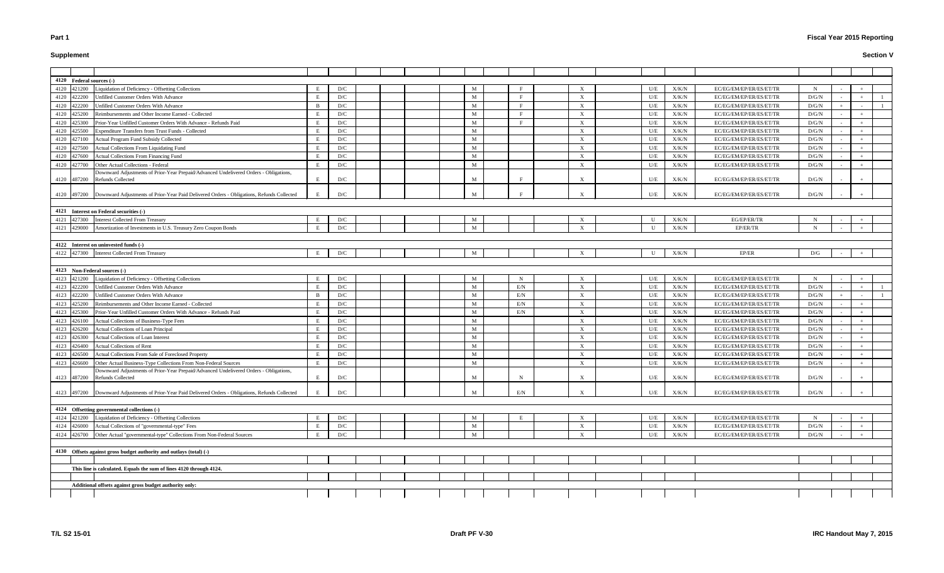# **Supplement**

# **Fiscal Year 2015 Reporting**

| 4120 Federal sources (-)                                                                              |     |     |  |   |              |                           |              |               |                         |       |        |       |  |
|-------------------------------------------------------------------------------------------------------|-----|-----|--|---|--------------|---------------------------|--------------|---------------|-------------------------|-------|--------|-------|--|
| Liquidation of Deficiency - Offsetting Collections<br>4120 421200                                     |     | D/C |  | M |              | $\boldsymbol{\mathrm{X}}$ | U/E          | X/K/N         | EC/EG/EM/EP/ER/ES/ET/TR | N     |        |       |  |
| 4120 422200<br>Unfilled Customer Orders With Advance                                                  | E   | D/C |  | M | $\mathbf{F}$ | $\boldsymbol{\mathrm{X}}$ | U/E          | X/K/N         | EC/EG/EM/EP/ER/ES/ET/TR | D/G/N |        |       |  |
| 4120 422200<br><b>Jnfilled Customer Orders With Advance</b>                                           | - B | D/C |  | M |              | $\boldsymbol{\mathrm{X}}$ | U/E          | X/K/N         | EC/EG/EM/EP/ER/ES/ET/TR | D/G/N |        |       |  |
| 4120 425200<br>Reimbursements and Other Income Earned - Collected                                     |     | D/C |  | M | E            | $\boldsymbol{\mathrm{X}}$ | U/E          | X/K/N         | EC/EG/EM/EP/ER/ES/ET/TR | D/G/N |        |       |  |
| Prior-Year Unfilled Customer Orders With Advance - Refunds Paid<br>4120 425300                        |     | D/C |  | M |              | $\boldsymbol{\mathrm{X}}$ | U/E          | X/K/N         | EC/EG/EM/EP/ER/ES/ET/TR | D/G/N |        |       |  |
| 4120 425500<br>Expenditure Transfers from Trust Funds - Collected                                     |     | D/C |  | M |              | $\boldsymbol{\mathrm{X}}$ | U/E          | X/K/N         | EC/EG/EM/EP/ER/ES/ET/TR | D/G/N |        |       |  |
| 4120 427100<br>Actual Program Fund Subsidy Collected                                                  |     | D/C |  | M |              | $\boldsymbol{\mathrm{X}}$ | U/E          | X/K/N         | EC/EG/EM/EP/ER/ES/ET/TR | D/G/N |        |       |  |
| Actual Collections From Liquidating Fund<br>4120 427500                                               |     | D/C |  | M |              | $\boldsymbol{\mathrm{X}}$ | U/E          | X/K/N         | EC/EG/EM/EP/ER/ES/ET/TR | D/G/N |        |       |  |
| 4120 427600<br>Actual Collections From Financing Fund                                                 | E   | D/C |  | M |              | $\boldsymbol{\mathrm{X}}$ | U/E          | X/K/N         | EC/EG/EM/EP/ER/ES/ET/TR | D/G/N |        |       |  |
| 4120 427700<br>Other Actual Collections - Federal                                                     |     | D/C |  | M |              | X                         | U/E          | X/K/N         | EC/EG/EM/EP/ER/ES/ET/TR | D/G/N |        |       |  |
| Downward Adjustments of Prior-Year Prepaid/Advanced Undelivered Orders - Obligations,                 |     |     |  |   |              |                           |              |               |                         |       |        |       |  |
| 4120 487200<br><b>Refunds Collected</b>                                                               | E   | D/C |  | M | E            | $\boldsymbol{\mathrm{X}}$ | U/E          | X/K/N         | EC/EG/EM/EP/ER/ES/ET/TR | D/G/N |        |       |  |
|                                                                                                       | E   |     |  | M |              |                           |              |               |                         |       |        |       |  |
| 4120 497200 Downward Adjustments of Prior-Year Paid Delivered Orders - Obligations, Refunds Collected |     | D/C |  |   |              | $\boldsymbol{\mathrm{X}}$ | U/E          | X/K/N         | EC/EG/EM/EP/ER/ES/ET/TR | D/G/N |        |       |  |
|                                                                                                       |     |     |  |   |              |                           |              |               |                         |       |        |       |  |
| 4121 Interest on Federal securities (-)                                                               | E   |     |  |   |              |                           |              |               |                         |       |        |       |  |
| 4121 427300<br><b>Interest Collected From Treasury</b>                                                |     | D/C |  | M |              | $\boldsymbol{\mathrm{X}}$ | U            | ${\rm X/K/N}$ | EG/EP/ER/TR             |       |        |       |  |
| 4121 429000<br>Amortization of Investments in U.S. Treasury Zero Coupon Bonds                         | E   | D/C |  | M |              | $\boldsymbol{\mathrm{X}}$ | $\mathbf{U}$ | X/K/N         | EP/ER/TR                | N     |        |       |  |
|                                                                                                       |     |     |  |   |              |                           |              |               |                         |       |        |       |  |
| 4122 Interest on uninvested funds (-)                                                                 |     |     |  |   |              |                           |              |               |                         |       |        |       |  |
| 4122 427300 Interest Collected From Treasury                                                          | E   | D/C |  |   |              |                           | $\mathbf{U}$ | X/K/N         | EP/ER                   | D/G   |        |       |  |
|                                                                                                       |     |     |  |   |              |                           |              |               |                         |       |        |       |  |
| 4123 Non-Federal sources (-)                                                                          |     |     |  |   |              |                           |              |               |                         |       |        |       |  |
| Liquidation of Deficiency - Offsetting Collections<br>4123 421200                                     |     | D/C |  | M | N            | $\boldsymbol{\mathrm{X}}$ | U/E          | X/K/N         | EC/EG/EM/EP/ER/ES/ET/TR |       |        |       |  |
| 4123 422200<br>Unfilled Customer Orders With Advance                                                  |     | D/C |  | M | E/N          | X                         | U/E          | X/K/N         | EC/EG/EM/EP/ER/ES/ET/TR | D/G/N |        |       |  |
| 4123 422200<br>Unfilled Customer Orders With Advance                                                  | B   | D/C |  | M | E/N          | X                         | U/E          | X/K/N         | EC/EG/EM/EP/ER/ES/ET/TR | D/G/N |        |       |  |
| 4123 425200<br>Reimbursements and Other Income Earned - Collected                                     |     | D/C |  | M | E/N          | $\boldsymbol{\mathrm{X}}$ | U/E          | X/K/N         | EC/EG/EM/EP/ER/ES/ET/TR | D/G/N |        |       |  |
| 4123 425300<br>Prior-Year Unfilled Customer Orders With Advance - Refunds Paid                        |     | D/C |  | M | E/N          | $\boldsymbol{\mathrm{X}}$ | U/E          | ${\rm X/K/N}$ | EC/EG/EM/EP/ER/ES/ET/TR | D/G/N |        |       |  |
| Actual Collections of Business-Type Fees<br>4123 426100                                               |     | D/C |  | M |              | $\boldsymbol{\mathrm{X}}$ | U/E          | ${\rm X/K/N}$ | EC/EG/EM/EP/ER/ES/ET/TR | D/G/N |        |       |  |
| 4123 426200<br><b>Actual Collections of Loan Principal</b>                                            |     | D/C |  | M |              | $\boldsymbol{\mathrm{X}}$ | U/E          | X/K/N         | EC/EG/EM/EP/ER/ES/ET/TR | D/G/N |        |       |  |
| 4123 426300<br>Actual Collections of Loan Interest                                                    |     | D/C |  | M |              | $\boldsymbol{\mathrm{X}}$ | U/E          | X/K/N         | EC/EG/EM/EP/ER/ES/ET/TR | D/G/N |        |       |  |
| 4123 426400<br><b>Actual Collections of Rent</b>                                                      |     | D/C |  | M |              | $\boldsymbol{\mathrm{X}}$ | U/E          | X/K/N         | EC/EG/EM/EP/ER/ES/ET/TR | D/G/N |        |       |  |
| 4123 426500<br>Actual Collections From Sale of Foreclosed Property                                    | E   | D/C |  | M |              | $\boldsymbol{\mathrm{X}}$ | U/E          | X/K/N         | EC/EG/EM/EP/ER/ES/ET/TR | D/G/N |        |       |  |
| 4123 426600 Other Actual Business-Type Collections From Non-Federal Sources                           | E   | D/C |  | M |              | $\boldsymbol{\mathrm{X}}$ | U/E          | X/K/N         | EC/EG/EM/EP/ER/ES/ET/TR | D/G/N | $\sim$ | $+$   |  |
| Downward Adjustments of Prior-Year Prepaid/Advanced Undelivered Orders - Obligations,                 |     |     |  |   |              |                           |              |               |                         |       |        |       |  |
| 4123 487200<br><b>Refunds Collected</b>                                                               | E   | D/C |  | M | $\mathbf N$  | $\boldsymbol{\mathrm{X}}$ | U/E          | X/K/N         | EC/EG/EM/EP/ER/ES/ET/TR | D/G/N |        |       |  |
|                                                                                                       |     |     |  |   |              |                           |              |               |                         |       |        |       |  |
| 4123 497200 Downward Adjustments of Prior-Year Paid Delivered Orders - Obligations, Refunds Collected | E   | D/C |  | M | E/N          | $\boldsymbol{\mathrm{X}}$ | U/E          | X/K/N         | EC/EG/EM/EP/ER/ES/ET/TR | D/G/N |        |       |  |
|                                                                                                       |     |     |  |   |              |                           |              |               |                         |       |        |       |  |
| 4124 Offsetting governmental collections (-)                                                          |     |     |  |   |              |                           |              |               |                         |       |        |       |  |
| Liquidation of Deficiency - Offsetting Collections<br>4124 421200                                     | E   | D/C |  | M | E            | $\boldsymbol{\mathrm{X}}$ | U/E          | X/K/N         | EC/EG/EM/EP/ER/ES/ET/TR | -N    |        |       |  |
| Actual Collections of "governmental-type" Fees<br>4124 426000                                         | E   | D/C |  | M |              | $\boldsymbol{\mathrm{X}}$ | U/E          | X/K/N         | EC/EG/EM/EP/ER/ES/ET/TR | D/G/N |        |       |  |
| Other Actual "governmental-type" Collections From Non-Federal Sources<br>4124 426700                  | E   | D/C |  | M |              | X                         | U/E          | X/K/N         | EC/EG/EM/EP/ER/ES/ET/TR | D/G/N |        | $\pm$ |  |
|                                                                                                       |     |     |  |   |              |                           |              |               |                         |       |        |       |  |
| 4130 Offsets against gross budget authority and outlays (total) (-)                                   |     |     |  |   |              |                           |              |               |                         |       |        |       |  |
|                                                                                                       |     |     |  |   |              |                           |              |               |                         |       |        |       |  |
| This line is calculated. Equals the sum of lines 4120 through 4124.                                   |     |     |  |   |              |                           |              |               |                         |       |        |       |  |
|                                                                                                       |     |     |  |   |              |                           |              |               |                         |       |        |       |  |
| Additional offsets against gross budget authority only:                                               |     |     |  |   |              |                           |              |               |                         |       |        |       |  |
|                                                                                                       |     |     |  |   |              |                           |              |               |                         |       |        |       |  |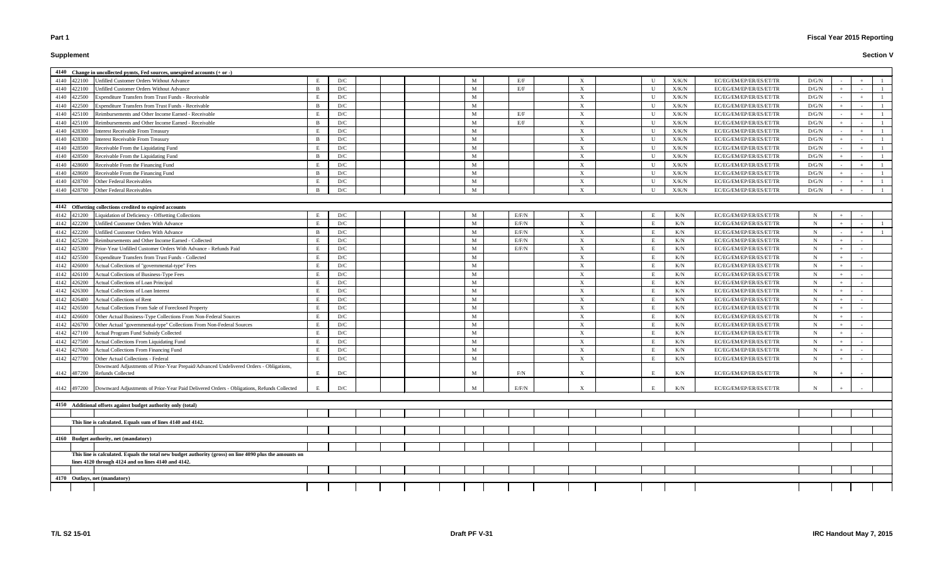# **Supplement**

|             |             | 4140 Change in uncollected pymts, Fed sources, unexpired accounts (+ or -)                                             |                |     |  |   |            |                           |              |       |                         |             |        |  |
|-------------|-------------|------------------------------------------------------------------------------------------------------------------------|----------------|-----|--|---|------------|---------------------------|--------------|-------|-------------------------|-------------|--------|--|
|             | 4140 422100 | Unfilled Customer Orders Without Advance                                                                               |                | D/C |  | M | E/F        |                           |              | X/K/N | EC/EG/EM/EP/ER/ES/ET/TR | D/G/N       |        |  |
| 4140        | 422100      | Unfilled Customer Orders Without Advance                                                                               |                | D/C |  | M | E/F        | X                         |              | X/K/N | EC/EG/EM/EP/ER/ES/ET/TR | D/G/N       |        |  |
| 4140        | 422500      | Expenditure Transfers from Trust Funds - Receivable                                                                    |                | D/C |  | M |            | $\boldsymbol{\mathrm{X}}$ |              | X/K/N | EC/EG/EM/EP/ER/ES/ET/TR | D/G/N       |        |  |
| 4140        | 422500      | Expenditure Transfers from Trust Funds - Receivable                                                                    | $\mathbf{R}$   | D/C |  | M |            | $\boldsymbol{\mathrm{X}}$ | - U          | X/K/N | EC/EG/EM/EP/ER/ES/ET/TR | D/G/N       |        |  |
| 4140        | 425100      | Reimbursements and Other Income Earned - Receivable                                                                    |                | D/C |  | M | E/F        | X                         | $\mathbf{I}$ | X/K/N | EC/EG/EM/EP/ER/ES/ET/TR | D/G/N       |        |  |
| 4140        | 425100      | Reimbursements and Other Income Earned - Receivable                                                                    | B              | D/C |  | M | E/F        | $\boldsymbol{\mathrm{X}}$ |              | X/K/N | EC/EG/EM/EP/ER/ES/ET/TR | D/G/N       |        |  |
| 4140 428300 |             | <b>Interest Receivable From Treasury</b>                                                                               | E              | D/C |  | M |            | $\boldsymbol{\mathrm{X}}$ |              | X/K/N | EC/EG/EM/EP/ER/ES/ET/TR | D/G/N       |        |  |
| 4140        | 428300      | <b>Interest Receivable From Treasury</b>                                                                               | - B            | D/C |  | M |            | X                         |              | X/K/N | EC/EG/EM/EP/ER/ES/ET/TR | D/G/N       |        |  |
| 4140        | 428500      | Receivable From the Liquidating Fund                                                                                   | E              | D/C |  | M |            | $\boldsymbol{\mathrm{X}}$ | U            | X/K/N | EC/EG/EM/EP/ER/ES/ET/TR | D/G/N       |        |  |
| 4140        | 428500      | Receivable From the Liquidating Fund                                                                                   | <sup>B</sup>   | D/C |  | M |            | $\boldsymbol{\mathrm{X}}$ | U            | X/K/N | EC/EG/EM/EP/ER/ES/ET/TR | D/G/N       |        |  |
| 4140        | 428600      | Receivable From the Financing Fund                                                                                     | E              | D/C |  | M |            | X                         | $\mathbf{U}$ | X/K/N | EC/EG/EM/EP/ER/ES/ET/TR | D/G/N       |        |  |
| 4140        | 428600      | Receivable From the Financing Fund                                                                                     | B              | D/C |  | M |            | $\boldsymbol{\mathrm{X}}$ | - U          | X/K/N | EC/EG/EM/EP/ER/ES/ET/TR | D/G/N       |        |  |
| 4140        | 428700      | Other Federal Receivables                                                                                              | E              | D/C |  | M |            | X                         |              | X/K/N | EC/EG/EM/EP/ER/ES/ET/TR | D/G/N       |        |  |
| 4140        | 428700      | Other Federal Receivables                                                                                              | $\overline{B}$ | D/C |  | M |            | $\boldsymbol{\mathrm{X}}$ |              | X/K/N | EC/EG/EM/EP/ER/ES/ET/TR | D/G/N       |        |  |
|             |             |                                                                                                                        |                |     |  |   |            |                           |              |       |                         |             |        |  |
|             |             | 4142 Offsetting collections credited to expired accounts                                                               |                |     |  |   |            |                           |              |       |                         |             |        |  |
|             | 4142 421200 | Liquidation of Deficiency - Offsetting Collections                                                                     | E              | D/C |  | M | E/F/N      | X                         | E            | K/N   | EC/EG/EM/EP/ER/ES/ET/TR | $\mathbf N$ |        |  |
|             | 4142 422200 | Unfilled Customer Orders With Advance                                                                                  | E              | D/C |  | M | E/F/N      | $\mathbf{X}$              | E            | K/N   | EC/EG/EM/EP/ER/ES/ET/TR | N           | $+$    |  |
| 4142 422200 |             | Unfilled Customer Orders With Advance                                                                                  | B              | D/C |  | M | E/F/N      | X                         | E            | K/N   | EC/EG/EM/EP/ER/ES/ET/TR |             | $\sim$ |  |
| 4142 425200 |             | Reimbursements and Other Income Earned - Collected                                                                     | E              | D/C |  | M | E/F/N      | X                         | E            | K/N   | EC/EG/EM/EP/ER/ES/ET/TR | N           |        |  |
| 4142        | 425300      | Prior-Year Unfilled Customer Orders With Advance - Refunds Paid                                                        | E              | D/C |  | M | E/F/N      | X                         | E            | K/N   | EC/EG/EM/EP/ER/ES/ET/TR | N           |        |  |
| 4142        | 425500      | Expenditure Transfers from Trust Funds - Collected                                                                     | E              | D/C |  | M |            | X                         | E            | K/N   | EC/EG/EM/EP/ER/ES/ET/TR | N           |        |  |
| 4142        | 426000      | Actual Collections of "governmental-type" Fees                                                                         | E              | D/C |  | M |            | $\boldsymbol{\mathrm{X}}$ | E            | K/N   | EC/EG/EM/EP/ER/ES/ET/TR | N           |        |  |
| 4142        | 426100      | Actual Collections of Business-Type Fees                                                                               | E              | D/C |  | M |            | X                         | E            | K/N   | EC/EG/EM/EP/ER/ES/ET/TR | N           |        |  |
| 4142        | 426200      | Actual Collections of Loan Principal                                                                                   |                | D/C |  | M |            | X                         | E            | K/N   | EC/EG/EM/EP/ER/ES/ET/TR |             | $+$    |  |
| 4142        | 426300      | Actual Collections of Loan Interest                                                                                    |                | D/C |  | M |            | X                         | E            | K/N   | EC/EG/EM/EP/ER/ES/ET/TR | N           |        |  |
|             | 4142 426400 | Actual Collections of Rent                                                                                             |                | D/C |  | M |            | X                         | E            | K/N   | EC/EG/EM/EP/ER/ES/ET/TR | N           | $+$    |  |
| 4142        | 426500      | Actual Collections From Sale of Foreclosed Property                                                                    |                | D/C |  | M |            | X                         | E            | K/N   | EC/EG/EM/EP/ER/ES/ET/TR |             |        |  |
| 4142 426600 |             | Other Actual Business-Type Collections From Non-Federal Sources                                                        |                | D/C |  | M |            | X                         | E            | K/N   | EC/EG/EM/EP/ER/ES/ET/TR | N           |        |  |
|             | 4142 426700 | Other Actual "governmental-type" Collections From Non-Federal Sources                                                  |                | D/C |  | M |            | X                         | E            | K/N   | EC/EG/EM/EP/ER/ES/ET/TR |             |        |  |
| 4142        | 427100      | Actual Program Fund Subsidy Collected                                                                                  |                | D/C |  | M |            | $\boldsymbol{\mathrm{X}}$ | E            | K/N   | EC/EG/EM/EP/ER/ES/ET/TR |             |        |  |
| 4142        | 427500      | Actual Collections From Liquidating Fund                                                                               |                | D/C |  | M |            | $\boldsymbol{\mathrm{X}}$ | E            | K/N   | EC/EG/EM/EP/ER/ES/ET/TR |             |        |  |
| 4142        | 427600      | Actual Collections From Financing Fund                                                                                 |                | D/C |  | M |            | X                         | E            | K/N   | EC/EG/EM/EP/ER/ES/ET/TR | N           |        |  |
| 4142        | 427700      | Other Actual Collections - Federal                                                                                     | E              | D/C |  | M |            | $\boldsymbol{\mathrm{X}}$ | E            | K/N   | EC/EG/EM/EP/ER/ES/ET/TR | -N          |        |  |
|             |             | Downward Adjustments of Prior-Year Prepaid/Advanced Undelivered Orders - Obligations,<br>4142 487200 Refunds Collected | E              | D/C |  | M | $\rm{F/N}$ | X                         | E            | K/N   | EC/EG/EM/EP/ER/ES/ET/TR |             |        |  |
|             |             |                                                                                                                        |                |     |  |   |            |                           |              |       |                         |             |        |  |
|             | 4142 497200 | Downward Adjustments of Prior-Year Paid Delivered Orders - Obligations, Refunds Collected                              |                | D/C |  | M | E/F/N      | X                         |              | K/N   | EC/EG/EM/EP/ER/ES/ET/TR |             |        |  |
|             |             |                                                                                                                        |                |     |  |   |            |                           |              |       |                         |             |        |  |
|             |             | 4150 Additional offsets against budget authority only (total)                                                          |                |     |  |   |            |                           |              |       |                         |             |        |  |
|             |             |                                                                                                                        |                |     |  |   |            |                           |              |       |                         |             |        |  |
|             |             | This line is calculated. Equals sum of lines 4140 and 4142.                                                            |                |     |  |   |            |                           |              |       |                         |             |        |  |
|             |             |                                                                                                                        |                |     |  |   |            |                           |              |       |                         |             |        |  |
|             |             | 4160 Budget authority, net (mandatory)                                                                                 |                |     |  |   |            |                           |              |       |                         |             |        |  |
|             |             |                                                                                                                        |                |     |  |   |            |                           |              |       |                         |             |        |  |
|             |             | This line is calculated. Equals the total new budget authority (gross) on line 4090 plus the amounts on                |                |     |  |   |            |                           |              |       |                         |             |        |  |
|             |             | lines 4120 through 4124 and on lines 4140 and 4142.                                                                    |                |     |  |   |            |                           |              |       |                         |             |        |  |
|             |             |                                                                                                                        |                |     |  |   |            |                           |              |       |                         |             |        |  |
|             |             | 4170 Outlays, net (mandatory)                                                                                          |                |     |  |   |            |                           |              |       |                         |             |        |  |
|             |             |                                                                                                                        |                |     |  |   |            |                           |              |       |                         |             |        |  |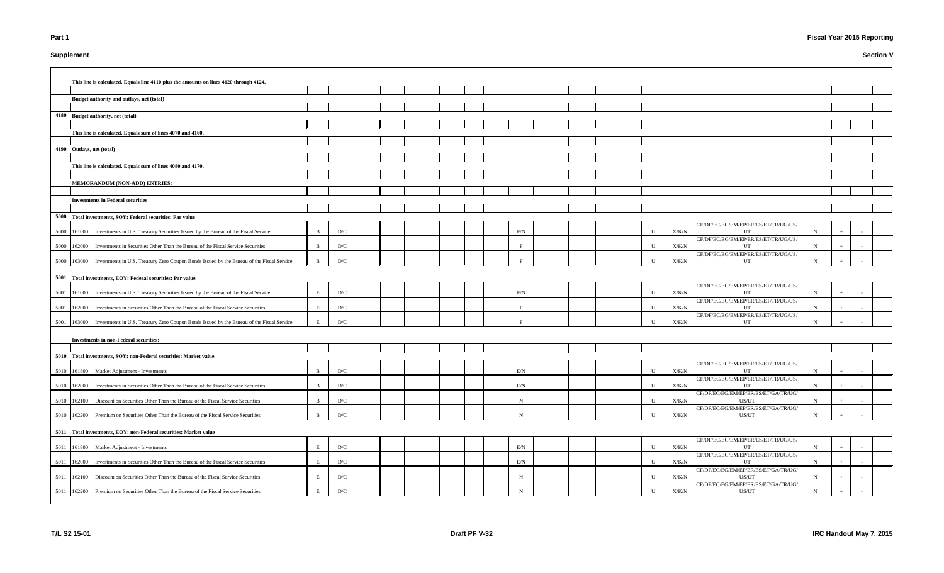# **Supplement**

# **Fiscal Year 2015 Reporting**

|      |                           | This line is calculated. Equals line 4110 plus the amounts on lines 4120 through 4124.           |              |     |  |  |             |  |             |               |                                               |             |     |  |
|------|---------------------------|--------------------------------------------------------------------------------------------------|--------------|-----|--|--|-------------|--|-------------|---------------|-----------------------------------------------|-------------|-----|--|
|      |                           | Budget authority and outlays, net (total)                                                        |              |     |  |  |             |  |             |               |                                               |             |     |  |
|      |                           |                                                                                                  |              |     |  |  |             |  |             |               |                                               |             |     |  |
|      |                           | 4180 Budget authority, net (total)                                                               |              |     |  |  |             |  |             |               |                                               |             |     |  |
|      |                           |                                                                                                  |              |     |  |  |             |  |             |               |                                               |             |     |  |
|      |                           | This line is calculated. Equals sum of lines 4070 and 4160.                                      |              |     |  |  |             |  |             |               |                                               |             |     |  |
|      |                           |                                                                                                  |              |     |  |  |             |  |             |               |                                               |             |     |  |
|      | 4190 Outlays, net (total) |                                                                                                  |              |     |  |  |             |  |             |               |                                               |             |     |  |
|      |                           |                                                                                                  |              |     |  |  |             |  |             |               |                                               |             |     |  |
|      |                           | This line is calculated. Equals sum of lines 4080 and 4170.                                      |              |     |  |  |             |  |             |               |                                               |             |     |  |
|      |                           |                                                                                                  |              |     |  |  |             |  |             |               |                                               |             |     |  |
|      |                           | MEMORANDUM (NON-ADD) ENTRIES:                                                                    |              |     |  |  |             |  |             |               |                                               |             |     |  |
|      |                           |                                                                                                  |              |     |  |  |             |  |             |               |                                               |             |     |  |
|      |                           | <b>Investments in Federal securities</b>                                                         |              |     |  |  |             |  |             |               |                                               |             |     |  |
|      |                           |                                                                                                  |              |     |  |  |             |  |             |               |                                               |             |     |  |
|      |                           | 5000 Total investments, SOY: Federal securities: Par value                                       |              |     |  |  |             |  |             |               |                                               |             |     |  |
|      |                           |                                                                                                  |              |     |  |  |             |  |             |               | CF/DF/EC/EG/EM/EP/ER/ES/ET/TR/UG/US/          |             |     |  |
| 5000 |                           | 161000 Investments in U.S. Treasury Securities Issued by the Bureau of the Fiscal Service        | $\mathbf{B}$ | D/C |  |  | F/N         |  | U           | X/K/N         | UT<br>CF/DF/EC/EG/EM/EP/ER/ES/ET/TR/UG/US/    | N           |     |  |
| 5000 |                           | 162000 Investments in Securities Other Than the Bureau of the Fiscal Service Securities          | B            | D/C |  |  |             |  | U           | X/K/N         | UT                                            | N           |     |  |
|      |                           |                                                                                                  |              |     |  |  |             |  |             |               | CF/DF/EC/EG/EM/EP/ER/ES/ET/TR/UG/US/          |             |     |  |
| 5000 |                           | 163000 Investments in U.S. Treasury Zero Coupon Bonds Issued by the Bureau of the Fiscal Service |              | D/C |  |  |             |  | U           | X/K/N         | UT                                            | N           |     |  |
|      |                           |                                                                                                  |              |     |  |  |             |  |             |               |                                               |             |     |  |
|      |                           | 5001 Total investments, EOY: Federal securities: Par value                                       |              |     |  |  |             |  |             |               |                                               |             |     |  |
|      |                           |                                                                                                  |              |     |  |  |             |  |             |               | CF/DF/EC/EG/EM/EP/ER/ES/ET/TR/UG/US/          |             |     |  |
|      |                           | 5001 161000 Investments in U.S. Treasury Securities Issued by the Bureau of the Fiscal Service   | E            | D/C |  |  | F/N         |  | U           | X/K/N         | UT<br>CF/DF/EC/EG/EM/EP/ER/ES/ET/TR/UG/US/    | $\mathbf N$ |     |  |
| 5001 |                           | 162000 Investments in Securities Other Than the Bureau of the Fiscal Service Securities          | E            | D/C |  |  |             |  | U           | X/K/N         | UT                                            | N           |     |  |
|      |                           |                                                                                                  |              |     |  |  |             |  |             |               | CF/DF/EC/EG/EM/EP/ER/ES/ET/TR/UG/US/          |             |     |  |
| 5001 |                           | 163000 Investments in U.S. Treasury Zero Coupon Bonds Issued by the Bureau of the Fiscal Service |              | D/C |  |  |             |  | U           | X/K/N         | UT                                            | $\mathbf N$ |     |  |
|      |                           |                                                                                                  |              |     |  |  |             |  |             |               |                                               |             |     |  |
|      |                           | <b>Investments in non-Federal securities:</b>                                                    |              |     |  |  |             |  |             |               |                                               |             |     |  |
|      |                           |                                                                                                  |              |     |  |  |             |  |             |               |                                               |             |     |  |
|      |                           | 5010 Total investments, SOY: non-Federal securities: Market value                                |              |     |  |  |             |  |             |               |                                               |             |     |  |
|      |                           | 5010 161800 Market Adjustment - Investments                                                      | $\mathbf{B}$ | D/C |  |  | E/N         |  | $\mathbf U$ | X/K/N         | CF/DF/EC/EG/EM/EP/ER/ES/ET/TR/UG/US/<br>UT    | $\mathbf N$ | $+$ |  |
|      |                           |                                                                                                  |              |     |  |  |             |  |             |               | CF/DF/EC/EG/EM/EP/ER/ES/ET/TR/UG/US/          |             |     |  |
| 5010 | 162000                    | Investments in Securities Other Than the Bureau of the Fiscal Service Securities                 | <sup>B</sup> | D/C |  |  | E/N         |  | U           | X/K/N         | UT                                            | $\mathbf N$ |     |  |
|      |                           |                                                                                                  |              |     |  |  |             |  |             |               | CF/DF/EC/EG/EM/EP/ER/ES/ET/GA/TR/UG/          |             |     |  |
| 5010 |                           | 162100 Discount on Securities Other Than the Bureau of the Fiscal Service Securities             |              | D/C |  |  | $\mathbf N$ |  | U           | X/K/N         | US/UT                                         | $\mathbf N$ |     |  |
| 5010 |                           | 162200 Premium on Securities Other Than the Bureau of the Fiscal Service Securities              | $\mathbf{R}$ | D/C |  |  | $\mathbf N$ |  | U           | X/K/N         | CF/DF/EC/EG/EM/EP/ER/ES/ET/GA/TR/UG/<br>US/UT | N           |     |  |
|      |                           |                                                                                                  |              |     |  |  |             |  |             |               |                                               |             |     |  |
|      |                           | 5011 Total investments, EOY: non-Federal securities: Market value                                |              |     |  |  |             |  |             |               |                                               |             |     |  |
|      |                           |                                                                                                  |              |     |  |  |             |  |             |               | CF/DF/EC/EG/EM/EP/ER/ES/ET/TR/UG/US/          |             |     |  |
|      |                           | 5011 161800 Market Adjustment - Investments                                                      | E            | D/C |  |  | E/N         |  | U           | X/K/N         | UT                                            | $\mathbf N$ |     |  |
|      |                           |                                                                                                  |              |     |  |  |             |  |             |               | CF/DF/EC/EG/EM/EP/ER/ES/ET/TR/UG/US/          |             |     |  |
| 5011 |                           | 162000 Investments in Securities Other Than the Bureau of the Fiscal Service Securities          | E            | D/C |  |  | E/N         |  | U           | ${\rm X/K/N}$ | UT                                            | N           |     |  |
| 5011 |                           | 162100 Discount on Securities Other Than the Bureau of the Fiscal Service Securities             | E            | D/C |  |  | N           |  | $\mathbf U$ | X/K/N         | CF/DF/EC/EG/EM/EP/ER/ES/ET/GA/TR/UG/<br>US/UT | $\mathbf N$ |     |  |
|      |                           |                                                                                                  |              |     |  |  |             |  |             |               | CF/DF/EC/EG/EM/EP/ER/ES/ET/GA/TR/UG/          |             |     |  |
|      |                           | 5011 162200 Premium on Securities Other Than the Bureau of the Fiscal Service Securities         | E            | D/C |  |  | N           |  | U           | X/K/N         | US/UT                                         | N           |     |  |
|      |                           |                                                                                                  |              |     |  |  |             |  |             |               |                                               |             |     |  |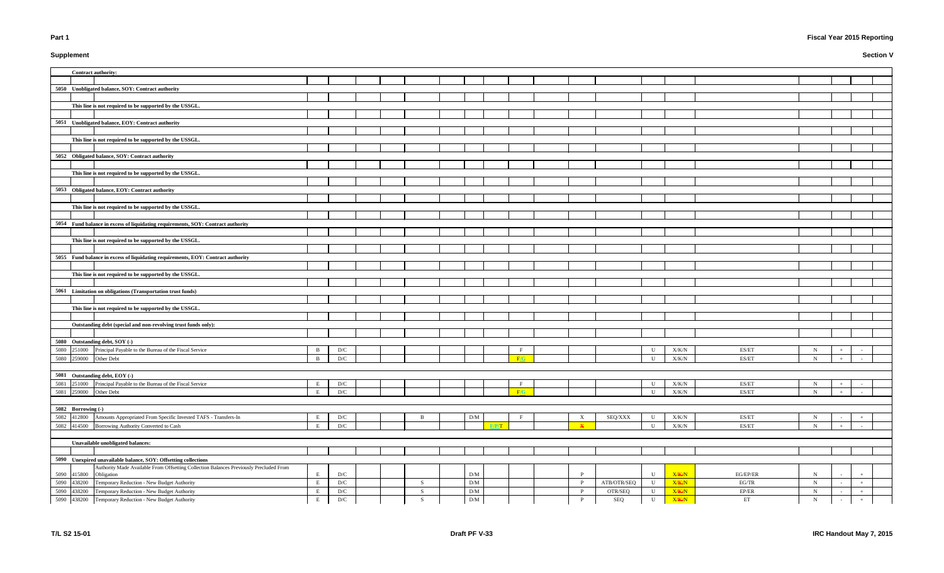# **Supplement**

# **Fiscal Year 2015 Reporting**

| <b>Contract authority:</b>                                                                                                |              |                                |  |                |                                    |       |     |              |                |                          |                |                                                                         |                            |     |  |
|---------------------------------------------------------------------------------------------------------------------------|--------------|--------------------------------|--|----------------|------------------------------------|-------|-----|--------------|----------------|--------------------------|----------------|-------------------------------------------------------------------------|----------------------------|-----|--|
|                                                                                                                           |              |                                |  |                |                                    |       |     |              |                |                          |                |                                                                         |                            |     |  |
| 5050 Unobligated balance, SOY: Contract authority                                                                         |              |                                |  |                |                                    |       |     |              |                |                          |                |                                                                         |                            |     |  |
|                                                                                                                           |              |                                |  |                |                                    |       |     |              |                |                          |                |                                                                         |                            |     |  |
| This line is not required to be supported by the USSGL.                                                                   |              |                                |  |                |                                    |       |     |              |                |                          |                |                                                                         |                            |     |  |
|                                                                                                                           |              |                                |  |                |                                    |       |     |              |                |                          |                |                                                                         |                            |     |  |
| 5051 Unobligated balance, EOY: Contract authority                                                                         |              |                                |  |                |                                    |       |     |              |                |                          |                |                                                                         |                            |     |  |
|                                                                                                                           |              |                                |  |                |                                    |       |     |              |                |                          |                |                                                                         |                            |     |  |
| This line is not required to be supported by the USSGL.                                                                   |              |                                |  |                |                                    |       |     |              |                |                          |                |                                                                         |                            |     |  |
|                                                                                                                           |              |                                |  |                |                                    |       |     |              |                |                          |                |                                                                         |                            |     |  |
| 5052 Obligated balance, SOY: Contract authority                                                                           |              |                                |  |                |                                    |       |     |              |                |                          |                |                                                                         |                            |     |  |
|                                                                                                                           |              |                                |  |                |                                    |       |     |              |                |                          |                |                                                                         |                            |     |  |
| This line is not required to be supported by the USSGL.                                                                   |              |                                |  |                |                                    |       |     |              |                |                          |                |                                                                         |                            |     |  |
|                                                                                                                           |              |                                |  |                |                                    |       |     |              |                |                          |                |                                                                         |                            |     |  |
|                                                                                                                           |              |                                |  |                |                                    |       |     |              |                |                          |                |                                                                         |                            |     |  |
| 5053 Obligated balance, EOY: Contract authority                                                                           |              |                                |  |                |                                    |       |     |              |                |                          |                |                                                                         |                            |     |  |
|                                                                                                                           |              |                                |  |                |                                    |       |     |              |                |                          |                |                                                                         |                            |     |  |
| This line is not required to be supported by the USSGL.                                                                   |              |                                |  |                |                                    |       |     |              |                |                          |                |                                                                         |                            |     |  |
|                                                                                                                           |              |                                |  |                |                                    |       |     |              |                |                          |                |                                                                         |                            |     |  |
| 5054 Fund balance in excess of liquidating requirements, SOY: Contract authority                                          |              |                                |  |                |                                    |       |     |              |                |                          |                |                                                                         |                            |     |  |
|                                                                                                                           |              |                                |  |                |                                    |       |     |              |                |                          |                |                                                                         |                            |     |  |
| This line is not required to be supported by the USSGL.                                                                   |              |                                |  |                |                                    |       |     |              |                |                          |                |                                                                         |                            |     |  |
|                                                                                                                           |              |                                |  |                |                                    |       |     |              |                |                          |                |                                                                         |                            |     |  |
| 5055 Fund balance in excess of liquidating requirements, EOY: Contract authority                                          |              |                                |  |                |                                    |       |     |              |                |                          |                |                                                                         |                            |     |  |
|                                                                                                                           |              |                                |  |                |                                    |       |     |              |                |                          |                |                                                                         |                            |     |  |
| This line is not required to be supported by the USSGL.                                                                   |              |                                |  |                |                                    |       |     |              |                |                          |                |                                                                         |                            |     |  |
|                                                                                                                           |              |                                |  |                |                                    |       |     |              |                |                          |                |                                                                         |                            |     |  |
|                                                                                                                           |              |                                |  |                |                                    |       |     |              |                |                          |                |                                                                         |                            |     |  |
| 5061 Limitation on obligations (Transportation trust funds)                                                               |              |                                |  |                |                                    |       |     |              |                |                          |                |                                                                         |                            |     |  |
|                                                                                                                           |              |                                |  |                |                                    |       |     |              |                |                          |                |                                                                         |                            |     |  |
| This line is not required to be supported by the USSGL.                                                                   |              |                                |  |                |                                    |       |     |              |                |                          |                |                                                                         |                            |     |  |
|                                                                                                                           |              |                                |  |                |                                    |       |     |              |                |                          |                |                                                                         |                            |     |  |
| Outstanding debt (special and non-revolving trust funds only):                                                            |              |                                |  |                |                                    |       |     |              |                |                          |                |                                                                         |                            |     |  |
|                                                                                                                           |              |                                |  |                |                                    |       |     |              |                |                          |                |                                                                         |                            |     |  |
| 5080 Outstanding debt, SOY (-)                                                                                            |              |                                |  |                |                                    |       |     |              |                |                          |                |                                                                         |                            |     |  |
| Principal Payable to the Bureau of the Fiscal Service<br>5080<br>251000                                                   | B            | D/C                            |  |                |                                    |       |     |              |                | U                        | X/K/N          | ES/ET                                                                   | $\mathbf N$                |     |  |
| 5080 259000<br>Other Debt                                                                                                 | $\mathbf{B}$ | D/C                            |  |                |                                    |       | F/G |              |                | $\mathbf U$              | X/K/N          | ES/ET                                                                   | $\mathbf N$                | $+$ |  |
|                                                                                                                           |              |                                |  |                |                                    |       |     |              |                |                          |                |                                                                         |                            |     |  |
| 5081 Outstanding debt, EOY (-)                                                                                            |              |                                |  |                |                                    |       |     |              |                |                          |                |                                                                         |                            |     |  |
| 251000 Principal Payable to the Bureau of the Fiscal Service<br>5081                                                      |              | $\mathbf{D}/\mathbf{C}$        |  |                |                                    |       |     |              |                | U                        | ${\rm X/K/N}$  | ES/ET                                                                   | N                          |     |  |
| 5081 259000 Other Debt                                                                                                    | E            | $\mathbf{D}/\mathbf{C}$        |  |                |                                    |       | F/G |              |                | $\mathbf{U}$             | ${\rm X/K/N}$  | ES/ET                                                                   | $\mathbf N$                | $+$ |  |
|                                                                                                                           |              |                                |  |                |                                    |       |     |              |                |                          |                |                                                                         |                            |     |  |
| 5082 Borrowing $\left(\cdot\right)$                                                                                       |              |                                |  |                |                                    |       |     |              |                |                          |                |                                                                         |                            |     |  |
| 5082 412800 Amounts Appropriated From Specific Invested TAFS - Transfers-In                                               | E            | D/C                            |  | $\overline{B}$ | $\rm{D}/\rm{M}$                    |       |     | $\mathbf X$  | SEQ/XXX        | $\mathbf U$              | ${\rm X/K/N}$  | $\ensuremath{\mathrm{ES}}/\ensuremath{\mathrm{ET}}$                     | $\mathbf N$                |     |  |
| 5082 414500 Borrowing Authority Converted to Cash                                                                         | E            | D/C                            |  |                |                                    | F/P/T |     | $\mathbf{x}$ |                | U                        | X/K/N          | $\ensuremath{\mathrm{ES}}\xspace/\ensuremath{\mathrm{ET}}\xspace$       | $\mathbf N$                |     |  |
|                                                                                                                           |              |                                |  |                |                                    |       |     |              |                |                          |                |                                                                         |                            |     |  |
| Unavailable unobligated balances:                                                                                         |              |                                |  |                |                                    |       |     |              |                |                          |                |                                                                         |                            |     |  |
|                                                                                                                           |              |                                |  |                |                                    |       |     |              |                |                          |                |                                                                         |                            |     |  |
| 5090 Unexpired unavailable balance, SOY: Offsetting collections                                                           |              |                                |  |                |                                    |       |     |              |                |                          |                |                                                                         |                            |     |  |
| Authority Made Available From Offsetting Collection Balances Previously Precluded From                                    |              |                                |  |                |                                    |       |     |              |                |                          |                |                                                                         |                            |     |  |
| Obligation<br>5090 415800                                                                                                 | E            | D/C                            |  |                | D/M                                |       |     |              |                | ${\bf U}$                | X/K/N          | EG/EP/ER                                                                | $\mathbf N$                |     |  |
| Temporary Reduction - New Budget Authority<br>5090<br>438200                                                              | $\mathbf{E}$ | $\mathbf{D}/\mathbf{C}$        |  | S              | ${\rm D/M}$                        |       |     |              | ATB/OTR/SEQ    | U                        | X/K/N          | $\rm EG/TR$                                                             | $\mathbf N$                |     |  |
| Temporary Reduction - New Budget Authority<br>5090<br>438200<br>Temporary Reduction - New Budget Authority<br>5090 438200 | E<br>E       | $\mathbf{D}/\mathbf{C}$<br>D/C |  | S<br>S         | $\rm{D}/\rm{M}$<br>$\rm{D}/\rm{M}$ |       |     |              | OTR/SEQ<br>SEQ | ${\bf U}$<br>$\mathbf U$ | X/K/N<br>X/K/N | $\ensuremath{\mathrm{EP}}\xspace/\ensuremath{\mathrm{ER}}\xspace$<br>ET | $\mathbf N$<br>$\mathbf N$ |     |  |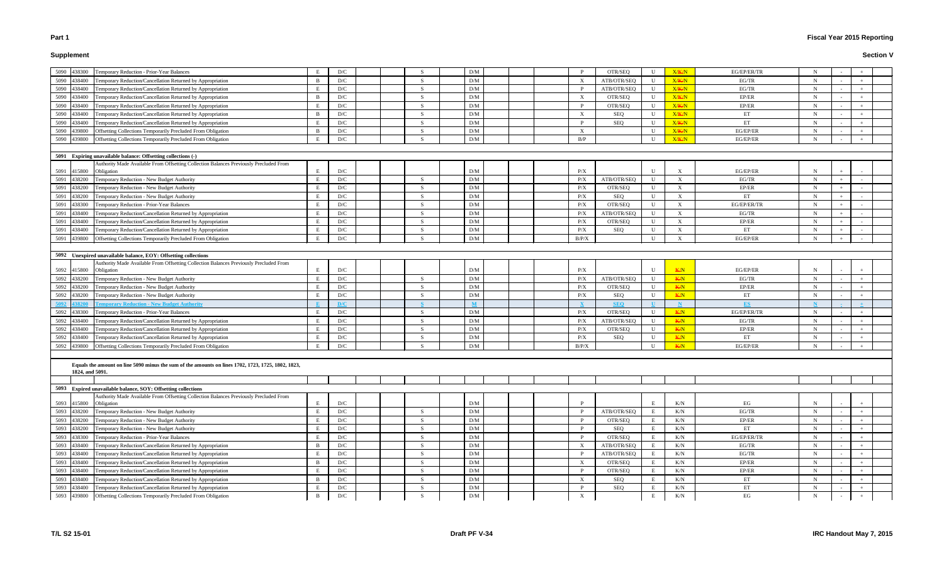### **Supplement**

# **Fiscal Year 2015 Reporting**

| Temporary Reduction - Prior-Year Balances<br>5090<br>438300                                                           |                | D/C                     |  |              | D/M             |  |                           | OTR/SEQ        | U                 | X/K/N                          | EG/EP/ER/TR       | N                |  |  |
|-----------------------------------------------------------------------------------------------------------------------|----------------|-------------------------|--|--------------|-----------------|--|---------------------------|----------------|-------------------|--------------------------------|-------------------|------------------|--|--|
| 5090<br>Temporary Reduction/Cancellation Returned by Appropriation<br>138400                                          | -B             | D/C                     |  | S            | D/M             |  |                           | ATB/OTR/SEQ    | $\mathbf U$       | X/K/N                          | EG/TR             | $\mathbf N$      |  |  |
| 5090<br>Temporary Reduction/Cancellation Returned by Appropriation<br>38400                                           |                | D/C                     |  |              | D/M             |  |                           | ATB/OTR/SEQ    | U                 | X/K/N                          | EG/TR             | N                |  |  |
| Temporary Reduction/Cancellation Returned by Appropriation<br>5090<br>38400                                           | - B            | D/C                     |  | -S           | D/M             |  | $\mathbf{X}$              | OTR/SEQ        | U                 | X/K/N                          | EP/ER             | N                |  |  |
| 5090<br>Temporary Reduction/Cancellation Returned by Appropriation<br>38400                                           |                | D/C                     |  | -8           | D/M             |  | P                         | OTR/SEQ        | $\mathbf U$       | X/K/N                          | EP/ER             | N                |  |  |
| 5090<br>Temporary Reduction/Cancellation Returned by Appropriation<br>38400                                           | - B            | D/C                     |  | -S           | D/M             |  | $\boldsymbol{\mathrm{X}}$ | SEQ            | U                 | X/K/N                          | ET                | $\mathbf N$      |  |  |
| Temporary Reduction/Cancellation Returned by Appropriation<br>5090<br>38400                                           |                | D/C                     |  |              | D/M             |  | P                         | <b>SEQ</b>     | U                 | X/K/N                          | ET                | $\mathbf N$      |  |  |
| Offsetting Collections Temporarily Precluded From Obligation<br>5090<br>439800                                        | - B            | D/C                     |  |              | D/M             |  | $\boldsymbol{\mathrm{X}}$ |                | U                 | X/K/N                          | EG/EP/ER          | $\mathbf N$      |  |  |
| Offsetting Collections Temporarily Precluded From Obligation<br>5090<br>439800                                        |                | D/C                     |  |              | D/M             |  | B/P                       |                | U                 | X/K/N                          | EG/EP/ER          | N                |  |  |
|                                                                                                                       |                |                         |  |              |                 |  |                           |                |                   |                                |                   |                  |  |  |
| 5091 Expiring unavailable balance: Offsetting collections (-)                                                         |                |                         |  |              |                 |  |                           |                |                   |                                |                   |                  |  |  |
| Authority Made Available From Offsetting Collection Balances Previously Precluded From<br>5091 415800<br>Obligation   | E              | D/C                     |  |              | D/M             |  | P/X                       |                | U                 | X                              | EG/EP/ER          | - N              |  |  |
| 5091<br>Temporary Reduction - New Budget Authority<br>438200                                                          | E              | D/C                     |  | <b>S</b>     | D/M             |  | P/X                       | ATB/OTR/SEQ    | U                 | X                              | EG/TR             | $\mathbf N$      |  |  |
| 5091<br>Temporary Reduction - New Budget Authority<br>438200                                                          | E              | D/C                     |  | -S           | D/M             |  | P/X                       | OTR/SEQ        | U                 | X                              | EP/ER             | N                |  |  |
|                                                                                                                       |                |                         |  |              |                 |  |                           |                |                   |                                |                   |                  |  |  |
| 5091<br>Temporary Reduction - New Budget Authority<br>438200<br>Temporary Reduction - Prior-Year Balances             |                | D/C<br>D/C              |  | -S<br>-8     | D/M<br>D/M      |  | P/X<br>P/X                | SEQ<br>OTR/SEQ | U<br>U            | $\boldsymbol{\mathrm{X}}$<br>X | ET<br>EG/EP/ER/TR | N<br>$\mathbf N$ |  |  |
| 5091<br>438300                                                                                                        |                |                         |  |              |                 |  |                           |                |                   |                                |                   |                  |  |  |
| 5091<br>438400<br>Temporary Reduction/Cancellation Returned by Appropriation                                          |                | D/C                     |  | S            | D/M             |  | $\rm P/X$                 | ATB/OTR/SEQ    | U                 | $\boldsymbol{\mathrm{X}}$      | EG/TR             | N                |  |  |
| Temporary Reduction/Cancellation Returned by Appropriation<br>5091<br>138400                                          |                | D/C                     |  |              | D/M             |  | P/X                       | OTR/SEQ        | $\mathbf U$       | $\boldsymbol{\mathrm{X}}$      | EP/ER             | $\mathbf N$      |  |  |
| Temporary Reduction/Cancellation Returned by Appropriation<br>5091<br>438400                                          |                | D/C                     |  | <b>S</b>     | D/M             |  | P/X                       | <b>SEQ</b>     | U                 | X                              | ET                | $\mathbf N$      |  |  |
| Offsetting Collections Temporarily Precluded From Obligation<br>5091<br>439800                                        | E              | D/C                     |  |              | D/M             |  | B/P/X                     |                | U                 | $\boldsymbol{\mathrm{X}}$      | EG/EP/ER          | N                |  |  |
|                                                                                                                       |                |                         |  |              |                 |  |                           |                |                   |                                |                   |                  |  |  |
| 5092 Unexpired unavailable balance, EOY: Offsetting collections                                                       |                |                         |  |              |                 |  |                           |                |                   |                                |                   |                  |  |  |
| Authority Made Available From Offsetting Collection Balances Previously Precluded From<br>5092 415800<br>Obligation   | $E_{\rm{L}}$   | D/C                     |  |              | D/M             |  | $\rm P/X$                 |                | U                 | <b>K/N</b>                     | EG/EP/ER          | N                |  |  |
| Temporary Reduction - New Budget Authority<br>5092<br>138200                                                          | E              | D/C                     |  | -S           | D/M             |  | P/X                       | ATB/OTR/SEQ    | $\mathbf U$       | <b>K/N</b>                     | EG/TR             | $\mathbf N$      |  |  |
| 5092<br>Temporary Reduction - New Budget Authority<br>38200                                                           |                | D/C                     |  |              | D/M             |  | $\rm P/X$                 | OTR/SEQ        | U                 | <b>K/N</b>                     | EP/ER             | N                |  |  |
| Temporary Reduction - New Budget Authority<br>5092<br>38200                                                           | E              | D/C                     |  | <b>S</b>     | D/M             |  | P/X                       | SEQ            | U                 | <b>K/N</b>                     | ET                | $\mathbf N$      |  |  |
| <b>emporary Reduction - New Budget Authority</b>                                                                      |                | D/C                     |  |              |                 |  |                           | <b>SEQ</b>     |                   |                                | ES                |                  |  |  |
| Temporary Reduction - Prior-Year Balances<br>38300                                                                    | E              | D/C                     |  | <b>S</b>     | D/M             |  | P/X                       | OTR/SEQ        | U                 | <b>K/N</b>                     | EG/EP/ER/TR       | $\mathbf N$      |  |  |
| 5092<br>Temporary Reduction/Cancellation Returned by Appropriation<br>38400                                           |                | D/C                     |  |              | D/M             |  | P/X                       |                | U                 | <b>K/N</b>                     | EG/TR             | $\mathbf N$      |  |  |
| 5092<br>Temporary Reduction/Cancellation Returned by Appropriation<br>138400                                          |                | D/C                     |  |              | D/M             |  |                           | ATB/OTR/SEQ    | U                 |                                | EP/ER             | $\mathbf N$      |  |  |
| 5092                                                                                                                  |                |                         |  |              |                 |  | P/X                       | OTR/SEQ        |                   | <b>K/N</b>                     |                   | N                |  |  |
| Temporary Reduction/Cancellation Returned by Appropriation<br>5092<br>438400                                          | E              | D/C                     |  |              | D/M             |  | $\rm P/X$                 | <b>SEQ</b>     | U<br>$\mathbf{U}$ | <b>K/N</b>                     | ET<br>EG/EP/ER    | N                |  |  |
| 5092<br>Offsetting Collections Temporarily Precluded From Obligation<br>439800                                        |                | D/C                     |  |              | D/M             |  | B/P/X                     |                |                   | <b>K/N</b>                     |                   |                  |  |  |
| Equals the amount on line 5090 minus the sum of the amounts on lines 1702, 1723, 1725, 1802, 1823,<br>1824, and 5091. |                |                         |  |              |                 |  |                           |                |                   |                                |                   |                  |  |  |
| 5093 Expired unavailable balance, SOY: Offsetting collections                                                         |                |                         |  |              |                 |  |                           |                |                   |                                |                   |                  |  |  |
| Authority Made Available From Offsetting Collection Balances Previously Precluded From                                |                |                         |  |              |                 |  |                           |                |                   |                                |                   |                  |  |  |
| 5093 415800<br>Obligation                                                                                             | E              | D/C                     |  |              | D/M             |  |                           |                | E                 | K/N                            | EG                | N                |  |  |
| Temporary Reduction - New Budget Authority<br>5093<br>438200                                                          | E              | $\mathbf{D}/\mathbf{C}$ |  | <sup>S</sup> | D/M             |  |                           | ATB/OTR/SEQ    | E                 | K/N                            | $EG/TR$           | $\mathbf N$      |  |  |
| 5093<br>Temporary Reduction - New Budget Authority<br>138200                                                          | E              | D/C                     |  | <sub>S</sub> | $\rm{D}/\rm{M}$ |  |                           | OTR/SEQ        | E                 | K/N                            | EP/ER             | $\mathbf N$      |  |  |
| 5093<br><b>Femporary Reduction - New Budget Authority</b><br>38200                                                    |                | D/C                     |  | <sub>S</sub> | $\rm{D}/\rm{M}$ |  | P                         | SEQ            | E                 | K/N                            | ET                | $\mathbf N$      |  |  |
| Temporary Reduction - Prior-Year Balances<br>5093<br>38300                                                            |                | D/C                     |  | -S           | $\rm{D}/\rm{M}$ |  | P                         | OTR/SEQ        | E                 | K/N                            | EG/EP/ER/TR       | $\mathbf N$      |  |  |
| Temporary Reduction/Cancellation Returned by Appropriation<br>5093<br>38400                                           | B              | D/C                     |  | $\mathbf S$  | D/M             |  |                           | ATB/OTR/SEQ    | E                 | K/N                            | EG/TR             | $\mathbf N$      |  |  |
| 5093<br>Temporary Reduction/Cancellation Returned by Appropriation<br>138400                                          | E              | D/C                     |  | <sup>S</sup> | D/M             |  |                           | ATB/OTR/SEQ    | E                 | K/N                            | EG/TR             | $\mathbf N$      |  |  |
| 5093<br>Temporary Reduction/Cancellation Returned by Appropriation<br>38400                                           | $\overline{B}$ | D/C                     |  | -S           | D/M             |  | $\boldsymbol{\mathrm{X}}$ | OTR/SEQ        | E                 | K/N                            | EP/ER             | $\mathbf N$      |  |  |
| Temporary Reduction/Cancellation Returned by Appropriation<br>5093<br>438400                                          | E              | D/C                     |  | S            | $\rm{D}/\rm{M}$ |  | P                         | OTR/SEQ        | E                 | K/N                            | EP/ER             | $\mathbf N$      |  |  |
| 5093<br>Temporary Reduction/Cancellation Returned by Appropriation<br>438400                                          | B              | D/C                     |  | <sub>S</sub> | $\rm{D}/\rm{M}$ |  | X                         | SEQ            | E                 | K/N                            | ET                | $\mathbf N$      |  |  |
| Temporary Reduction/Cancellation Returned by Appropriation<br>5093<br>438400                                          | E              | D/C                     |  | -S           | D/M             |  | P                         | SEQ            | E                 | K/N                            | ET                | N                |  |  |
| Offsetting Collections Temporarily Precluded From Obligation<br>5093 439800                                           | $\mathbf{B}$   | $\mathbf{D}/\mathbf{C}$ |  | <sub>S</sub> | D/M             |  | $\boldsymbol{\mathrm{X}}$ |                | E                 | K/N                            | EG                | $\mathbf N$      |  |  |
|                                                                                                                       |                |                         |  |              |                 |  |                           |                |                   |                                |                   |                  |  |  |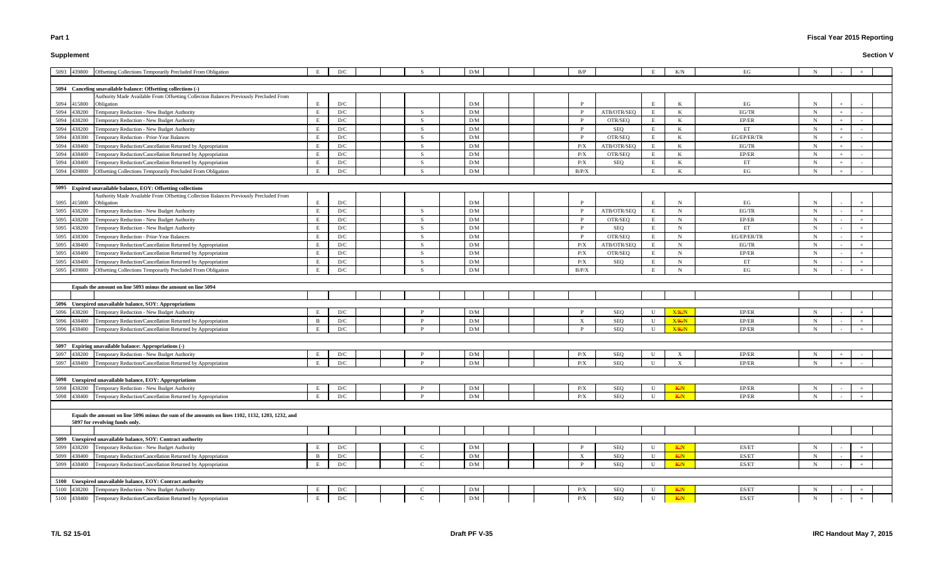# **Supplement**

# **Fiscal Year 2015 Reporting**

| 5093 439800 Offsetting Collections Temporarily Precluded From Obligation                                                           | E   | D/C |    | D/M        |  | B/P               |             | Е            | K/N            | EG          | N           |  |  |
|------------------------------------------------------------------------------------------------------------------------------------|-----|-----|----|------------|--|-------------------|-------------|--------------|----------------|-------------|-------------|--|--|
| 5094 Canceling unavailable balance: Offsetting collections (-)                                                                     |     |     |    |            |  |                   |             |              |                |             |             |  |  |
| Authority Made Available From Offsetting Collection Balances Previously Precluded From                                             |     |     |    |            |  |                   |             |              |                |             |             |  |  |
| 5094 415800<br>Obligation                                                                                                          |     | D/C |    | D/M        |  |                   |             | E            |                | EG          |             |  |  |
| 5094<br>438200<br>Temporary Reduction - New Budget Authority                                                                       |     | D/C | -S | D/M        |  |                   | ATB/OTR/SEQ | E            | K              | EG/TR       | $\mathbf N$ |  |  |
| 5094<br>438200<br>Temporary Reduction - New Budget Authority                                                                       | E   | D/C | -S | D/M        |  | <sup>P</sup>      | OTR/SEQ     | E            | K              | EP/ER       | $\mathbf N$ |  |  |
| 5094<br>Temporary Reduction - New Budget Authority<br>438200                                                                       | E   | D/C | -S | D/M        |  | $\mathbf{P}$      | SEQ         | E            | K              | ET          | N           |  |  |
| 5094<br>438300<br>Temporary Reduction - Prior-Year Balances                                                                        | E   | D/C | -S | D/M        |  | $\mathbf{P}$      | OTR/SEQ     | E            | K              | EG/EP/ER/TR | $\mathbf N$ |  |  |
| 5094<br>438400<br>Temporary Reduction/Cancellation Returned by Appropriation                                                       | E   | D/C | -S | D/M        |  | P/X               | ATB/OTR/SEQ | E            | K              | EG/TR       | $\mathbf N$ |  |  |
| 5094<br>Temporary Reduction/Cancellation Returned by Appropriation<br>438400                                                       |     | D/C |    | D/M        |  | P/X               | OTR/SEQ     | E            |                | EP/ER       | -N          |  |  |
| 5094<br>438400<br>Temporary Reduction/Cancellation Returned by Appropriation                                                       | E   | D/C | -S | D/M        |  | P/X               | SEQ         | E            | K              | ET          | $\mathbf N$ |  |  |
| 5094<br>439800<br>Offsetting Collections Temporarily Precluded From Obligation                                                     | E   | D/C |    | D/M        |  | B/P/X             |             | E            | K              | EG          | $\mathbf N$ |  |  |
| 5095 Expired unavailable balance, EOY: Offsetting collections                                                                      |     |     |    |            |  |                   |             |              |                |             |             |  |  |
| Authority Made Available From Offsetting Collection Balances Previously Precluded From<br>5095 415800<br>Obligation                |     | D/C |    | D/M        |  |                   |             | E            |                | EG          | N           |  |  |
| 5095<br>438200<br>Temporary Reduction - New Budget Authority                                                                       |     | D/C | S. | D/M        |  |                   | ATB/OTR/SEQ | E            | N              | EG/TR       | $\mathbf N$ |  |  |
| 5095 438200<br>Temporary Reduction - New Budget Authority                                                                          |     | D/C |    | D/M        |  | - P               | OTR/SEQ     | E            | N              | EP/ER       | N           |  |  |
| 5095<br>438200<br>Temporary Reduction - New Budget Authority                                                                       |     | D/C | -S | D/M        |  | $\mathbf{P}$      | SEQ         | E            | N              | ET          | N           |  |  |
| 5095<br>438300<br>Temporary Reduction - Prior-Year Balances                                                                        |     | D/C | -S | D/M        |  | $\mathbf{P}$      | OTR/SEQ     | E            | N              | EG/EP/ER/TR | $\mathbf N$ |  |  |
| 5095<br>438400<br>Temporary Reduction/Cancellation Returned by Appropriation                                                       |     | D/C | -S | D/M        |  | P/X               | ATB/OTR/SEQ | E            | N              | EG/TR       | $\mathbf N$ |  |  |
| 5095<br>Temporary Reduction/Cancellation Returned by Appropriation<br>438400                                                       |     | D/C | -S | D/M        |  | P/X               | OTR/SEQ     | E            | $\mathbf N$    | EP/ER       | -N          |  |  |
| 5095<br>438400<br>Temporary Reduction/Cancellation Returned by Appropriation                                                       |     | D/C | -S | D/M        |  | P/X               | SEQ         | E            | N              | ET          | N           |  |  |
| 5095<br>Offsetting Collections Temporarily Precluded From Obligation<br>439800                                                     | E   | D/C |    | D/M        |  | B/P/X             |             | E            | $\mathbf N$    | EG          | $\mathbf N$ |  |  |
|                                                                                                                                    |     |     |    |            |  |                   |             |              |                |             |             |  |  |
| Equals the amount on line 5093 minus the amount on line 5094                                                                       |     |     |    |            |  |                   |             |              |                |             |             |  |  |
|                                                                                                                                    |     |     |    |            |  |                   |             |              |                |             |             |  |  |
| 5096 Unexpired unavailable balance, SOY: Appropriations                                                                            |     |     |    |            |  |                   |             |              |                |             |             |  |  |
| 5096<br>Temporary Reduction - New Budget Authority<br>438200                                                                       |     | D/C |    | D/M        |  |                   | <b>SEQ</b>  | U            | X/K/N          | EP/ER       | N           |  |  |
| 5096 438400 Temporary Reduction/Cancellation Returned by Appropriation                                                             | E   | D/C |    | D/M<br>D/M |  | X<br><sup>D</sup> | <b>SEQ</b>  | U            | X/K/N<br>X/K/N | EP/ER       | N           |  |  |
| 5096 438400 Temporary Reduction/Cancellation Returned by Appropriation                                                             |     | D/C |    |            |  |                   | SEQ         | $\mathbf{U}$ |                | EP/ER       | $\mathbf N$ |  |  |
| 5097 Expiring unavailable balance: Appropriations (-)                                                                              |     |     |    |            |  |                   |             |              |                |             |             |  |  |
| 5097 438200<br>Temporary Reduction - New Budget Authority                                                                          |     | D/C |    | D/M        |  | P/X               | SEQ         | U            |                | EP/ER       | N           |  |  |
| 5097 438400 Temporary Reduction/Cancellation Returned by Appropriation                                                             | E   | D/C |    | D/M        |  | P/X               | <b>SEQ</b>  | $\mathbf U$  | $\mathbf{X}$   | EP/ER       | N           |  |  |
| 5098 Unexpired unavailable balance, EOY: Appropriations                                                                            |     |     |    |            |  |                   |             |              |                |             |             |  |  |
| 5098<br>Temporary Reduction - New Budget Authority<br>438200                                                                       | E   | D/C |    | D/M        |  | P/X               | SEQ         | $\mathbf U$  | <b>K/N</b>     | EP/ER       |             |  |  |
| 5098<br>438400<br>Temporary Reduction/Cancellation Returned by Appropriation                                                       | E   | D/C |    | D/M        |  | P/X               | <b>SEQ</b>  | $\mathbf U$  | <b>K/N</b>     | EP/ER       | N           |  |  |
|                                                                                                                                    |     |     |    |            |  |                   |             |              |                |             |             |  |  |
| Equals the amount on line 5096 minus the sum of the amounts on lines 1102, 1132, 1203, 1232, and<br>5097 for revolving funds only. |     |     |    |            |  |                   |             |              |                |             |             |  |  |
|                                                                                                                                    |     |     |    |            |  |                   |             |              |                |             |             |  |  |
| 5099 Unexpired unavailable balance, SOY: Contract authority                                                                        |     |     |    |            |  |                   |             |              |                |             |             |  |  |
| 5099 438200<br>Temporary Reduction - New Budget Authority                                                                          |     | D/C |    | D/M        |  |                   | <b>SEQ</b>  | U            | K/N            | ES/ET       | N           |  |  |
| 5099<br>Temporary Reduction/Cancellation Returned by Appropriation<br>438400                                                       | - B | D/C |    | D/M        |  | X                 | <b>SEQ</b>  | $\mathbf U$  | <b>K/N</b>     | ES/ET       | N           |  |  |
| 5099<br>Temporary Reduction/Cancellation Returned by Appropriation<br>438400                                                       | Е   | D/C |    | D/M        |  | $\mathbf{P}$      | SEQ         | $\mathbf U$  | K/N            | ES/ET       | $\mathbf N$ |  |  |
|                                                                                                                                    |     |     |    |            |  |                   |             |              |                |             |             |  |  |
| 5100 Unexpired unavailable balance, EOY: Contract authority                                                                        |     |     |    |            |  |                   |             |              |                |             |             |  |  |
| 5100<br>Temporary Reduction - New Budget Authority<br>438200                                                                       |     | D/C |    | D/M        |  | P/X               | SEQ         | U            | K/N            | ES/ET       |             |  |  |
| 5100 438400<br>Temporary Reduction/Cancellation Returned by Appropriation                                                          | E   | D/C |    | D/M        |  | P/X               | SEQ         | U            | <b>K/N</b>     | ES/ET       | $\mathbf N$ |  |  |